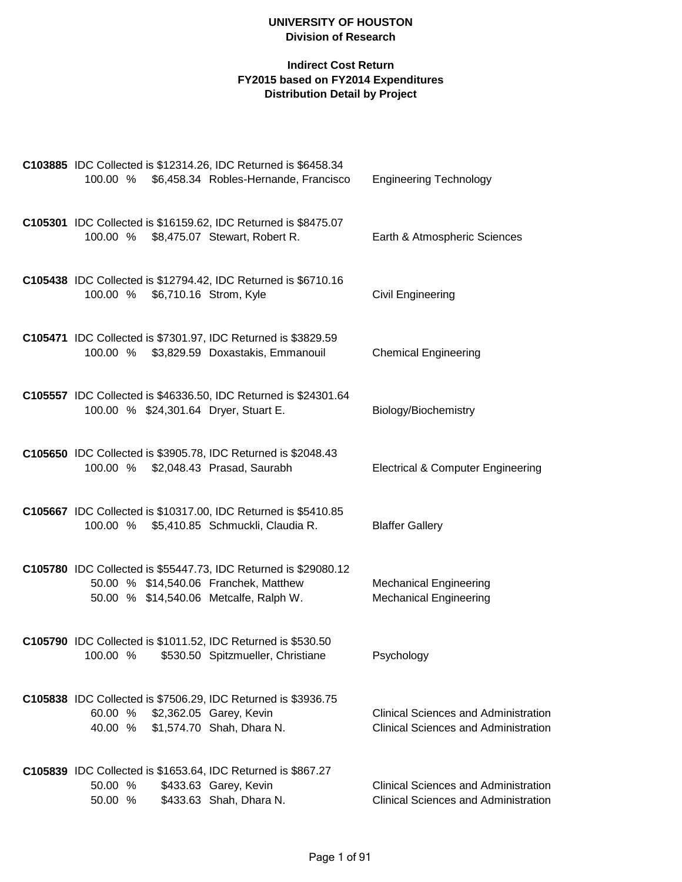| C103885 IDC Collected is \$12314.26, IDC Returned is \$6458.34<br>\$6,458.34 Robles-Hernande, Francisco<br>100.00 %                                | <b>Engineering Technology</b>                                                              |
|----------------------------------------------------------------------------------------------------------------------------------------------------|--------------------------------------------------------------------------------------------|
| C105301 IDC Collected is \$16159.62, IDC Returned is \$8475.07<br>100.00 %<br>\$8,475.07 Stewart, Robert R.                                        | Earth & Atmospheric Sciences                                                               |
| C105438 IDC Collected is \$12794.42, IDC Returned is \$6710.16<br>100.00 % \$6,710.16 Strom, Kyle                                                  | Civil Engineering                                                                          |
| C105471 IDC Collected is \$7301.97, IDC Returned is \$3829.59<br>100.00 %<br>\$3,829.59 Doxastakis, Emmanouil                                      | <b>Chemical Engineering</b>                                                                |
| C105557 IDC Collected is \$46336.50, IDC Returned is \$24301.64<br>100.00 % \$24,301.64 Dryer, Stuart E.                                           | Biology/Biochemistry                                                                       |
| C105650 IDC Collected is \$3905.78, IDC Returned is \$2048.43<br>100.00 % \$2,048.43 Prasad, Saurabh                                               | <b>Electrical &amp; Computer Engineering</b>                                               |
| C105667 IDC Collected is \$10317.00, IDC Returned is \$5410.85<br>100.00 % \$5,410.85 Schmuckli, Claudia R.                                        | <b>Blaffer Gallery</b>                                                                     |
| C105780 IDC Collected is \$55447.73, IDC Returned is \$29080.12<br>50.00 % \$14,540.06 Franchek, Matthew<br>50.00 % \$14,540.06 Metcalfe, Ralph W. | <b>Mechanical Engineering</b><br><b>Mechanical Engineering</b>                             |
| C105790 IDC Collected is \$1011.52, IDC Returned is \$530.50<br>100.00 % \$530.50 Spitzmueller, Christiane                                         | Psychology                                                                                 |
| C105838 IDC Collected is \$7506.29, IDC Returned is \$3936.75<br>60.00 %<br>\$2,362.05 Garey, Kevin<br>40.00 %<br>\$1,574.70 Shah, Dhara N.        | <b>Clinical Sciences and Administration</b><br><b>Clinical Sciences and Administration</b> |
| C105839 IDC Collected is \$1653.64, IDC Returned is \$867.27<br>50.00 %<br>\$433.63 Garey, Kevin<br>50.00 %<br>\$433.63 Shah, Dhara N.             | <b>Clinical Sciences and Administration</b><br><b>Clinical Sciences and Administration</b> |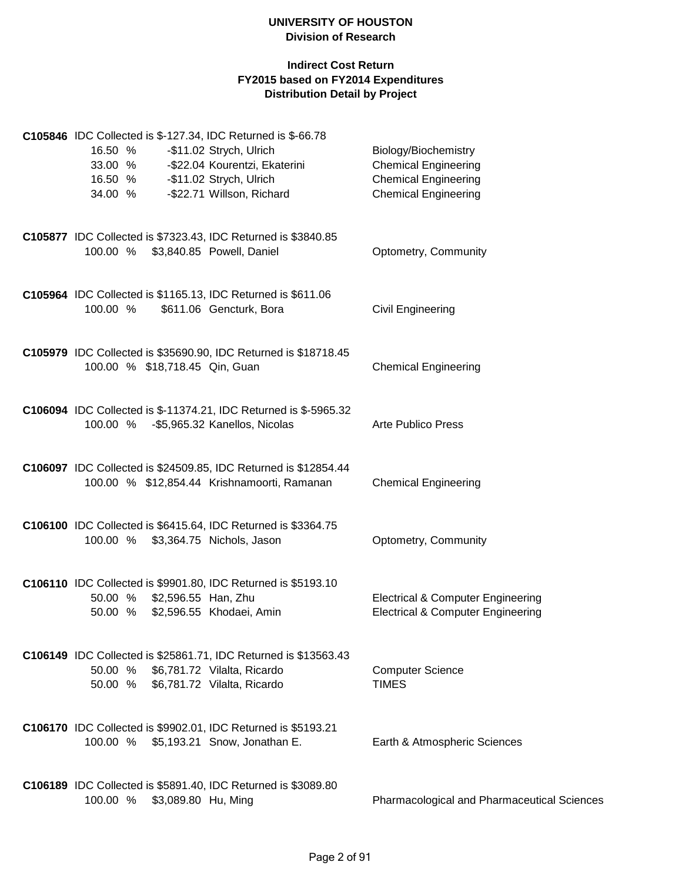| C105846 IDC Collected is \$-127.34, IDC Returned is \$-66.78<br>16.50 %<br>-\$11.02 Strych, Ulrich<br>33.00 %<br>-\$22.04 Kourentzi, Ekaterini<br>-\$11.02 Strych, Ulrich<br>16.50 %<br>-\$22.71 Willson, Richard<br>34.00 % | Biology/Biochemistry<br><b>Chemical Engineering</b><br><b>Chemical Engineering</b><br><b>Chemical Engineering</b> |
|------------------------------------------------------------------------------------------------------------------------------------------------------------------------------------------------------------------------------|-------------------------------------------------------------------------------------------------------------------|
| C105877 IDC Collected is \$7323.43, IDC Returned is \$3840.85<br>100.00 % \$3,840.85 Powell, Daniel                                                                                                                          | Optometry, Community                                                                                              |
| C105964 IDC Collected is \$1165.13, IDC Returned is \$611.06<br>100.00 %<br>\$611.06 Gencturk, Bora                                                                                                                          | <b>Civil Engineering</b>                                                                                          |
| C105979 IDC Collected is \$35690.90, IDC Returned is \$18718.45<br>100.00 % \$18,718.45 Qin, Guan                                                                                                                            | <b>Chemical Engineering</b>                                                                                       |
| C106094 IDC Collected is \$-11374.21, IDC Returned is \$-5965.32<br>100.00 % - \$5,965.32 Kanellos, Nicolas                                                                                                                  | <b>Arte Publico Press</b>                                                                                         |
| C106097 IDC Collected is \$24509.85, IDC Returned is \$12854.44<br>100.00 % \$12,854.44 Krishnamoorti, Ramanan                                                                                                               | <b>Chemical Engineering</b>                                                                                       |
| C106100 IDC Collected is \$6415.64, IDC Returned is \$3364.75<br>100.00 %<br>\$3,364.75 Nichols, Jason                                                                                                                       | Optometry, Community                                                                                              |
| C106110 IDC Collected is \$9901.80, IDC Returned is \$5193.10<br>50.00 % \$2,596.55 Han, Zhu<br>50.00 % \$2,596.55 Khodaei, Amin                                                                                             | <b>Electrical &amp; Computer Engineering</b><br><b>Electrical &amp; Computer Engineering</b>                      |
| C106149 IDC Collected is \$25861.71, IDC Returned is \$13563.43<br>50.00 % \$6,781.72 Vilalta, Ricardo<br>50.00 % \$6,781.72 Vilalta, Ricardo                                                                                | <b>Computer Science</b><br><b>TIMES</b>                                                                           |
| C106170 IDC Collected is \$9902.01, IDC Returned is \$5193.21<br>100.00 % \$5,193.21 Snow, Jonathan E.                                                                                                                       | Earth & Atmospheric Sciences                                                                                      |
| C106189 IDC Collected is \$5891.40, IDC Returned is \$3089.80<br>\$3,089.80 Hu, Ming<br>100.00 %                                                                                                                             | Pharmacological and Pharmaceutical Sciences                                                                       |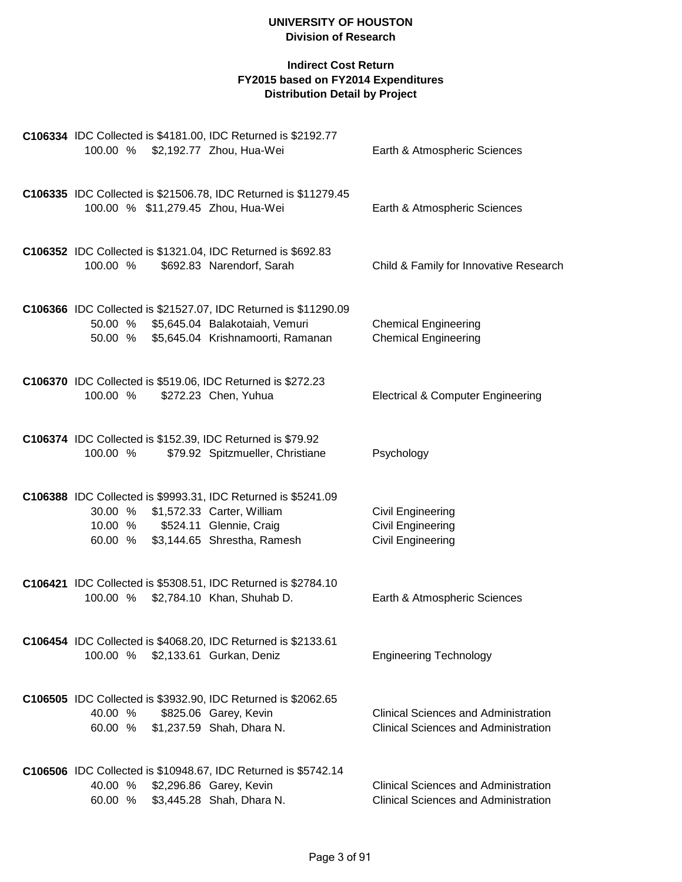| C106334 IDC Collected is \$4181.00, IDC Returned is \$2192.77<br>100.00 % \$2,192.77 Zhou, Hua-Wei                                                                                     | Earth & Atmospheric Sciences                                                               |
|----------------------------------------------------------------------------------------------------------------------------------------------------------------------------------------|--------------------------------------------------------------------------------------------|
| C106335 IDC Collected is \$21506.78, IDC Returned is \$11279.45<br>100.00 % \$11,279.45 Zhou, Hua-Wei                                                                                  | Earth & Atmospheric Sciences                                                               |
| C106352 IDC Collected is \$1321.04, IDC Returned is \$692.83<br>100.00 %<br>\$692.83 Narendorf, Sarah                                                                                  | Child & Family for Innovative Research                                                     |
| C106366 IDC Collected is \$21527.07, IDC Returned is \$11290.09<br>50.00 % \$5,645.04 Balakotaiah, Vemuri<br>\$5,645.04 Krishnamoorti, Ramanan<br>50.00 %                              | <b>Chemical Engineering</b><br><b>Chemical Engineering</b>                                 |
| C106370 IDC Collected is \$519.06, IDC Returned is \$272.23<br>100.00 %<br>\$272.23 Chen, Yuhua                                                                                        | <b>Electrical &amp; Computer Engineering</b>                                               |
| C106374 IDC Collected is \$152.39, IDC Returned is \$79.92<br>\$79.92 Spitzmueller, Christiane<br>100.00 %                                                                             | Psychology                                                                                 |
| C106388 IDC Collected is \$9993.31, IDC Returned is \$5241.09<br>\$1,572.33 Carter, William<br>30.00 %<br>\$524.11 Glennie, Craig<br>10.00 %<br>\$3,144.65 Shrestha, Ramesh<br>60.00 % | Civil Engineering<br>Civil Engineering<br>Civil Engineering                                |
| C106421 IDC Collected is \$5308.51, IDC Returned is \$2784.10<br>\$2,784.10 Khan, Shuhab D.<br>100.00 %                                                                                | Earth & Atmospheric Sciences                                                               |
| C106454 IDC Collected is \$4068.20, IDC Returned is \$2133.61<br>100.00 % \$2,133.61 Gurkan, Deniz                                                                                     | <b>Engineering Technology</b>                                                              |
| C106505 IDC Collected is \$3932.90, IDC Returned is \$2062.65<br>\$825.06 Garey, Kevin<br>40.00 %<br>60.00 % \$1,237.59 Shah, Dhara N.                                                 | <b>Clinical Sciences and Administration</b><br><b>Clinical Sciences and Administration</b> |
| C106506 IDC Collected is \$10948.67, IDC Returned is \$5742.14<br>40.00 %<br>\$2,296.86 Garey, Kevin<br>\$3,445.28 Shah, Dhara N.<br>60.00 %                                           | <b>Clinical Sciences and Administration</b><br><b>Clinical Sciences and Administration</b> |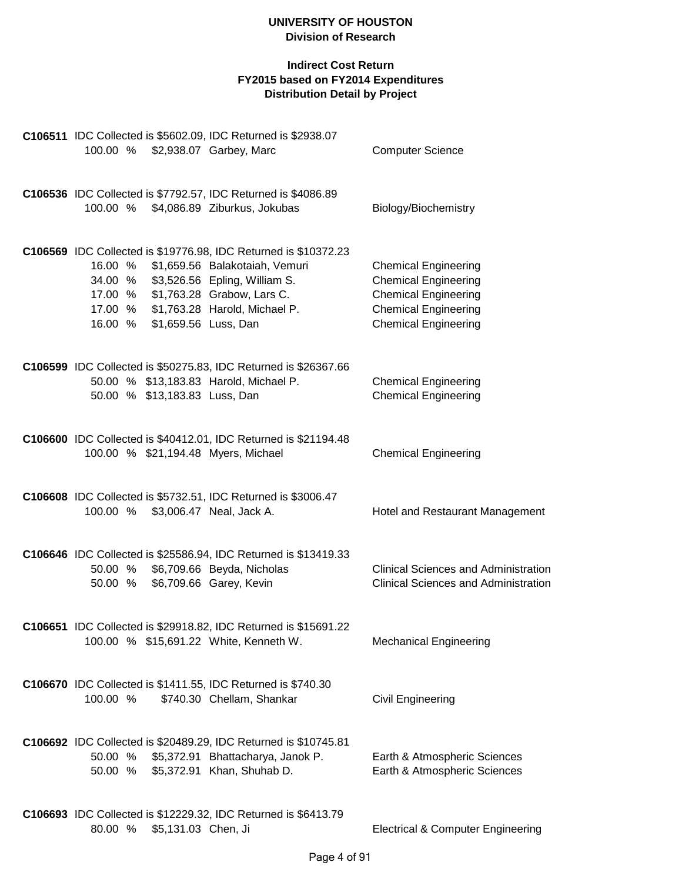|                                     |                     | C106511 IDC Collected is \$5602.09, IDC Returned is \$2938.07               |                                                            |
|-------------------------------------|---------------------|-----------------------------------------------------------------------------|------------------------------------------------------------|
| 100.00 %                            |                     | \$2,938.07 Garbey, Marc                                                     | <b>Computer Science</b>                                    |
|                                     |                     | C106536 IDC Collected is \$7792.57, IDC Returned is \$4086.89               |                                                            |
| 100.00 %                            |                     | \$4,086.89 Ziburkus, Jokubas                                                | Biology/Biochemistry                                       |
|                                     |                     | C106569 IDC Collected is \$19776.98, IDC Returned is \$10372.23             |                                                            |
| 16.00 %                             |                     | \$1,659.56 Balakotaiah, Vemuri                                              | <b>Chemical Engineering</b>                                |
|                                     |                     | 34.00 % \$3,526.56 Epling, William S.<br>17.00 % \$1,763.28 Grabow, Lars C. | <b>Chemical Engineering</b><br><b>Chemical Engineering</b> |
|                                     |                     | 17.00 % \$1,763.28 Harold, Michael P.                                       | <b>Chemical Engineering</b>                                |
| 16.00 %                             |                     | \$1,659.56 Luss, Dan                                                        | <b>Chemical Engineering</b>                                |
|                                     |                     | C106599 IDC Collected is \$50275.83, IDC Returned is \$26367.66             |                                                            |
|                                     |                     | 50.00 % \$13,183.83 Harold, Michael P.                                      | <b>Chemical Engineering</b>                                |
| 50.00 % \$13,183.83 Luss, Dan       |                     |                                                                             | <b>Chemical Engineering</b>                                |
|                                     |                     | C106600 IDC Collected is \$40412.01, IDC Returned is \$21194.48             |                                                            |
| 100.00 % \$21,194.48 Myers, Michael |                     |                                                                             | <b>Chemical Engineering</b>                                |
|                                     |                     | C106608 IDC Collected is \$5732.51, IDC Returned is \$3006.47               |                                                            |
| 100.00 %                            |                     | \$3,006.47 Neal, Jack A.                                                    | Hotel and Restaurant Management                            |
|                                     |                     | C106646 IDC Collected is \$25586.94, IDC Returned is \$13419.33             |                                                            |
| 50.00 %                             |                     | \$6,709.66 Beyda, Nicholas                                                  | <b>Clinical Sciences and Administration</b>                |
| 50.00 %                             |                     | \$6,709.66 Garey, Kevin                                                     | <b>Clinical Sciences and Administration</b>                |
|                                     |                     | C106651 IDC Collected is \$29918.82, IDC Returned is \$15691.22             |                                                            |
|                                     |                     | 100.00 % \$15,691.22 White, Kenneth W.                                      | <b>Mechanical Engineering</b>                              |
|                                     |                     | C106670 IDC Collected is \$1411.55, IDC Returned is \$740.30                |                                                            |
| 100.00 %                            |                     | \$740.30 Chellam, Shankar                                                   | Civil Engineering                                          |
|                                     |                     | C106692 IDC Collected is \$20489.29, IDC Returned is \$10745.81             |                                                            |
| 50.00 %                             |                     | \$5,372.91 Bhattacharya, Janok P.                                           | Earth & Atmospheric Sciences                               |
|                                     |                     | 50.00 % \$5,372.91 Khan, Shuhab D.                                          | Earth & Atmospheric Sciences                               |
|                                     |                     | C106693 IDC Collected is \$12229.32, IDC Returned is \$6413.79              |                                                            |
| 80.00 %                             | \$5,131.03 Chen, Ji |                                                                             | <b>Electrical &amp; Computer Engineering</b>               |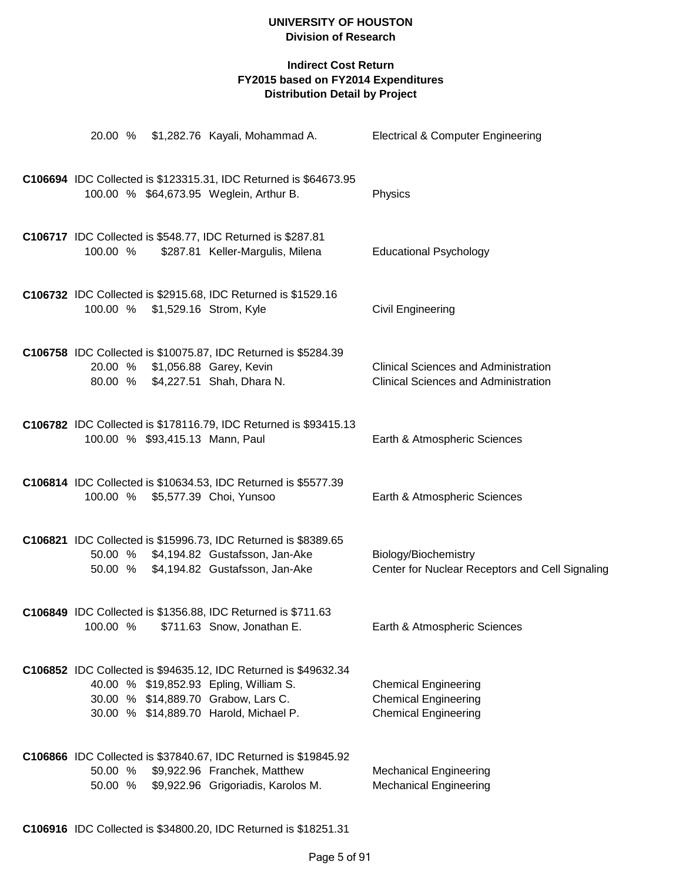|          |                                 | 20.00 % \$1,282.76 Kayali, Mohammad A.                                                                                                                                                     | <b>Electrical &amp; Computer Engineering</b>                                               |
|----------|---------------------------------|--------------------------------------------------------------------------------------------------------------------------------------------------------------------------------------------|--------------------------------------------------------------------------------------------|
|          |                                 | C106694 IDC Collected is \$123315.31, IDC Returned is \$64673.95<br>100.00 % \$64,673.95 Weglein, Arthur B.                                                                                | Physics                                                                                    |
| 100.00 % |                                 | C106717 IDC Collected is \$548.77, IDC Returned is \$287.81<br>\$287.81 Keller-Margulis, Milena                                                                                            | <b>Educational Psychology</b>                                                              |
|          | 100.00 % \$1,529.16 Strom, Kyle | C106732 IDC Collected is \$2915.68, IDC Returned is \$1529.16                                                                                                                              | <b>Civil Engineering</b>                                                                   |
|          |                                 | C106758 IDC Collected is \$10075.87, IDC Returned is \$5284.39<br>20.00 % \$1,056.88 Garey, Kevin<br>80.00 % \$4,227.51 Shah, Dhara N.                                                     | <b>Clinical Sciences and Administration</b><br><b>Clinical Sciences and Administration</b> |
|          | 100.00 % \$93,415.13 Mann, Paul | C106782 IDC Collected is \$178116.79, IDC Returned is \$93415.13                                                                                                                           | Earth & Atmospheric Sciences                                                               |
|          |                                 | C106814 IDC Collected is \$10634.53, IDC Returned is \$5577.39<br>100.00 % \$5,577.39 Choi, Yunsoo                                                                                         | Earth & Atmospheric Sciences                                                               |
|          |                                 | C106821 IDC Collected is \$15996.73, IDC Returned is \$8389.65<br>50.00 % \$4,194.82 Gustafsson, Jan-Ake<br>50.00 % \$4,194.82 Gustafsson, Jan-Ake                                         | Biology/Biochemistry<br>Center for Nuclear Receptors and Cell Signaling                    |
|          |                                 | C106849 IDC Collected is \$1356.88, IDC Returned is \$711.63<br>100.00 % \$711.63 Snow, Jonathan E.                                                                                        | Earth & Atmospheric Sciences                                                               |
|          |                                 | C106852 IDC Collected is \$94635.12, IDC Returned is \$49632.34<br>40.00 % \$19,852.93 Epling, William S.<br>30.00 % \$14,889.70 Grabow, Lars C.<br>30.00 % \$14,889.70 Harold, Michael P. | <b>Chemical Engineering</b><br><b>Chemical Engineering</b><br><b>Chemical Engineering</b>  |
|          |                                 | C106866 IDC Collected is \$37840.67, IDC Returned is \$19845.92<br>50.00 % \$9,922.96 Franchek, Matthew<br>50.00 % \$9,922.96 Grigoriadis, Karolos M.                                      | <b>Mechanical Engineering</b><br><b>Mechanical Engineering</b>                             |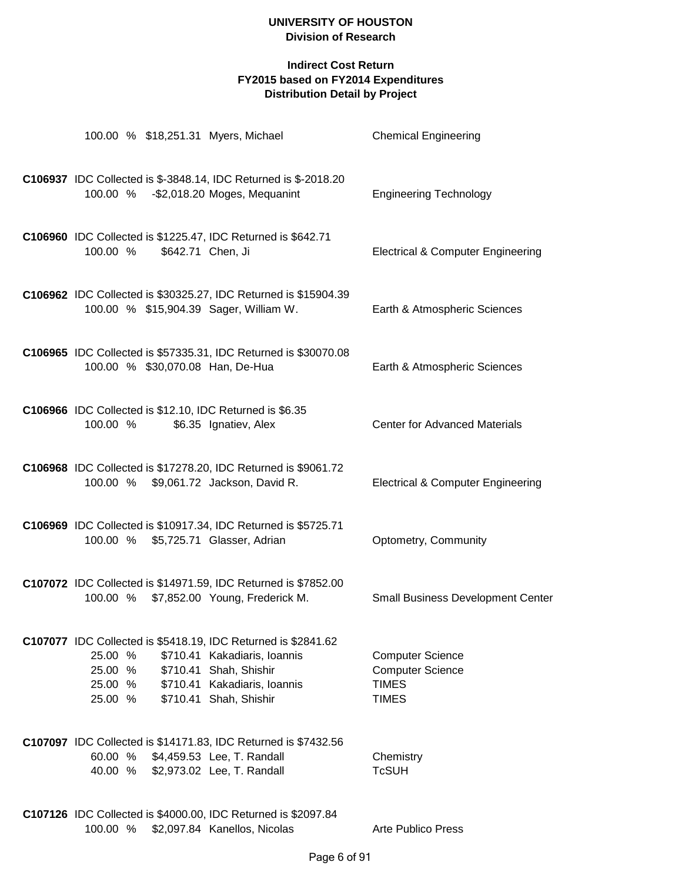| 100.00 % \$18,251.31 Myers, Michael                                                                       |                                                                                                                  | <b>Chemical Engineering</b>                                                        |
|-----------------------------------------------------------------------------------------------------------|------------------------------------------------------------------------------------------------------------------|------------------------------------------------------------------------------------|
| 100.00 % - \$2,018.20 Moges, Mequanint                                                                    | C106937 IDC Collected is \$-3848.14, IDC Returned is \$-2018.20                                                  | <b>Engineering Technology</b>                                                      |
| C106960 IDC Collected is \$1225.47, IDC Returned is \$642.71<br>\$642.71 Chen, Ji<br>100.00 %             |                                                                                                                  | <b>Electrical &amp; Computer Engineering</b>                                       |
| 100.00 % \$15,904.39 Sager, William W.                                                                    | C106962 IDC Collected is \$30325.27, IDC Returned is \$15904.39                                                  | Earth & Atmospheric Sciences                                                       |
| 100.00 % \$30,070.08 Han, De-Hua                                                                          | C106965 IDC Collected is \$57335.31, IDC Returned is \$30070.08                                                  | Earth & Atmospheric Sciences                                                       |
| C106966 IDC Collected is \$12.10, IDC Returned is \$6.35<br>100.00 %                                      | \$6.35 Ignatiev, Alex                                                                                            | <b>Center for Advanced Materials</b>                                               |
| C106968 IDC Collected is \$17278.20, IDC Returned is \$9061.72<br>100.00 %                                | \$9,061.72 Jackson, David R.                                                                                     | <b>Electrical &amp; Computer Engineering</b>                                       |
| C106969 IDC Collected is \$10917.34, IDC Returned is \$5725.71<br>100.00 %                                | \$5,725.71 Glasser, Adrian                                                                                       | Optometry, Community                                                               |
| C107072 IDC Collected is \$14971.59, IDC Returned is \$7852.00<br>100.00 %                                | \$7,852.00 Young, Frederick M.                                                                                   | <b>Small Business Development Center</b>                                           |
| C107077 IDC Collected is \$5418.19, IDC Returned is \$2841.62<br>25.00 %<br>25.00 %<br>25.00 %<br>25.00 % | \$710.41 Kakadiaris, Ioannis<br>\$710.41 Shah, Shishir<br>\$710.41 Kakadiaris, Ioannis<br>\$710.41 Shah, Shishir | <b>Computer Science</b><br><b>Computer Science</b><br><b>TIMES</b><br><b>TIMES</b> |
| C107097 IDC Collected is \$14171.83, IDC Returned is \$7432.56<br>60.00 %<br>40.00 %                      | \$4,459.53 Lee, T. Randall<br>\$2,973.02 Lee, T. Randall                                                         | Chemistry<br><b>TcSUH</b>                                                          |
| C107126 IDC Collected is \$4000.00, IDC Returned is \$2097.84<br>100.00 %                                 | \$2,097.84 Kanellos, Nicolas                                                                                     | <b>Arte Publico Press</b>                                                          |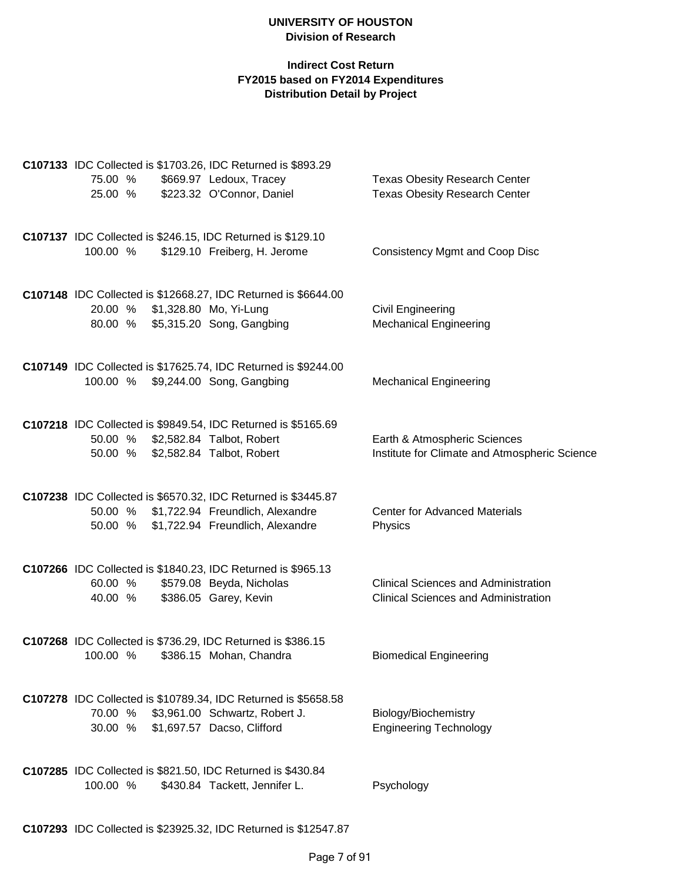|          | C107133 IDC Collected is \$1703.26, IDC Returned is \$893.29                                             |                                               |
|----------|----------------------------------------------------------------------------------------------------------|-----------------------------------------------|
| 75.00 %  | \$669.97 Ledoux, Tracey                                                                                  | <b>Texas Obesity Research Center</b>          |
| 25.00 %  | \$223.32 O'Connor, Daniel                                                                                | <b>Texas Obesity Research Center</b>          |
|          |                                                                                                          |                                               |
|          | C107137 IDC Collected is \$246.15, IDC Returned is \$129.10                                              |                                               |
| 100.00 % | \$129.10 Freiberg, H. Jerome                                                                             | <b>Consistency Mgmt and Coop Disc</b>         |
|          |                                                                                                          |                                               |
|          | C107148 IDC Collected is \$12668.27, IDC Returned is \$6644.00                                           |                                               |
|          | 20.00 % \$1,328.80 Mo, Yi-Lung                                                                           | <b>Civil Engineering</b>                      |
|          | 80.00 % \$5,315.20 Song, Gangbing                                                                        | <b>Mechanical Engineering</b>                 |
|          |                                                                                                          |                                               |
|          |                                                                                                          |                                               |
|          | C107149 IDC Collected is \$17625.74, IDC Returned is \$9244.00<br>100.00 % \$9,244.00 Song, Gangbing     | <b>Mechanical Engineering</b>                 |
|          |                                                                                                          |                                               |
|          |                                                                                                          |                                               |
|          | C107218 IDC Collected is \$9849.54, IDC Returned is \$5165.69                                            |                                               |
|          | 50.00 % \$2,582.84 Talbot, Robert                                                                        | Earth & Atmospheric Sciences                  |
| 50.00 %  | \$2,582.84 Talbot, Robert                                                                                | Institute for Climate and Atmospheric Science |
|          |                                                                                                          |                                               |
|          | C107238 IDC Collected is \$6570.32, IDC Returned is \$3445.87                                            |                                               |
|          | 50.00 % \$1,722.94 Freundlich, Alexandre                                                                 | <b>Center for Advanced Materials</b>          |
|          | 50.00 % \$1,722.94 Freundlich, Alexandre                                                                 | Physics                                       |
|          |                                                                                                          |                                               |
|          | C107266 IDC Collected is \$1840.23, IDC Returned is \$965.13                                             |                                               |
| 60.00 %  | \$579.08 Beyda, Nicholas                                                                                 | <b>Clinical Sciences and Administration</b>   |
| 40.00 %  | \$386.05 Garey, Kevin                                                                                    | <b>Clinical Sciences and Administration</b>   |
|          |                                                                                                          |                                               |
|          | C107268 IDC Collected is \$736.29, IDC Returned is \$386.15                                              |                                               |
| 100.00 % | \$386.15 Mohan, Chandra                                                                                  | <b>Biomedical Engineering</b>                 |
|          |                                                                                                          |                                               |
|          |                                                                                                          |                                               |
|          | C107278 IDC Collected is \$10789.34, IDC Returned is \$5658.58<br>70.00 % \$3,961.00 Schwartz, Robert J. | Biology/Biochemistry                          |
| 30.00 %  | \$1,697.57 Dacso, Clifford                                                                               | <b>Engineering Technology</b>                 |
|          |                                                                                                          |                                               |
|          |                                                                                                          |                                               |
|          | C107285 IDC Collected is \$821.50, IDC Returned is \$430.84                                              |                                               |
| 100.00 % | \$430.84 Tackett, Jennifer L.                                                                            | Psychology                                    |
|          |                                                                                                          |                                               |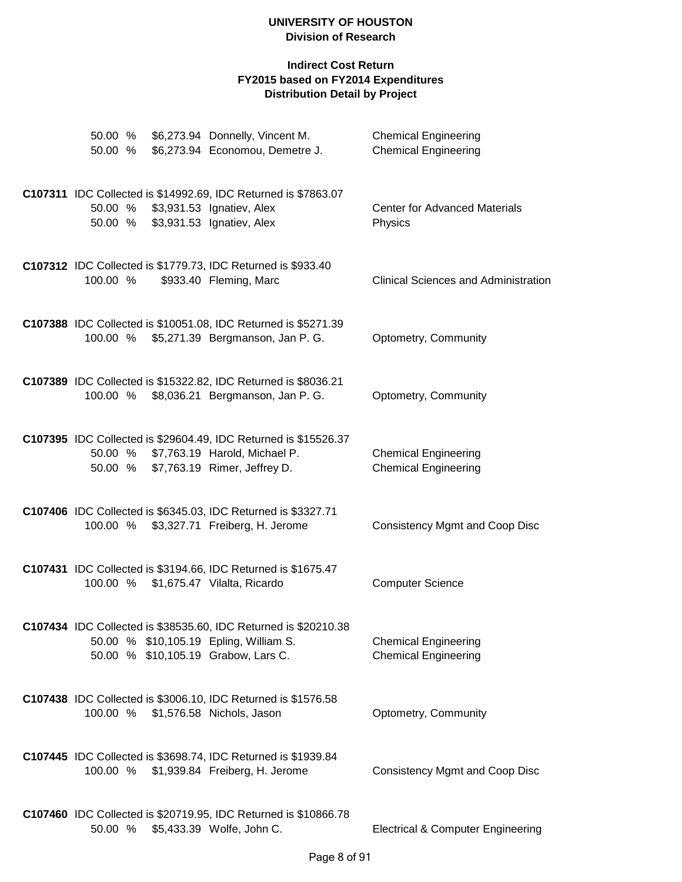| 50.00 %            |  | \$6,273.94 Donnelly, Vincent M.<br>50.00 % \$6,273.94 Economou, Demetre J.                         | <b>Chemical Engineering</b><br><b>Chemical Engineering</b> |
|--------------------|--|----------------------------------------------------------------------------------------------------|------------------------------------------------------------|
|                    |  |                                                                                                    |                                                            |
|                    |  | C107311 IDC Collected is \$14992.69, IDC Returned is \$7863.07                                     |                                                            |
| 50.00 %<br>50.00 % |  | \$3,931.53 Ignatiev, Alex<br>\$3,931.53 Ignatiev, Alex                                             | <b>Center for Advanced Materials</b><br>Physics            |
|                    |  |                                                                                                    |                                                            |
|                    |  | C107312 IDC Collected is \$1779.73, IDC Returned is \$933.40                                       |                                                            |
| 100.00 %           |  | \$933.40 Fleming, Marc                                                                             | <b>Clinical Sciences and Administration</b>                |
|                    |  | C107388 IDC Collected is \$10051.08, IDC Returned is \$5271.39                                     |                                                            |
| 100.00 %           |  | \$5,271.39 Bergmanson, Jan P. G.                                                                   | Optometry, Community                                       |
|                    |  |                                                                                                    |                                                            |
| 100.00 %           |  | C107389 IDC Collected is \$15322.82, IDC Returned is \$8036.21<br>\$8,036.21 Bergmanson, Jan P. G. | Optometry, Community                                       |
|                    |  |                                                                                                    |                                                            |
|                    |  | C107395 IDC Collected is \$29604.49, IDC Returned is \$15526.37                                    |                                                            |
|                    |  | 50.00 % \$7,763.19 Harold, Michael P.<br>50.00 % \$7,763.19 Rimer, Jeffrey D.                      | <b>Chemical Engineering</b><br><b>Chemical Engineering</b> |
|                    |  |                                                                                                    |                                                            |
|                    |  | C107406 IDC Collected is \$6345.03, IDC Returned is \$3327.71                                      |                                                            |
| 100.00 %           |  | \$3,327.71 Freiberg, H. Jerome                                                                     | <b>Consistency Mgmt and Coop Disc</b>                      |
|                    |  |                                                                                                    |                                                            |
| 100.00 %           |  | C107431 IDC Collected is \$3194.66, IDC Returned is \$1675.47<br>\$1,675.47 Vilalta, Ricardo       | <b>Computer Science</b>                                    |
|                    |  |                                                                                                    |                                                            |
|                    |  | C107434 IDC Collected is \$38535.60, IDC Returned is \$20210.38                                    |                                                            |
|                    |  | 50.00 % \$10,105.19 Epling, William S.<br>50.00 % \$10,105.19 Grabow, Lars C.                      | <b>Chemical Engineering</b><br><b>Chemical Engineering</b> |
|                    |  |                                                                                                    |                                                            |
|                    |  | C107438 IDC Collected is \$3006.10, IDC Returned is \$1576.58                                      |                                                            |
| 100.00 %           |  | \$1,576.58 Nichols, Jason                                                                          | Optometry, Community                                       |
|                    |  |                                                                                                    |                                                            |
| 100.00 %           |  | C107445 IDC Collected is \$3698.74, IDC Returned is \$1939.84<br>\$1,939.84 Freiberg, H. Jerome    | <b>Consistency Mgmt and Coop Disc</b>                      |
|                    |  |                                                                                                    |                                                            |
|                    |  | C107460 IDC Collected is \$20719.95, IDC Returned is \$10866.78                                    |                                                            |
| 50.00 %            |  | \$5,433.39 Wolfe, John C.                                                                          | <b>Electrical &amp; Computer Engineering</b>               |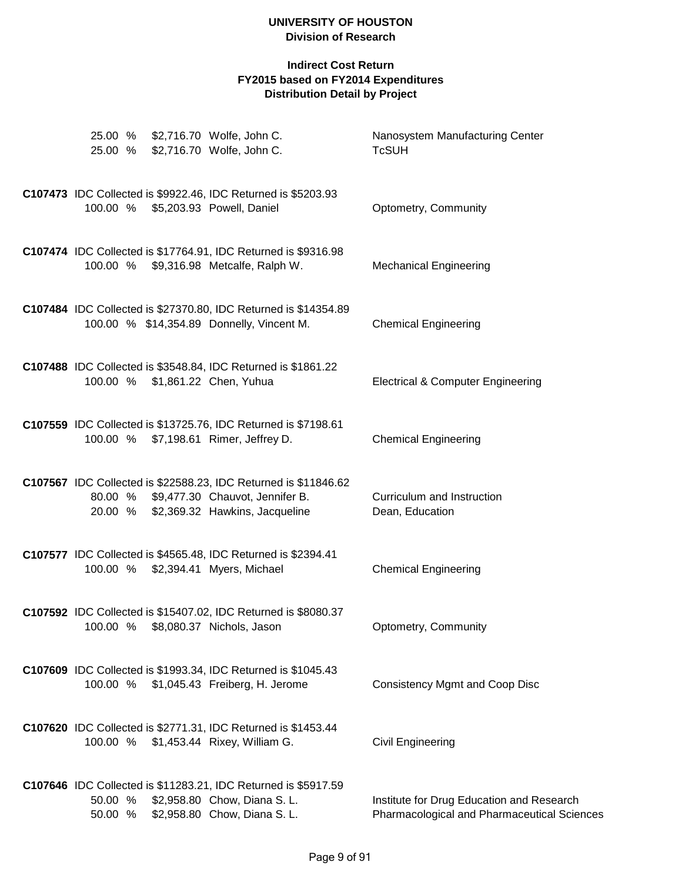|          | 25.00 % \$2,716.70 Wolfe, John C.<br>25.00 % \$2,716.70 Wolfe, John C.                                                                               | Nanosystem Manufacturing Center<br><b>TcSUH</b>                                          |
|----------|------------------------------------------------------------------------------------------------------------------------------------------------------|------------------------------------------------------------------------------------------|
|          | C107473 IDC Collected is \$9922.46, IDC Returned is \$5203.93<br>100.00 % \$5,203.93 Powell, Daniel                                                  | Optometry, Community                                                                     |
|          | C107474 IDC Collected is \$17764.91, IDC Returned is \$9316.98<br>100.00 % \$9,316.98 Metcalfe, Ralph W.                                             | <b>Mechanical Engineering</b>                                                            |
|          | C107484 IDC Collected is \$27370.80, IDC Returned is \$14354.89<br>100.00 % \$14,354.89 Donnelly, Vincent M.                                         | <b>Chemical Engineering</b>                                                              |
|          | C107488 IDC Collected is \$3548.84, IDC Returned is \$1861.22<br>100.00 % \$1,861.22 Chen, Yuhua                                                     | <b>Electrical &amp; Computer Engineering</b>                                             |
|          | C107559 IDC Collected is \$13725.76, IDC Returned is \$7198.61<br>100.00 % \$7,198.61 Rimer, Jeffrey D.                                              | <b>Chemical Engineering</b>                                                              |
|          | C107567 IDC Collected is \$22588.23, IDC Returned is \$11846.62<br>80.00 % \$9,477.30 Chauvot, Jennifer B.<br>20.00 % \$2,369.32 Hawkins, Jacqueline | Curriculum and Instruction<br>Dean, Education                                            |
|          | C107577 IDC Collected is \$4565.48, IDC Returned is \$2394.41<br>100.00 % \$2,394.41 Myers, Michael                                                  | <b>Chemical Engineering</b>                                                              |
|          | C107592 IDC Collected is \$15407.02, IDC Returned is \$8080.37<br>100.00 % \$8,080.37 Nichols, Jason                                                 | Optometry, Community                                                                     |
| 100.00 % | C107609 IDC Collected is \$1993.34, IDC Returned is \$1045.43<br>\$1,045.43 Freiberg, H. Jerome                                                      | <b>Consistency Mgmt and Coop Disc</b>                                                    |
|          | C107620 IDC Collected is \$2771.31, IDC Returned is \$1453.44<br>100.00 % \$1,453.44 Rixey, William G.                                               | Civil Engineering                                                                        |
| 50.00 %  | C107646 IDC Collected is \$11283.21, IDC Returned is \$5917.59<br>50.00 % \$2,958.80 Chow, Diana S. L.<br>\$2,958.80 Chow, Diana S. L.               | Institute for Drug Education and Research<br>Pharmacological and Pharmaceutical Sciences |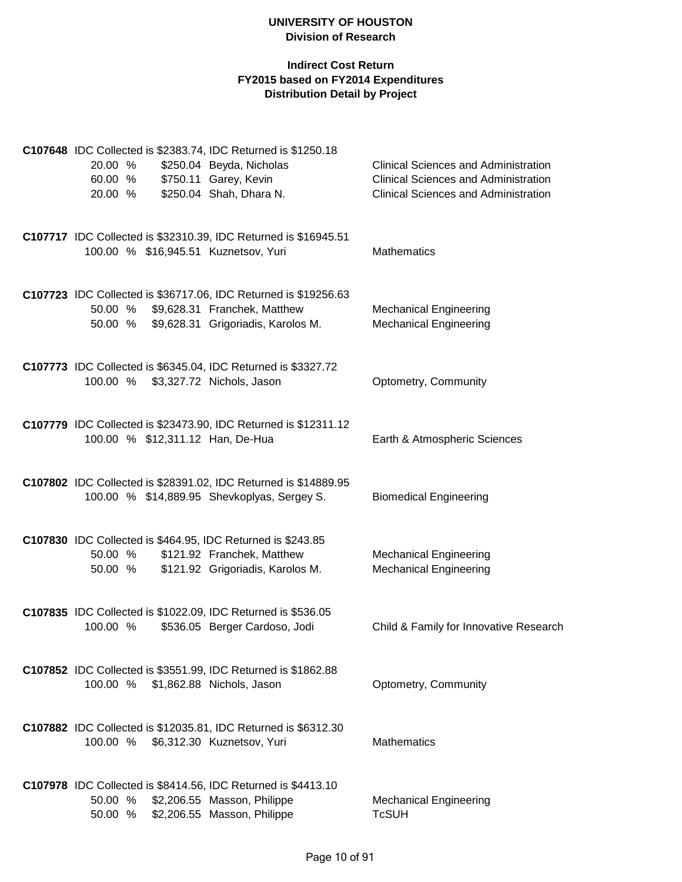| 20.00 %<br>60.00 % |  | C107648 IDC Collected is \$2383.74, IDC Returned is \$1250.18<br>\$250.04 Beyda, Nicholas<br>\$750.11 Garey, Kevin                    | Clinical Sciences and Administration<br><b>Clinical Sciences and Administration</b> |
|--------------------|--|---------------------------------------------------------------------------------------------------------------------------------------|-------------------------------------------------------------------------------------|
| 20.00 %            |  | \$250.04 Shah, Dhara N.                                                                                                               | <b>Clinical Sciences and Administration</b>                                         |
|                    |  | C107717 IDC Collected is \$32310.39, IDC Returned is \$16945.51<br>100.00 % \$16,945.51 Kuznetsov, Yuri                               | <b>Mathematics</b>                                                                  |
| 50.00 %<br>50.00 % |  | C107723 IDC Collected is \$36717.06, IDC Returned is \$19256.63<br>\$9,628.31 Franchek, Matthew<br>\$9,628.31 Grigoriadis, Karolos M. | <b>Mechanical Engineering</b><br><b>Mechanical Engineering</b>                      |
|                    |  | C107773 IDC Collected is \$6345.04, IDC Returned is \$3327.72<br>100.00 % \$3,327.72 Nichols, Jason                                   | Optometry, Community                                                                |
|                    |  | C107779 IDC Collected is \$23473.90, IDC Returned is \$12311.12<br>100.00 % \$12,311.12 Han, De-Hua                                   | Earth & Atmospheric Sciences                                                        |
|                    |  | C107802 IDC Collected is \$28391.02, IDC Returned is \$14889.95<br>100.00 % \$14,889.95 Shevkoplyas, Sergey S.                        | <b>Biomedical Engineering</b>                                                       |
| 50.00 %<br>50.00 % |  | C107830 IDC Collected is \$464.95, IDC Returned is \$243.85<br>\$121.92 Franchek, Matthew<br>\$121.92 Grigoriadis, Karolos M.         | <b>Mechanical Engineering</b><br><b>Mechanical Engineering</b>                      |
| 100.00 %           |  | C107835 IDC Collected is \$1022.09, IDC Returned is \$536.05<br>\$536.05 Berger Cardoso, Jodi                                         | Child & Family for Innovative Research                                              |
| 100.00 %           |  | C107852 IDC Collected is \$3551.99, IDC Returned is \$1862.88<br>\$1,862.88 Nichols, Jason                                            | Optometry, Community                                                                |
|                    |  | C107882 IDC Collected is \$12035.81, IDC Returned is \$6312.30<br>100.00 % \$6,312.30 Kuznetsov, Yuri                                 | <b>Mathematics</b>                                                                  |
| 50.00 %<br>50.00 % |  | C107978 IDC Collected is \$8414.56, IDC Returned is \$4413.10<br>\$2,206.55 Masson, Philippe<br>\$2,206.55 Masson, Philippe           | <b>Mechanical Engineering</b><br><b>TcSUH</b>                                       |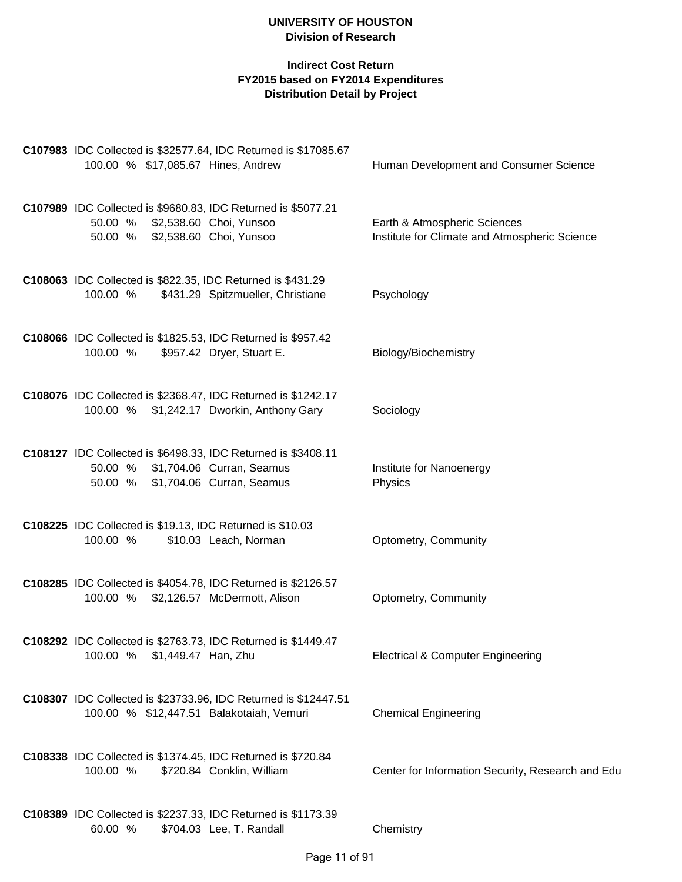| C107983 IDC Collected is \$32577.64, IDC Returned is \$17085.67<br>100.00 % \$17,085.67 Hines, Andrew                                   | Human Development and Consumer Science                                        |
|-----------------------------------------------------------------------------------------------------------------------------------------|-------------------------------------------------------------------------------|
| C107989 IDC Collected is \$9680.83, IDC Returned is \$5077.21<br>50.00 % \$2,538.60 Choi, Yunsoo<br>50.00 % \$2,538.60 Choi, Yunsoo     | Earth & Atmospheric Sciences<br>Institute for Climate and Atmospheric Science |
| C108063 IDC Collected is \$822.35, IDC Returned is \$431.29<br>100.00 %<br>\$431.29 Spitzmueller, Christiane                            | Psychology                                                                    |
| C108066 IDC Collected is \$1825.53, IDC Returned is \$957.42<br>\$957.42 Dryer, Stuart E.<br>100.00 %                                   | Biology/Biochemistry                                                          |
| C108076 IDC Collected is \$2368.47, IDC Returned is \$1242.17<br>100.00 % \$1,242.17 Dworkin, Anthony Gary                              | Sociology                                                                     |
| C108127 IDC Collected is \$6498.33, IDC Returned is \$3408.11<br>50.00 % \$1,704.06 Curran, Seamus<br>50.00 % \$1,704.06 Curran, Seamus | Institute for Nanoenergy<br>Physics                                           |
| C108225 IDC Collected is \$19.13, IDC Returned is \$10.03<br>100.00 %<br>\$10.03 Leach, Norman                                          | Optometry, Community                                                          |
| C108285 IDC Collected is \$4054.78, IDC Returned is \$2126.57<br>100.00 % \$2,126.57 McDermott, Alison                                  | Optometry, Community                                                          |
| C108292 IDC Collected is \$2763.73, IDC Returned is \$1449.47<br>100.00 % \$1,449.47 Han, Zhu                                           | <b>Electrical &amp; Computer Engineering</b>                                  |
| C108307 IDC Collected is \$23733.96, IDC Returned is \$12447.51<br>100.00 % \$12,447.51 Balakotaiah, Vemuri                             | <b>Chemical Engineering</b>                                                   |
| C108338 IDC Collected is \$1374.45, IDC Returned is \$720.84<br>100.00 %<br>\$720.84 Conklin, William                                   | Center for Information Security, Research and Edu                             |
| C108389 IDC Collected is \$2237.33, IDC Returned is \$1173.39<br>\$704.03 Lee, T. Randall<br>60.00 %                                    | Chemistry                                                                     |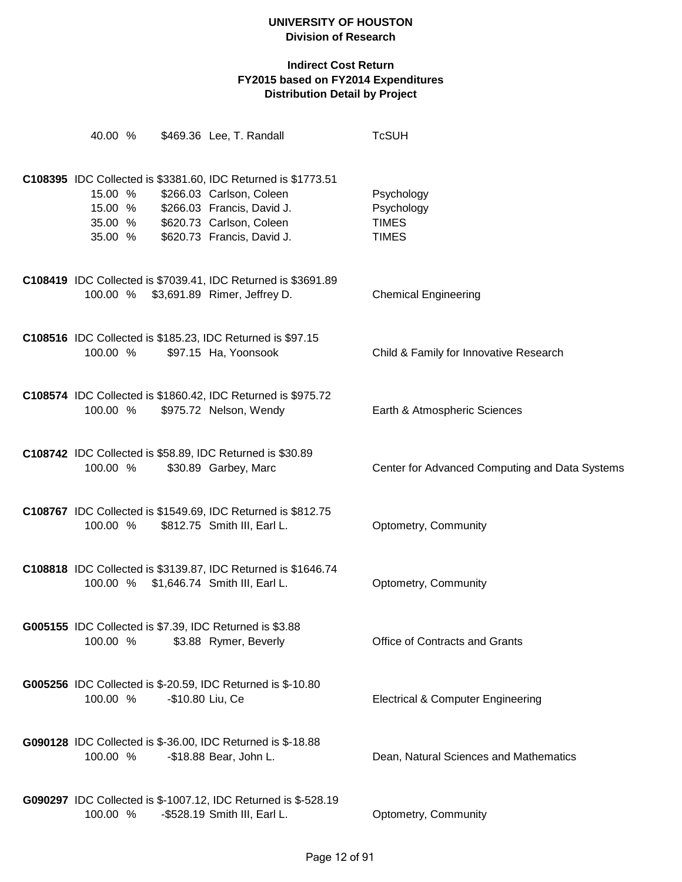| 40.00 %<br>\$469.36 Lee, T. Randall                                                                                                                                                                                           | <b>TcSUH</b>                                             |
|-------------------------------------------------------------------------------------------------------------------------------------------------------------------------------------------------------------------------------|----------------------------------------------------------|
| C108395 IDC Collected is \$3381.60, IDC Returned is \$1773.51<br>\$266.03 Carlson, Coleen<br>15.00 %<br>15.00 %<br>\$266.03 Francis, David J.<br>\$620.73 Carlson, Coleen<br>35.00 %<br>\$620.73 Francis, David J.<br>35.00 % | Psychology<br>Psychology<br><b>TIMES</b><br><b>TIMES</b> |
| C108419 IDC Collected is \$7039.41, IDC Returned is \$3691.89<br>100.00 % \$3,691.89 Rimer, Jeffrey D.                                                                                                                        | <b>Chemical Engineering</b>                              |
| C108516 IDC Collected is \$185.23, IDC Returned is \$97.15<br>100.00 %<br>\$97.15 Ha, Yoonsook                                                                                                                                | Child & Family for Innovative Research                   |
| C108574 IDC Collected is \$1860.42, IDC Returned is \$975.72<br>100.00 %<br>\$975.72 Nelson, Wendy                                                                                                                            | Earth & Atmospheric Sciences                             |
| C108742 IDC Collected is \$58.89, IDC Returned is \$30.89<br>\$30.89 Garbey, Marc<br>100.00 %                                                                                                                                 | Center for Advanced Computing and Data Systems           |
| C108767 IDC Collected is \$1549.69, IDC Returned is \$812.75<br>100.00 %<br>\$812.75 Smith III, Earl L.                                                                                                                       | Optometry, Community                                     |
| C108818 IDC Collected is \$3139.87, IDC Returned is \$1646.74<br>100.00 % \$1,646.74 Smith III, Earl L.                                                                                                                       | Optometry, Community                                     |
| G005155 IDC Collected is \$7.39, IDC Returned is \$3.88<br>100.00 %<br>\$3.88 Rymer, Beverly                                                                                                                                  | <b>Office of Contracts and Grants</b>                    |
| G005256 IDC Collected is \$-20.59, IDC Returned is \$-10.80<br>100.00 %<br>-\$10.80 Liu, Ce                                                                                                                                   | <b>Electrical &amp; Computer Engineering</b>             |
| G090128 IDC Collected is \$-36.00, IDC Returned is \$-18.88<br>100.00 %<br>-\$18.88 Bear, John L.                                                                                                                             | Dean, Natural Sciences and Mathematics                   |
| G090297 IDC Collected is \$-1007.12, IDC Returned is \$-528.19<br>100.00 %<br>-\$528.19 Smith III, Earl L.                                                                                                                    | Optometry, Community                                     |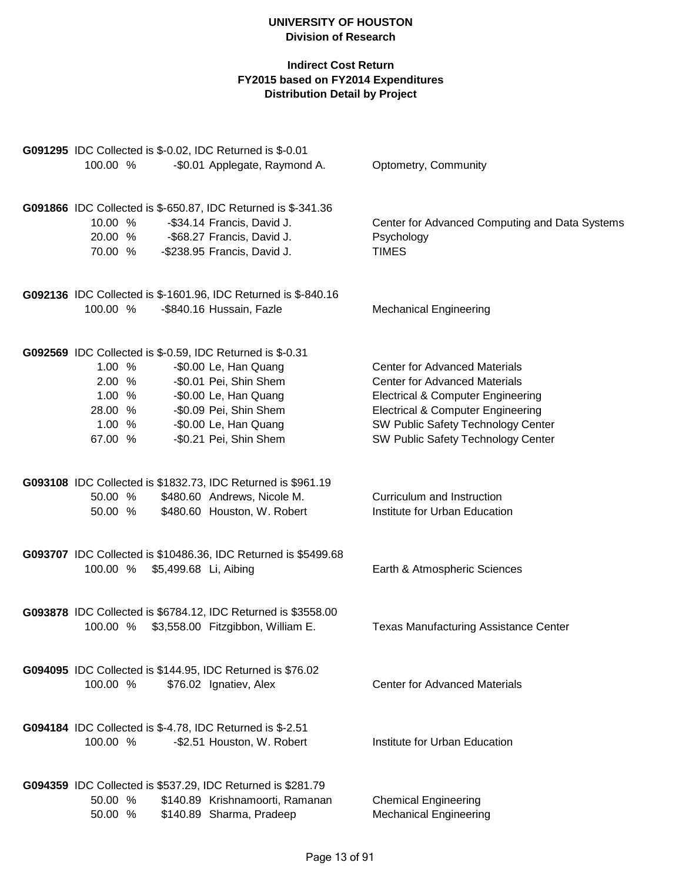| G091295 IDC Collected is \$-0.02, IDC Returned is \$-0.01        |                                                |
|------------------------------------------------------------------|------------------------------------------------|
| 100.00 %<br>-\$0.01 Applegate, Raymond A.                        | Optometry, Community                           |
| G091866 IDC Collected is \$-650.87, IDC Returned is \$-341.36    |                                                |
| 10.00 %<br>-\$34.14 Francis, David J.                            | Center for Advanced Computing and Data Systems |
| -\$68.27 Francis, David J.<br>20.00 %                            | Psychology                                     |
| 70.00 %<br>-\$238.95 Francis, David J.                           | <b>TIMES</b>                                   |
| G092136 IDC Collected is \$-1601.96, IDC Returned is \$-840.16   |                                                |
| 100.00 %<br>-\$840.16 Hussain, Fazle                             | <b>Mechanical Engineering</b>                  |
| G092569 IDC Collected is \$-0.59, IDC Returned is \$-0.31        |                                                |
| 1.00 %<br>-\$0.00 Le, Han Quang                                  | <b>Center for Advanced Materials</b>           |
| -\$0.01 Pei, Shin Shem<br>2.00 %                                 | <b>Center for Advanced Materials</b>           |
| -\$0.00 Le, Han Quang<br>1.00 %                                  | <b>Electrical &amp; Computer Engineering</b>   |
| -\$0.09 Pei, Shin Shem<br>28.00 %                                | <b>Electrical &amp; Computer Engineering</b>   |
| -\$0.00 Le, Han Quang<br>1.00 %                                  | SW Public Safety Technology Center             |
| -\$0.21 Pei, Shin Shem<br>67.00 %                                | SW Public Safety Technology Center             |
| G093108 IDC Collected is \$1832.73, IDC Returned is \$961.19     |                                                |
| \$480.60 Andrews, Nicole M.<br>50.00 %                           | Curriculum and Instruction                     |
| \$480.60 Houston, W. Robert<br>50.00 %                           | Institute for Urban Education                  |
| G093707 IDC Collected is \$10486.36, IDC Returned is \$5499.68   |                                                |
| 100.00 %<br>\$5,499.68 Li, Aibing                                | Earth & Atmospheric Sciences                   |
| G093878 IDC Collected is \$6784.12, IDC Returned is \$3558.00    |                                                |
| \$3,558.00 Fitzgibbon, William E.<br>100.00 %                    | <b>Texas Manufacturing Assistance Center</b>   |
| G094095 IDC Collected is \$144.95, IDC Returned is \$76.02       |                                                |
| 100.00 %<br>\$76.02 Ignatiev, Alex                               | <b>Center for Advanced Materials</b>           |
| <b>G094184</b> IDC Collected is \$-4.78, IDC Returned is \$-2.51 |                                                |
| 100.00 %<br>-\$2.51 Houston, W. Robert                           | Institute for Urban Education                  |
| G094359 IDC Collected is \$537.29, IDC Returned is \$281.79      |                                                |
| 50.00 %<br>\$140.89 Krishnamoorti, Ramanan                       | <b>Chemical Engineering</b>                    |
| \$140.89 Sharma, Pradeep<br>50.00 %                              | <b>Mechanical Engineering</b>                  |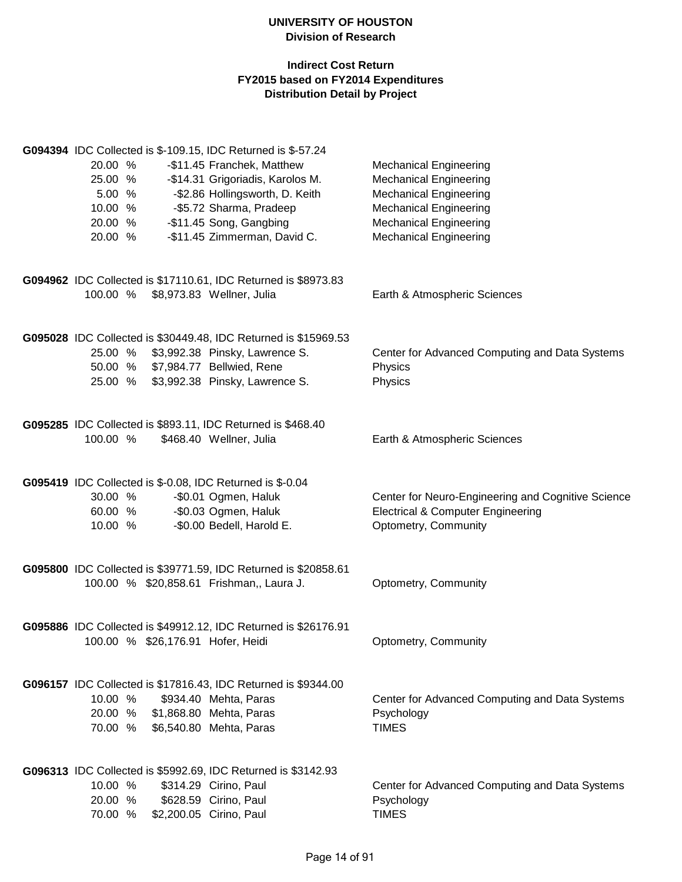|          | G094394 IDC Collected is \$-109.15, IDC Returned is \$-57.24    |                                                    |
|----------|-----------------------------------------------------------------|----------------------------------------------------|
| 20.00 %  | -\$11.45 Franchek, Matthew                                      | <b>Mechanical Engineering</b>                      |
| 25.00 %  | -\$14.31 Grigoriadis, Karolos M.                                | <b>Mechanical Engineering</b>                      |
| 5.00 %   | -\$2.86 Hollingsworth, D. Keith                                 | <b>Mechanical Engineering</b>                      |
| 10.00 %  | -\$5.72 Sharma, Pradeep                                         | <b>Mechanical Engineering</b>                      |
| 20.00 %  | -\$11.45 Song, Gangbing                                         | <b>Mechanical Engineering</b>                      |
| 20.00 %  | -\$11.45 Zimmerman, David C.                                    | <b>Mechanical Engineering</b>                      |
|          |                                                                 |                                                    |
|          | G094962 IDC Collected is \$17110.61, IDC Returned is \$8973.83  |                                                    |
| 100.00 % | \$8,973.83 Wellner, Julia                                       | Earth & Atmospheric Sciences                       |
|          | G095028 IDC Collected is \$30449.48, IDC Returned is \$15969.53 |                                                    |
| 25.00 %  | \$3,992.38 Pinsky, Lawrence S.                                  | Center for Advanced Computing and Data Systems     |
| 50.00 %  | \$7,984.77 Bellwied, Rene                                       | Physics                                            |
| 25.00 %  | \$3,992.38 Pinsky, Lawrence S.                                  | Physics                                            |
|          | G095285 IDC Collected is \$893.11, IDC Returned is \$468.40     |                                                    |
| 100.00 % | \$468.40 Wellner, Julia                                         | Earth & Atmospheric Sciences                       |
|          | G095419 IDC Collected is \$-0.08, IDC Returned is \$-0.04       |                                                    |
| 30.00 %  | -\$0.01 Ogmen, Haluk                                            | Center for Neuro-Engineering and Cognitive Science |
| 60.00 %  | -\$0.03 Ogmen, Haluk                                            | <b>Electrical &amp; Computer Engineering</b>       |
| 10.00 %  | -\$0.00 Bedell, Harold E.                                       | Optometry, Community                               |
|          |                                                                 |                                                    |
|          | G095800 IDC Collected is \$39771.59, IDC Returned is \$20858.61 |                                                    |
|          | 100.00 % \$20,858.61 Frishman,, Laura J.                        | Optometry, Community                               |
|          | G095886 IDC Collected is \$49912.12, IDC Returned is \$26176.91 |                                                    |
|          | 100.00 % \$26,176.91 Hofer, Heidi                               | Optometry, Community                               |
|          | G096157 IDC Collected is \$17816.43, IDC Returned is \$9344.00  |                                                    |
| 10.00 %  | \$934.40 Mehta, Paras                                           | Center for Advanced Computing and Data Systems     |
| 20.00 %  | \$1,868.80 Mehta, Paras                                         | Psychology                                         |
| 70.00 %  | \$6,540.80 Mehta, Paras                                         | <b>TIMES</b>                                       |
|          | G096313 IDC Collected is \$5992.69, IDC Returned is \$3142.93   |                                                    |
| 10.00 %  | \$314.29 Cirino, Paul                                           | Center for Advanced Computing and Data Systems     |
| 20.00 %  | \$628.59 Cirino, Paul                                           | Psychology                                         |
| 70.00 %  | \$2,200.05 Cirino, Paul                                         | <b>TIMES</b>                                       |
|          |                                                                 |                                                    |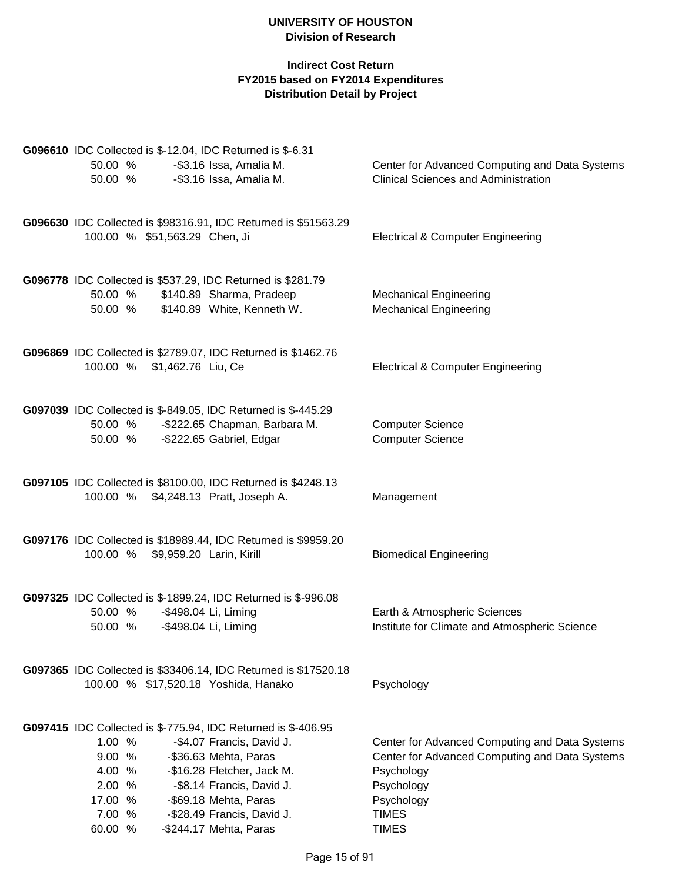| G096610 IDC Collected is \$-12.04, IDC Returned is \$-6.31                   |                                                |
|------------------------------------------------------------------------------|------------------------------------------------|
| -\$3.16 Issa, Amalia M.<br>50.00 %                                           | Center for Advanced Computing and Data Systems |
| -\$3.16 Issa, Amalia M.<br>50.00 %                                           | <b>Clinical Sciences and Administration</b>    |
|                                                                              |                                                |
| G096630 IDC Collected is \$98316.91, IDC Returned is \$51563.29              |                                                |
| 100.00 % \$51,563.29 Chen, Ji                                                | <b>Electrical &amp; Computer Engineering</b>   |
| G096778 IDC Collected is \$537.29, IDC Returned is \$281.79                  |                                                |
| 50.00 % \$140.89 Sharma, Pradeep                                             | <b>Mechanical Engineering</b>                  |
| 50.00 % \$140.89 White, Kenneth W.                                           | <b>Mechanical Engineering</b>                  |
| G096869 IDC Collected is \$2789.07, IDC Returned is \$1462.76                |                                                |
| 100.00 % \$1,462.76 Liu, Ce                                                  | <b>Electrical &amp; Computer Engineering</b>   |
| G097039 IDC Collected is \$-849.05, IDC Returned is \$-445.29                |                                                |
| -\$222.65 Chapman, Barbara M.<br>50.00 %                                     | <b>Computer Science</b>                        |
| 50.00 % - \$222.65 Gabriel, Edgar                                            | <b>Computer Science</b>                        |
| G097105 IDC Collected is \$8100.00, IDC Returned is \$4248.13                |                                                |
| 100.00 % \$4,248.13 Pratt, Joseph A.                                         | Management                                     |
| G097176 IDC Collected is \$18989.44, IDC Returned is \$9959.20               |                                                |
| 100.00 % \$9,959.20 Larin, Kirill                                            | <b>Biomedical Engineering</b>                  |
| G097325 IDC Collected is \$-1899.24, IDC Returned is \$-996.08               |                                                |
| -\$498.04 Li, Liming<br>50.00 %                                              | Earth & Atmospheric Sciences                   |
| 50.00 % - \$498.04 Li, Liming                                                | Institute for Climate and Atmospheric Science  |
| G097365 IDC Collected is \$33406.14, IDC Returned is \$17520.18              |                                                |
| 100.00 % \$17,520.18 Yoshida, Hanako                                         | Psychology                                     |
| G097415 IDC Collected is \$-775.94, IDC Returned is \$-406.95                |                                                |
| 1.00%<br>-\$4.07 Francis, David J.                                           | Center for Advanced Computing and Data Systems |
| 9.00 %<br>-\$36.63 Mehta, Paras                                              | Center for Advanced Computing and Data Systems |
| 4.00<br>%<br>-\$16.28 Fletcher, Jack M.                                      | Psychology                                     |
| 2.00<br>$\%$<br>-\$8.14 Francis, David J.                                    | Psychology                                     |
| 17.00<br>%<br>-\$69.18 Mehta, Paras                                          | Psychology                                     |
| 7.00<br>-\$28.49 Francis, David J.<br>%<br>60.00 %<br>-\$244.17 Mehta, Paras | <b>TIMES</b><br><b>TIMES</b>                   |
|                                                                              |                                                |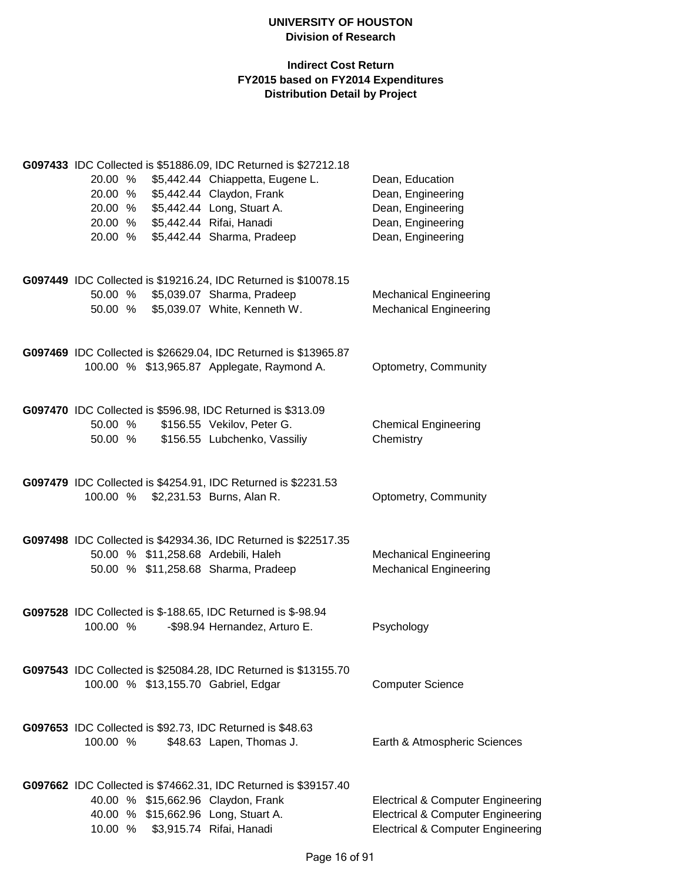|          |  | G097433 IDC Collected is \$51886.09, IDC Returned is \$27212.18 |                                              |
|----------|--|-----------------------------------------------------------------|----------------------------------------------|
| 20.00 %  |  | \$5,442.44 Chiappetta, Eugene L.                                | Dean, Education                              |
| 20.00 %  |  | \$5,442.44 Claydon, Frank                                       | Dean, Engineering                            |
| 20.00 %  |  | \$5,442.44 Long, Stuart A.                                      | Dean, Engineering                            |
| 20.00 %  |  | \$5,442.44 Rifai, Hanadi                                        | Dean, Engineering                            |
| 20.00 %  |  | \$5,442.44 Sharma, Pradeep                                      | Dean, Engineering                            |
|          |  |                                                                 |                                              |
|          |  | G097449 IDC Collected is \$19216.24, IDC Returned is \$10078.15 |                                              |
| 50.00 %  |  | \$5,039.07 Sharma, Pradeep                                      | <b>Mechanical Engineering</b>                |
| 50.00 %  |  | \$5,039.07 White, Kenneth W.                                    | <b>Mechanical Engineering</b>                |
|          |  | G097469 IDC Collected is \$26629.04, IDC Returned is \$13965.87 |                                              |
|          |  | 100.00 % \$13,965.87 Applegate, Raymond A.                      | Optometry, Community                         |
|          |  |                                                                 |                                              |
|          |  | G097470 IDC Collected is \$596.98, IDC Returned is \$313.09     |                                              |
| 50.00 %  |  | \$156.55 Vekilov, Peter G.                                      | <b>Chemical Engineering</b>                  |
| 50.00 %  |  | \$156.55 Lubchenko, Vassiliy                                    | Chemistry                                    |
|          |  | G097479 IDC Collected is \$4254.91, IDC Returned is \$2231.53   |                                              |
| 100.00 % |  | \$2,231.53 Burns, Alan R.                                       | Optometry, Community                         |
|          |  |                                                                 |                                              |
|          |  | G097498 IDC Collected is \$42934.36, IDC Returned is \$22517.35 |                                              |
|          |  | 50.00 % \$11,258.68 Ardebili, Haleh                             | <b>Mechanical Engineering</b>                |
|          |  | 50.00 % \$11,258.68 Sharma, Pradeep                             | <b>Mechanical Engineering</b>                |
|          |  |                                                                 |                                              |
|          |  | G097528 IDC Collected is \$-188.65, IDC Returned is \$-98.94    |                                              |
| 100.00 % |  | -\$98.94 Hernandez, Arturo E.                                   | Psychology                                   |
|          |  |                                                                 |                                              |
|          |  | G097543 IDC Collected is \$25084.28, IDC Returned is \$13155.70 |                                              |
|          |  | 100.00 % \$13,155.70 Gabriel, Edgar                             | <b>Computer Science</b>                      |
|          |  |                                                                 |                                              |
|          |  | G097653 IDC Collected is \$92.73, IDC Returned is \$48.63       |                                              |
| 100.00 % |  | \$48.63 Lapen, Thomas J.                                        | Earth & Atmospheric Sciences                 |
|          |  | G097662 IDC Collected is \$74662.31, IDC Returned is \$39157.40 |                                              |
|          |  | 40.00 % \$15,662.96 Claydon, Frank                              | <b>Electrical &amp; Computer Engineering</b> |
|          |  | 40.00 % \$15,662.96 Long, Stuart A.                             | <b>Electrical &amp; Computer Engineering</b> |
| 10.00 %  |  | \$3,915.74 Rifai, Hanadi                                        | <b>Electrical &amp; Computer Engineering</b> |
|          |  |                                                                 |                                              |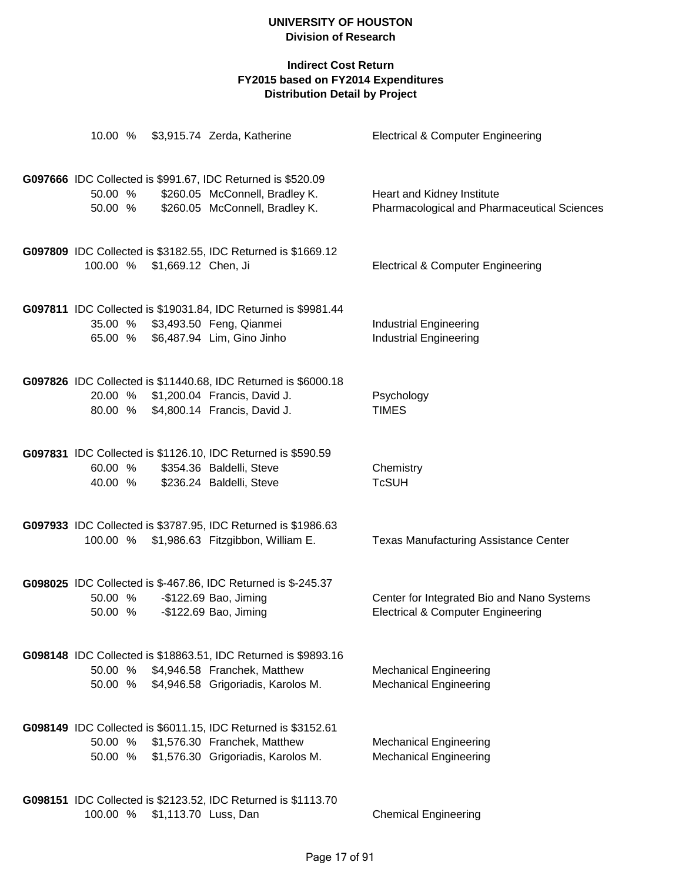| 10.00 %            |                              | \$3,915.74 Zerda, Katherine                                                                                                                          | <b>Electrical &amp; Computer Engineering</b>                                               |
|--------------------|------------------------------|------------------------------------------------------------------------------------------------------------------------------------------------------|--------------------------------------------------------------------------------------------|
| 50.00 %<br>50.00 % |                              | G097666 IDC Collected is \$991.67, IDC Returned is \$520.09<br>\$260.05 McConnell, Bradley K.<br>\$260.05 McConnell, Bradley K.                      | Heart and Kidney Institute<br>Pharmacological and Pharmaceutical Sciences                  |
|                    | 100.00 % \$1,669.12 Chen, Ji | G097809 IDC Collected is \$3182.55, IDC Returned is \$1669.12                                                                                        | <b>Electrical &amp; Computer Engineering</b>                                               |
| 65.00 %            |                              | G097811 IDC Collected is \$19031.84, IDC Returned is \$9981.44<br>35.00 % \$3,493.50 Feng, Qianmei<br>\$6,487.94 Lim, Gino Jinho                     | <b>Industrial Engineering</b><br><b>Industrial Engineering</b>                             |
|                    |                              | G097826 IDC Collected is \$11440.68, IDC Returned is \$6000.18<br>20.00 % \$1,200.04 Francis, David J.<br>80.00 % \$4,800.14 Francis, David J.       | Psychology<br><b>TIMES</b>                                                                 |
| 60.00 %<br>40.00 % |                              | G097831 IDC Collected is \$1126.10, IDC Returned is \$590.59<br>\$354.36 Baldelli, Steve<br>\$236.24 Baldelli, Steve                                 | Chemistry<br><b>TcSUH</b>                                                                  |
|                    |                              | G097933 IDC Collected is \$3787.95, IDC Returned is \$1986.63<br>100.00 % \$1,986.63 Fitzgibbon, William E.                                          | <b>Texas Manufacturing Assistance Center</b>                                               |
| 50.00 %<br>50.00 % |                              | G098025 IDC Collected is \$-467.86, IDC Returned is \$-245.37<br>-\$122.69 Bao, Jiming<br>-\$122.69 Bao, Jiming                                      | Center for Integrated Bio and Nano Systems<br><b>Electrical &amp; Computer Engineering</b> |
|                    |                              | G098148 IDC Collected is \$18863.51, IDC Returned is \$9893.16<br>50.00 % \$4,946.58 Franchek, Matthew<br>50.00 % \$4,946.58 Grigoriadis, Karolos M. | <b>Mechanical Engineering</b><br><b>Mechanical Engineering</b>                             |
| 50.00 %<br>50.00 % |                              | G098149 IDC Collected is \$6011.15, IDC Returned is \$3152.61<br>\$1,576.30 Franchek, Matthew<br>\$1,576.30 Grigoriadis, Karolos M.                  | <b>Mechanical Engineering</b><br><b>Mechanical Engineering</b>                             |
| 100.00 %           | \$1,113.70 Luss, Dan         | G098151 IDC Collected is \$2123.52, IDC Returned is \$1113.70                                                                                        | <b>Chemical Engineering</b>                                                                |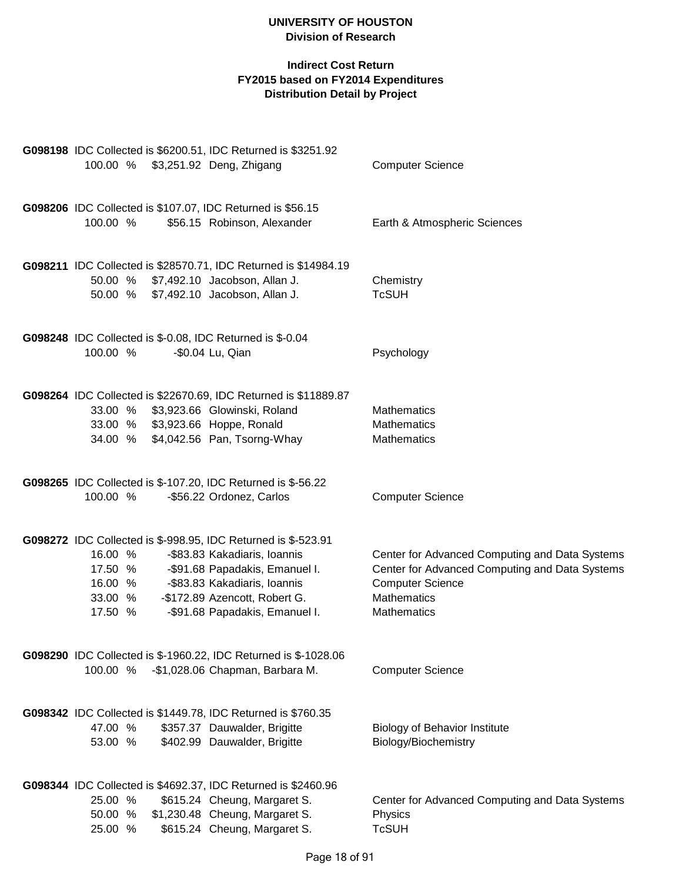| G098198 IDC Collected is \$6200.51, IDC Returned is \$3251.92                  |                                                |  |  |  |  |  |  |
|--------------------------------------------------------------------------------|------------------------------------------------|--|--|--|--|--|--|
| 100.00 % \$3,251.92 Deng, Zhigang                                              | <b>Computer Science</b>                        |  |  |  |  |  |  |
|                                                                                |                                                |  |  |  |  |  |  |
| G098206 IDC Collected is \$107.07, IDC Returned is \$56.15                     |                                                |  |  |  |  |  |  |
| 100.00 %<br>\$56.15 Robinson, Alexander                                        | Earth & Atmospheric Sciences                   |  |  |  |  |  |  |
|                                                                                |                                                |  |  |  |  |  |  |
|                                                                                |                                                |  |  |  |  |  |  |
| G098211 IDC Collected is \$28570.71, IDC Returned is \$14984.19                |                                                |  |  |  |  |  |  |
| 50.00 % \$7,492.10 Jacobson, Allan J.<br>50.00 % \$7,492.10 Jacobson, Allan J. | Chemistry<br><b>TcSUH</b>                      |  |  |  |  |  |  |
|                                                                                |                                                |  |  |  |  |  |  |
|                                                                                |                                                |  |  |  |  |  |  |
| G098248 IDC Collected is \$-0.08, IDC Returned is \$-0.04                      |                                                |  |  |  |  |  |  |
| 100.00 %<br>-\$0.04 Lu, Qian                                                   | Psychology                                     |  |  |  |  |  |  |
|                                                                                |                                                |  |  |  |  |  |  |
| G098264 IDC Collected is \$22670.69, IDC Returned is \$11889.87                |                                                |  |  |  |  |  |  |
| 33.00 % \$3,923.66 Glowinski, Roland                                           | <b>Mathematics</b>                             |  |  |  |  |  |  |
| 33.00 % \$3,923.66 Hoppe, Ronald                                               | Mathematics                                    |  |  |  |  |  |  |
| \$4,042.56 Pan, Tsorng-Whay<br>34.00 %                                         | Mathematics                                    |  |  |  |  |  |  |
|                                                                                |                                                |  |  |  |  |  |  |
| G098265 IDC Collected is \$-107.20, IDC Returned is \$-56.22                   |                                                |  |  |  |  |  |  |
| 100.00 %<br>-\$56.22 Ordonez, Carlos                                           | <b>Computer Science</b>                        |  |  |  |  |  |  |
|                                                                                |                                                |  |  |  |  |  |  |
|                                                                                |                                                |  |  |  |  |  |  |
| G098272 IDC Collected is \$-998.95, IDC Returned is \$-523.91                  |                                                |  |  |  |  |  |  |
| 16.00 %<br>-\$83.83 Kakadiaris, Ioannis                                        | Center for Advanced Computing and Data Systems |  |  |  |  |  |  |
| -\$91.68 Papadakis, Emanuel I.<br>17.50 %<br>16.00 %                           | Center for Advanced Computing and Data Systems |  |  |  |  |  |  |
| -\$83.83 Kakadiaris, Ioannis<br>-\$172.89 Azencott, Robert G.<br>33.00 %       | <b>Computer Science</b><br>Mathematics         |  |  |  |  |  |  |
| 17.50 %<br>-\$91.68 Papadakis, Emanuel I.                                      | <b>Mathematics</b>                             |  |  |  |  |  |  |
|                                                                                |                                                |  |  |  |  |  |  |
|                                                                                |                                                |  |  |  |  |  |  |
| G098290 IDC Collected is \$-1960.22, IDC Returned is \$-1028.06                |                                                |  |  |  |  |  |  |
| -\$1,028.06 Chapman, Barbara M.<br>100.00 %                                    | <b>Computer Science</b>                        |  |  |  |  |  |  |
|                                                                                |                                                |  |  |  |  |  |  |
| G098342 IDC Collected is \$1449.78, IDC Returned is \$760.35                   |                                                |  |  |  |  |  |  |
| \$357.37 Dauwalder, Brigitte<br>47.00 %                                        | <b>Biology of Behavior Institute</b>           |  |  |  |  |  |  |
| \$402.99 Dauwalder, Brigitte<br>53.00 %                                        | Biology/Biochemistry                           |  |  |  |  |  |  |
|                                                                                |                                                |  |  |  |  |  |  |
| G098344 IDC Collected is \$4692.37, IDC Returned is \$2460.96                  |                                                |  |  |  |  |  |  |
| \$615.24 Cheung, Margaret S.<br>25.00 %                                        | Center for Advanced Computing and Data Systems |  |  |  |  |  |  |
| \$1,230.48 Cheung, Margaret S.<br>50.00 %                                      | Physics                                        |  |  |  |  |  |  |
| \$615.24 Cheung, Margaret S.<br>25.00 %                                        | <b>TcSUH</b>                                   |  |  |  |  |  |  |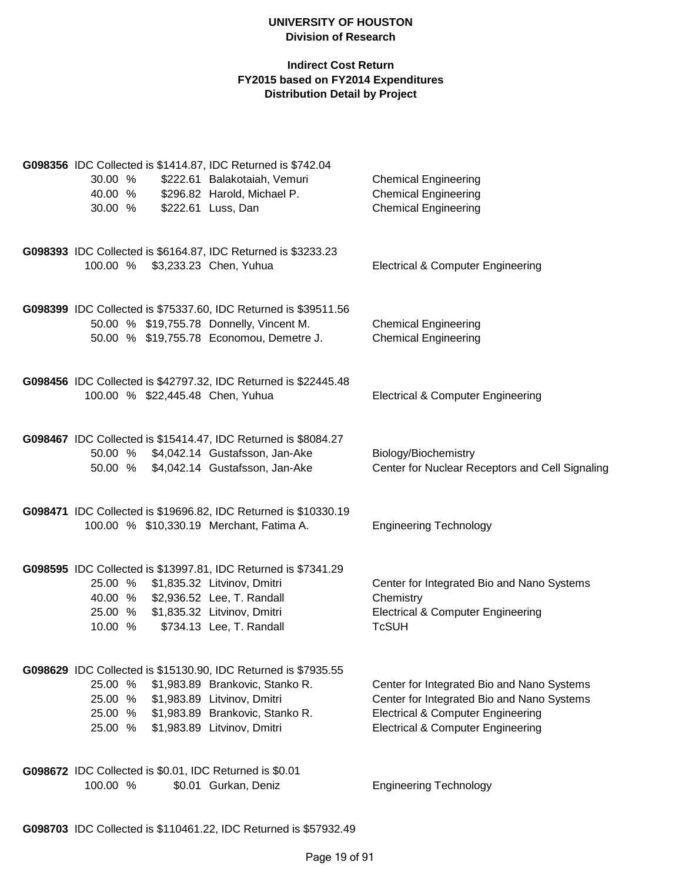|          |  | G098356 IDC Collected is \$1414.87, IDC Returned is \$742.04    |                                                 |
|----------|--|-----------------------------------------------------------------|-------------------------------------------------|
| 30.00 %  |  | \$222.61 Balakotaiah, Vemuri                                    | <b>Chemical Engineering</b>                     |
| 40.00 %  |  | \$296.82 Harold, Michael P.                                     | <b>Chemical Engineering</b>                     |
| 30.00 %  |  | \$222.61 Luss, Dan                                              | <b>Chemical Engineering</b>                     |
|          |  | G098393 IDC Collected is \$6164.87, IDC Returned is \$3233.23   |                                                 |
|          |  | 100.00 % \$3,233.23 Chen, Yuhua                                 | <b>Electrical &amp; Computer Engineering</b>    |
|          |  | G098399 IDC Collected is \$75337.60, IDC Returned is \$39511.56 |                                                 |
|          |  | 50.00 % \$19,755.78 Donnelly, Vincent M.                        | <b>Chemical Engineering</b>                     |
|          |  | 50.00 % \$19,755.78 Economou, Demetre J.                        | <b>Chemical Engineering</b>                     |
|          |  | G098456 IDC Collected is \$42797.32, IDC Returned is \$22445.48 |                                                 |
|          |  | 100.00 % \$22,445.48 Chen, Yuhua                                | <b>Electrical &amp; Computer Engineering</b>    |
|          |  | G098467 IDC Collected is \$15414.47, IDC Returned is \$8084.27  |                                                 |
|          |  | 50.00 % \$4,042.14 Gustafsson, Jan-Ake                          | Biology/Biochemistry                            |
|          |  | 50.00 % \$4,042.14 Gustafsson, Jan-Ake                          | Center for Nuclear Receptors and Cell Signaling |
|          |  | G098471 IDC Collected is \$19696.82, IDC Returned is \$10330.19 |                                                 |
|          |  | 100.00 % \$10,330.19 Merchant, Fatima A.                        | <b>Engineering Technology</b>                   |
|          |  | G098595 IDC Collected is \$13997.81, IDC Returned is \$7341.29  |                                                 |
|          |  | 25.00 % \$1,835.32 Litvinov, Dmitri                             | Center for Integrated Bio and Nano Systems      |
|          |  | 40.00 % \$2,936.52 Lee, T. Randall                              | Chemistry                                       |
|          |  | 25.00 % \$1,835.32 Litvinov, Dmitri                             | <b>Electrical &amp; Computer Engineering</b>    |
| 10.00 %  |  | \$734.13 Lee, T. Randall                                        | <b>TcSUH</b>                                    |
|          |  | G098629 IDC Collected is \$15130.90, IDC Returned is \$7935.55  |                                                 |
| 25.00 %  |  | \$1,983.89 Brankovic, Stanko R.                                 | Center for Integrated Bio and Nano Systems      |
| 25.00 %  |  | \$1,983.89 Litvinov, Dmitri                                     | Center for Integrated Bio and Nano Systems      |
| 25.00 %  |  | \$1,983.89 Brankovic, Stanko R.                                 | <b>Electrical &amp; Computer Engineering</b>    |
| 25.00 %  |  | \$1,983.89 Litvinov, Dmitri                                     | <b>Electrical &amp; Computer Engineering</b>    |
|          |  | G098672 IDC Collected is \$0.01, IDC Returned is \$0.01         |                                                 |
| 100.00 % |  | \$0.01 Gurkan, Deniz                                            | <b>Engineering Technology</b>                   |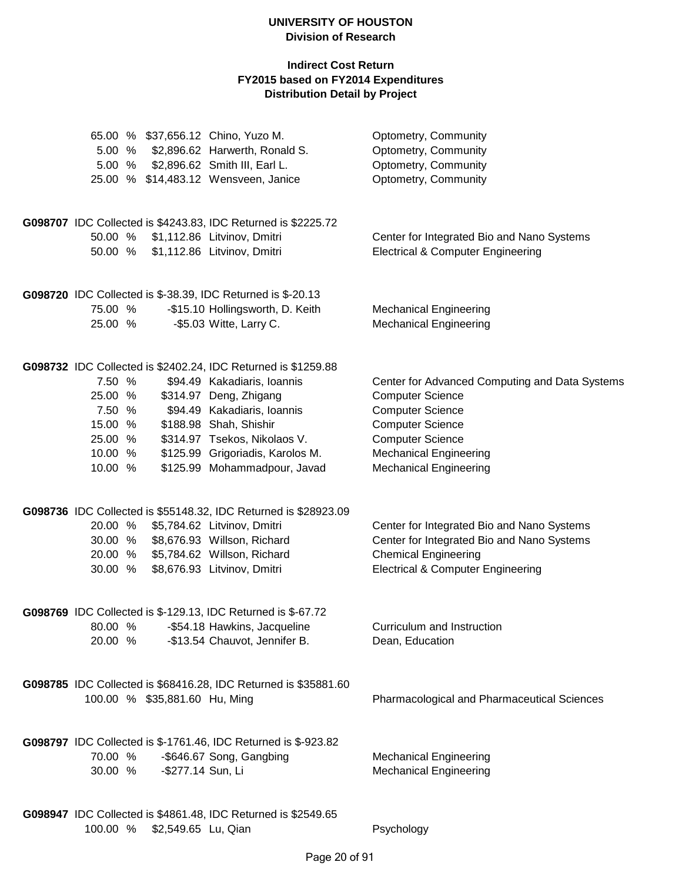| 5.00 %                                                                  |                               | 65.00 % \$37,656.12 Chino, Yuzo M.<br>\$2,896.62 Harwerth, Ronald S.<br>5.00 % \$2,896.62 Smith III, Earl L.<br>25.00 % \$14,483.12 Wensveen, Janice                                                               | Optometry, Community<br>Optometry, Community<br>Optometry, Community<br>Optometry, Community                                                                                                                                 |
|-------------------------------------------------------------------------|-------------------------------|--------------------------------------------------------------------------------------------------------------------------------------------------------------------------------------------------------------------|------------------------------------------------------------------------------------------------------------------------------------------------------------------------------------------------------------------------------|
|                                                                         |                               | G098707 IDC Collected is \$4243.83, IDC Returned is \$2225.72                                                                                                                                                      |                                                                                                                                                                                                                              |
| 50.00 %<br>50.00 %                                                      |                               | \$1,112.86 Litvinov, Dmitri<br>\$1,112.86 Litvinov, Dmitri                                                                                                                                                         | Center for Integrated Bio and Nano Systems<br><b>Electrical &amp; Computer Engineering</b>                                                                                                                                   |
|                                                                         |                               | G098720 IDC Collected is \$-38.39, IDC Returned is \$-20.13                                                                                                                                                        |                                                                                                                                                                                                                              |
| 75.00 %<br>25.00 %                                                      |                               | -\$15.10 Hollingsworth, D. Keith<br>-\$5.03 Witte, Larry C.                                                                                                                                                        | <b>Mechanical Engineering</b><br><b>Mechanical Engineering</b>                                                                                                                                                               |
|                                                                         |                               | G098732 IDC Collected is \$2402.24, IDC Returned is \$1259.88                                                                                                                                                      |                                                                                                                                                                                                                              |
| 7.50 %<br>25.00 %<br>7.50 %<br>15.00 %<br>25.00 %<br>10.00 %<br>10.00 % |                               | \$94.49 Kakadiaris, Ioannis<br>\$314.97 Deng, Zhigang<br>\$94.49 Kakadiaris, Ioannis<br>\$188.98 Shah, Shishir<br>\$314.97 Tsekos, Nikolaos V.<br>\$125.99 Grigoriadis, Karolos M.<br>\$125.99 Mohammadpour, Javad | Center for Advanced Computing and Data Systems<br><b>Computer Science</b><br><b>Computer Science</b><br><b>Computer Science</b><br><b>Computer Science</b><br><b>Mechanical Engineering</b><br><b>Mechanical Engineering</b> |
| 20.00 %<br>30.00 %<br>20.00 %<br>30.00 %                                |                               | G098736 IDC Collected is \$55148.32, IDC Returned is \$28923.09<br>\$5,784.62 Litvinov, Dmitri<br>\$8,676.93 Willson, Richard<br>\$5,784.62 Willson, Richard<br>\$8,676.93 Litvinov, Dmitri                        | Center for Integrated Bio and Nano Systems<br>Center for Integrated Bio and Nano Systems<br><b>Chemical Engineering</b><br><b>Electrical &amp; Computer Engineering</b>                                                      |
| 20.00 %                                                                 |                               | G098769 IDC Collected is \$-129.13, IDC Returned is \$-67.72<br>80.00 % -\$54.18 Hawkins, Jacqueline<br>-\$13.54 Chauvot, Jennifer B.                                                                              | Curriculum and Instruction<br>Dean, Education                                                                                                                                                                                |
|                                                                         | 100.00 % \$35,881.60 Hu, Ming | G098785 IDC Collected is \$68416.28, IDC Returned is \$35881.60                                                                                                                                                    | <b>Pharmacological and Pharmaceutical Sciences</b>                                                                                                                                                                           |
| 70.00 %                                                                 | 30.00 % - \$277.14 Sun, Li    | G098797 IDC Collected is \$-1761.46, IDC Returned is \$-923.82<br>-\$646.67 Song, Gangbing                                                                                                                         | <b>Mechanical Engineering</b><br><b>Mechanical Engineering</b>                                                                                                                                                               |
| 100.00 %                                                                | \$2,549.65 Lu, Qian           | G098947 IDC Collected is \$4861.48, IDC Returned is \$2549.65                                                                                                                                                      | Psychology                                                                                                                                                                                                                   |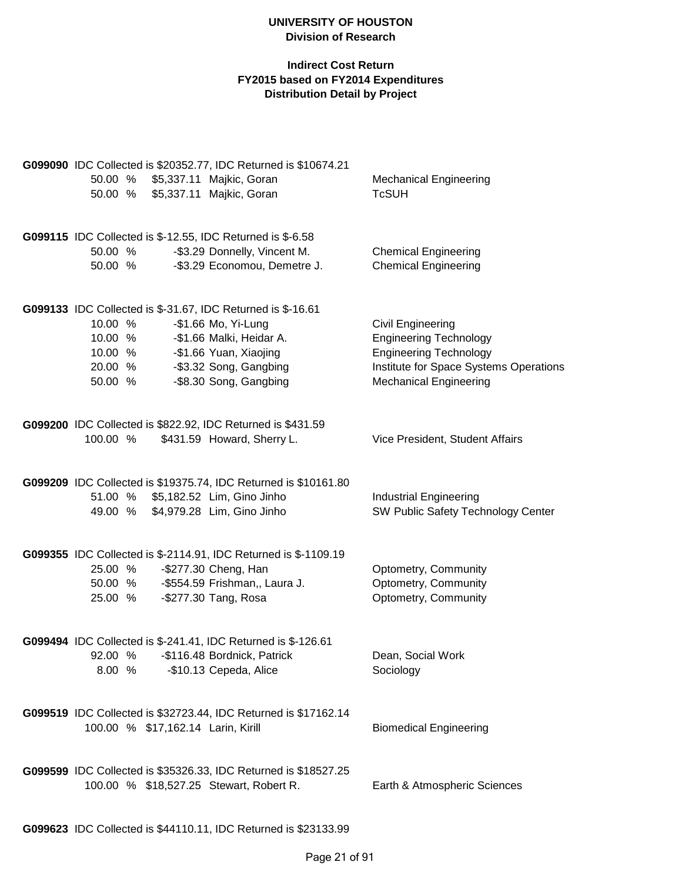|          |                                    | G099090 IDC Collected is \$20352.77, IDC Returned is \$10674.21 |                                        |
|----------|------------------------------------|-----------------------------------------------------------------|----------------------------------------|
| 50.00 %  |                                    | \$5,337.11 Majkic, Goran                                        | <b>Mechanical Engineering</b>          |
| 50.00 %  |                                    | \$5,337.11 Majkic, Goran                                        | <b>TcSUH</b>                           |
|          |                                    |                                                                 |                                        |
|          |                                    | G099115 IDC Collected is \$-12.55, IDC Returned is \$-6.58      |                                        |
| 50.00 %  |                                    | -\$3.29 Donnelly, Vincent M.                                    | <b>Chemical Engineering</b>            |
| 50.00 %  |                                    | -\$3.29 Economou, Demetre J.                                    | <b>Chemical Engineering</b>            |
|          |                                    |                                                                 |                                        |
|          |                                    |                                                                 |                                        |
|          |                                    | G099133 IDC Collected is \$-31.67, IDC Returned is \$-16.61     |                                        |
| 10.00 %  |                                    | -\$1.66 Mo, Yi-Lung                                             | <b>Civil Engineering</b>               |
| 10.00 %  |                                    | -\$1.66 Malki, Heidar A.                                        | <b>Engineering Technology</b>          |
| 10.00 %  |                                    | -\$1.66 Yuan, Xiaojing                                          | <b>Engineering Technology</b>          |
| 20.00 %  |                                    | -\$3.32 Song, Gangbing                                          | Institute for Space Systems Operations |
| 50.00 %  |                                    | -\$8.30 Song, Gangbing                                          | <b>Mechanical Engineering</b>          |
|          |                                    |                                                                 |                                        |
|          |                                    | G099200 IDC Collected is \$822.92, IDC Returned is \$431.59     |                                        |
| 100.00 % |                                    | \$431.59 Howard, Sherry L.                                      | Vice President, Student Affairs        |
|          |                                    |                                                                 |                                        |
|          |                                    | G099209 IDC Collected is \$19375.74, IDC Returned is \$10161.80 |                                        |
| 51.00 %  |                                    | \$5,182.52 Lim, Gino Jinho                                      | <b>Industrial Engineering</b>          |
| 49.00 %  |                                    | \$4,979.28 Lim, Gino Jinho                                      | SW Public Safety Technology Center     |
|          |                                    |                                                                 |                                        |
|          |                                    | G099355 IDC Collected is \$-2114.91, IDC Returned is \$-1109.19 |                                        |
| 25.00 %  |                                    | -\$277.30 Cheng, Han                                            | Optometry, Community                   |
|          |                                    | 50.00 % - \$554.59 Frishman,, Laura J.                          | Optometry, Community                   |
| 25.00 %  |                                    | -\$277.30 Tang, Rosa                                            | Optometry, Community                   |
|          |                                    |                                                                 |                                        |
|          |                                    | G099494 IDC Collected is \$-241.41, IDC Returned is \$-126.61   |                                        |
|          |                                    | 92.00 % - \$116.48 Bordnick, Patrick                            | Dean, Social Work                      |
|          |                                    | 8.00 % -\$10.13 Cepeda, Alice                                   | Sociology                              |
|          |                                    |                                                                 |                                        |
|          |                                    | G099519 IDC Collected is \$32723.44, IDC Returned is \$17162.14 |                                        |
|          | 100.00 % \$17,162.14 Larin, Kirill |                                                                 | <b>Biomedical Engineering</b>          |
|          |                                    |                                                                 |                                        |
|          |                                    |                                                                 |                                        |
|          |                                    | G099599 IDC Collected is \$35326.33, IDC Returned is \$18527.25 |                                        |
|          |                                    | 100.00 % \$18,527.25 Stewart, Robert R.                         | Earth & Atmospheric Sciences           |
|          |                                    |                                                                 |                                        |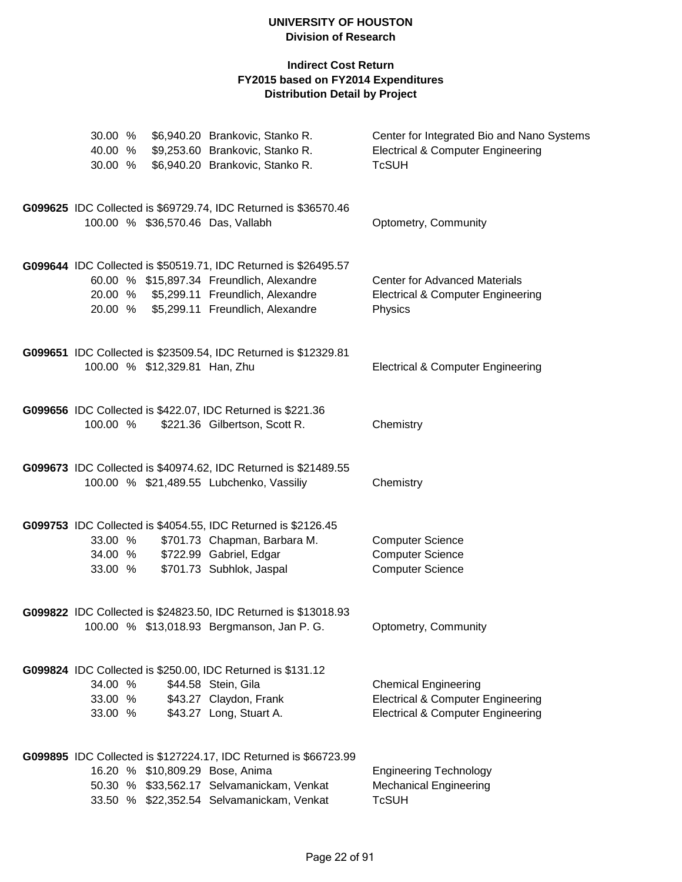| 30.00 %  |                               | \$6,940.20 Brankovic, Stanko R.                                  | Center for Integrated Bio and Nano Systems   |
|----------|-------------------------------|------------------------------------------------------------------|----------------------------------------------|
| 40.00 %  |                               | \$9,253.60 Brankovic, Stanko R.                                  | <b>Electrical &amp; Computer Engineering</b> |
| 30.00 %  |                               | \$6,940.20 Brankovic, Stanko R.                                  | <b>TcSUH</b>                                 |
|          |                               | G099625 IDC Collected is \$69729.74, IDC Returned is \$36570.46  |                                              |
|          |                               | 100.00 % \$36,570.46 Das, Vallabh                                | Optometry, Community                         |
|          |                               | G099644 IDC Collected is \$50519.71, IDC Returned is \$26495.57  |                                              |
|          |                               | 60.00 % \$15,897.34 Freundlich, Alexandre                        | <b>Center for Advanced Materials</b>         |
|          |                               | 20.00 % \$5,299.11 Freundlich, Alexandre                         | <b>Electrical &amp; Computer Engineering</b> |
|          |                               | 20.00 % \$5,299.11 Freundlich, Alexandre                         | Physics                                      |
|          |                               | G099651 IDC Collected is \$23509.54, IDC Returned is \$12329.81  |                                              |
|          | 100.00 % \$12,329.81 Han, Zhu |                                                                  | <b>Electrical &amp; Computer Engineering</b> |
|          |                               | G099656 IDC Collected is \$422.07, IDC Returned is \$221.36      |                                              |
| 100.00 % |                               | \$221.36 Gilbertson, Scott R.                                    | Chemistry                                    |
|          |                               | G099673 IDC Collected is \$40974.62, IDC Returned is \$21489.55  |                                              |
|          |                               | 100.00 % \$21,489.55 Lubchenko, Vassiliy                         | Chemistry                                    |
|          |                               | G099753 IDC Collected is \$4054.55, IDC Returned is \$2126.45    |                                              |
| 33.00 %  |                               | \$701.73 Chapman, Barbara M.                                     | <b>Computer Science</b>                      |
| 34.00 %  |                               | \$722.99 Gabriel, Edgar                                          | <b>Computer Science</b>                      |
| 33.00 %  |                               | \$701.73 Subhlok, Jaspal                                         | <b>Computer Science</b>                      |
|          |                               | G099822 IDC Collected is \$24823.50, IDC Returned is \$13018.93  |                                              |
|          |                               | 100.00 % \$13,018.93 Bergmanson, Jan P. G.                       | Optometry, Community                         |
|          |                               | G099824 IDC Collected is \$250.00, IDC Returned is \$131.12      |                                              |
| 34.00 %  |                               | \$44.58 Stein, Gila                                              | <b>Chemical Engineering</b>                  |
| 33.00 %  |                               | \$43.27 Claydon, Frank                                           | <b>Electrical &amp; Computer Engineering</b> |
| 33.00 %  |                               | \$43.27 Long, Stuart A.                                          | <b>Electrical &amp; Computer Engineering</b> |
|          |                               | G099895 IDC Collected is \$127224.17, IDC Returned is \$66723.99 |                                              |
|          |                               | 16.20 % \$10,809.29 Bose, Anima                                  | <b>Engineering Technology</b>                |
|          |                               | 50.30 % \$33,562.17 Selvamanickam, Venkat                        | <b>Mechanical Engineering</b>                |
|          |                               | 33.50 % \$22,352.54 Selvamanickam, Venkat                        | <b>TcSUH</b>                                 |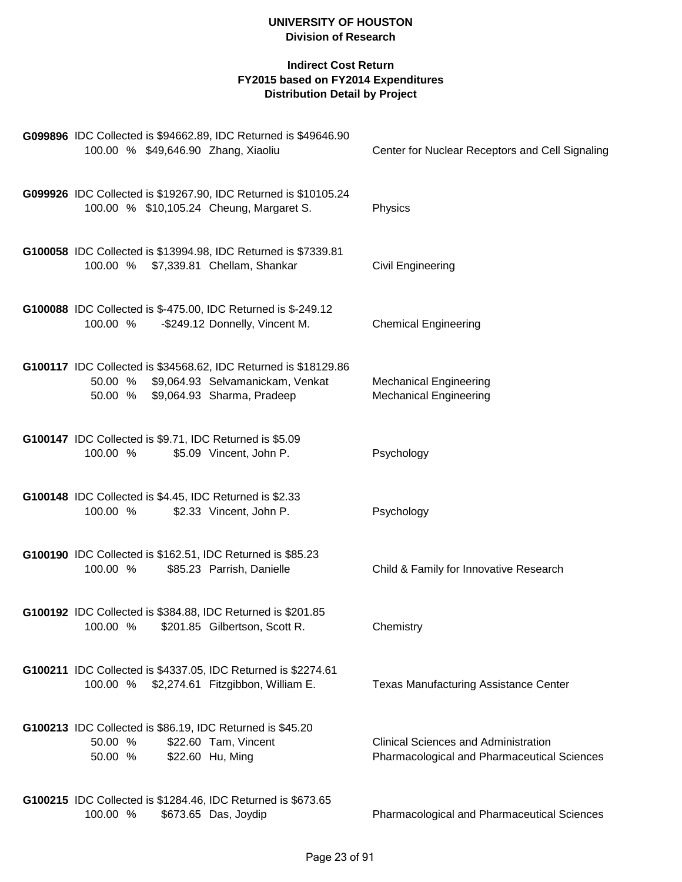|                    |  | G099896 IDC Collected is \$94662.89, IDC Returned is \$49646.90                                                                                   |                                                                                                   |
|--------------------|--|---------------------------------------------------------------------------------------------------------------------------------------------------|---------------------------------------------------------------------------------------------------|
|                    |  | 100.00 % \$49,646.90 Zhang, Xiaoliu                                                                                                               | Center for Nuclear Receptors and Cell Signaling                                                   |
|                    |  | G099926 IDC Collected is \$19267.90, IDC Returned is \$10105.24<br>100.00 % \$10,105.24 Cheung, Margaret S.                                       | Physics                                                                                           |
|                    |  |                                                                                                                                                   |                                                                                                   |
| 100.00 %           |  | G100058 IDC Collected is \$13994.98, IDC Returned is \$7339.81<br>\$7,339.81 Chellam, Shankar                                                     | <b>Civil Engineering</b>                                                                          |
| 100.00 %           |  | G100088 IDC Collected is \$-475.00, IDC Returned is \$-249.12<br>-\$249.12 Donnelly, Vincent M.                                                   | <b>Chemical Engineering</b>                                                                       |
|                    |  | G100117 IDC Collected is \$34568.62, IDC Returned is \$18129.86<br>50.00 % \$9,064.93 Selvamanickam, Venkat<br>50.00 % \$9,064.93 Sharma, Pradeep | <b>Mechanical Engineering</b><br><b>Mechanical Engineering</b>                                    |
| 100.00 %           |  | G100147 IDC Collected is \$9.71, IDC Returned is \$5.09<br>\$5.09 Vincent, John P.                                                                | Psychology                                                                                        |
| 100.00 %           |  | G100148 IDC Collected is \$4.45, IDC Returned is \$2.33<br>\$2.33 Vincent, John P.                                                                | Psychology                                                                                        |
| 100.00 %           |  | G100190 IDC Collected is \$162.51, IDC Returned is \$85.23<br>\$85.23 Parrish, Danielle                                                           | Child & Family for Innovative Research                                                            |
|                    |  | G100192 IDC Collected is \$384.88, IDC Returned is \$201.85<br>100.00 % \$201.85 Gilbertson, Scott R.                                             | Chemistry                                                                                         |
|                    |  | G100211 IDC Collected is \$4337.05, IDC Returned is \$2274.61<br>100.00 % \$2,274.61 Fitzgibbon, William E.                                       | <b>Texas Manufacturing Assistance Center</b>                                                      |
| 50.00 %<br>50.00 % |  | G100213 IDC Collected is \$86.19, IDC Returned is \$45.20<br>\$22.60 Tam, Vincent<br>\$22.60 Hu, Ming                                             | <b>Clinical Sciences and Administration</b><br><b>Pharmacological and Pharmaceutical Sciences</b> |
| 100.00 %           |  | G100215 IDC Collected is \$1284.46, IDC Returned is \$673.65<br>\$673.65 Das, Joydip                                                              | <b>Pharmacological and Pharmaceutical Sciences</b>                                                |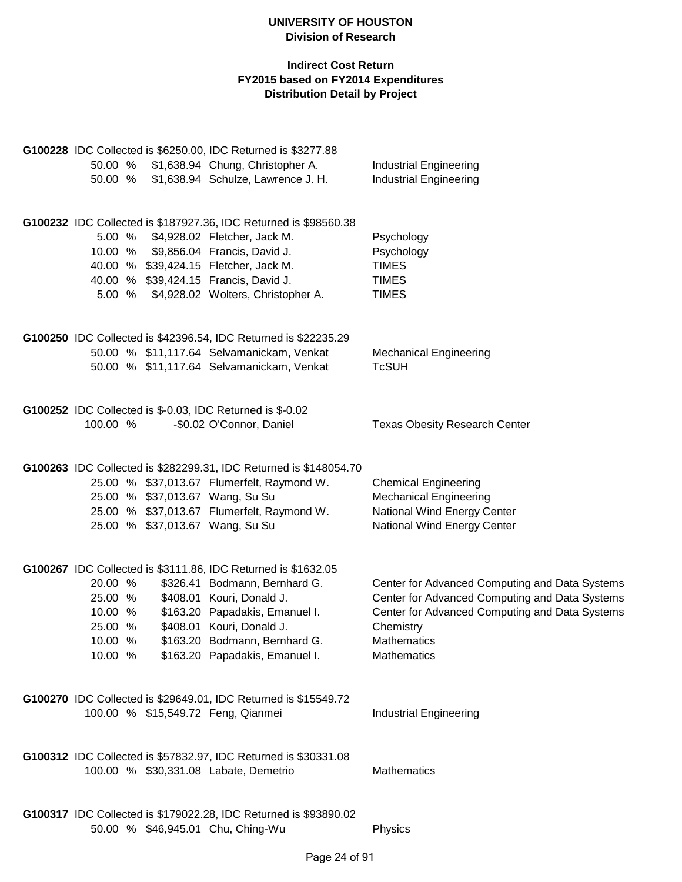|          |  | G100228 IDC Collected is \$6250.00, IDC Returned is \$3277.88     |                                                |
|----------|--|-------------------------------------------------------------------|------------------------------------------------|
| 50.00 %  |  | \$1,638.94 Chung, Christopher A.                                  | <b>Industrial Engineering</b>                  |
| 50.00 %  |  | \$1,638.94 Schulze, Lawrence J. H.                                | <b>Industrial Engineering</b>                  |
|          |  |                                                                   |                                                |
|          |  |                                                                   |                                                |
|          |  | G100232 IDC Collected is \$187927.36, IDC Returned is \$98560.38  |                                                |
| 5.00 %   |  | \$4,928.02 Fletcher, Jack M.                                      | Psychology                                     |
|          |  |                                                                   |                                                |
|          |  | 10.00 % \$9,856.04 Francis, David J.                              | Psychology                                     |
|          |  | 40.00 % \$39,424.15 Fletcher, Jack M.                             | <b>TIMES</b>                                   |
|          |  | 40.00 % \$39,424.15 Francis, David J.                             | <b>TIMES</b>                                   |
| 5.00 %   |  | \$4,928.02 Wolters, Christopher A.                                | <b>TIMES</b>                                   |
|          |  |                                                                   |                                                |
|          |  |                                                                   |                                                |
|          |  | G100250 IDC Collected is \$42396.54, IDC Returned is \$22235.29   |                                                |
|          |  | 50.00 % \$11,117.64 Selvamanickam, Venkat                         | <b>Mechanical Engineering</b>                  |
|          |  | 50.00 % \$11,117.64 Selvamanickam, Venkat                         | <b>TcSUH</b>                                   |
|          |  |                                                                   |                                                |
|          |  |                                                                   |                                                |
|          |  |                                                                   |                                                |
|          |  | G100252 IDC Collected is \$-0.03, IDC Returned is \$-0.02         |                                                |
| 100.00 % |  | -\$0.02 O'Connor, Daniel                                          | <b>Texas Obesity Research Center</b>           |
|          |  |                                                                   |                                                |
|          |  |                                                                   |                                                |
|          |  | G100263 IDC Collected is \$282299.31, IDC Returned is \$148054.70 |                                                |
|          |  | 25.00 % \$37,013.67 Flumerfelt, Raymond W.                        | <b>Chemical Engineering</b>                    |
|          |  | 25.00 % \$37,013.67 Wang, Su Su                                   | <b>Mechanical Engineering</b>                  |
|          |  | 25.00 % \$37,013.67 Flumerfelt, Raymond W.                        | National Wind Energy Center                    |
|          |  | 25.00 % \$37,013.67 Wang, Su Su                                   | National Wind Energy Center                    |
|          |  |                                                                   |                                                |
|          |  |                                                                   |                                                |
|          |  | G100267 IDC Collected is \$3111.86, IDC Returned is \$1632.05     |                                                |
| 20.00 %  |  | \$326.41 Bodmann, Bernhard G.                                     | Center for Advanced Computing and Data Systems |
| 25.00 %  |  | \$408.01 Kouri, Donald J.                                         | Center for Advanced Computing and Data Systems |
|          |  |                                                                   |                                                |
| 10.00 %  |  | \$163.20 Papadakis, Emanuel I.                                    | Center for Advanced Computing and Data Systems |
| 25.00 %  |  | \$408.01 Kouri, Donald J.                                         | Chemistry                                      |
| 10.00 %  |  | \$163.20 Bodmann, Bernhard G.                                     | <b>Mathematics</b>                             |
| 10.00 %  |  | \$163.20 Papadakis, Emanuel I.                                    | Mathematics                                    |
|          |  |                                                                   |                                                |
|          |  |                                                                   |                                                |
|          |  | G100270 IDC Collected is \$29649.01, IDC Returned is \$15549.72   |                                                |
|          |  | 100.00 % \$15,549.72 Feng, Qianmei                                | <b>Industrial Engineering</b>                  |
|          |  |                                                                   |                                                |
|          |  |                                                                   |                                                |
|          |  | G100312 IDC Collected is \$57832.97, IDC Returned is \$30331.08   |                                                |
|          |  |                                                                   | <b>Mathematics</b>                             |
|          |  | 100.00 % \$30,331.08 Labate, Demetrio                             |                                                |
|          |  |                                                                   |                                                |
|          |  |                                                                   |                                                |
|          |  | G100317 IDC Collected is \$179022.28, IDC Returned is \$93890.02  |                                                |
|          |  | 50.00 % \$46,945.01 Chu, Ching-Wu                                 | Physics                                        |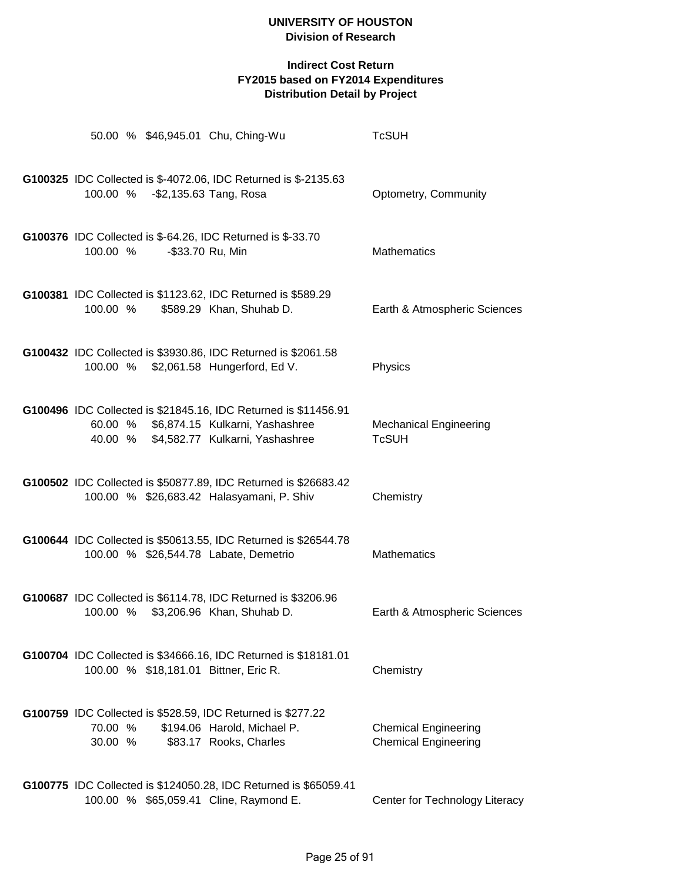|                    |  | 50.00 % \$46,945.01 Chu, Ching-Wu                                                                                                                     | <b>TcSUH</b>                                               |
|--------------------|--|-------------------------------------------------------------------------------------------------------------------------------------------------------|------------------------------------------------------------|
|                    |  | G100325 IDC Collected is \$-4072.06, IDC Returned is \$-2135.63<br>100.00 % - \$2,135.63 Tang, Rosa                                                   | Optometry, Community                                       |
| 100.00 %           |  | G100376 IDC Collected is \$-64.26, IDC Returned is \$-33.70<br>-\$33.70 Ru, Min                                                                       | <b>Mathematics</b>                                         |
| 100.00 %           |  | G100381 IDC Collected is \$1123.62, IDC Returned is \$589.29<br>\$589.29 Khan, Shuhab D.                                                              | Earth & Atmospheric Sciences                               |
|                    |  | G100432 IDC Collected is \$3930.86, IDC Returned is \$2061.58<br>100.00 % \$2,061.58 Hungerford, Ed V.                                                | Physics                                                    |
|                    |  | G100496 IDC Collected is \$21845.16, IDC Returned is \$11456.91<br>60.00 % \$6,874.15 Kulkarni, Yashashree<br>40.00 % \$4,582.77 Kulkarni, Yashashree | <b>Mechanical Engineering</b><br><b>TcSUH</b>              |
|                    |  | G100502 IDC Collected is \$50877.89, IDC Returned is \$26683.42<br>100.00 % \$26,683.42 Halasyamani, P. Shiv                                          | Chemistry                                                  |
|                    |  | G100644 IDC Collected is \$50613.55, IDC Returned is \$26544.78<br>100.00 % \$26,544.78 Labate, Demetrio                                              | <b>Mathematics</b>                                         |
|                    |  | G100687 IDC Collected is \$6114.78, IDC Returned is \$3206.96<br>100.00 % \$3,206.96 Khan, Shuhab D.                                                  | Earth & Atmospheric Sciences                               |
|                    |  | G100704 IDC Collected is \$34666.16, IDC Returned is \$18181.01<br>100.00 % \$18,181.01 Bittner, Eric R.                                              | Chemistry                                                  |
| 70.00 %<br>30.00 % |  | G100759 IDC Collected is \$528.59, IDC Returned is \$277.22<br>\$194.06 Harold, Michael P.<br>\$83.17 Rooks, Charles                                  | <b>Chemical Engineering</b><br><b>Chemical Engineering</b> |
|                    |  | G100775 IDC Collected is \$124050.28, IDC Returned is \$65059.41<br>100.00 % \$65,059.41 Cline, Raymond E.                                            | Center for Technology Literacy                             |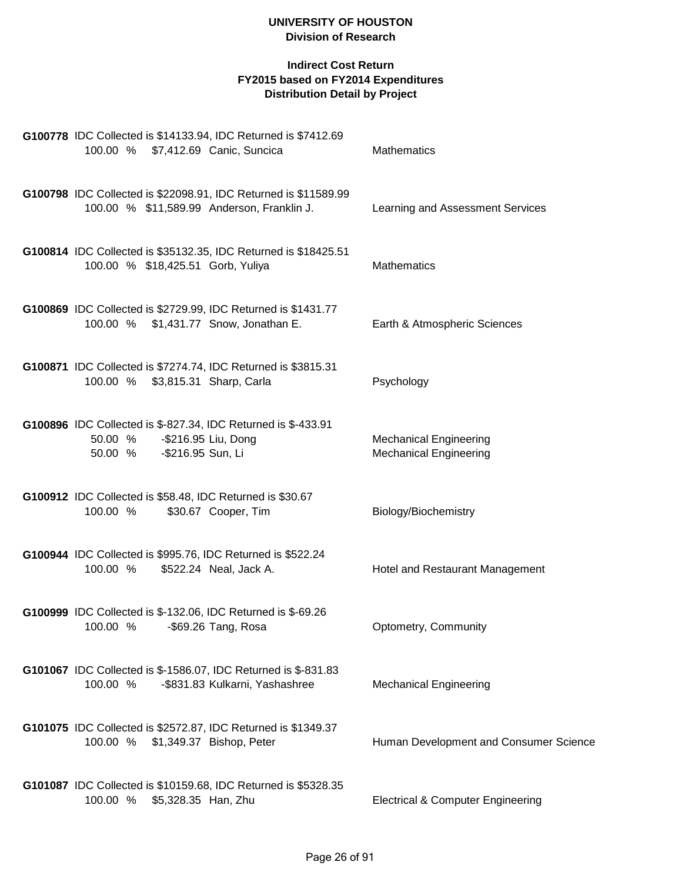| G100778 IDC Collected is \$14133.94, IDC Returned is \$7412.69<br>100.00 % \$7,412.69 Canic, Suncica                            | Mathematics                                                    |
|---------------------------------------------------------------------------------------------------------------------------------|----------------------------------------------------------------|
| G100798 IDC Collected is \$22098.91, IDC Returned is \$11589.99<br>100.00 % \$11,589.99 Anderson, Franklin J.                   | Learning and Assessment Services                               |
| G100814 IDC Collected is \$35132.35, IDC Returned is \$18425.51<br>100.00 % \$18,425.51 Gorb, Yuliya                            | <b>Mathematics</b>                                             |
| G100869 IDC Collected is \$2729.99, IDC Returned is \$1431.77<br>100.00 % \$1,431.77 Snow, Jonathan E.                          | Earth & Atmospheric Sciences                                   |
| G100871 IDC Collected is \$7274.74, IDC Returned is \$3815.31<br>100.00 % \$3,815.31 Sharp, Carla                               | Psychology                                                     |
| G100896 IDC Collected is \$-827.34, IDC Returned is \$-433.91<br>-\$216.95 Liu, Dong<br>50.00 %<br>-\$216.95 Sun, Li<br>50.00 % | <b>Mechanical Engineering</b><br><b>Mechanical Engineering</b> |
| G100912 IDC Collected is \$58.48, IDC Returned is \$30.67<br>100.00 %<br>\$30.67 Cooper, Tim                                    | Biology/Biochemistry                                           |
| G100944 IDC Collected is \$995.76, IDC Returned is \$522.24<br>100.00 %<br>\$522.24 Neal, Jack A.                               | Hotel and Restaurant Management                                |
| G100999 IDC Collected is \$-132.06, IDC Returned is \$-69.26<br>100.00 % -\$69.26 Tang, Rosa                                    | Optometry, Community                                           |
| G101067 IDC Collected is \$-1586.07, IDC Returned is \$-831.83<br>100.00 %<br>-\$831.83 Kulkarni, Yashashree                    | <b>Mechanical Engineering</b>                                  |
| G101075 IDC Collected is \$2572.87, IDC Returned is \$1349.37<br>100.00 % \$1,349.37 Bishop, Peter                              | Human Development and Consumer Science                         |
| G101087 IDC Collected is \$10159.68, IDC Returned is \$5328.35<br>100.00 % \$5,328.35 Han, Zhu                                  | <b>Electrical &amp; Computer Engineering</b>                   |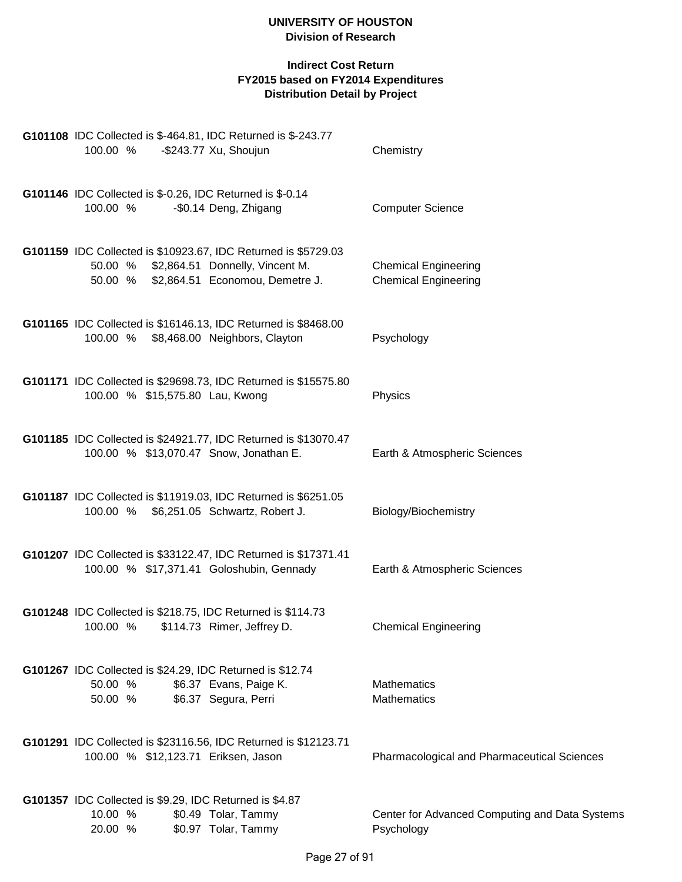| G101108 IDC Collected is \$-464.81, IDC Returned is \$-243.77<br>100.00 %<br>-\$243.77 Xu, Shoujun                                                   | Chemistry                                                    |  |
|------------------------------------------------------------------------------------------------------------------------------------------------------|--------------------------------------------------------------|--|
| G101146 IDC Collected is \$-0.26, IDC Returned is \$-0.14<br>-\$0.14 Deng, Zhigang<br>100.00 %                                                       | <b>Computer Science</b>                                      |  |
| G101159 IDC Collected is \$10923.67, IDC Returned is \$5729.03<br>50.00 % \$2,864.51 Donnelly, Vincent M.<br>50.00 % \$2,864.51 Economou, Demetre J. | <b>Chemical Engineering</b><br><b>Chemical Engineering</b>   |  |
| G101165 IDC Collected is \$16146.13, IDC Returned is \$8468.00<br>100.00 % \$8,468.00 Neighbors, Clayton                                             | Psychology                                                   |  |
| G101171 IDC Collected is \$29698.73, IDC Returned is \$15575.80<br>100.00 % \$15,575.80 Lau, Kwong                                                   | Physics                                                      |  |
| G101185 IDC Collected is \$24921.77, IDC Returned is \$13070.47<br>100.00 % \$13,070.47 Snow, Jonathan E.                                            | Earth & Atmospheric Sciences                                 |  |
| G101187 IDC Collected is \$11919.03, IDC Returned is \$6251.05<br>100.00 % \$6,251.05 Schwartz, Robert J.                                            | Biology/Biochemistry                                         |  |
| G101207 IDC Collected is \$33122.47, IDC Returned is \$17371.41<br>100.00 % \$17,371.41 Goloshubin, Gennady                                          | Earth & Atmospheric Sciences                                 |  |
| G101248 IDC Collected is \$218.75, IDC Returned is \$114.73<br>100.00 % \$114.73 Rimer, Jeffrey D.                                                   | <b>Chemical Engineering</b>                                  |  |
| G101267 IDC Collected is \$24.29, IDC Returned is \$12.74<br>\$6.37 Evans, Paige K.<br>50.00 %<br>50.00 %<br>\$6.37 Segura, Perri                    | <b>Mathematics</b><br><b>Mathematics</b>                     |  |
| G101291 IDC Collected is \$23116.56, IDC Returned is \$12123.71<br>100.00 % \$12,123.71 Eriksen, Jason                                               | <b>Pharmacological and Pharmaceutical Sciences</b>           |  |
| G101357 IDC Collected is \$9.29, IDC Returned is \$4.87<br>10.00 %<br>\$0.49 Tolar, Tammy<br>\$0.97 Tolar, Tammy<br>20.00 %                          | Center for Advanced Computing and Data Systems<br>Psychology |  |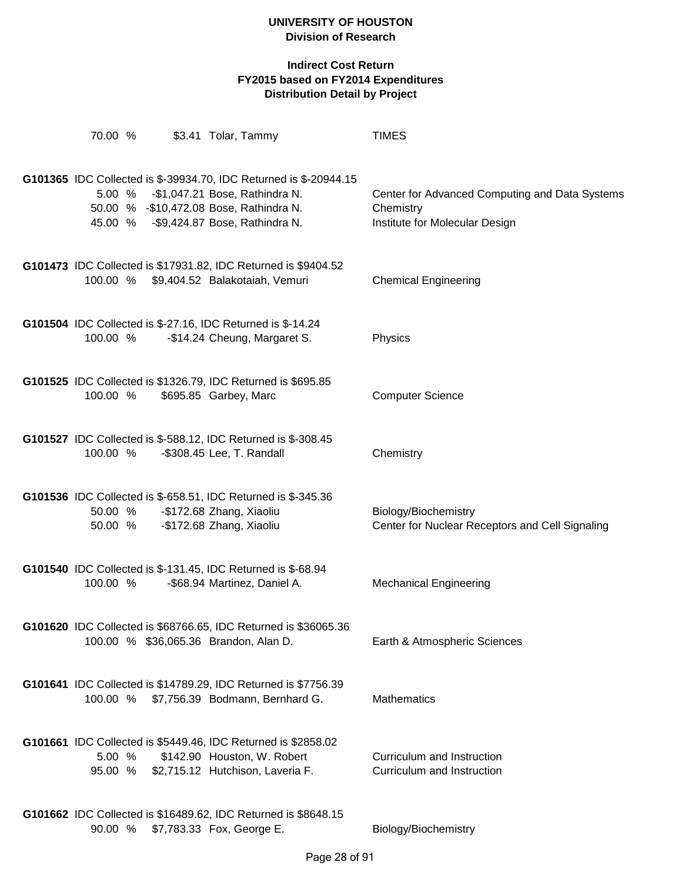| 70.00 %  | \$3.41 Tolar, Tammy                                                                                                                                                                                | <b>TIMES</b>                                                                                  |
|----------|----------------------------------------------------------------------------------------------------------------------------------------------------------------------------------------------------|-----------------------------------------------------------------------------------------------|
|          | G101365 IDC Collected is \$-39934.70, IDC Returned is \$-20944.15<br>5.00 % - \$1,047.21 Bose, Rathindra N.<br>50.00 % - \$10,472.08 Bose, Rathindra N.<br>45.00 % - \$9,424.87 Bose, Rathindra N. | Center for Advanced Computing and Data Systems<br>Chemistry<br>Institute for Molecular Design |
|          | G101473 IDC Collected is \$17931.82, IDC Returned is \$9404.52<br>100.00 % \$9,404.52 Balakotaiah, Vemuri                                                                                          | <b>Chemical Engineering</b>                                                                   |
| 100.00 % | G101504 IDC Collected is \$-27.16, IDC Returned is \$-14.24<br>-\$14.24 Cheung, Margaret S.                                                                                                        | Physics                                                                                       |
| 100.00 % | G101525 IDC Collected is \$1326.79, IDC Returned is \$695.85<br>\$695.85 Garbey, Marc                                                                                                              | <b>Computer Science</b>                                                                       |
| 100.00 % | G101527 IDC Collected is \$-588.12, IDC Returned is \$-308.45<br>-\$308.45 Lee, T. Randall                                                                                                         | Chemistry                                                                                     |
|          | G101536 IDC Collected is \$-658.51, IDC Returned is \$-345.36<br>50.00 % - \$172.68 Zhang, Xiaoliu<br>50.00 % - \$172.68 Zhang, Xiaoliu                                                            | Biology/Biochemistry<br>Center for Nuclear Receptors and Cell Signaling                       |
| 100.00 % | G101540 IDC Collected is \$-131.45, IDC Returned is \$-68.94<br>-\$68.94 Martinez, Daniel A.                                                                                                       | <b>Mechanical Engineering</b>                                                                 |
|          | G101620 IDC Collected is \$68766.65, IDC Returned is \$36065.36<br>100.00 % \$36,065.36 Brandon, Alan D.                                                                                           | Earth & Atmospheric Sciences                                                                  |
|          | G101641 IDC Collected is \$14789.29, IDC Returned is \$7756.39<br>100.00 % \$7,756.39 Bodmann, Bernhard G.                                                                                         | <b>Mathematics</b>                                                                            |
| 5.00 %   | G101661 IDC Collected is \$5449.46, IDC Returned is \$2858.02<br>\$142.90 Houston, W. Robert<br>95.00 % \$2,715.12 Hutchison, Laveria F.                                                           | Curriculum and Instruction<br>Curriculum and Instruction                                      |
| 90.00 %  | G101662 IDC Collected is \$16489.62, IDC Returned is \$8648.15<br>\$7,783.33 Fox, George E.                                                                                                        | Biology/Biochemistry                                                                          |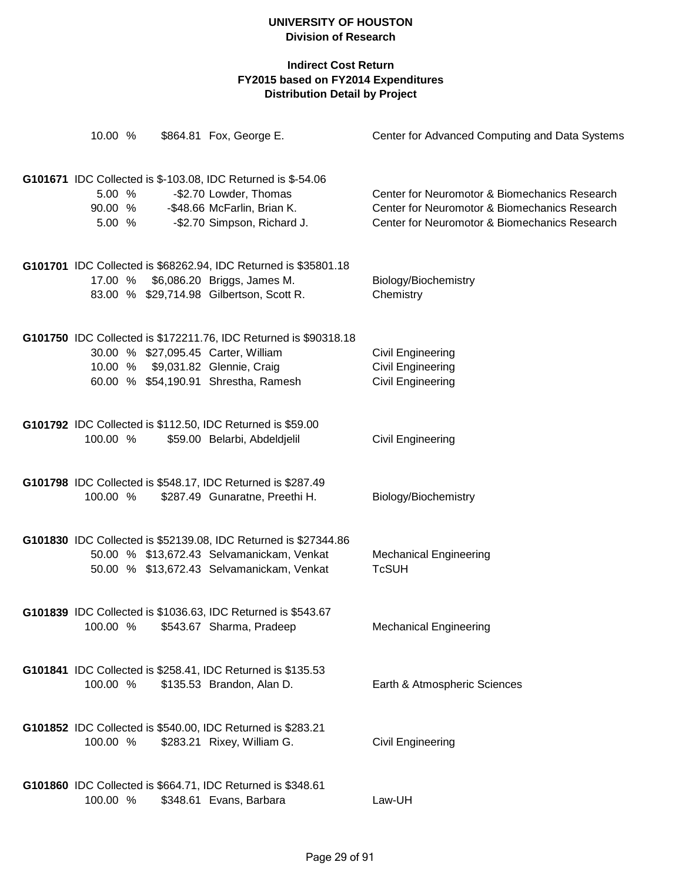| 10.00 %                     | \$864.81 Fox, George E.                                                                                                                                                              | Center for Advanced Computing and Data Systems                                                                                                  |
|-----------------------------|--------------------------------------------------------------------------------------------------------------------------------------------------------------------------------------|-------------------------------------------------------------------------------------------------------------------------------------------------|
| 5.00 %<br>90.00 %<br>5.00 % | <b>G101671</b> IDC Collected is \$-103.08, IDC Returned is \$-54.06<br>-\$2.70 Lowder, Thomas<br>-\$48.66 McFarlin, Brian K.<br>-\$2.70 Simpson, Richard J.                          | Center for Neuromotor & Biomechanics Research<br>Center for Neuromotor & Biomechanics Research<br>Center for Neuromotor & Biomechanics Research |
|                             | G101701 IDC Collected is \$68262.94, IDC Returned is \$35801.18<br>17.00 % \$6,086.20 Briggs, James M.<br>83.00 % \$29,714.98 Gilbertson, Scott R.                                   | Biology/Biochemistry<br>Chemistry                                                                                                               |
|                             | G101750 IDC Collected is \$172211.76, IDC Returned is \$90318.18<br>30.00 % \$27,095.45 Carter, William<br>10.00 % \$9,031.82 Glennie, Craig<br>60.00 % \$54,190.91 Shrestha, Ramesh | <b>Civil Engineering</b><br><b>Civil Engineering</b><br><b>Civil Engineering</b>                                                                |
| 100.00 %                    | G101792 IDC Collected is \$112.50, IDC Returned is \$59.00<br>\$59.00 Belarbi, Abdeldjelil                                                                                           | <b>Civil Engineering</b>                                                                                                                        |
| 100.00 %                    | G101798 IDC Collected is \$548.17, IDC Returned is \$287.49<br>\$287.49 Gunaratne, Preethi H.                                                                                        | Biology/Biochemistry                                                                                                                            |
|                             | G101830 IDC Collected is \$52139.08, IDC Returned is \$27344.86<br>50.00 % \$13,672.43 Selvamanickam, Venkat<br>50.00 % \$13,672.43 Selvamanickam, Venkat                            | <b>Mechanical Engineering</b><br><b>TcSUH</b>                                                                                                   |
|                             | G101839 IDC Collected is \$1036.63, IDC Returned is \$543.67<br>100.00 % \$543.67 Sharma, Pradeep                                                                                    | <b>Mechanical Engineering</b>                                                                                                                   |
| 100.00 %                    | G101841 IDC Collected is \$258.41, IDC Returned is \$135.53<br>\$135.53 Brandon, Alan D.                                                                                             | Earth & Atmospheric Sciences                                                                                                                    |
| 100.00 %                    | G101852 IDC Collected is \$540.00, IDC Returned is \$283.21<br>\$283.21 Rixey, William G.                                                                                            | Civil Engineering                                                                                                                               |
| 100.00 %                    | G101860 IDC Collected is \$664.71, IDC Returned is \$348.61<br>\$348.61 Evans, Barbara                                                                                               | Law-UH                                                                                                                                          |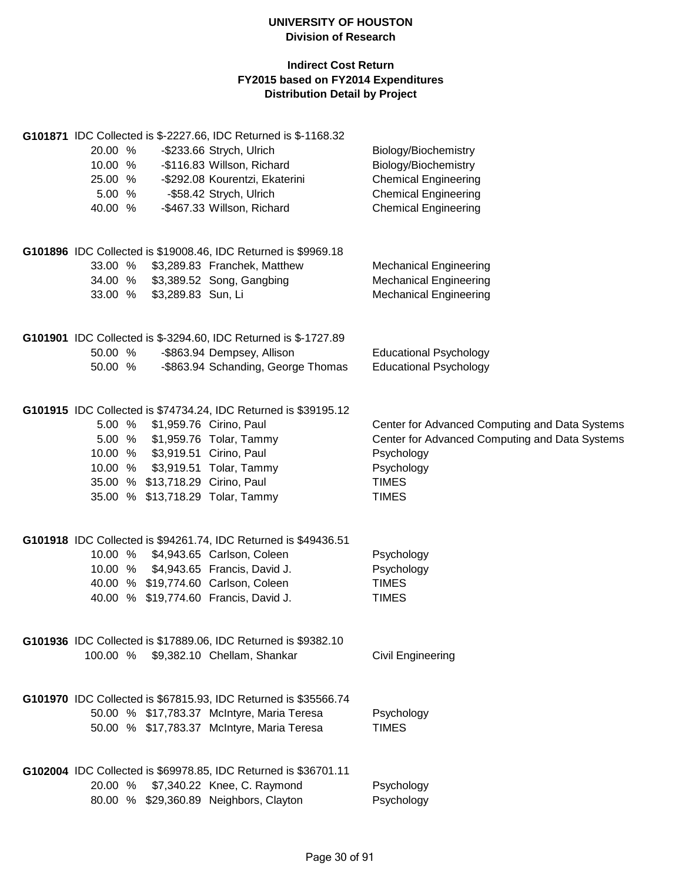| G101871 IDC Collected is \$-2227.66, IDC Returned is \$-1168.32 |                                                |
|-----------------------------------------------------------------|------------------------------------------------|
| 20.00 %<br>-\$233.66 Strych, Ulrich                             | Biology/Biochemistry                           |
| -\$116.83 Willson, Richard<br>10.00 %                           | Biology/Biochemistry                           |
| 25.00 %<br>-\$292.08 Kourentzi, Ekaterini                       | <b>Chemical Engineering</b>                    |
| 5.00 %<br>-\$58.42 Strych, Ulrich                               | <b>Chemical Engineering</b>                    |
| -\$467.33 Willson, Richard<br>40.00 %                           | <b>Chemical Engineering</b>                    |
| G101896 IDC Collected is \$19008.46, IDC Returned is \$9969.18  |                                                |
| 33.00 %<br>\$3,289.83 Franchek, Matthew                         | <b>Mechanical Engineering</b>                  |
| 34.00 % \$3,389.52 Song, Gangbing                               | <b>Mechanical Engineering</b>                  |
| 33.00 % \$3,289.83 Sun, Li                                      | <b>Mechanical Engineering</b>                  |
| G101901 IDC Collected is \$-3294.60, IDC Returned is \$-1727.89 |                                                |
| 50.00 %<br>-\$863.94 Dempsey, Allison                           | <b>Educational Psychology</b>                  |
| -\$863.94 Schanding, George Thomas<br>50.00 %                   | <b>Educational Psychology</b>                  |
| G101915 IDC Collected is \$74734.24, IDC Returned is \$39195.12 |                                                |
| 5.00 % \$1,959.76 Cirino, Paul                                  | Center for Advanced Computing and Data Systems |
| 5.00 % \$1,959.76 Tolar, Tammy                                  | Center for Advanced Computing and Data Systems |
| 10.00 % \$3,919.51 Cirino, Paul                                 | Psychology                                     |
| 10.00 % \$3,919.51 Tolar, Tammy                                 | Psychology                                     |
| 35.00 % \$13,718.29 Cirino, Paul                                | <b>TIMES</b>                                   |
| 35.00 % \$13,718.29 Tolar, Tammy                                | <b>TIMES</b>                                   |
| G101918 IDC Collected is \$94261.74, IDC Returned is \$49436.51 |                                                |
| 10.00 % \$4,943.65 Carlson, Coleen                              | Psychology                                     |
| 10.00 % \$4,943.65 Francis, David J.                            | Psychology                                     |
| 40.00 % \$19,774.60 Carlson, Coleen                             | <b>TIMES</b>                                   |
| 40.00 % \$19,774.60 Francis, David J.                           | <b>TIMES</b>                                   |
| G101936 IDC Collected is \$17889.06, IDC Returned is \$9382.10  |                                                |
| 100.00 %<br>\$9,382.10 Chellam, Shankar                         | Civil Engineering                              |
| G101970 IDC Collected is \$67815.93, IDC Returned is \$35566.74 |                                                |
| 50.00 % \$17,783.37 McIntyre, Maria Teresa                      | Psychology                                     |
| 50.00 % \$17,783.37 McIntyre, Maria Teresa                      | <b>TIMES</b>                                   |
| G102004 IDC Collected is \$69978.85, IDC Returned is \$36701.11 |                                                |
| \$7,340.22 Knee, C. Raymond<br>20.00 %                          | Psychology                                     |
| 80.00 % \$29,360.89 Neighbors, Clayton                          | Psychology                                     |
|                                                                 |                                                |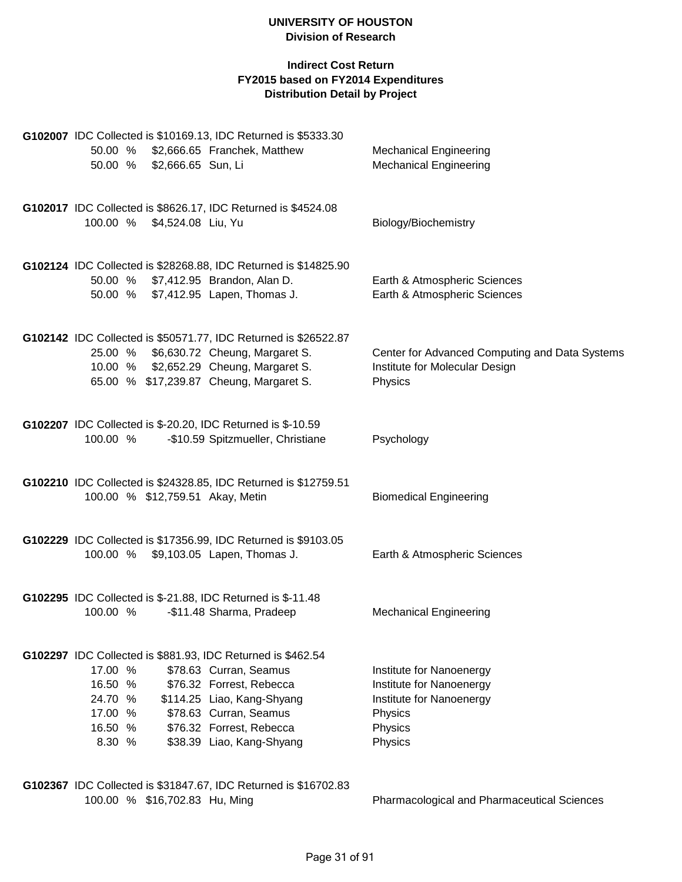### **Indirect Cost Return FY2015 based on FY2014 Expenditures Distribution Detail by Project**

|                                  | G102007 IDC Collected is \$10169.13, IDC Returned is \$5333.30                          |                                                                |
|----------------------------------|-----------------------------------------------------------------------------------------|----------------------------------------------------------------|
| 50.00 % \$2,666.65 Sun, Li       | 50.00 % \$2,666.65 Franchek, Matthew                                                    | <b>Mechanical Engineering</b><br><b>Mechanical Engineering</b> |
|                                  |                                                                                         |                                                                |
|                                  | G102017 IDC Collected is \$8626.17, IDC Returned is \$4524.08                           |                                                                |
| 100.00 % \$4,524.08 Liu, Yu      |                                                                                         | Biology/Biochemistry                                           |
|                                  | G102124 IDC Collected is \$28268.88, IDC Returned is \$14825.90                         |                                                                |
|                                  | 50.00 % \$7,412.95 Brandon, Alan D.                                                     | Earth & Atmospheric Sciences                                   |
|                                  | 50.00 % \$7,412.95 Lapen, Thomas J.                                                     | Earth & Atmospheric Sciences                                   |
|                                  |                                                                                         |                                                                |
|                                  | G102142 IDC Collected is \$50571.77, IDC Returned is \$26522.87                         |                                                                |
|                                  | 25.00 % \$6,630.72 Cheung, Margaret S.                                                  | Center for Advanced Computing and Data Systems                 |
|                                  | 10.00 % \$2,652.29 Cheung, Margaret S.<br>65.00 % \$17,239.87 Cheung, Margaret S.       | Institute for Molecular Design<br>Physics                      |
|                                  |                                                                                         |                                                                |
|                                  | G102207 IDC Collected is \$-20.20, IDC Returned is \$-10.59                             |                                                                |
| 100.00 %                         | -\$10.59 Spitzmueller, Christiane                                                       | Psychology                                                     |
|                                  |                                                                                         |                                                                |
|                                  | G102210 IDC Collected is \$24328.85, IDC Returned is \$12759.51                         |                                                                |
| 100.00 % \$12,759.51 Akay, Metin |                                                                                         | <b>Biomedical Engineering</b>                                  |
|                                  |                                                                                         |                                                                |
|                                  | G102229 IDC Collected is \$17356.99, IDC Returned is \$9103.05                          |                                                                |
|                                  | 100.00 % \$9,103.05 Lapen, Thomas J.                                                    | Earth & Atmospheric Sciences                                   |
|                                  |                                                                                         |                                                                |
| 100.00 %                         | G102295 IDC Collected is \$-21.88, IDC Returned is \$-11.48<br>-\$11.48 Sharma, Pradeep | <b>Mechanical Engineering</b>                                  |
|                                  |                                                                                         |                                                                |
|                                  | G102297 IDC Collected is \$881.93, IDC Returned is \$462.54                             |                                                                |
| 17.00 %                          | \$78.63 Curran, Seamus                                                                  | Institute for Nanoenergy                                       |
| 16.50 %                          | \$76.32 Forrest, Rebecca                                                                | Institute for Nanoenergy                                       |
| 24.70 %                          | \$114.25 Liao, Kang-Shyang                                                              | Institute for Nanoenergy                                       |
| 17.00 %                          | \$78.63 Curran, Seamus                                                                  | Physics                                                        |
| 16.50 %                          | \$76.32 Forrest, Rebecca                                                                | Physics                                                        |
| 8.30 %                           | \$38.39 Liao, Kang-Shyang                                                               | Physics                                                        |
|                                  |                                                                                         |                                                                |

**G102367** IDC Collected is \$31847.67, IDC Returned is \$16702.83 100.00 % \$16,702.83 Hu, Ming Pharmacological and Pharmaceutical Sciences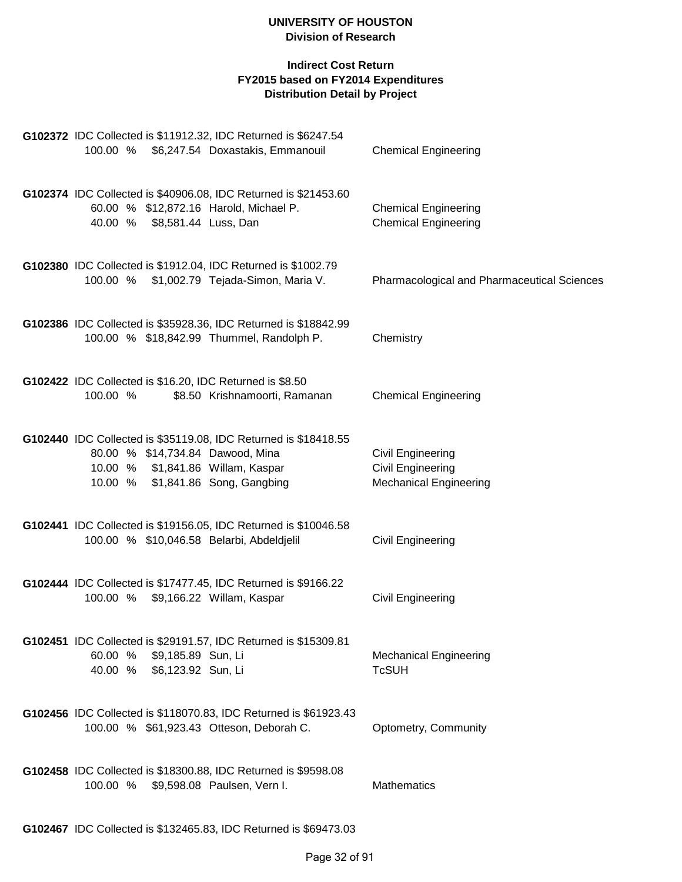|                                                          | G102372 IDC Collected is \$11912.32, IDC Returned is \$6247.54<br>100.00 % \$6,247.54 Doxastakis, Emmanouil                                                                   | <b>Chemical Engineering</b>                                                    |
|----------------------------------------------------------|-------------------------------------------------------------------------------------------------------------------------------------------------------------------------------|--------------------------------------------------------------------------------|
| 40.00 % \$8,581.44 Luss, Dan                             | G102374 IDC Collected is \$40906.08, IDC Returned is \$21453.60<br>60.00 % \$12,872.16 Harold, Michael P.                                                                     | <b>Chemical Engineering</b><br><b>Chemical Engineering</b>                     |
| 100.00 %                                                 | G102380 IDC Collected is \$1912.04, IDC Returned is \$1002.79<br>\$1,002.79 Tejada-Simon, Maria V.                                                                            | Pharmacological and Pharmaceutical Sciences                                    |
|                                                          | G102386 IDC Collected is \$35928.36, IDC Returned is \$18842.99<br>100.00 % \$18,842.99 Thummel, Randolph P.                                                                  | Chemistry                                                                      |
| 100.00 %                                                 | G102422 IDC Collected is \$16.20, IDC Returned is \$8.50<br>\$8.50 Krishnamoorti, Ramanan                                                                                     | <b>Chemical Engineering</b>                                                    |
|                                                          | G102440 IDC Collected is \$35119.08, IDC Returned is \$18418.55<br>80.00 % \$14,734.84 Dawood, Mina<br>10.00 % \$1,841.86 Willam, Kaspar<br>10.00 % \$1,841.86 Song, Gangbing | <b>Civil Engineering</b><br><b>Civil Engineering</b><br>Mechanical Engineering |
|                                                          | G102441 IDC Collected is \$19156.05, IDC Returned is \$10046.58<br>100.00 % \$10,046.58 Belarbi, Abdeldjelil                                                                  | <b>Civil Engineering</b>                                                       |
| 100.00 %                                                 | G102444 IDC Collected is \$17477.45, IDC Returned is \$9166.22<br>\$9,166.22 Willam, Kaspar                                                                                   | Civil Engineering                                                              |
| 60.00 % \$9,185.89 Sun, Li<br>40.00 % \$6,123.92 Sun, Li | G102451 IDC Collected is \$29191.57, IDC Returned is \$15309.81                                                                                                               | <b>Mechanical Engineering</b><br><b>TcSUH</b>                                  |
|                                                          | G102456 IDC Collected is \$118070.83, IDC Returned is \$61923.43<br>100.00 % \$61,923.43 Otteson, Deborah C.                                                                  | Optometry, Community                                                           |
|                                                          | G102458 IDC Collected is \$18300.88, IDC Returned is \$9598.08<br>100.00 % \$9,598.08 Paulsen, Vern I.                                                                        | <b>Mathematics</b>                                                             |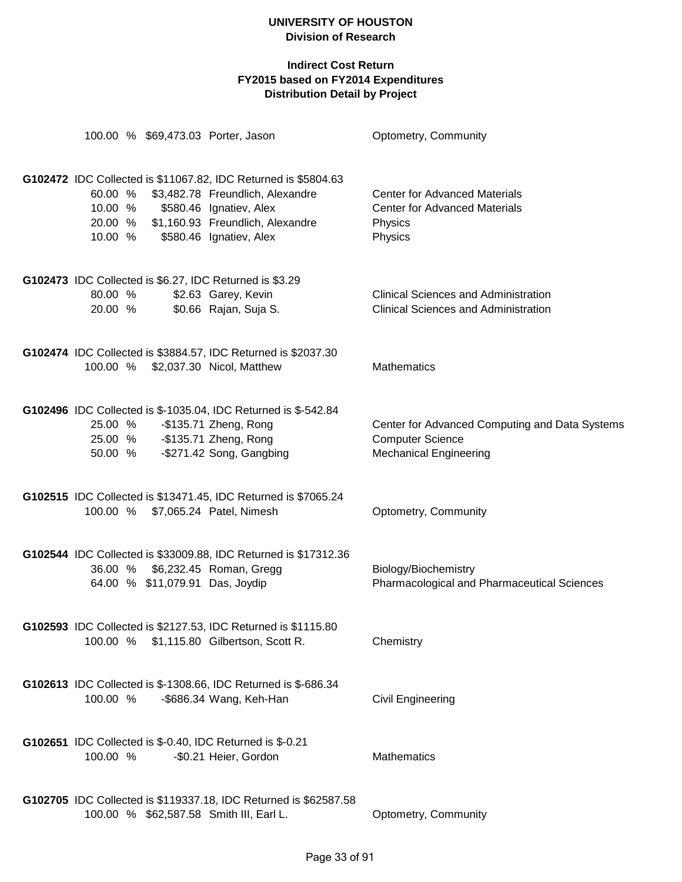| 100.00 % \$69,473.03 Porter, Jason                                            |                                                                                                                                                                                                      | Optometry, Community                                                                                       |
|-------------------------------------------------------------------------------|------------------------------------------------------------------------------------------------------------------------------------------------------------------------------------------------------|------------------------------------------------------------------------------------------------------------|
| 60.00 %<br>10.00 %<br>10.00 %                                                 | G102472 IDC Collected is \$11067.82, IDC Returned is \$5804.63<br>\$3,482.78 Freundlich, Alexandre<br>\$580.46 Ignatiev, Alex<br>20.00 % \$1,160.93 Freundlich, Alexandre<br>\$580.46 Ignatiev, Alex | <b>Center for Advanced Materials</b><br><b>Center for Advanced Materials</b><br>Physics<br>Physics         |
| G102473 IDC Collected is \$6.27, IDC Returned is \$3.29<br>80.00 %<br>20.00 % | \$2.63 Garey, Kevin<br>\$0.66 Rajan, Suja S.                                                                                                                                                         | <b>Clinical Sciences and Administration</b><br><b>Clinical Sciences and Administration</b>                 |
| 100.00 % \$2,037.30 Nicol, Matthew                                            | G102474 IDC Collected is \$3884.57, IDC Returned is \$2037.30                                                                                                                                        | <b>Mathematics</b>                                                                                         |
| 25.00 %<br>25.00 % - \$135.71 Zheng, Rong<br>50.00 %                          | G102496 IDC Collected is \$-1035.04, IDC Returned is \$-542.84<br>-\$135.71 Zheng, Rong<br>-\$271.42 Song, Gangbing                                                                                  | Center for Advanced Computing and Data Systems<br><b>Computer Science</b><br><b>Mechanical Engineering</b> |
| 100.00 % \$7,065.24 Patel, Nimesh                                             | G102515 IDC Collected is \$13471.45, IDC Returned is \$7065.24                                                                                                                                       | Optometry, Community                                                                                       |
| 36.00 % \$6,232.45 Roman, Gregg<br>64.00 % \$11,079.91 Das, Joydip            | G102544 IDC Collected is \$33009.88, IDC Returned is \$17312.36                                                                                                                                      | Biology/Biochemistry<br>Pharmacological and Pharmaceutical Sciences                                        |
| 100.00 %                                                                      | G102593 IDC Collected is \$2127.53, IDC Returned is \$1115.80<br>\$1,115.80 Gilbertson, Scott R.                                                                                                     | Chemistry                                                                                                  |
| 100.00 %                                                                      | G102613 IDC Collected is \$-1308.66, IDC Returned is \$-686.34<br>-\$686.34 Wang, Keh-Han                                                                                                            | Civil Engineering                                                                                          |
| G102651 IDC Collected is \$-0.40, IDC Returned is \$-0.21<br>100.00 %         | -\$0.21 Heier, Gordon                                                                                                                                                                                | Mathematics                                                                                                |
| 100.00 % \$62,587.58 Smith III, Earl L.                                       | G102705 IDC Collected is \$119337.18, IDC Returned is \$62587.58                                                                                                                                     | Optometry, Community                                                                                       |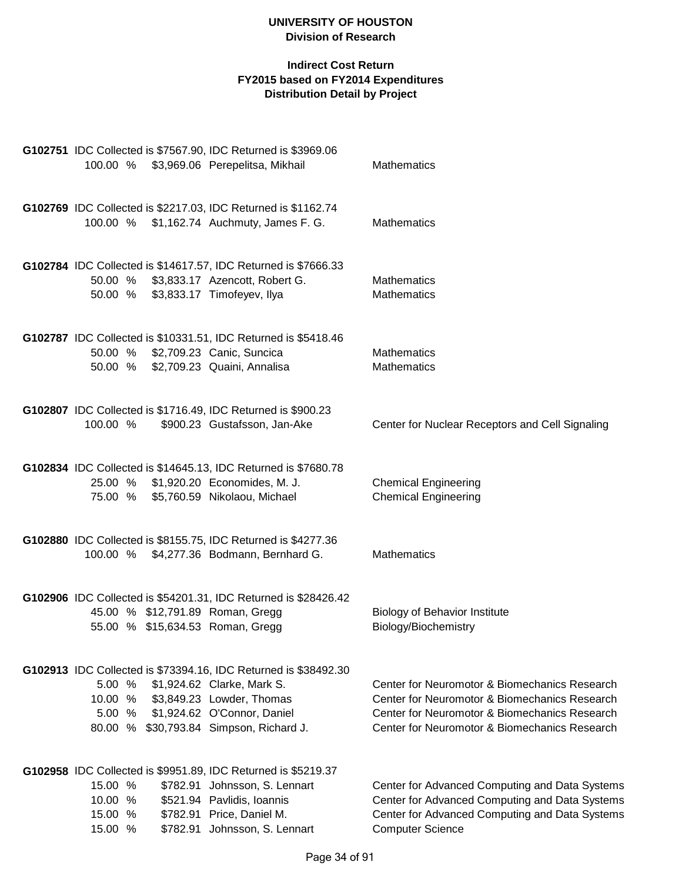|                                          | G102751 IDC Collected is \$7567.90, IDC Returned is \$3969.06<br>100.00 % \$3,969.06 Perepelitsa, Mikhail                                                                                            | Mathematics                                                                                                                                                                                      |
|------------------------------------------|------------------------------------------------------------------------------------------------------------------------------------------------------------------------------------------------------|--------------------------------------------------------------------------------------------------------------------------------------------------------------------------------------------------|
|                                          | G102769 IDC Collected is \$2217.03, IDC Returned is \$1162.74<br>100.00 % \$1,162.74 Auchmuty, James F. G.                                                                                           | <b>Mathematics</b>                                                                                                                                                                               |
|                                          | G102784 IDC Collected is \$14617.57, IDC Returned is \$7666.33<br>50.00 % \$3,833.17 Azencott, Robert G.<br>50.00 % \$3,833.17 Timofeyev, Ilya                                                       | <b>Mathematics</b><br><b>Mathematics</b>                                                                                                                                                         |
|                                          | G102787 IDC Collected is \$10331.51, IDC Returned is \$5418.46<br>50.00 % \$2,709.23 Canic, Suncica<br>50.00 % \$2,709.23 Quaini, Annalisa                                                           | <b>Mathematics</b><br><b>Mathematics</b>                                                                                                                                                         |
| 100.00 %                                 | G102807 IDC Collected is \$1716.49, IDC Returned is \$900.23<br>\$900.23 Gustafsson, Jan-Ake                                                                                                         | Center for Nuclear Receptors and Cell Signaling                                                                                                                                                  |
|                                          | G102834 IDC Collected is \$14645.13, IDC Returned is \$7680.78<br>25.00 % \$1,920.20 Economides, M. J.<br>75.00 % \$5,760.59 Nikolaou, Michael                                                       | <b>Chemical Engineering</b><br><b>Chemical Engineering</b>                                                                                                                                       |
|                                          | G102880 IDC Collected is \$8155.75, IDC Returned is \$4277.36<br>100.00 % \$4,277.36 Bodmann, Bernhard G.                                                                                            | Mathematics                                                                                                                                                                                      |
|                                          | G102906 IDC Collected is \$54201.31, IDC Returned is \$28426.42<br>45.00 % \$12,791.89 Roman, Gregg<br>55.00 % \$15,634.53 Roman, Gregg                                                              | <b>Biology of Behavior Institute</b><br>Biology/Biochemistry                                                                                                                                     |
| 5.00 %<br>10.00 %<br>5.00 %              | G102913 IDC Collected is \$73394.16, IDC Returned is \$38492.30<br>\$1,924.62 Clarke, Mark S.<br>\$3,849.23 Lowder, Thomas<br>\$1,924.62 O'Connor, Daniel<br>80.00 % \$30,793.84 Simpson, Richard J. | Center for Neuromotor & Biomechanics Research<br>Center for Neuromotor & Biomechanics Research<br>Center for Neuromotor & Biomechanics Research<br>Center for Neuromotor & Biomechanics Research |
| 15.00 %<br>10.00 %<br>15.00 %<br>15.00 % | G102958 IDC Collected is \$9951.89, IDC Returned is \$5219.37<br>\$782.91 Johnsson, S. Lennart<br>\$521.94 Pavlidis, Ioannis<br>\$782.91 Price, Daniel M.<br>\$782.91 Johnsson, S. Lennart           | Center for Advanced Computing and Data Systems<br>Center for Advanced Computing and Data Systems<br>Center for Advanced Computing and Data Systems<br><b>Computer Science</b>                    |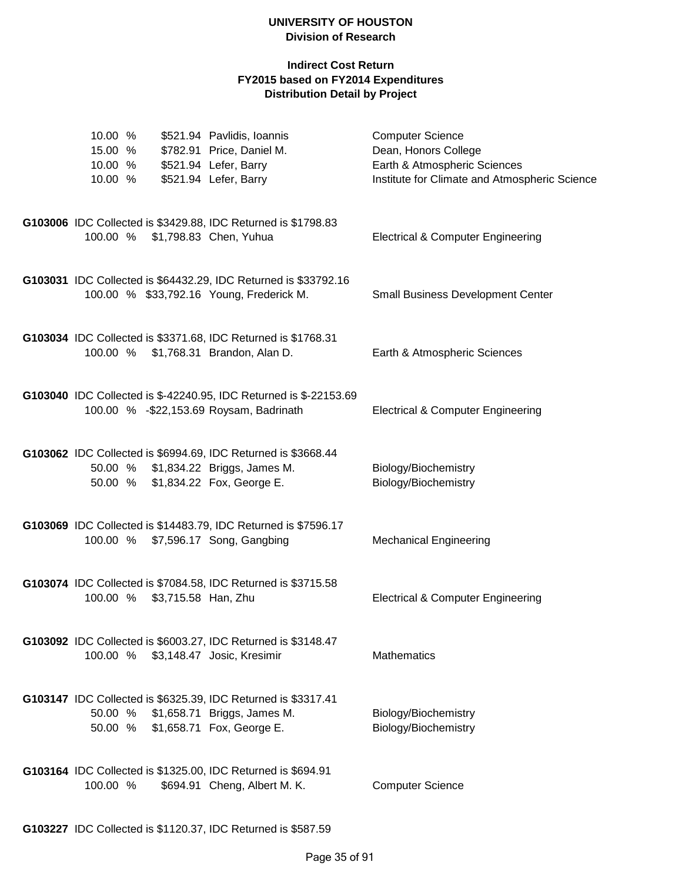| 10.00 %<br>15.00 %<br>10.00 %<br>10.00 % |                              | \$521.94 Pavlidis, Ioannis<br>\$782.91 Price, Daniel M.<br>\$521.94 Lefer, Barry<br>\$521.94 Lefer, Barry                                 | <b>Computer Science</b><br>Dean, Honors College<br>Earth & Atmospheric Sciences<br>Institute for Climate and Atmospheric Science |
|------------------------------------------|------------------------------|-------------------------------------------------------------------------------------------------------------------------------------------|----------------------------------------------------------------------------------------------------------------------------------|
|                                          |                              | G103006 IDC Collected is \$3429.88, IDC Returned is \$1798.83<br>100.00 % \$1,798.83 Chen, Yuhua                                          | <b>Electrical &amp; Computer Engineering</b>                                                                                     |
|                                          |                              | G103031 IDC Collected is \$64432.29, IDC Returned is \$33792.16<br>100.00 % \$33,792.16 Young, Frederick M.                               | <b>Small Business Development Center</b>                                                                                         |
|                                          |                              | G103034 IDC Collected is \$3371.68, IDC Returned is \$1768.31<br>100.00 % \$1,768.31 Brandon, Alan D.                                     | Earth & Atmospheric Sciences                                                                                                     |
|                                          |                              | G103040 IDC Collected is \$-42240.95, IDC Returned is \$-22153.69<br>100.00 % - \$22,153.69 Roysam, Badrinath                             | <b>Electrical &amp; Computer Engineering</b>                                                                                     |
|                                          |                              | G103062 IDC Collected is \$6994.69, IDC Returned is \$3668.44<br>50.00 % \$1,834.22 Briggs, James M.<br>50.00 % \$1,834.22 Fox, George E. | Biology/Biochemistry<br>Biology/Biochemistry                                                                                     |
|                                          |                              | G103069 IDC Collected is \$14483.79, IDC Returned is \$7596.17<br>100.00 % \$7,596.17 Song, Gangbing                                      | <b>Mechanical Engineering</b>                                                                                                    |
|                                          | 100.00 % \$3,715.58 Han, Zhu | G103074 IDC Collected is \$7084.58, IDC Returned is \$3715.58                                                                             | <b>Electrical &amp; Computer Engineering</b>                                                                                     |
|                                          |                              | G103092 IDC Collected is \$6003.27, IDC Returned is \$3148.47<br>100.00 % \$3,148.47 Josic, Kresimir                                      | <b>Mathematics</b>                                                                                                               |
|                                          |                              | G103147 IDC Collected is \$6325.39, IDC Returned is \$3317.41<br>50.00 % \$1,658.71 Briggs, James M.<br>50.00 % \$1,658.71 Fox, George E. | Biology/Biochemistry<br>Biology/Biochemistry                                                                                     |
| 100.00 %                                 |                              | G103164 IDC Collected is \$1325.00, IDC Returned is \$694.91<br>\$694.91 Cheng, Albert M. K.                                              | <b>Computer Science</b>                                                                                                          |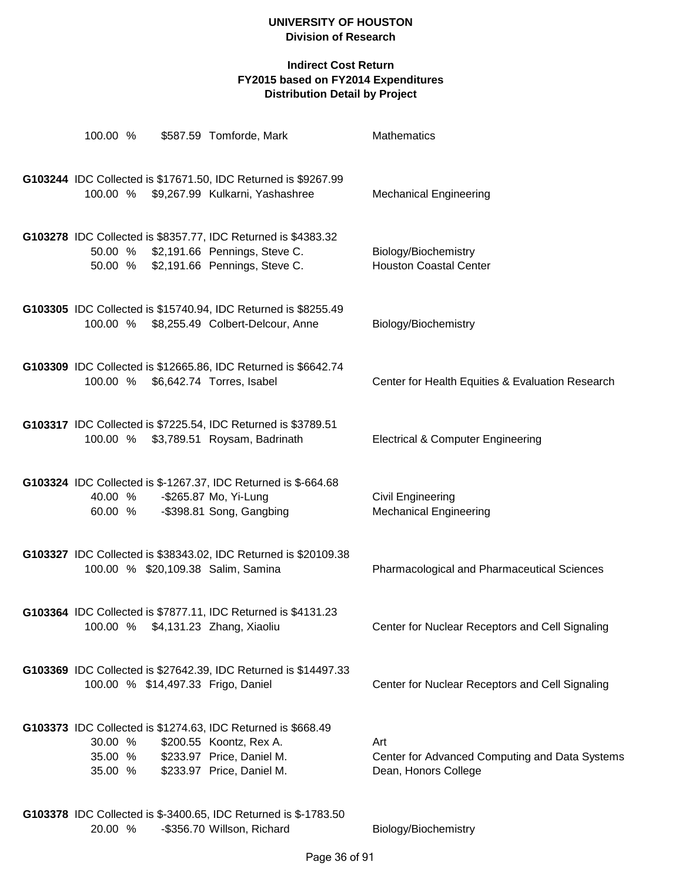### **Indirect Cost Return FY2015 based on FY2014 Expenditures Distribution Detail by Project**

| 100.00 %                      | \$587.59 Tomforde, Mark                                                                                                                                                                                                                                                                                                                                        | <b>Mathematics</b>                                                            |
|-------------------------------|----------------------------------------------------------------------------------------------------------------------------------------------------------------------------------------------------------------------------------------------------------------------------------------------------------------------------------------------------------------|-------------------------------------------------------------------------------|
| 100.00 %                      | G103244 IDC Collected is \$17671.50, IDC Returned is \$9267.99<br>\$9,267.99 Kulkarni, Yashashree                                                                                                                                                                                                                                                              | <b>Mechanical Engineering</b>                                                 |
|                               | G103278 IDC Collected is \$8357.77, IDC Returned is \$4383.32<br>50.00 % \$2,191.66 Pennings, Steve C.<br>50.00 % \$2,191.66 Pennings, Steve C.                                                                                                                                                                                                                | Biology/Biochemistry<br><b>Houston Coastal Center</b>                         |
|                               | G103305 IDC Collected is \$15740.94, IDC Returned is \$8255.49<br>100.00 % \$8,255.49 Colbert-Delcour, Anne                                                                                                                                                                                                                                                    | Biology/Biochemistry                                                          |
|                               | G103309 IDC Collected is \$12665.86, IDC Returned is \$6642.74<br>100.00 % \$6,642.74 Torres, Isabel                                                                                                                                                                                                                                                           | Center for Health Equities & Evaluation Research                              |
|                               | G103317 IDC Collected is \$7225.54, IDC Returned is \$3789.51<br>100.00 % \$3,789.51 Roysam, Badrinath                                                                                                                                                                                                                                                         | <b>Electrical &amp; Computer Engineering</b>                                  |
| 40.00 %<br>60.00 %            | G103324 IDC Collected is \$-1267.37, IDC Returned is \$-664.68<br>-\$265.87 Mo, Yi-Lung<br>-\$398.81 Song, Gangbing                                                                                                                                                                                                                                            | <b>Civil Engineering</b><br><b>Mechanical Engineering</b>                     |
|                               | G103327 IDC Collected is \$38343.02, IDC Returned is \$20109.38<br>100.00 % \$20,109.38 Salim, Samina                                                                                                                                                                                                                                                          | <b>Pharmacological and Pharmaceutical Sciences</b>                            |
|                               | G103364 IDC Collected is \$7877.11, IDC Returned is \$4131.23<br>100.00 % \$4,131.23 Zhang, Xiaoliu                                                                                                                                                                                                                                                            | Center for Nuclear Receptors and Cell Signaling                               |
|                               | G103369 IDC Collected is \$27642.39, IDC Returned is \$14497.33<br>100.00 % \$14,497.33 Frigo, Daniel                                                                                                                                                                                                                                                          | Center for Nuclear Receptors and Cell Signaling                               |
| 30.00 %<br>35.00 %<br>35.00 % | G103373 IDC Collected is \$1274.63, IDC Returned is \$668.49<br>\$200.55 Koontz, Rex A.<br>\$233.97 Price, Daniel M.<br>\$233.97 Price, Daniel M.                                                                                                                                                                                                              | Art<br>Center for Advanced Computing and Data Systems<br>Dean, Honors College |
|                               | $^{\circ}$ $^{\circ}$ $^{\circ}$ $^{\circ}$ $^{\circ}$ $^{\circ}$ $^{\circ}$ $^{\circ}$ $^{\circ}$ $^{\circ}$ $^{\circ}$ $^{\circ}$ $^{\circ}$ $^{\circ}$ $^{\circ}$ $^{\circ}$ $^{\circ}$ $^{\circ}$ $^{\circ}$ $^{\circ}$ $^{\circ}$ $^{\circ}$ $^{\circ}$ $^{\circ}$ $^{\circ}$ $^{\circ}$ $^{\circ}$ $^{\circ}$ $^{\circ}$ $^{\circ}$ $^{\circ}$ $^{\circ$ |                                                                               |

**G103378** IDC Collected is \$-3400.65, IDC Returned is \$-1783.50 20.00 % -\$356.70 Willson, Richard Biology/Biochemistry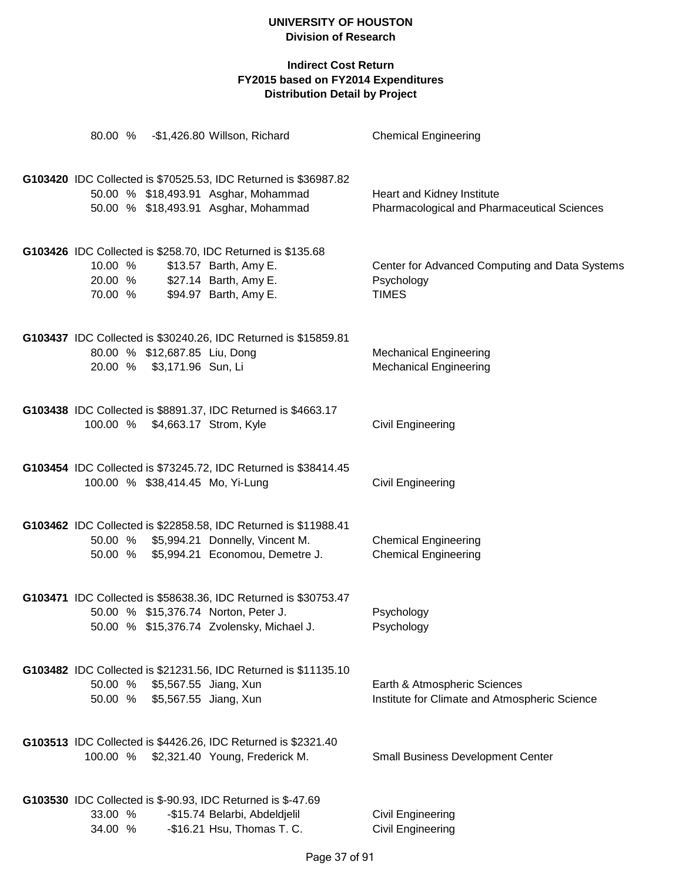|                    |                                                             | 80.00 % - \$1,426.80 Willson, Richard                                                                      | <b>Chemical Engineering</b>                                                   |
|--------------------|-------------------------------------------------------------|------------------------------------------------------------------------------------------------------------|-------------------------------------------------------------------------------|
|                    |                                                             | G103420 IDC Collected is \$70525.53, IDC Returned is \$36987.82                                            |                                                                               |
|                    |                                                             | 50.00 % \$18,493.91 Asghar, Mohammad<br>50.00 % \$18,493.91 Asghar, Mohammad                               | Heart and Kidney Institute<br>Pharmacological and Pharmaceutical Sciences     |
| 10.00 %            |                                                             | G103426 IDC Collected is \$258.70, IDC Returned is \$135.68<br>\$13.57 Barth, Amy E.                       | Center for Advanced Computing and Data Systems                                |
| 70.00 %            |                                                             | 20.00 % \$27.14 Barth, Amy E.<br>\$94.97 Barth, Amy E.                                                     | Psychology<br><b>TIMES</b>                                                    |
|                    |                                                             | G103437 IDC Collected is \$30240.26, IDC Returned is \$15859.81                                            |                                                                               |
|                    | 80.00 % \$12,687.85 Liu, Dong<br>20.00 % \$3,171.96 Sun, Li |                                                                                                            | <b>Mechanical Engineering</b><br><b>Mechanical Engineering</b>                |
|                    | 100.00 % \$4,663.17 Strom, Kyle                             | G103438 IDC Collected is \$8891.37, IDC Returned is \$4663.17                                              | <b>Civil Engineering</b>                                                      |
|                    |                                                             | G103454 IDC Collected is \$73245.72, IDC Returned is \$38414.45<br>100.00 % \$38,414.45 Mo, Yi-Lung        | <b>Civil Engineering</b>                                                      |
|                    |                                                             | G103462 IDC Collected is \$22858.58, IDC Returned is \$11988.41<br>50.00 % \$5,994.21 Donnelly, Vincent M. | <b>Chemical Engineering</b>                                                   |
|                    |                                                             | 50.00 % \$5,994.21 Economou, Demetre J.                                                                    | <b>Chemical Engineering</b>                                                   |
|                    |                                                             | G103471 IDC Collected is \$58638.36, IDC Returned is \$30753.47                                            |                                                                               |
|                    |                                                             | 50.00 % \$15,376.74 Norton, Peter J.<br>50.00 % \$15,376.74 Zvolensky, Michael J.                          | Psychology<br>Psychology                                                      |
|                    |                                                             | G103482 IDC Collected is \$21231.56, IDC Returned is \$11135.10                                            |                                                                               |
| 50.00 %<br>50.00 % | \$5,567.55 Jiang, Xun<br>\$5,567.55 Jiang, Xun              |                                                                                                            | Earth & Atmospheric Sciences<br>Institute for Climate and Atmospheric Science |
|                    |                                                             |                                                                                                            |                                                                               |
|                    |                                                             | G103513 IDC Collected is \$4426.26, IDC Returned is \$2321.40                                              |                                                                               |
|                    |                                                             | 100.00 % \$2,321.40 Young, Frederick M.                                                                    | <b>Small Business Development Center</b>                                      |
|                    |                                                             | G103530 IDC Collected is \$-90.93, IDC Returned is \$-47.69                                                |                                                                               |
| 33.00 %            |                                                             | -\$15.74 Belarbi, Abdeldjelil                                                                              | Civil Engineering                                                             |
| 34.00 %            |                                                             | -\$16.21 Hsu, Thomas T. C.                                                                                 | Civil Engineering                                                             |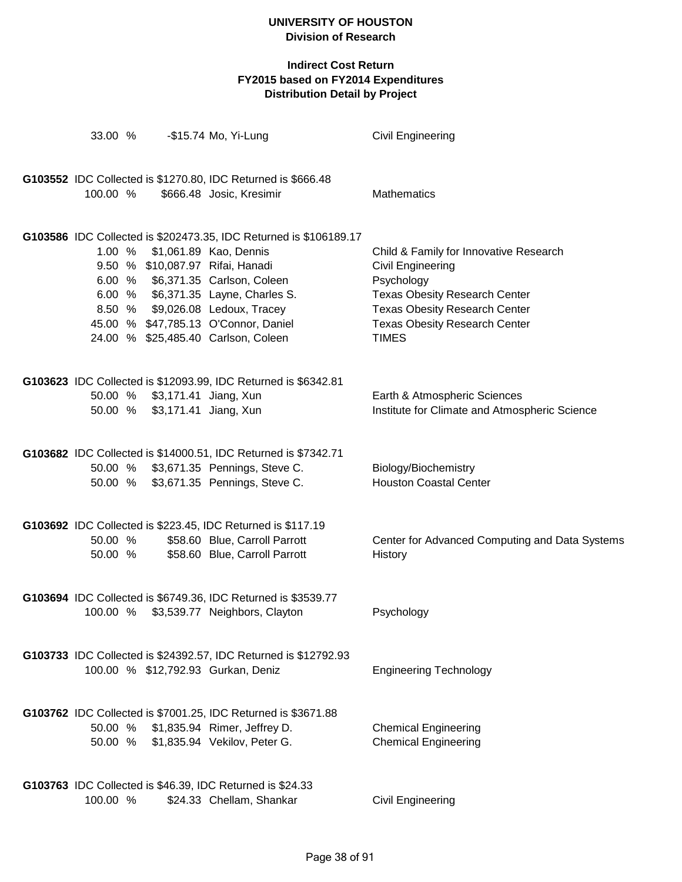| 33.00 %            |                               | -\$15.74 Mo, Yi-Lung                                                                                                                                                                                                                                                                                                           | Civil Engineering                                                                                                                                                                                                 |
|--------------------|-------------------------------|--------------------------------------------------------------------------------------------------------------------------------------------------------------------------------------------------------------------------------------------------------------------------------------------------------------------------------|-------------------------------------------------------------------------------------------------------------------------------------------------------------------------------------------------------------------|
| 100.00 %           |                               | G103552 IDC Collected is \$1270.80, IDC Returned is \$666.48<br>\$666.48 Josic, Kresimir                                                                                                                                                                                                                                       | <b>Mathematics</b>                                                                                                                                                                                                |
| 1.00 %             |                               | G103586 IDC Collected is \$202473.35, IDC Returned is \$106189.17<br>\$1,061.89 Kao, Dennis<br>9.50 % \$10,087.97 Rifai, Hanadi<br>6.00 % \$6,371.35 Carlson, Coleen<br>6.00 % \$6,371.35 Layne, Charles S.<br>8.50 % \$9,026.08 Ledoux, Tracey<br>45.00 % \$47,785.13 O'Connor, Daniel<br>24.00 % \$25,485.40 Carlson, Coleen | Child & Family for Innovative Research<br>Civil Engineering<br>Psychology<br><b>Texas Obesity Research Center</b><br><b>Texas Obesity Research Center</b><br><b>Texas Obesity Research Center</b><br><b>TIMES</b> |
| 50.00 %            | 50.00 % \$3,171.41 Jiang, Xun | G103623 IDC Collected is \$12093.99, IDC Returned is \$6342.81<br>\$3,171.41 Jiang, Xun                                                                                                                                                                                                                                        | Earth & Atmospheric Sciences<br>Institute for Climate and Atmospheric Science                                                                                                                                     |
|                    |                               | G103682 IDC Collected is \$14000.51, IDC Returned is \$7342.71<br>50.00 % \$3,671.35 Pennings, Steve C.<br>50.00 % \$3,671.35 Pennings, Steve C.                                                                                                                                                                               | Biology/Biochemistry<br><b>Houston Coastal Center</b>                                                                                                                                                             |
| 50.00 %<br>50.00 % |                               | G103692 IDC Collected is \$223.45, IDC Returned is \$117.19<br>\$58.60 Blue, Carroll Parrott<br>\$58.60 Blue, Carroll Parrott                                                                                                                                                                                                  | Center for Advanced Computing and Data Systems<br>History                                                                                                                                                         |
|                    |                               | G103694 IDC Collected is \$6749.36, IDC Returned is \$3539.77<br>100.00 % \$3,539.77 Neighbors, Clayton                                                                                                                                                                                                                        | Psychology                                                                                                                                                                                                        |
|                    |                               | G103733 IDC Collected is \$24392.57, IDC Returned is \$12792.93<br>100.00 % \$12,792.93 Gurkan, Deniz                                                                                                                                                                                                                          | <b>Engineering Technology</b>                                                                                                                                                                                     |
|                    |                               | G103762 IDC Collected is \$7001.25, IDC Returned is \$3671.88<br>50.00 % \$1,835.94 Rimer, Jeffrey D.<br>50.00 % \$1,835.94 Vekilov, Peter G.                                                                                                                                                                                  | <b>Chemical Engineering</b><br><b>Chemical Engineering</b>                                                                                                                                                        |
| 100.00 %           |                               | G103763 IDC Collected is \$46.39, IDC Returned is \$24.33<br>\$24.33 Chellam, Shankar                                                                                                                                                                                                                                          | Civil Engineering                                                                                                                                                                                                 |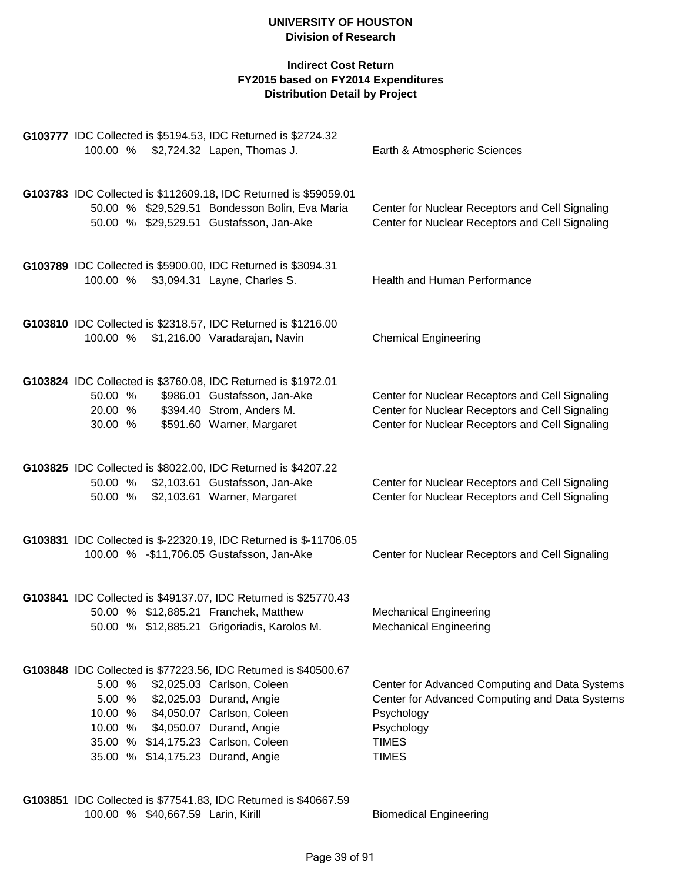## **Indirect Cost Return FY2015 based on FY2014 Expenditures Distribution Detail by Project**

|                                                                                                                                                                                                                            | G103777 IDC Collected is \$5194.53, IDC Returned is \$2724.32                                                                                                 |                                                                                                                                                              |
|----------------------------------------------------------------------------------------------------------------------------------------------------------------------------------------------------------------------------|---------------------------------------------------------------------------------------------------------------------------------------------------------------|--------------------------------------------------------------------------------------------------------------------------------------------------------------|
| 100.00 %                                                                                                                                                                                                                   | \$2,724.32 Lapen, Thomas J.                                                                                                                                   | Earth & Atmospheric Sciences                                                                                                                                 |
|                                                                                                                                                                                                                            | G103783 IDC Collected is \$112609.18, IDC Returned is \$59059.01<br>50.00 % \$29,529.51 Bondesson Bolin, Eva Maria<br>50.00 % \$29,529.51 Gustafsson, Jan-Ake | Center for Nuclear Receptors and Cell Signaling<br>Center for Nuclear Receptors and Cell Signaling                                                           |
| 100.00 %                                                                                                                                                                                                                   | G103789 IDC Collected is \$5900.00, IDC Returned is \$3094.31<br>\$3,094.31 Layne, Charles S.                                                                 | <b>Health and Human Performance</b>                                                                                                                          |
| 100.00 %                                                                                                                                                                                                                   | G103810 IDC Collected is \$2318.57, IDC Returned is \$1216.00<br>\$1,216.00 Varadarajan, Navin                                                                | <b>Chemical Engineering</b>                                                                                                                                  |
| 50.00 %<br>20.00 %<br>30.00 %                                                                                                                                                                                              | G103824 IDC Collected is \$3760.08, IDC Returned is \$1972.01<br>\$986.01 Gustafsson, Jan-Ake<br>\$394.40 Strom, Anders M.<br>\$591.60 Warner, Margaret       | Center for Nuclear Receptors and Cell Signaling<br>Center for Nuclear Receptors and Cell Signaling<br>Center for Nuclear Receptors and Cell Signaling        |
| 50.00 %<br>50.00 %                                                                                                                                                                                                         | G103825 IDC Collected is \$8022.00, IDC Returned is \$4207.22<br>\$2,103.61 Gustafsson, Jan-Ake<br>\$2,103.61 Warner, Margaret                                | Center for Nuclear Receptors and Cell Signaling<br>Center for Nuclear Receptors and Cell Signaling                                                           |
| 100.00 % - \$11,706.05 Gustafsson, Jan-Ake                                                                                                                                                                                 | G103831 IDC Collected is \$-22320.19, IDC Returned is \$-11706.05                                                                                             | Center for Nuclear Receptors and Cell Signaling                                                                                                              |
| 50.00 % \$12,885.21 Franchek, Matthew                                                                                                                                                                                      | G103841 IDC Collected is \$49137.07, IDC Returned is \$25770.43<br>50.00 % \$12,885.21 Grigoriadis, Karolos M.                                                | <b>Mechanical Engineering</b><br><b>Mechanical Engineering</b>                                                                                               |
| 5.00 % \$2,025.03 Carlson, Coleen<br>5.00 % \$2,025.03 Durand, Angie<br>10.00 % \$4,050.07 Carlson, Coleen<br>10.00 % \$4,050.07 Durand, Angie<br>35.00 % \$14,175.23 Carlson, Coleen<br>35.00 % \$14,175.23 Durand, Angie | G103848 IDC Collected is \$77223.56, IDC Returned is \$40500.67                                                                                               | Center for Advanced Computing and Data Systems<br>Center for Advanced Computing and Data Systems<br>Psychology<br>Psychology<br><b>TIMES</b><br><b>TIMES</b> |
|                                                                                                                                                                                                                            | C103951 JDC Collected in C77511 03 JDC Deturned in C10667 50                                                                                                  |                                                                                                                                                              |

**G103851** IDC Collected is \$77541.83, IDC Returned is \$40667.59 100.00 % \$40,667.59 Larin, Kirill Biomedical Engineering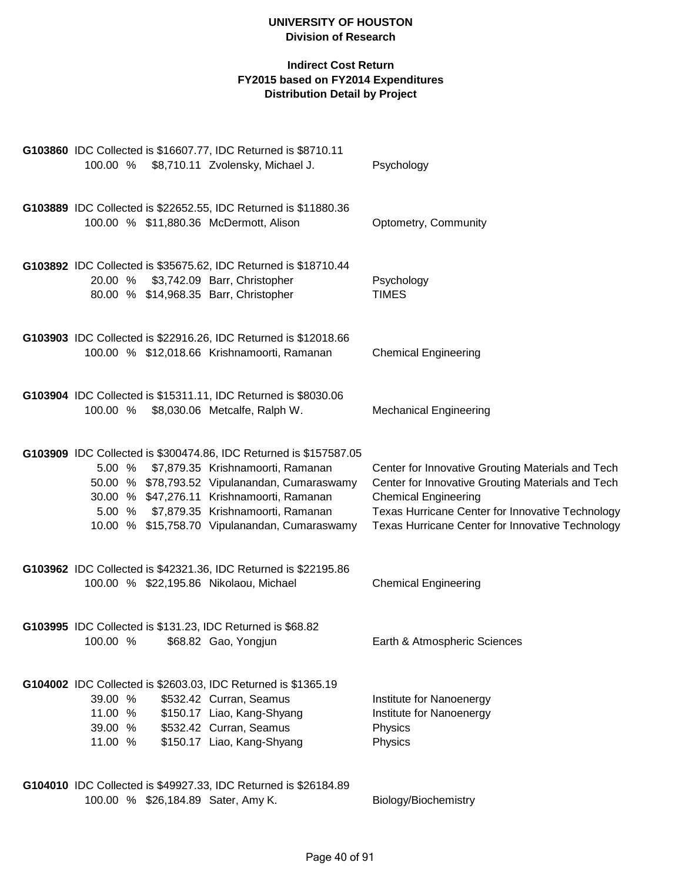#### **Indirect Cost Return FY2015 based on FY2014 Expenditures Distribution Detail by Project**

| G103860 IDC Collected is \$16607.77, IDC Returned is \$8710.11<br>100.00 % \$8,710.11 Zvolensky, Michael J.                                                                                                                                                                                                  | Psychology                                                                                                                                                                                                                                    |
|--------------------------------------------------------------------------------------------------------------------------------------------------------------------------------------------------------------------------------------------------------------------------------------------------------------|-----------------------------------------------------------------------------------------------------------------------------------------------------------------------------------------------------------------------------------------------|
| G103889 IDC Collected is \$22652.55, IDC Returned is \$11880.36<br>100.00 % \$11,880.36 McDermott, Alison                                                                                                                                                                                                    | Optometry, Community                                                                                                                                                                                                                          |
| G103892 IDC Collected is \$35675.62, IDC Returned is \$18710.44<br>20.00 % \$3,742.09 Barr, Christopher<br>80.00 % \$14,968.35 Barr, Christopher                                                                                                                                                             | Psychology<br><b>TIMES</b>                                                                                                                                                                                                                    |
| G103903 IDC Collected is \$22916.26, IDC Returned is \$12018.66<br>100.00 % \$12,018.66 Krishnamoorti, Ramanan                                                                                                                                                                                               | <b>Chemical Engineering</b>                                                                                                                                                                                                                   |
| G103904 IDC Collected is \$15311.11, IDC Returned is \$8030.06<br>100.00 %<br>\$8,030.06 Metcalfe, Ralph W.                                                                                                                                                                                                  | <b>Mechanical Engineering</b>                                                                                                                                                                                                                 |
| G103909 IDC Collected is \$300474.86, IDC Returned is \$157587.05<br>\$7,879.35 Krishnamoorti, Ramanan<br>5.00 %<br>50.00 % \$78,793.52 Vipulanandan, Cumaraswamy<br>30.00 % \$47,276.11 Krishnamoorti, Ramanan<br>5.00 % \$7,879.35 Krishnamoorti, Ramanan<br>10.00 % \$15,758.70 Vipulanandan, Cumaraswamy | Center for Innovative Grouting Materials and Tech<br>Center for Innovative Grouting Materials and Tech<br><b>Chemical Engineering</b><br>Texas Hurricane Center for Innovative Technology<br>Texas Hurricane Center for Innovative Technology |
| G103962 IDC Collected is \$42321.36, IDC Returned is \$22195.86<br>100.00 % \$22,195.86 Nikolaou, Michael                                                                                                                                                                                                    | <b>Chemical Engineering</b>                                                                                                                                                                                                                   |
| G103995 IDC Collected is \$131.23, IDC Returned is \$68.82<br>100.00 % \$68.82 Gao, Yongjun                                                                                                                                                                                                                  | Earth & Atmospheric Sciences                                                                                                                                                                                                                  |
| G104002 IDC Collected is \$2603.03, IDC Returned is \$1365.19<br>\$532.42 Curran, Seamus<br>39.00 %<br>\$150.17 Liao, Kang-Shyang<br>11.00 %<br>\$532.42 Curran, Seamus<br>39.00 %<br>\$150.17 Liao, Kang-Shyang<br>11.00 %                                                                                  | Institute for Nanoenergy<br>Institute for Nanoenergy<br>Physics<br>Physics                                                                                                                                                                    |
| G104010 IDC Collected is \$49927.33, IDC Returned is \$26184.89                                                                                                                                                                                                                                              |                                                                                                                                                                                                                                               |

100.00 % \$26,184.89 Sater, Amy K. Biology/Biochemistry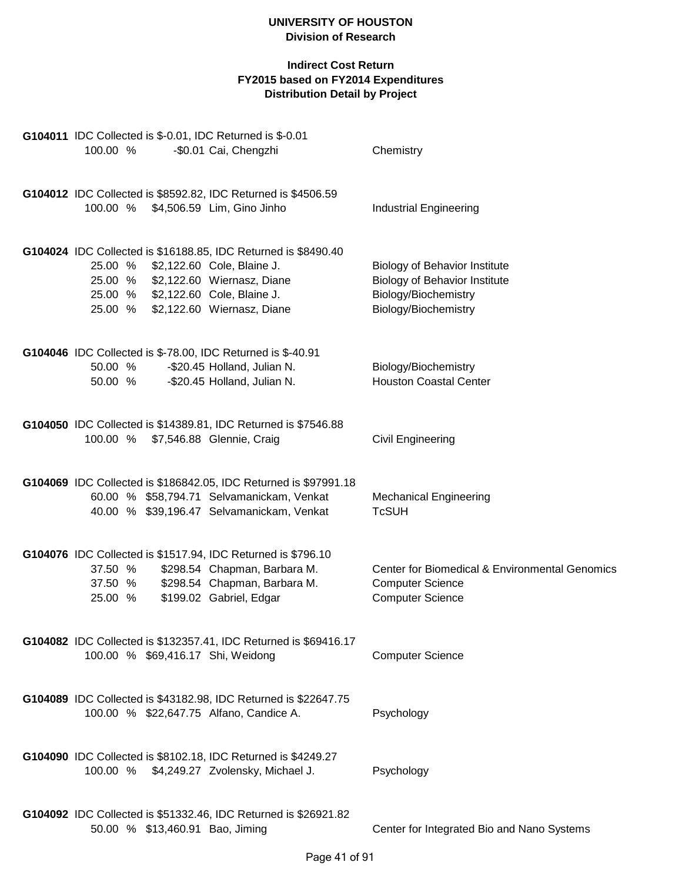| G104011 IDC Collected is \$-0.01, IDC Returned is \$-0.01                                                                                                                                                              |                                                                                                                              |
|------------------------------------------------------------------------------------------------------------------------------------------------------------------------------------------------------------------------|------------------------------------------------------------------------------------------------------------------------------|
| 100.00 %<br>-\$0.01 Cai, Chengzhi                                                                                                                                                                                      | Chemistry                                                                                                                    |
| G104012 IDC Collected is \$8592.82, IDC Returned is \$4506.59<br>100.00 % \$4,506.59 Lim, Gino Jinho                                                                                                                   | <b>Industrial Engineering</b>                                                                                                |
| G104024 IDC Collected is \$16188.85, IDC Returned is \$8490.40<br>25.00 % \$2,122.60 Cole, Blaine J.<br>25.00 % \$2,122.60 Wiernasz, Diane<br>25.00 % \$2,122.60 Cole, Blaine J.<br>25.00 % \$2,122.60 Wiernasz, Diane | <b>Biology of Behavior Institute</b><br><b>Biology of Behavior Institute</b><br>Biology/Biochemistry<br>Biology/Biochemistry |
| G104046 IDC Collected is \$-78.00, IDC Returned is \$-40.91<br>-\$20.45 Holland, Julian N.<br>50.00 %<br>-\$20.45 Holland, Julian N.<br>50.00 %                                                                        | Biology/Biochemistry<br><b>Houston Coastal Center</b>                                                                        |
| G104050 IDC Collected is \$14389.81, IDC Returned is \$7546.88<br>\$7,546.88 Glennie, Craig<br>100.00 %                                                                                                                | <b>Civil Engineering</b>                                                                                                     |
| G104069 IDC Collected is \$186842.05, IDC Returned is \$97991.18<br>60.00 % \$58,794.71 Selvamanickam, Venkat<br>40.00 % \$39,196.47 Selvamanickam, Venkat                                                             | <b>Mechanical Engineering</b><br><b>TcSUH</b>                                                                                |
| G104076 IDC Collected is \$1517.94, IDC Returned is \$796.10<br>\$298.54 Chapman, Barbara M.<br>37.50 %<br>37.50 % \$298.54 Chapman, Barbara M.<br>\$199.02 Gabriel, Edgar<br>25.00 %                                  | Center for Biomedical & Environmental Genomics<br><b>Computer Science</b><br><b>Computer Science</b>                         |
| G104082 IDC Collected is \$132357.41, IDC Returned is \$69416.17<br>100.00 % \$69,416.17 Shi, Weidong                                                                                                                  | <b>Computer Science</b>                                                                                                      |
| G104089 IDC Collected is \$43182.98, IDC Returned is \$22647.75<br>100.00 % \$22,647.75 Alfano, Candice A.                                                                                                             | Psychology                                                                                                                   |
| G104090 IDC Collected is \$8102.18, IDC Returned is \$4249.27<br>100.00 % \$4,249.27 Zvolensky, Michael J.                                                                                                             | Psychology                                                                                                                   |
| G104092 IDC Collected is \$51332.46, IDC Returned is \$26921.82<br>50.00 % \$13,460.91 Bao, Jiming                                                                                                                     | Center for Integrated Bio and Nano Systems                                                                                   |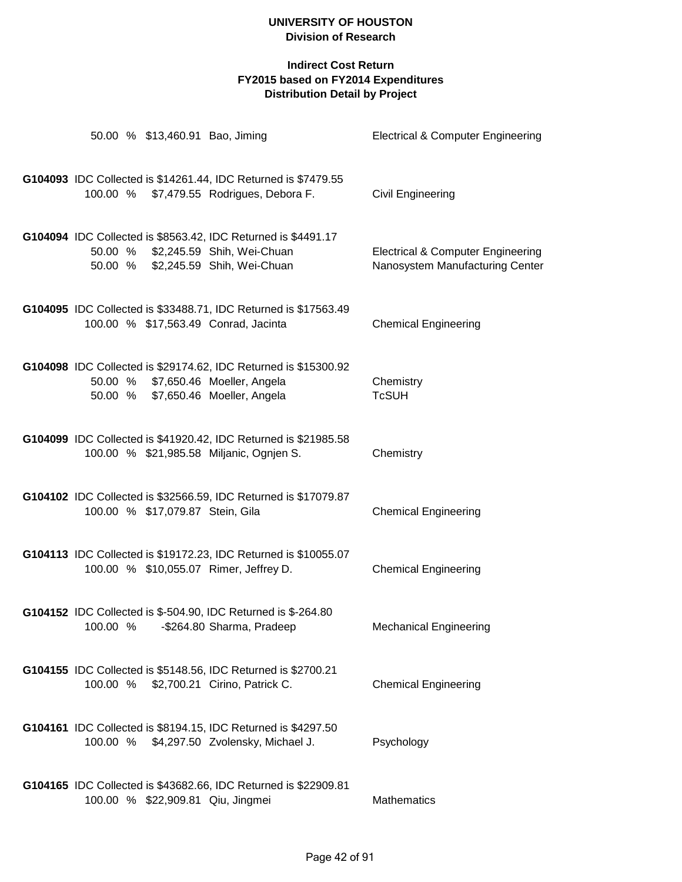|  | 50.00 % \$13,460.91 Bao, Jiming  |                                                                                                                                             | Electrical & Computer Engineering                                               |
|--|----------------------------------|---------------------------------------------------------------------------------------------------------------------------------------------|---------------------------------------------------------------------------------|
|  |                                  | G104093 IDC Collected is \$14261.44, IDC Returned is \$7479.55<br>100.00 % \$7,479.55 Rodrigues, Debora F.                                  | Civil Engineering                                                               |
|  |                                  | G104094 IDC Collected is \$8563.42, IDC Returned is \$4491.17                                                                               |                                                                                 |
|  |                                  | 50.00 % \$2,245.59 Shih, Wei-Chuan<br>50.00 % \$2,245.59 Shih, Wei-Chuan                                                                    | <b>Electrical &amp; Computer Engineering</b><br>Nanosystem Manufacturing Center |
|  |                                  | G104095 IDC Collected is \$33488.71, IDC Returned is \$17563.49<br>100.00 % \$17,563.49 Conrad, Jacinta                                     | <b>Chemical Engineering</b>                                                     |
|  |                                  | G104098 IDC Collected is \$29174.62, IDC Returned is \$15300.92<br>50.00 % \$7,650.46 Moeller, Angela<br>50.00 % \$7,650.46 Moeller, Angela | Chemistry<br><b>TcSUH</b>                                                       |
|  |                                  | G104099 IDC Collected is \$41920.42, IDC Returned is \$21985.58<br>100.00 % \$21,985.58 Miljanic, Ognjen S.                                 | Chemistry                                                                       |
|  | 100.00 % \$17,079.87 Stein, Gila | G104102 IDC Collected is \$32566.59, IDC Returned is \$17079.87                                                                             | <b>Chemical Engineering</b>                                                     |
|  |                                  | G104113 IDC Collected is \$19172.23, IDC Returned is \$10055.07<br>100.00 % \$10,055.07 Rimer, Jeffrey D.                                   | <b>Chemical Engineering</b>                                                     |
|  |                                  | G104152 IDC Collected is \$-504.90, IDC Returned is \$-264.80<br>100.00 % - \$264.80 Sharma, Pradeep                                        | <b>Mechanical Engineering</b>                                                   |
|  |                                  | G104155 IDC Collected is \$5148.56, IDC Returned is \$2700.21<br>100.00 % \$2,700.21 Cirino, Patrick C.                                     | <b>Chemical Engineering</b>                                                     |
|  |                                  | G104161 IDC Collected is \$8194.15, IDC Returned is \$4297.50<br>100.00 % \$4,297.50 Zvolensky, Michael J.                                  | Psychology                                                                      |
|  |                                  | G104165 IDC Collected is \$43682.66, IDC Returned is \$22909.81<br>100.00 % \$22,909.81 Qiu, Jingmei                                        | Mathematics                                                                     |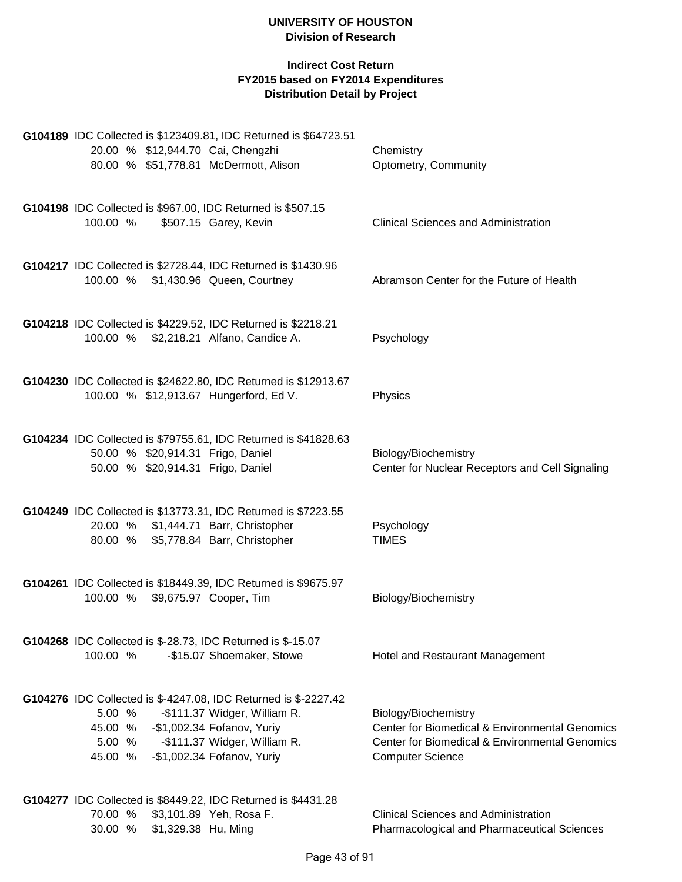|          |                                                                        | G104189 IDC Collected is \$123409.81, IDC Returned is \$64723.51                                        |                                                                         |
|----------|------------------------------------------------------------------------|---------------------------------------------------------------------------------------------------------|-------------------------------------------------------------------------|
|          | 20.00 % \$12,944.70 Cai, Chengzhi                                      |                                                                                                         | Chemistry                                                               |
|          |                                                                        | 80.00 % \$51,778.81 McDermott, Alison                                                                   | Optometry, Community                                                    |
|          |                                                                        | G104198 IDC Collected is \$967.00, IDC Returned is \$507.15                                             |                                                                         |
| 100.00 % |                                                                        | \$507.15 Garey, Kevin                                                                                   | <b>Clinical Sciences and Administration</b>                             |
|          |                                                                        | G104217 IDC Collected is \$2728.44, IDC Returned is \$1430.96                                           |                                                                         |
|          |                                                                        | 100.00 % \$1,430.96 Queen, Courtney                                                                     | Abramson Center for the Future of Health                                |
|          |                                                                        |                                                                                                         |                                                                         |
|          |                                                                        | G104218 IDC Collected is \$4229.52, IDC Returned is \$2218.21<br>100.00 % \$2,218.21 Alfano, Candice A. | Psychology                                                              |
|          |                                                                        |                                                                                                         |                                                                         |
|          |                                                                        | G104230 IDC Collected is \$24622.80, IDC Returned is \$12913.67                                         |                                                                         |
|          |                                                                        | 100.00 % \$12,913.67 Hungerford, Ed V.                                                                  | Physics                                                                 |
|          |                                                                        | G104234 IDC Collected is \$79755.61, IDC Returned is \$41828.63                                         |                                                                         |
|          | 50.00 % \$20,914.31 Frigo, Daniel<br>50.00 % \$20,914.31 Frigo, Daniel |                                                                                                         | Biology/Biochemistry<br>Center for Nuclear Receptors and Cell Signaling |
|          |                                                                        |                                                                                                         |                                                                         |
|          |                                                                        | G104249 IDC Collected is \$13773.31, IDC Returned is \$7223.55                                          |                                                                         |
|          |                                                                        | 20.00 % \$1,444.71 Barr, Christopher<br>80.00 % \$5,778.84 Barr, Christopher                            | Psychology<br><b>TIMES</b>                                              |
|          |                                                                        |                                                                                                         |                                                                         |
|          | 100.00 % \$9,675.97 Cooper, Tim                                        | G104261 IDC Collected is \$18449.39, IDC Returned is \$9675.97                                          | Biology/Biochemistry                                                    |
|          |                                                                        |                                                                                                         |                                                                         |
|          |                                                                        | G104268 IDC Collected is \$-28.73, IDC Returned is \$-15.07                                             |                                                                         |
| 100.00 % |                                                                        | -\$15.07 Shoemaker, Stowe                                                                               | Hotel and Restaurant Management                                         |
|          |                                                                        | G104276 IDC Collected is \$-4247.08, IDC Returned is \$-2227.42                                         |                                                                         |
| 5.00 %   |                                                                        | -\$111.37 Widger, William R.                                                                            | Biology/Biochemistry                                                    |
|          | 45.00 % - \$1,002.34 Fofanov, Yuriy                                    |                                                                                                         | Center for Biomedical & Environmental Genomics                          |
| 5.00 %   |                                                                        | -\$111.37 Widger, William R.                                                                            | <b>Center for Biomedical &amp; Environmental Genomics</b>               |
| 45.00 %  |                                                                        | -\$1,002.34 Fofanov, Yuriy                                                                              | <b>Computer Science</b>                                                 |
|          |                                                                        | G104277 IDC Collected is \$8449.22, IDC Returned is \$4431.28                                           |                                                                         |
| 70.00 %  |                                                                        | \$3,101.89 Yeh, Rosa F.                                                                                 | <b>Clinical Sciences and Administration</b>                             |
| 30.00 %  | \$1,329.38 Hu, Ming                                                    |                                                                                                         | Pharmacological and Pharmaceutical Sciences                             |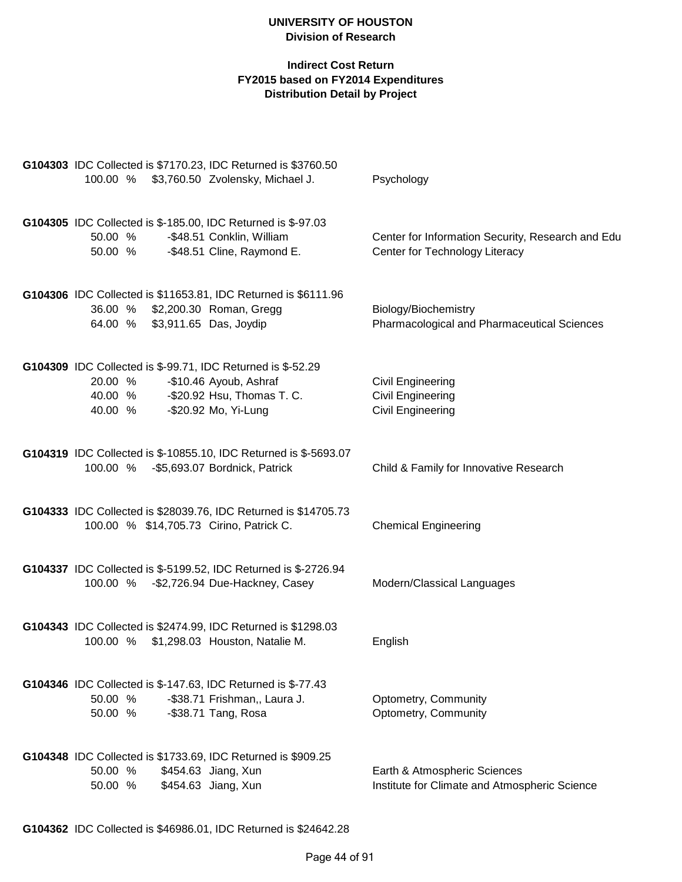| G104303 IDC Collected is \$7170.23, IDC Returned is \$3760.50                                                                                                             |                                                                                     |
|---------------------------------------------------------------------------------------------------------------------------------------------------------------------------|-------------------------------------------------------------------------------------|
| 100.00 % \$3,760.50 Zvolensky, Michael J.                                                                                                                                 | Psychology                                                                          |
| G104305 IDC Collected is \$-185.00, IDC Returned is \$-97.03<br>-\$48.51 Conklin, William<br>50.00 %<br>-\$48.51 Cline, Raymond E.<br>50.00 %                             | Center for Information Security, Research and Edu<br>Center for Technology Literacy |
| G104306 IDC Collected is \$11653.81, IDC Returned is \$6111.96<br>\$2,200.30 Roman, Gregg<br>36.00 %<br>64.00 % \$3,911.65 Das, Joydip                                    | Biology/Biochemistry<br>Pharmacological and Pharmaceutical Sciences                 |
| G104309 IDC Collected is \$-99.71, IDC Returned is \$-52.29<br>20.00 %<br>-\$10.46 Ayoub, Ashraf<br>40.00 % -\$20.92 Hsu, Thomas T. C.<br>-\$20.92 Mo, Yi-Lung<br>40.00 % | <b>Civil Engineering</b><br><b>Civil Engineering</b><br><b>Civil Engineering</b>    |
| G104319 IDC Collected is \$-10855.10, IDC Returned is \$-5693.07<br>100.00 % - \$5,693.07 Bordnick, Patrick                                                               | Child & Family for Innovative Research                                              |
| G104333 IDC Collected is \$28039.76, IDC Returned is \$14705.73<br>100.00 % \$14,705.73 Cirino, Patrick C.                                                                | <b>Chemical Engineering</b>                                                         |
| G104337 IDC Collected is \$-5199.52, IDC Returned is \$-2726.94<br>100.00 % - \$2,726.94 Due-Hackney, Casey                                                               | Modern/Classical Languages                                                          |
| G104343 IDC Collected is \$2474.99, IDC Returned is \$1298.03<br>100.00 % \$1,298.03 Houston, Natalie M.                                                                  | English                                                                             |
| G104346 IDC Collected is \$-147.63, IDC Returned is \$-77.43<br>-\$38.71 Frishman,, Laura J.<br>50.00 %<br>50.00 %<br>-\$38.71 Tang, Rosa                                 | Optometry, Community<br>Optometry, Community                                        |
| G104348 IDC Collected is \$1733.69, IDC Returned is \$909.25<br>50.00 %<br>\$454.63 Jiang, Xun<br>\$454.63 Jiang, Xun<br>50.00 %                                          | Earth & Atmospheric Sciences<br>Institute for Climate and Atmospheric Science       |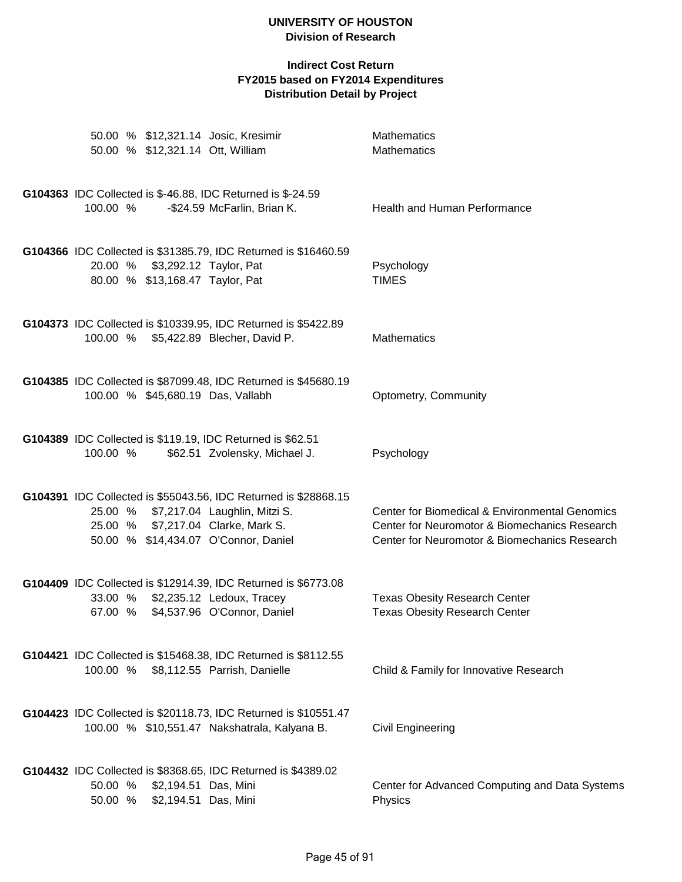| 50.00 % \$12,321.14 Josic, Kresimir<br>50.00 % \$12,321.14 Ott, William                                                                                                                | <b>Mathematics</b><br><b>Mathematics</b>                                                                                                         |
|----------------------------------------------------------------------------------------------------------------------------------------------------------------------------------------|--------------------------------------------------------------------------------------------------------------------------------------------------|
| G104363 IDC Collected is \$-46.88, IDC Returned is \$-24.59<br>100.00 %<br>-\$24.59 McFarlin, Brian K.                                                                                 | Health and Human Performance                                                                                                                     |
| G104366 IDC Collected is \$31385.79, IDC Returned is \$16460.59<br>20.00 % \$3,292.12 Taylor, Pat<br>80.00 % \$13,168.47 Taylor, Pat                                                   | Psychology<br><b>TIMES</b>                                                                                                                       |
| G104373 IDC Collected is \$10339.95, IDC Returned is \$5422.89<br>100.00 % \$5,422.89 Blecher, David P.                                                                                | <b>Mathematics</b>                                                                                                                               |
| G104385 IDC Collected is \$87099.48, IDC Returned is \$45680.19<br>100.00 % \$45,680.19 Das, Vallabh                                                                                   | Optometry, Community                                                                                                                             |
| G104389 IDC Collected is \$119.19, IDC Returned is \$62.51<br>100.00 %<br>\$62.51 Zvolensky, Michael J.                                                                                | Psychology                                                                                                                                       |
| G104391 IDC Collected is \$55043.56, IDC Returned is \$28868.15<br>25.00 % \$7,217.04 Laughlin, Mitzi S.<br>25.00 % \$7,217.04 Clarke, Mark S.<br>50.00 % \$14,434.07 O'Connor, Daniel | Center for Biomedical & Environmental Genomics<br>Center for Neuromotor & Biomechanics Research<br>Center for Neuromotor & Biomechanics Research |
| G104409 IDC Collected is \$12914.39, IDC Returned is \$6773.08<br>33.00 % \$2,235.12 Ledoux, Tracey<br>67.00 % \$4,537.96 O'Connor, Daniel                                             | <b>Texas Obesity Research Center</b><br><b>Texas Obesity Research Center</b>                                                                     |
| G104421 IDC Collected is \$15468.38, IDC Returned is \$8112.55<br>100.00 %<br>\$8,112.55 Parrish, Danielle                                                                             | Child & Family for Innovative Research                                                                                                           |
| G104423 IDC Collected is \$20118.73, IDC Returned is \$10551.47<br>100.00 % \$10,551.47 Nakshatrala, Kalyana B.                                                                        | <b>Civil Engineering</b>                                                                                                                         |
| G104432 IDC Collected is \$8368.65, IDC Returned is \$4389.02<br>\$2,194.51 Das, Mini<br>50.00 %<br>\$2,194.51 Das, Mini<br>50.00 %                                                    | Center for Advanced Computing and Data Systems<br>Physics                                                                                        |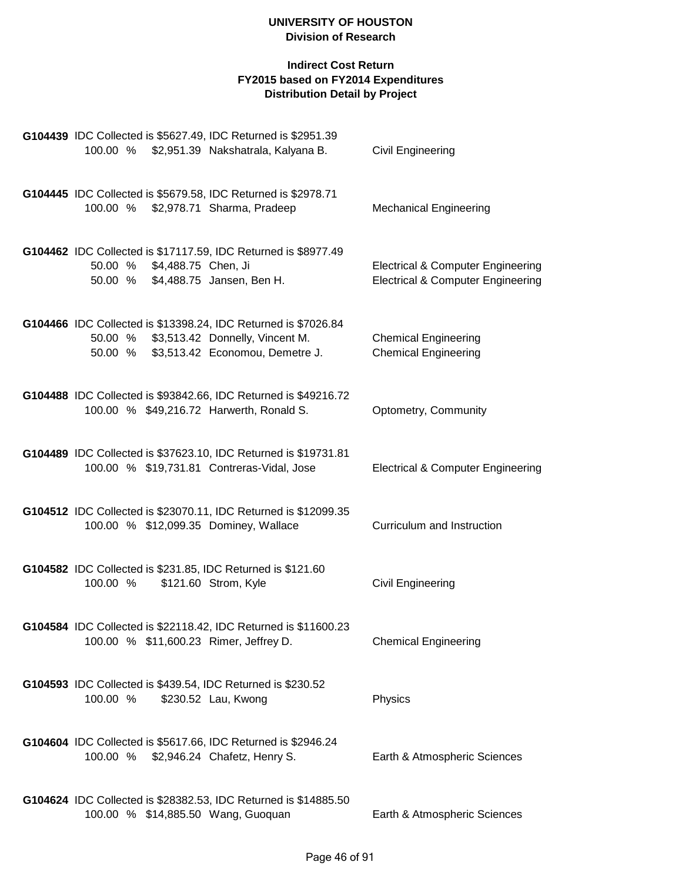|          |                             | G104439 IDC Collected is \$5627.49, IDC Returned is \$2951.39                                                                                |                                                                                              |
|----------|-----------------------------|----------------------------------------------------------------------------------------------------------------------------------------------|----------------------------------------------------------------------------------------------|
|          |                             | 100.00 % \$2,951.39 Nakshatrala, Kalyana B.                                                                                                  | Civil Engineering                                                                            |
|          |                             | G104445 IDC Collected is \$5679.58, IDC Returned is \$2978.71<br>100.00 % \$2,978.71 Sharma, Pradeep                                         | <b>Mechanical Engineering</b>                                                                |
|          | 50.00 % \$4,488.75 Chen, Ji | G104462 IDC Collected is \$17117.59, IDC Returned is \$8977.49<br>50.00 % \$4,488.75 Jansen, Ben H.                                          | <b>Electrical &amp; Computer Engineering</b><br><b>Electrical &amp; Computer Engineering</b> |
| 50.00 %  |                             | G104466 IDC Collected is \$13398.24, IDC Returned is \$7026.84<br>50.00 % \$3,513.42 Donnelly, Vincent M.<br>\$3,513.42 Economou, Demetre J. | <b>Chemical Engineering</b><br><b>Chemical Engineering</b>                                   |
|          |                             | G104488 IDC Collected is \$93842.66, IDC Returned is \$49216.72<br>100.00 % \$49,216.72 Harwerth, Ronald S.                                  | Optometry, Community                                                                         |
|          |                             | G104489 IDC Collected is \$37623.10, IDC Returned is \$19731.81<br>100.00 % \$19,731.81 Contreras-Vidal, Jose                                | <b>Electrical &amp; Computer Engineering</b>                                                 |
|          |                             | G104512 IDC Collected is \$23070.11, IDC Returned is \$12099.35<br>100.00 % \$12,099.35 Dominey, Wallace                                     | Curriculum and Instruction                                                                   |
| 100.00 % |                             | G104582 IDC Collected is \$231.85, IDC Returned is \$121.60<br>\$121.60 Strom, Kyle                                                          | <b>Civil Engineering</b>                                                                     |
|          |                             | G104584 IDC Collected is \$22118.42, IDC Returned is \$11600.23<br>100.00 % \$11,600.23 Rimer, Jeffrey D.                                    | <b>Chemical Engineering</b>                                                                  |
| 100.00 % |                             | G104593 IDC Collected is \$439.54, IDC Returned is \$230.52<br>\$230.52 Lau, Kwong                                                           | Physics                                                                                      |
|          |                             | G104604 IDC Collected is \$5617.66, IDC Returned is \$2946.24<br>100.00 % \$2,946.24 Chafetz, Henry S.                                       | Earth & Atmospheric Sciences                                                                 |
|          |                             | G104624 IDC Collected is \$28382.53, IDC Returned is \$14885.50<br>100.00 % \$14,885.50 Wang, Guoquan                                        | Earth & Atmospheric Sciences                                                                 |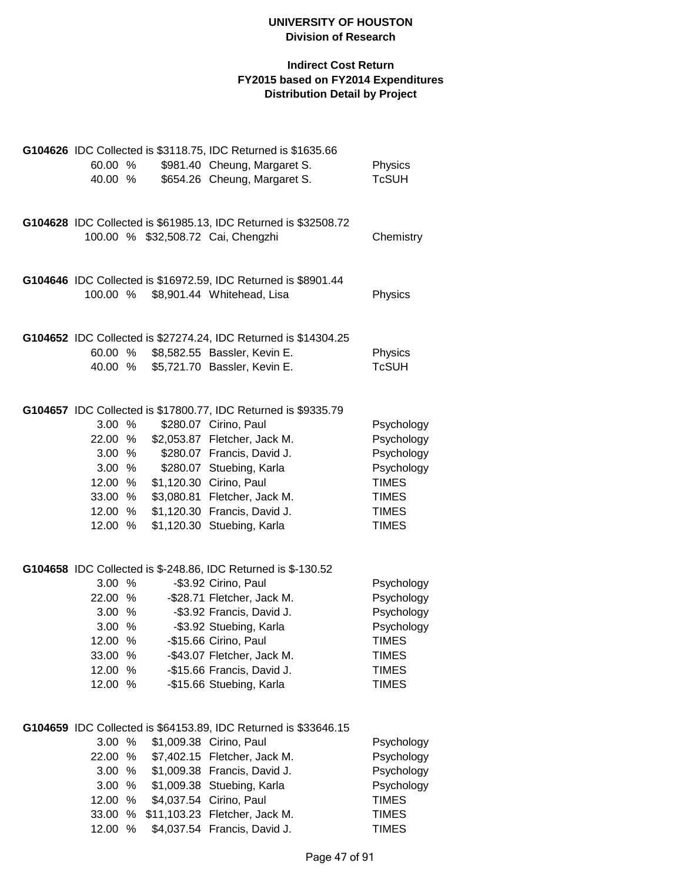|          |   | G104626 IDC Collected is \$3118.75, IDC Returned is \$1635.66   |              |
|----------|---|-----------------------------------------------------------------|--------------|
| 60.00 %  |   | \$981.40 Cheung, Margaret S.                                    | Physics      |
| 40.00 %  |   | \$654.26 Cheung, Margaret S.                                    | <b>TcSUH</b> |
|          |   |                                                                 |              |
|          |   |                                                                 |              |
|          |   |                                                                 |              |
|          |   | G104628 IDC Collected is \$61985.13, IDC Returned is \$32508.72 |              |
|          |   | 100.00 % \$32,508.72 Cai, Chengzhi                              | Chemistry    |
|          |   |                                                                 |              |
|          |   |                                                                 |              |
|          |   | G104646 IDC Collected is \$16972.59, IDC Returned is \$8901.44  |              |
| 100.00 % |   | \$8,901.44 Whitehead, Lisa                                      | Physics      |
|          |   |                                                                 |              |
|          |   |                                                                 |              |
|          |   |                                                                 |              |
|          |   | G104652 IDC Collected is \$27274.24, IDC Returned is \$14304.25 |              |
| 60.00 %  |   | \$8,582.55 Bassler, Kevin E.                                    | Physics      |
| 40.00 %  |   | \$5,721.70 Bassler, Kevin E.                                    | <b>TcSUH</b> |
|          |   |                                                                 |              |
|          |   |                                                                 |              |
|          |   | G104657 IDC Collected is \$17800.77, IDC Returned is \$9335.79  |              |
| 3.00 %   |   | \$280.07 Cirino, Paul                                           | Psychology   |
| 22.00 %  |   | \$2,053.87 Fletcher, Jack M.                                    | Psychology   |
| 3.00 %   |   | \$280.07 Francis, David J.                                      | Psychology   |
| 3.00 %   |   | \$280.07 Stuebing, Karla                                        | Psychology   |
|          |   |                                                                 | <b>TIMES</b> |
| 12.00 %  |   | \$1,120.30 Cirino, Paul                                         |              |
| 33.00    | % | \$3,080.81 Fletcher, Jack M.                                    | <b>TIMES</b> |
| 12.00    | % | \$1,120.30 Francis, David J.                                    | <b>TIMES</b> |
| 12.00 %  |   | \$1,120.30 Stuebing, Karla                                      | <b>TIMES</b> |
|          |   |                                                                 |              |
|          |   |                                                                 |              |
|          |   | G104658 IDC Collected is \$-248.86, IDC Returned is \$-130.52   |              |
| 3.00 %   |   | -\$3.92 Cirino, Paul                                            | Psychology   |
| 22.00 %  |   | -\$28.71 Fletcher, Jack M.                                      | Psychology   |
| 3.00 %   |   | -\$3.92 Francis, David J.                                       | Psychology   |
| 3.00 %   |   |                                                                 |              |
|          |   | -\$3.92 Stuebing, Karla                                         | Psychology   |
| 12.00 %  |   | -\$15.66 Cirino, Paul                                           | <b>TIMES</b> |
| 33.00    | % | -\$43.07 Fletcher, Jack M.                                      | <b>TIMES</b> |
| 12.00    | % | -\$15.66 Francis, David J.                                      | <b>TIMES</b> |
| 12.00    | % | -\$15.66 Stuebing, Karla                                        | <b>TIMES</b> |
|          |   |                                                                 |              |
|          |   |                                                                 |              |
|          |   | G104659 IDC Collected is \$64153.89, IDC Returned is \$33646.15 |              |
| 3.00     | % | \$1,009.38 Cirino, Paul                                         | Psychology   |
| 22.00    | % | \$7,402.15 Fletcher, Jack M.                                    | Psychology   |
| 3.00     | % | \$1,009.38 Francis, David J.                                    | Psychology   |
|          |   |                                                                 |              |
| 3.00     | % | \$1,009.38 Stuebing, Karla                                      | Psychology   |
| 12.00    | % | \$4,037.54 Cirino, Paul                                         | <b>TIMES</b> |
| 33.00    | % | \$11,103.23 Fletcher, Jack M.                                   | <b>TIMES</b> |
| 12.00    | % | \$4,037.54 Francis, David J.                                    | <b>TIMES</b> |
|          |   |                                                                 |              |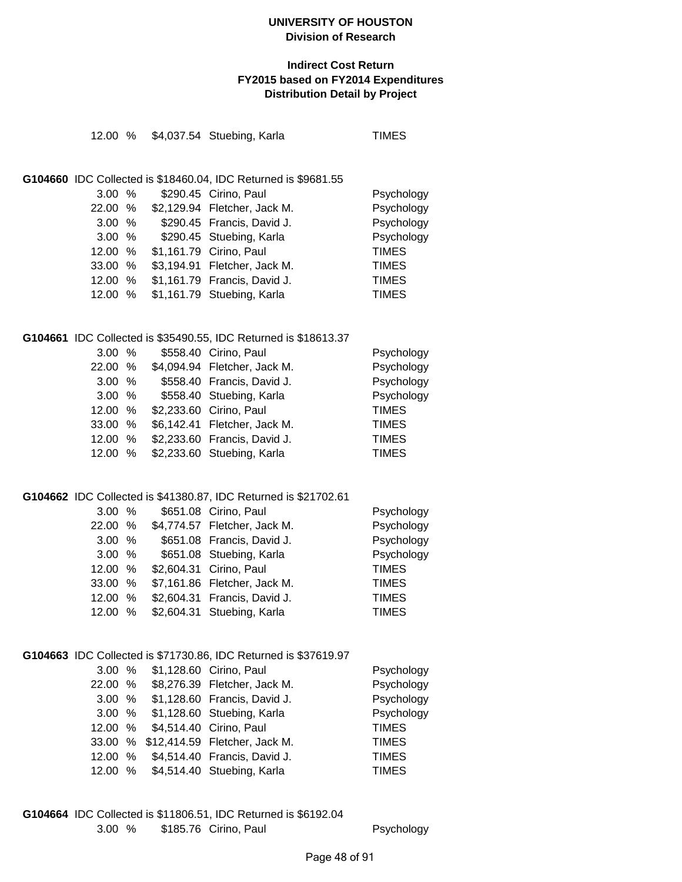#### **Indirect Cost Return FY2015 based on FY2014 Expenditures Distribution Detail by Project**

|  | 12.00 % \$4,037.54 Stuebing, Karla                     | <b>TIMES</b> |
|--|--------------------------------------------------------|--------------|
|  |                                                        |              |
|  |                                                        |              |
|  | IDC Collected is \$18460.04, IDC Returned is \$9681.55 |              |
|  | 3.00 % \$290.45 Cirino, Paul                           | Psychology   |
|  | $22.00 \, \%$ $\sqrt{22.129.94}$ Flatcher Jack M       | Psychology   |

| 22.00 % |  | \$2,129.94 Fletcher, Jack M. | Psychology   |
|---------|--|------------------------------|--------------|
| 3.00%   |  | \$290.45 Francis, David J.   | Psychology   |
| 3.00%   |  | \$290.45 Stuebing, Karla     | Psychology   |
| 12.00 % |  | \$1,161.79 Cirino, Paul      | <b>TIMES</b> |
| 33.00%  |  | \$3,194.91 Fletcher, Jack M. | <b>TIMES</b> |
| 12.00 % |  | \$1,161.79 Francis, David J. | <b>TIMES</b> |
| 12.00 % |  | \$1,161.79 Stuebing, Karla   | <b>TIMES</b> |

#### **G104661** IDC Collected is \$35490.55, IDC Returned is \$18613.37

G104660

| 3.00%   |  | \$558.40 Cirino, Paul        | Psychology   |
|---------|--|------------------------------|--------------|
| 22.00 % |  | \$4,094.94 Fletcher, Jack M. | Psychology   |
| 3.00%   |  | \$558.40 Francis, David J.   | Psychology   |
| 3.00%   |  | \$558.40 Stuebing, Karla     | Psychology   |
| 12.00 % |  | \$2,233.60 Cirino, Paul      | <b>TIMES</b> |
| 33.00 % |  | \$6,142.41 Fletcher, Jack M. | <b>TIMES</b> |
| 12.00 % |  | \$2,233.60 Francis, David J. | <b>TIMES</b> |
| 12.00 % |  | \$2,233.60 Stuebing, Karla   | <b>TIMES</b> |

#### **G104662** IDC Collected is \$41380.87, IDC Returned is \$21702.61

| 3.00%   |  | \$651.08 Cirino, Paul        | Psychology   |
|---------|--|------------------------------|--------------|
| 22.00 % |  | \$4,774.57 Fletcher, Jack M. | Psychology   |
| 3.00%   |  | \$651.08 Francis, David J.   | Psychology   |
| 3.00%   |  | \$651.08 Stuebing, Karla     | Psychology   |
| 12.00 % |  | \$2,604.31 Cirino, Paul      | <b>TIMES</b> |
| 33.00%  |  | \$7,161.86 Fletcher, Jack M. | <b>TIMES</b> |
| 12.00 % |  | \$2,604.31 Francis, David J. | <b>TIMES</b> |
| 12.00 % |  | \$2,604.31 Stuebing, Karla   | <b>TIMES</b> |

## **G104663** IDC Collected is \$71730.86, IDC Returned is \$37619.97

| 3.00% |                                 | \$1,128.60 Cirino, Paul               | Psychology   |
|-------|---------------------------------|---------------------------------------|--------------|
|       |                                 | 22.00 % \$8,276.39 Fletcher, Jack M.  | Psychology   |
| 3.00% |                                 | \$1,128.60 Francis, David J.          | Psychology   |
|       |                                 | 3.00 % \$1,128.60 Stuebing, Karla     | Psychology   |
|       | 12.00 % \$4,514.40 Cirino, Paul |                                       | <b>TIMES</b> |
|       |                                 | 33.00 % \$12,414.59 Fletcher, Jack M. | <b>TIMES</b> |
|       |                                 | 12.00 % \$4,514.40 Francis, David J.  | <b>TIMES</b> |
| 12.00 |                                 | % \$4,514.40 Stuebing, Karla          | <b>TIMES</b> |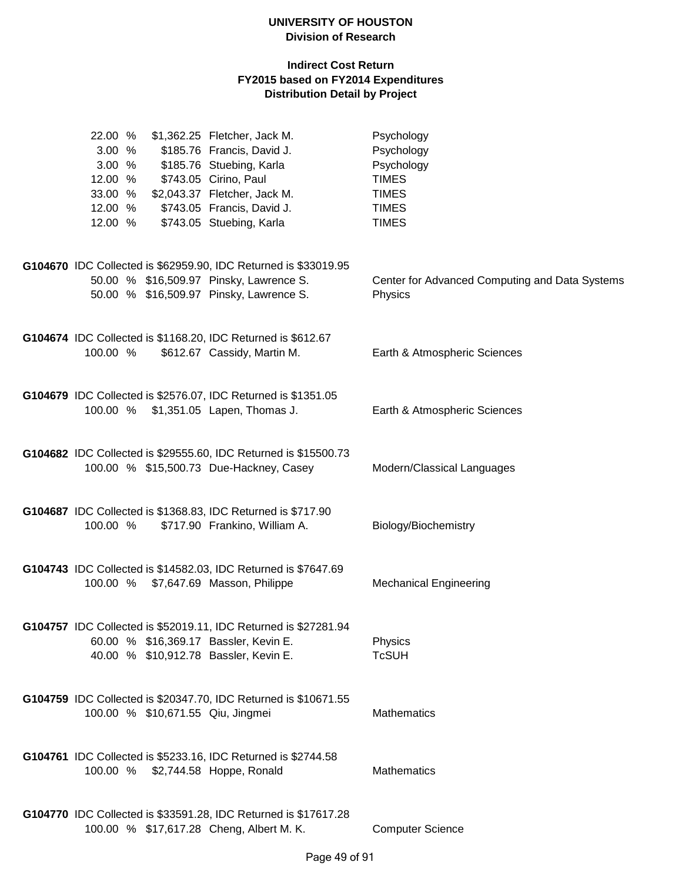| 22.00 %<br>3.00 %<br>12.00 %<br>33.00 %<br>12.00 %<br>12.00 % | \$1,362.25 Fletcher, Jack M.<br>3.00 % \$185.76 Francis, David J.<br>\$185.76 Stuebing, Karla<br>\$743.05 Cirino, Paul<br>\$2,043.37 Fletcher, Jack M.<br>\$743.05 Francis, David J.<br>\$743.05 Stuebing, Karla | Psychology<br>Psychology<br>Psychology<br><b>TIMES</b><br><b>TIMES</b><br><b>TIMES</b><br><b>TIMES</b> |
|---------------------------------------------------------------|------------------------------------------------------------------------------------------------------------------------------------------------------------------------------------------------------------------|--------------------------------------------------------------------------------------------------------|
|                                                               | G104670 IDC Collected is \$62959.90, IDC Returned is \$33019.95<br>50.00 % \$16,509.97 Pinsky, Lawrence S.<br>50.00 % \$16,509.97 Pinsky, Lawrence S.                                                            | Center for Advanced Computing and Data Systems<br>Physics                                              |
| 100.00 %                                                      | G104674 IDC Collected is \$1168.20, IDC Returned is \$612.67<br>\$612.67 Cassidy, Martin M.                                                                                                                      | Earth & Atmospheric Sciences                                                                           |
|                                                               | G104679 IDC Collected is \$2576.07, IDC Returned is \$1351.05<br>100.00 % \$1,351.05 Lapen, Thomas J.                                                                                                            | Earth & Atmospheric Sciences                                                                           |
|                                                               | G104682 IDC Collected is \$29555.60, IDC Returned is \$15500.73<br>100.00 % \$15,500.73 Due-Hackney, Casey                                                                                                       | Modern/Classical Languages                                                                             |
| 100.00 %                                                      | G104687 IDC Collected is \$1368.83, IDC Returned is \$717.90<br>\$717.90 Frankino, William A.                                                                                                                    | Biology/Biochemistry                                                                                   |
|                                                               | G104743 IDC Collected is \$14582.03, IDC Returned is \$7647.69<br>100.00 % \$7,647.69 Masson, Philippe                                                                                                           | <b>Mechanical Engineering</b>                                                                          |
|                                                               | G104757 IDC Collected is \$52019.11, IDC Returned is \$27281.94<br>60.00 % \$16,369.17 Bassler, Kevin E.<br>40.00 % \$10,912.78 Bassler, Kevin E.                                                                | Physics<br><b>TcSUH</b>                                                                                |
|                                                               | G104759 IDC Collected is \$20347.70, IDC Returned is \$10671.55<br>100.00 % \$10,671.55 Qiu, Jingmei                                                                                                             | Mathematics                                                                                            |
|                                                               | G104761 IDC Collected is \$5233.16, IDC Returned is \$2744.58<br>100.00 % \$2,744.58 Hoppe, Ronald                                                                                                               | <b>Mathematics</b>                                                                                     |
|                                                               | G104770 IDC Collected is \$33591.28, IDC Returned is \$17617.28<br>100.00 % \$17,617.28 Cheng, Albert M. K.                                                                                                      | <b>Computer Science</b>                                                                                |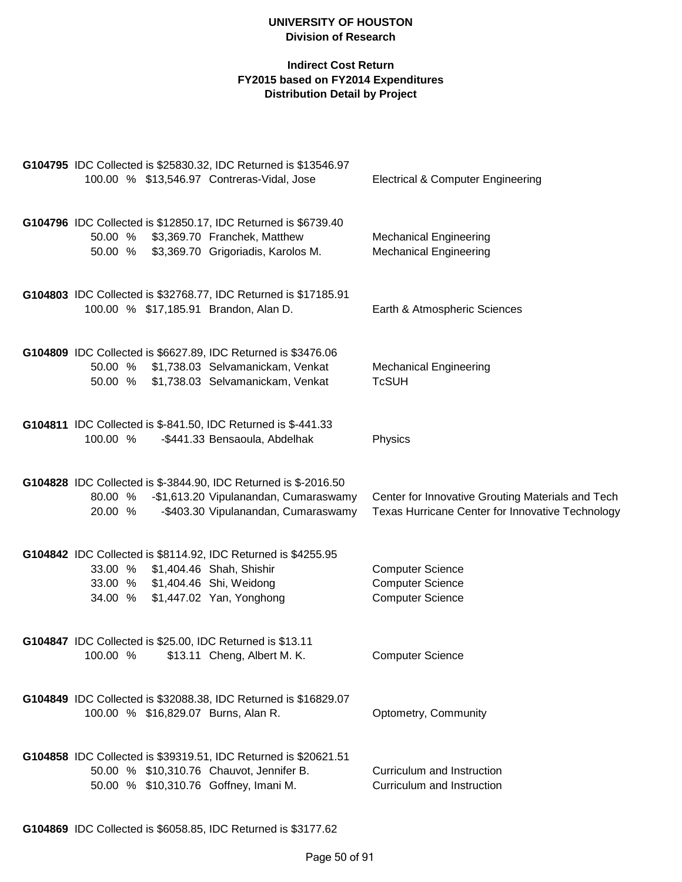| G104795 IDC Collected is \$25830.32, IDC Returned is \$13546.97<br>100.00 % \$13,546.97 Contreras-Vidal, Jose                                                                  |                                                                              | <b>Electrical &amp; Computer Engineering</b>                                                          |
|--------------------------------------------------------------------------------------------------------------------------------------------------------------------------------|------------------------------------------------------------------------------|-------------------------------------------------------------------------------------------------------|
| G104796 IDC Collected is \$12850.17, IDC Returned is \$6739.40<br>50.00 %<br>50.00 %                                                                                           | \$3,369.70 Franchek, Matthew<br>\$3,369.70 Grigoriadis, Karolos M.           | <b>Mechanical Engineering</b><br><b>Mechanical Engineering</b>                                        |
| G104803 IDC Collected is \$32768.77, IDC Returned is \$17185.91<br>100.00 % \$17,185.91 Brandon, Alan D.                                                                       |                                                                              | Earth & Atmospheric Sciences                                                                          |
| G104809 IDC Collected is \$6627.89, IDC Returned is \$3476.06<br>50.00 %<br>50.00 %                                                                                            | \$1,738.03 Selvamanickam, Venkat<br>\$1,738.03 Selvamanickam, Venkat         | <b>Mechanical Engineering</b><br><b>TcSUH</b>                                                         |
| G104811 IDC Collected is \$-841.50, IDC Returned is \$-441.33<br>100.00 %                                                                                                      | -\$441.33 Bensaoula, Abdelhak                                                | Physics                                                                                               |
| G104828 IDC Collected is \$-3844.90, IDC Returned is \$-2016.50<br>80.00 %<br>20.00 %                                                                                          | -\$1,613.20 Vipulanandan, Cumaraswamy<br>-\$403.30 Vipulanandan, Cumaraswamy | Center for Innovative Grouting Materials and Tech<br>Texas Hurricane Center for Innovative Technology |
| G104842 IDC Collected is \$8114.92, IDC Returned is \$4255.95<br>33.00 %<br>\$1,404.46 Shah, Shishir<br>33.00 % \$1,404.46 Shi, Weidong<br>\$1,447.02 Yan, Yonghong<br>34.00 % |                                                                              | <b>Computer Science</b><br><b>Computer Science</b><br><b>Computer Science</b>                         |
| G104847 IDC Collected is \$25.00, IDC Returned is \$13.11<br>100.00 %                                                                                                          | \$13.11 Cheng, Albert M. K.                                                  | <b>Computer Science</b>                                                                               |
| G104849 IDC Collected is \$32088.38, IDC Returned is \$16829.07<br>100.00 % \$16,829.07 Burns, Alan R.                                                                         |                                                                              | Optometry, Community                                                                                  |
| G104858 IDC Collected is \$39319.51, IDC Returned is \$20621.51<br>50.00 % \$10,310.76 Chauvot, Jennifer B.<br>50.00 % \$10,310.76 Goffney, Imani M.                           |                                                                              | Curriculum and Instruction<br>Curriculum and Instruction                                              |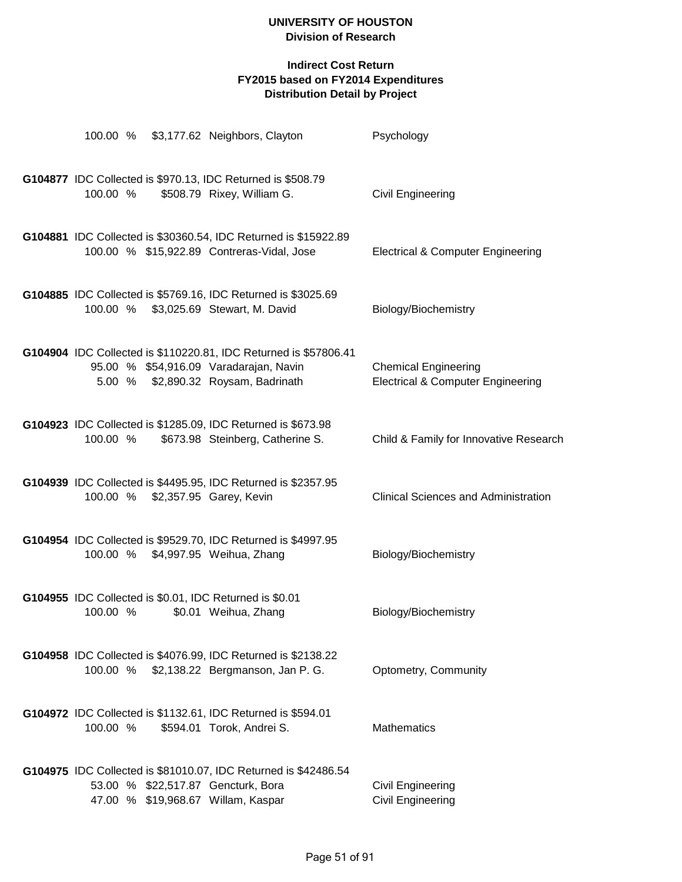|          |  | 100.00 % \$3,177.62 Neighbors, Clayton                                                                                                            | Psychology                                                                  |
|----------|--|---------------------------------------------------------------------------------------------------------------------------------------------------|-----------------------------------------------------------------------------|
| 100.00 % |  | G104877 IDC Collected is \$970.13, IDC Returned is \$508.79<br>\$508.79 Rixey, William G.                                                         | <b>Civil Engineering</b>                                                    |
|          |  | G104881 IDC Collected is \$30360.54, IDC Returned is \$15922.89<br>100.00 % \$15,922.89 Contreras-Vidal, Jose                                     | <b>Electrical &amp; Computer Engineering</b>                                |
|          |  | G104885 IDC Collected is \$5769.16, IDC Returned is \$3025.69<br>100.00 % \$3,025.69 Stewart, M. David                                            | Biology/Biochemistry                                                        |
|          |  | G104904 IDC Collected is \$110220.81, IDC Returned is \$57806.41<br>95.00 % \$54,916.09 Varadarajan, Navin<br>5.00 % \$2,890.32 Roysam, Badrinath | <b>Chemical Engineering</b><br><b>Electrical &amp; Computer Engineering</b> |
| 100.00 % |  | G104923 IDC Collected is \$1285.09, IDC Returned is \$673.98<br>\$673.98 Steinberg, Catherine S.                                                  | Child & Family for Innovative Research                                      |
|          |  | G104939 IDC Collected is \$4495.95, IDC Returned is \$2357.95<br>100.00 % \$2,357.95 Garey, Kevin                                                 | <b>Clinical Sciences and Administration</b>                                 |
|          |  | G104954 IDC Collected is \$9529.70, IDC Returned is \$4997.95<br>100.00 % \$4,997.95 Weihua, Zhang                                                | Biology/Biochemistry                                                        |
| 100.00 % |  | G104955 IDC Collected is \$0.01, IDC Returned is \$0.01<br>\$0.01 Weihua, Zhang                                                                   | Biology/Biochemistry                                                        |
| 100.00 % |  | G104958 IDC Collected is \$4076.99, IDC Returned is \$2138.22<br>\$2,138.22 Bergmanson, Jan P. G.                                                 | Optometry, Community                                                        |
| 100.00 % |  | G104972 IDC Collected is \$1132.61, IDC Returned is \$594.01<br>\$594.01 Torok, Andrei S.                                                         | <b>Mathematics</b>                                                          |
|          |  | G104975 IDC Collected is \$81010.07, IDC Returned is \$42486.54<br>53.00 % \$22,517.87 Gencturk, Bora<br>47.00 % \$19,968.67 Willam, Kaspar       | Civil Engineering<br>Civil Engineering                                      |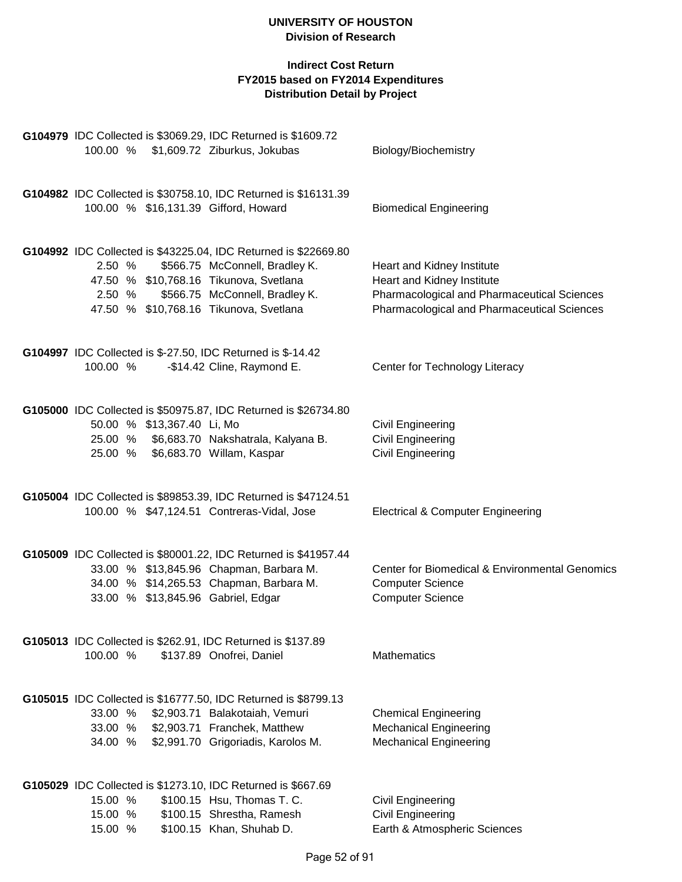|                                                              | G104979 IDC Collected is \$3069.29, IDC Returned is \$1609.72   |                                                |
|--------------------------------------------------------------|-----------------------------------------------------------------|------------------------------------------------|
| 100.00 % \$1,609.72 Ziburkus, Jokubas                        |                                                                 | Biology/Biochemistry                           |
|                                                              | G104982 IDC Collected is \$30758.10, IDC Returned is \$16131.39 |                                                |
| 100.00 % \$16,131.39 Gifford, Howard                         |                                                                 | <b>Biomedical Engineering</b>                  |
|                                                              | G104992 IDC Collected is \$43225.04, IDC Returned is \$22669.80 |                                                |
| 2.50 %                                                       | \$566.75 McConnell, Bradley K.                                  | Heart and Kidney Institute                     |
| 47.50 % \$10,768.16 Tikunova, Svetlana                       |                                                                 | Heart and Kidney Institute                     |
| 2.50 %                                                       | \$566.75 McConnell, Bradley K.                                  | Pharmacological and Pharmaceutical Sciences    |
| 47.50 % \$10,768.16 Tikunova, Svetlana                       |                                                                 | Pharmacological and Pharmaceutical Sciences    |
| G104997 IDC Collected is \$-27.50, IDC Returned is \$-14.42  |                                                                 |                                                |
| 100.00 %                                                     | -\$14.42 Cline, Raymond E.                                      | Center for Technology Literacy                 |
|                                                              | G105000 IDC Collected is \$50975.87, IDC Returned is \$26734.80 |                                                |
| 50.00 % \$13,367.40 Li, Mo                                   |                                                                 | <b>Civil Engineering</b>                       |
|                                                              | 25.00 % \$6,683.70 Nakshatrala, Kalyana B.                      | Civil Engineering                              |
| 25.00 % \$6,683.70 Willam, Kaspar                            |                                                                 | Civil Engineering                              |
|                                                              | G105004 IDC Collected is \$89853.39, IDC Returned is \$47124.51 |                                                |
| 100.00 % \$47,124.51 Contreras-Vidal, Jose                   |                                                                 | <b>Electrical &amp; Computer Engineering</b>   |
|                                                              | G105009 IDC Collected is \$80001.22, IDC Returned is \$41957.44 |                                                |
| 33.00 % \$13,845.96 Chapman, Barbara M.                      |                                                                 | Center for Biomedical & Environmental Genomics |
| 34.00 % \$14,265.53 Chapman, Barbara M.                      |                                                                 | <b>Computer Science</b>                        |
| 33.00 % \$13,845.96 Gabriel, Edgar                           |                                                                 | <b>Computer Science</b>                        |
| G105013 IDC Collected is \$262.91, IDC Returned is \$137.89  |                                                                 |                                                |
| 100.00 %                                                     | \$137.89 Onofrei, Daniel                                        | Mathematics                                    |
|                                                              | G105015 IDC Collected is \$16777.50, IDC Returned is \$8799.13  |                                                |
| 33.00 %                                                      | \$2,903.71 Balakotaiah, Vemuri                                  | <b>Chemical Engineering</b>                    |
| 33.00 %                                                      | \$2,903.71 Franchek, Matthew                                    | <b>Mechanical Engineering</b>                  |
| 34.00 %                                                      | \$2,991.70 Grigoriadis, Karolos M.                              | <b>Mechanical Engineering</b>                  |
| G105029 IDC Collected is \$1273.10, IDC Returned is \$667.69 |                                                                 |                                                |
| 15.00 %                                                      | \$100.15 Hsu, Thomas T. C.                                      | <b>Civil Engineering</b>                       |
| 15.00 %                                                      | \$100.15 Shrestha, Ramesh                                       | <b>Civil Engineering</b>                       |
| 15.00 %                                                      | \$100.15 Khan, Shuhab D.                                        | Earth & Atmospheric Sciences                   |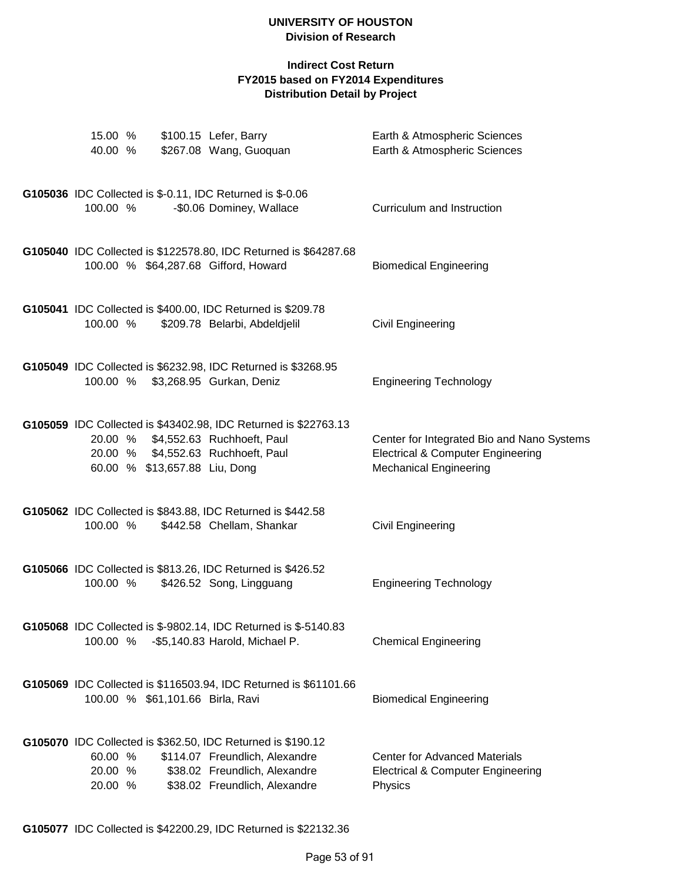| 15.00 %<br>40.00 %            |                                  | \$100.15 Lefer, Barry<br>\$267.08 Wang, Guoquan                                                                                                                 | Earth & Atmospheric Sciences<br>Earth & Atmospheric Sciences                                                                |
|-------------------------------|----------------------------------|-----------------------------------------------------------------------------------------------------------------------------------------------------------------|-----------------------------------------------------------------------------------------------------------------------------|
| 100.00 %                      |                                  | G105036 IDC Collected is \$-0.11, IDC Returned is \$-0.06<br>-\$0.06 Dominey, Wallace                                                                           | Curriculum and Instruction                                                                                                  |
|                               |                                  | G105040 IDC Collected is \$122578.80, IDC Returned is \$64287.68<br>100.00 % \$64,287.68 Gifford, Howard                                                        | <b>Biomedical Engineering</b>                                                                                               |
| 100.00 %                      |                                  | G105041 IDC Collected is \$400.00, IDC Returned is \$209.78<br>\$209.78 Belarbi, Abdeldjelil                                                                    | Civil Engineering                                                                                                           |
|                               |                                  | G105049 IDC Collected is \$6232.98, IDC Returned is \$3268.95<br>100.00 % \$3,268.95 Gurkan, Deniz                                                              | <b>Engineering Technology</b>                                                                                               |
|                               | 60.00 % \$13,657.88 Liu, Dong    | G105059 IDC Collected is \$43402.98, IDC Returned is \$22763.13<br>20.00 % \$4,552.63 Ruchhoeft, Paul<br>20.00 % \$4,552.63 Ruchhoeft, Paul                     | Center for Integrated Bio and Nano Systems<br><b>Electrical &amp; Computer Engineering</b><br><b>Mechanical Engineering</b> |
| 100.00 %                      |                                  | G105062 IDC Collected is \$843.88, IDC Returned is \$442.58<br>\$442.58 Chellam, Shankar                                                                        | Civil Engineering                                                                                                           |
| 100.00 %                      |                                  | G105066 IDC Collected is \$813.26, IDC Returned is \$426.52<br>\$426.52 Song, Lingguang                                                                         | <b>Engineering Technology</b>                                                                                               |
|                               |                                  | <b>G105068</b> IDC Collected is \$-9802.14, IDC Returned is \$-5140.83<br>100.00 % - \$5,140.83 Harold, Michael P.                                              | <b>Chemical Engineering</b>                                                                                                 |
|                               | 100.00 % \$61,101.66 Birla, Ravi | G105069 IDC Collected is \$116503.94, IDC Returned is \$61101.66                                                                                                | <b>Biomedical Engineering</b>                                                                                               |
| 60.00 %<br>20.00 %<br>20.00 % |                                  | G105070 IDC Collected is \$362.50, IDC Returned is \$190.12<br>\$114.07 Freundlich, Alexandre<br>\$38.02 Freundlich, Alexandre<br>\$38.02 Freundlich, Alexandre | <b>Center for Advanced Materials</b><br>Electrical & Computer Engineering<br>Physics                                        |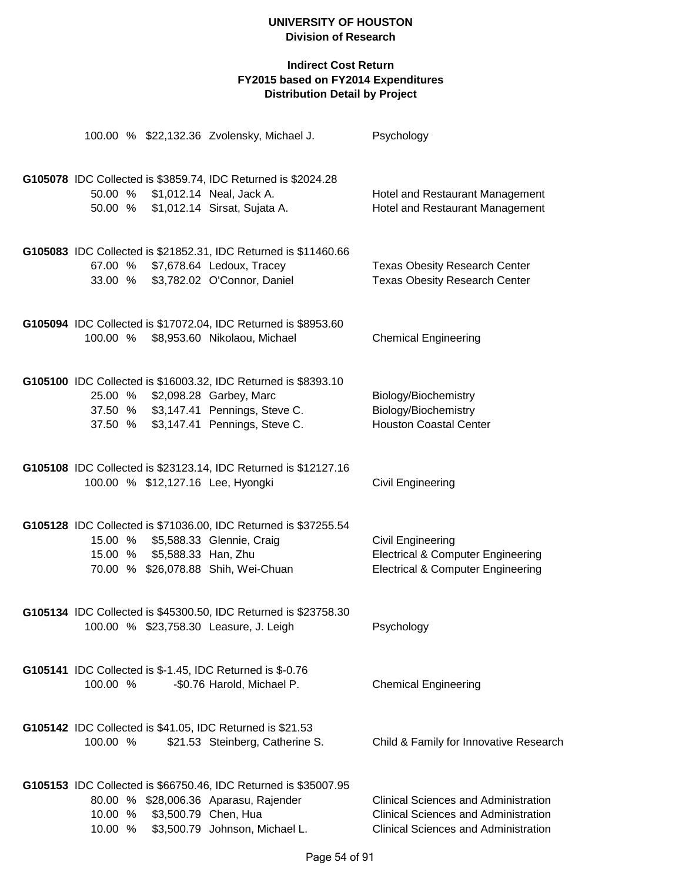|          |                             | 100.00 % \$22,132.36 Zvolensky, Michael J.                       | Psychology                                   |
|----------|-----------------------------|------------------------------------------------------------------|----------------------------------------------|
|          |                             | G105078 IDC Collected is \$3859.74, IDC Returned is \$2024.28    |                                              |
|          |                             | 50.00 % \$1,012.14 Neal, Jack A.                                 | Hotel and Restaurant Management              |
| 50.00 %  |                             | \$1,012.14 Sirsat, Sujata A.                                     | Hotel and Restaurant Management              |
|          |                             | G105083 IDC Collected is \$21852.31, IDC Returned is \$11460.66  |                                              |
| 67.00 %  |                             | \$7,678.64 Ledoux, Tracey                                        | <b>Texas Obesity Research Center</b>         |
|          |                             | 33.00 % \$3,782.02 O'Connor, Daniel                              | <b>Texas Obesity Research Center</b>         |
|          |                             | G105094 IDC Collected is \$17072.04, IDC Returned is \$8953.60   |                                              |
| 100.00 % |                             | \$8,953.60 Nikolaou, Michael                                     | <b>Chemical Engineering</b>                  |
|          |                             | G105100 IDC Collected is \$16003.32, IDC Returned is \$8393.10   |                                              |
| 25.00 %  |                             | \$2,098.28 Garbey, Marc<br>37.50 % \$3,147.41 Pennings, Steve C. | Biology/Biochemistry<br>Biology/Biochemistry |
| 37.50 %  |                             | \$3,147.41 Pennings, Steve C.                                    | <b>Houston Coastal Center</b>                |
|          |                             |                                                                  |                                              |
|          |                             | G105108 IDC Collected is \$23123.14, IDC Returned is \$12127.16  |                                              |
|          |                             | 100.00 % \$12,127.16 Lee, Hyongki                                | Civil Engineering                            |
|          |                             |                                                                  |                                              |
|          |                             | G105128 IDC Collected is \$71036.00, IDC Returned is \$37255.54  |                                              |
| 15.00 %  |                             | \$5,588.33 Glennie, Craig                                        | Civil Engineering                            |
|          | 15.00 % \$5,588.33 Han, Zhu |                                                                  | <b>Electrical &amp; Computer Engineering</b> |
|          |                             | 70.00 % \$26,078.88 Shih, Wei-Chuan                              | <b>Electrical &amp; Computer Engineering</b> |
|          |                             | G105134 IDC Collected is \$45300.50, IDC Returned is \$23758.30  |                                              |
|          |                             | 100.00 % \$23,758.30 Leasure, J. Leigh                           | Psychology                                   |
|          |                             | G105141 IDC Collected is \$-1.45, IDC Returned is \$-0.76        |                                              |
| 100.00 % |                             | -\$0.76 Harold, Michael P.                                       | <b>Chemical Engineering</b>                  |
|          |                             | G105142 IDC Collected is \$41.05, IDC Returned is \$21.53        |                                              |
| 100.00 % |                             | \$21.53 Steinberg, Catherine S.                                  | Child & Family for Innovative Research       |
|          |                             | G105153 IDC Collected is \$66750.46, IDC Returned is \$35007.95  |                                              |
|          |                             | 80.00 % \$28,006.36 Aparasu, Rajender                            | <b>Clinical Sciences and Administration</b>  |
| 10.00 %  |                             | \$3,500.79 Chen, Hua                                             | <b>Clinical Sciences and Administration</b>  |
| 10.00 %  |                             | \$3,500.79 Johnson, Michael L.                                   | <b>Clinical Sciences and Administration</b>  |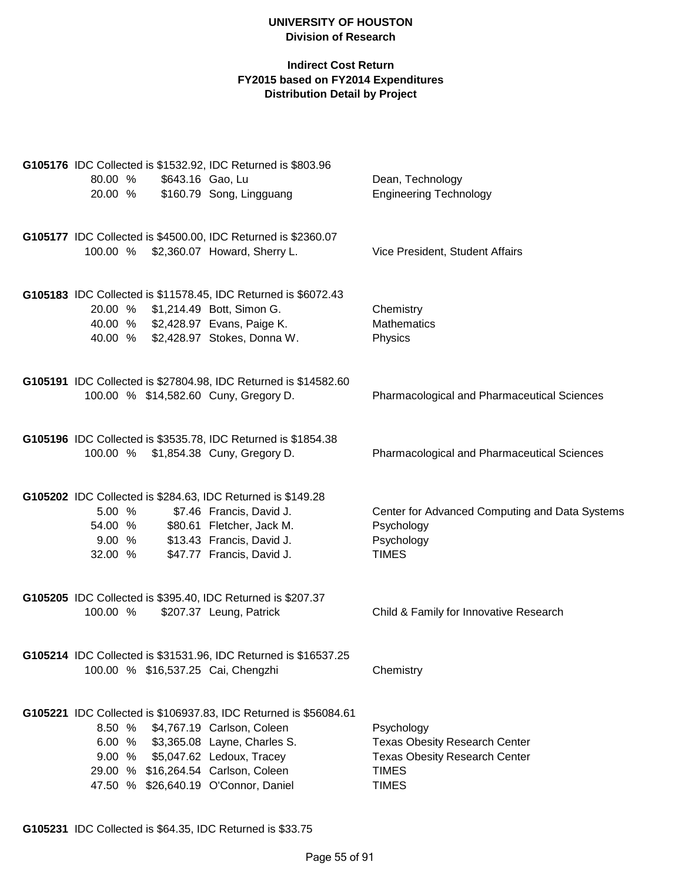## **Indirect Cost Return FY2015 based on FY2014 Expenditures Distribution Detail by Project**

|          |                  | G105176 IDC Collected is \$1532.92, IDC Returned is \$803.96                                |                                                    |
|----------|------------------|---------------------------------------------------------------------------------------------|----------------------------------------------------|
| 80.00 %  | \$643.16 Gao, Lu |                                                                                             | Dean, Technology                                   |
| 20.00 %  |                  | \$160.79 Song, Lingguang                                                                    | <b>Engineering Technology</b>                      |
|          |                  |                                                                                             |                                                    |
|          |                  |                                                                                             |                                                    |
|          |                  | G105177 IDC Collected is \$4500.00, IDC Returned is \$2360.07                               |                                                    |
|          |                  | 100.00 % \$2,360.07 Howard, Sherry L.                                                       | Vice President, Student Affairs                    |
|          |                  |                                                                                             |                                                    |
|          |                  |                                                                                             |                                                    |
| 20.00 %  |                  | G105183 IDC Collected is \$11578.45, IDC Returned is \$6072.43<br>\$1,214.49 Bott, Simon G. | Chemistry                                          |
|          |                  |                                                                                             | <b>Mathematics</b>                                 |
|          |                  | 40.00 % \$2,428.97 Evans, Paige K.                                                          |                                                    |
|          |                  | 40.00 % \$2,428.97 Stokes, Donna W.                                                         | Physics                                            |
|          |                  |                                                                                             |                                                    |
|          |                  | G105191 IDC Collected is \$27804.98, IDC Returned is \$14582.60                             |                                                    |
|          |                  | 100.00 % \$14,582.60 Cuny, Gregory D.                                                       | <b>Pharmacological and Pharmaceutical Sciences</b> |
|          |                  |                                                                                             |                                                    |
|          |                  |                                                                                             |                                                    |
|          |                  | G105196 IDC Collected is \$3535.78, IDC Returned is \$1854.38                               |                                                    |
|          |                  | 100.00 % \$1,854.38 Cuny, Gregory D.                                                        | <b>Pharmacological and Pharmaceutical Sciences</b> |
|          |                  |                                                                                             |                                                    |
|          |                  |                                                                                             |                                                    |
|          |                  | G105202 IDC Collected is \$284.63, IDC Returned is \$149.28                                 |                                                    |
| 5.00 %   |                  | \$7.46 Francis, David J.                                                                    | Center for Advanced Computing and Data Systems     |
| 54.00 %  |                  | \$80.61 Fletcher, Jack M.                                                                   | Psychology                                         |
| 9.00%    |                  | \$13.43 Francis, David J.                                                                   | Psychology                                         |
| 32.00 %  |                  | \$47.77 Francis, David J.                                                                   | <b>TIMES</b>                                       |
|          |                  |                                                                                             |                                                    |
|          |                  |                                                                                             |                                                    |
|          |                  | G105205 IDC Collected is \$395.40, IDC Returned is \$207.37                                 |                                                    |
| 100.00 % |                  | \$207.37 Leung, Patrick                                                                     | Child & Family for Innovative Research             |
|          |                  |                                                                                             |                                                    |
|          |                  | G105214 IDC Collected is \$31531.96, IDC Returned is \$16537.25                             |                                                    |
|          |                  | 100.00 % \$16,537.25 Cai, Chengzhi                                                          | Chemistry                                          |
|          |                  |                                                                                             |                                                    |
|          |                  |                                                                                             |                                                    |
|          |                  | G105221 IDC Collected is \$106937.83, IDC Returned is \$56084.61                            |                                                    |
| 8.50%    |                  | \$4,767.19 Carlson, Coleen                                                                  | Psychology                                         |
|          |                  | 6.00 % \$3,365.08 Layne, Charles S.                                                         | <b>Texas Obesity Research Center</b>               |
| 9.00%    |                  | \$5,047.62 Ledoux, Tracey                                                                   | <b>Texas Obesity Research Center</b>               |
|          |                  | 29.00 % \$16,264.54 Carlson, Coleen                                                         | <b>TIMES</b>                                       |
|          |                  | 47.50 % \$26,640.19 O'Connor, Daniel                                                        | <b>TIMES</b>                                       |
|          |                  |                                                                                             |                                                    |

**G105231** IDC Collected is \$64.35, IDC Returned is \$33.75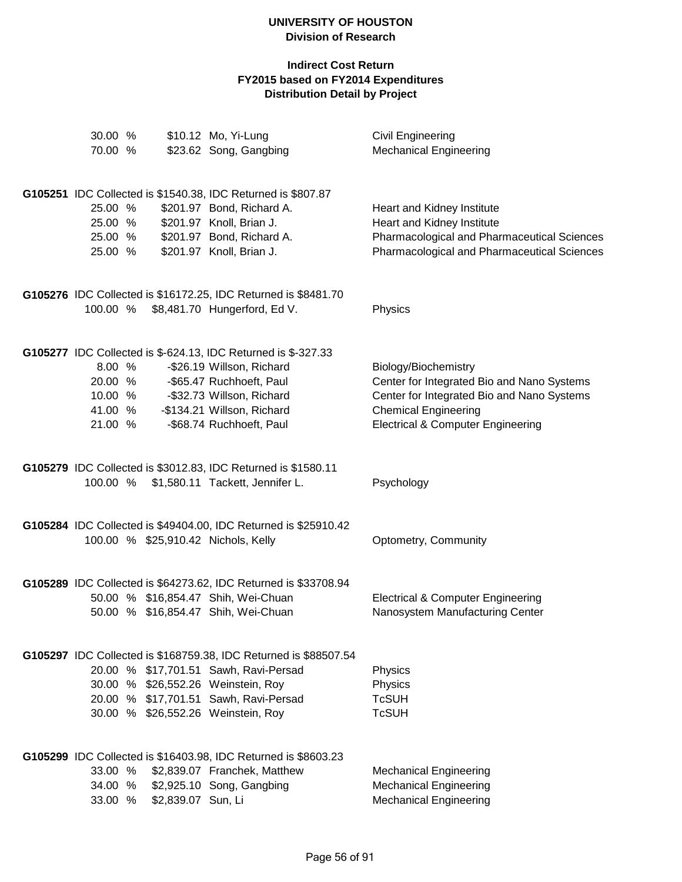| 30.00 %  |                    | \$10.12 Mo, Yi-Lung                                              | <b>Civil Engineering</b>                     |
|----------|--------------------|------------------------------------------------------------------|----------------------------------------------|
| 70.00 %  |                    | \$23.62 Song, Gangbing                                           | <b>Mechanical Engineering</b>                |
|          |                    | G105251 IDC Collected is \$1540.38, IDC Returned is \$807.87     |                                              |
| 25.00 %  |                    | \$201.97 Bond, Richard A.                                        | Heart and Kidney Institute                   |
| 25.00 %  |                    | \$201.97 Knoll, Brian J.                                         | Heart and Kidney Institute                   |
| 25.00 %  |                    | \$201.97 Bond, Richard A.                                        | Pharmacological and Pharmaceutical Sciences  |
| 25.00 %  |                    | \$201.97 Knoll, Brian J.                                         | Pharmacological and Pharmaceutical Sciences  |
|          |                    | G105276 IDC Collected is \$16172.25, IDC Returned is \$8481.70   |                                              |
| 100.00 % |                    | \$8,481.70 Hungerford, Ed V.                                     | Physics                                      |
|          |                    | G105277 IDC Collected is \$-624.13, IDC Returned is \$-327.33    |                                              |
| 8.00 %   |                    | -\$26.19 Willson, Richard                                        | Biology/Biochemistry                         |
| 20.00 %  |                    | -\$65.47 Ruchhoeft, Paul                                         | Center for Integrated Bio and Nano Systems   |
| 10.00 %  |                    | -\$32.73 Willson, Richard                                        | Center for Integrated Bio and Nano Systems   |
| 41.00 %  |                    | -\$134.21 Willson, Richard                                       | <b>Chemical Engineering</b>                  |
| 21.00 %  |                    | -\$68.74 Ruchhoeft, Paul                                         | <b>Electrical &amp; Computer Engineering</b> |
|          |                    | G105279 IDC Collected is \$3012.83, IDC Returned is \$1580.11    |                                              |
| 100.00 % |                    | \$1,580.11 Tackett, Jennifer L.                                  | Psychology                                   |
|          |                    | G105284 IDC Collected is \$49404.00, IDC Returned is \$25910.42  |                                              |
|          |                    | 100.00 % \$25,910.42 Nichols, Kelly                              | Optometry, Community                         |
|          |                    | G105289 IDC Collected is \$64273.62, IDC Returned is \$33708.94  |                                              |
|          |                    | 50.00 % \$16,854.47 Shih, Wei-Chuan                              | <b>Electrical &amp; Computer Engineering</b> |
|          |                    | 50.00 % \$16,854.47 Shih, Wei-Chuan                              | Nanosystem Manufacturing Center              |
|          |                    | G105297 IDC Collected is \$168759.38, IDC Returned is \$88507.54 |                                              |
|          |                    | 20.00 % \$17,701.51 Sawh, Ravi-Persad                            | Physics                                      |
|          |                    | 30.00 % \$26,552.26 Weinstein, Roy                               | Physics                                      |
|          |                    | 20.00 % \$17,701.51 Sawh, Ravi-Persad                            | <b>TcSUH</b>                                 |
|          |                    | 30.00 % \$26,552.26 Weinstein, Roy                               | <b>TcSUH</b>                                 |
|          |                    | G105299 IDC Collected is \$16403.98, IDC Returned is \$8603.23   |                                              |
| 33.00 %  |                    | \$2,839.07 Franchek, Matthew                                     | <b>Mechanical Engineering</b>                |
| 34.00 %  |                    | \$2,925.10 Song, Gangbing                                        | <b>Mechanical Engineering</b>                |
| 33.00 %  | \$2,839.07 Sun, Li |                                                                  | <b>Mechanical Engineering</b>                |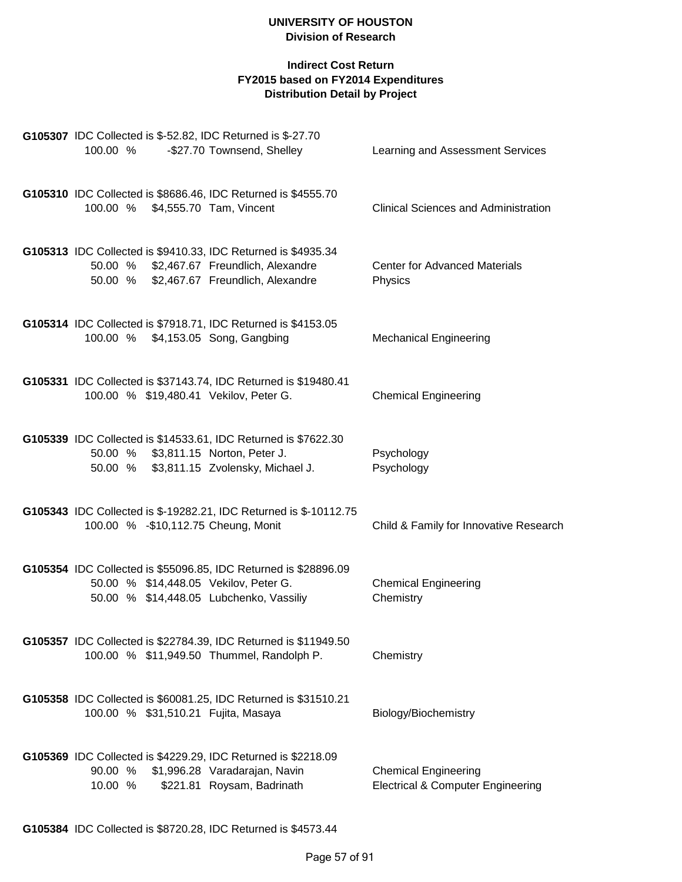| G105307 IDC Collected is \$-52.82, IDC Returned is \$-27.70                                                                                              |                                                                             |
|----------------------------------------------------------------------------------------------------------------------------------------------------------|-----------------------------------------------------------------------------|
| 100.00 %<br>-\$27.70 Townsend, Shelley                                                                                                                   | Learning and Assessment Services                                            |
| G105310 IDC Collected is \$8686.46, IDC Returned is \$4555.70<br>100.00 % \$4,555.70 Tam, Vincent                                                        | <b>Clinical Sciences and Administration</b>                                 |
| G105313 IDC Collected is \$9410.33, IDC Returned is \$4935.34<br>50.00 %<br>\$2,467.67 Freundlich, Alexandre<br>50.00 % \$2,467.67 Freundlich, Alexandre | <b>Center for Advanced Materials</b><br>Physics                             |
| G105314 IDC Collected is \$7918.71, IDC Returned is \$4153.05<br>100.00 % \$4,153.05 Song, Gangbing                                                      | <b>Mechanical Engineering</b>                                               |
| G105331 IDC Collected is \$37143.74, IDC Returned is \$19480.41<br>100.00 % \$19,480.41 Vekilov, Peter G.                                                | <b>Chemical Engineering</b>                                                 |
| G105339 IDC Collected is \$14533.61, IDC Returned is \$7622.30<br>50.00 % \$3,811.15 Norton, Peter J.<br>50.00 % \$3,811.15 Zvolensky, Michael J.        | Psychology<br>Psychology                                                    |
| G105343 IDC Collected is \$-19282.21, IDC Returned is \$-10112.75<br>100.00 % - \$10,112.75 Cheung, Monit                                                | Child & Family for Innovative Research                                      |
| G105354 IDC Collected is \$55096.85, IDC Returned is \$28896.09<br>50.00 % \$14,448.05 Vekilov, Peter G.<br>50.00 % \$14,448.05 Lubchenko, Vassiliy      | <b>Chemical Engineering</b><br>Chemistry                                    |
| G105357 IDC Collected is \$22784.39, IDC Returned is \$11949.50<br>100.00 % \$11,949.50 Thummel, Randolph P.                                             | Chemistry                                                                   |
| G105358 IDC Collected is \$60081.25, IDC Returned is \$31510.21<br>100.00 % \$31,510.21 Fujita, Masaya                                                   | Biology/Biochemistry                                                        |
| G105369 IDC Collected is \$4229.29, IDC Returned is \$2218.09<br>90.00 %<br>\$1,996.28 Varadarajan, Navin<br>10.00 %<br>\$221.81 Roysam, Badrinath       | <b>Chemical Engineering</b><br><b>Electrical &amp; Computer Engineering</b> |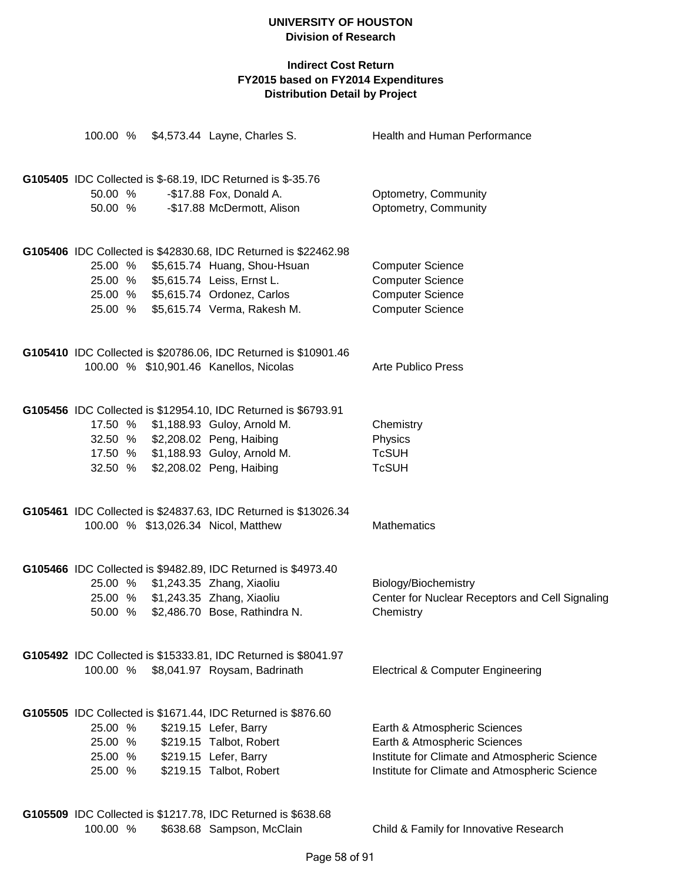|                                                              |  |  | 100.00 % \$4,573.44 Layne, Charles S.                           | Health and Human Performance                    |  |  |
|--------------------------------------------------------------|--|--|-----------------------------------------------------------------|-------------------------------------------------|--|--|
|                                                              |  |  |                                                                 |                                                 |  |  |
|                                                              |  |  | G105405 IDC Collected is \$-68.19, IDC Returned is \$-35.76     |                                                 |  |  |
| 50.00 %                                                      |  |  | -\$17.88 Fox, Donald A.                                         | Optometry, Community                            |  |  |
| 50.00 %                                                      |  |  | -\$17.88 McDermott, Alison                                      | Optometry, Community                            |  |  |
|                                                              |  |  | G105406 IDC Collected is \$42830.68, IDC Returned is \$22462.98 |                                                 |  |  |
|                                                              |  |  | 25.00 % \$5,615.74 Huang, Shou-Hsuan                            | <b>Computer Science</b>                         |  |  |
|                                                              |  |  | 25.00 % \$5,615.74 Leiss, Ernst L.                              | <b>Computer Science</b>                         |  |  |
|                                                              |  |  | 25.00 % \$5,615.74 Ordonez, Carlos                              | <b>Computer Science</b>                         |  |  |
|                                                              |  |  | 25.00 % \$5,615.74 Verma, Rakesh M.                             | <b>Computer Science</b>                         |  |  |
|                                                              |  |  | G105410 IDC Collected is \$20786.06, IDC Returned is \$10901.46 |                                                 |  |  |
|                                                              |  |  | 100.00 % \$10,901.46 Kanellos, Nicolas                          | <b>Arte Publico Press</b>                       |  |  |
|                                                              |  |  |                                                                 |                                                 |  |  |
|                                                              |  |  | G105456 IDC Collected is \$12954.10, IDC Returned is \$6793.91  |                                                 |  |  |
|                                                              |  |  | 17.50 % \$1,188.93 Guloy, Arnold M.                             | Chemistry                                       |  |  |
|                                                              |  |  | 32.50 % \$2,208.02 Peng, Haibing                                | Physics                                         |  |  |
|                                                              |  |  | 17.50 % \$1,188.93 Guloy, Arnold M.                             | <b>TcSUH</b>                                    |  |  |
|                                                              |  |  | 32.50 % \$2,208.02 Peng, Haibing                                | <b>TcSUH</b>                                    |  |  |
|                                                              |  |  | G105461 IDC Collected is \$24837.63, IDC Returned is \$13026.34 |                                                 |  |  |
|                                                              |  |  | 100.00 % \$13,026.34 Nicol, Matthew                             | <b>Mathematics</b>                              |  |  |
|                                                              |  |  | G105466 IDC Collected is \$9482.89, IDC Returned is \$4973.40   |                                                 |  |  |
|                                                              |  |  | 25.00 % \$1,243.35 Zhang, Xiaoliu                               | Biology/Biochemistry                            |  |  |
|                                                              |  |  | 25.00 % \$1,243.35 Zhang, Xiaoliu                               | Center for Nuclear Receptors and Cell Signaling |  |  |
|                                                              |  |  | 50.00 % \$2,486.70 Bose, Rathindra N.                           | Chemistry                                       |  |  |
|                                                              |  |  | G105492 IDC Collected is \$15333.81, IDC Returned is \$8041.97  |                                                 |  |  |
| 100.00 %                                                     |  |  | \$8,041.97 Roysam, Badrinath                                    | <b>Electrical &amp; Computer Engineering</b>    |  |  |
| G105505 IDC Collected is \$1671.44, IDC Returned is \$876.60 |  |  |                                                                 |                                                 |  |  |
| 25.00 %                                                      |  |  | \$219.15 Lefer, Barry                                           | Earth & Atmospheric Sciences                    |  |  |
| 25.00 %                                                      |  |  | \$219.15 Talbot, Robert                                         | Earth & Atmospheric Sciences                    |  |  |
| 25.00 %                                                      |  |  | \$219.15 Lefer, Barry                                           | Institute for Climate and Atmospheric Science   |  |  |
| 25.00 %                                                      |  |  | \$219.15 Talbot, Robert                                         | Institute for Climate and Atmospheric Science   |  |  |
|                                                              |  |  | G105509 IDC Collected is \$1217.78, IDC Returned is \$638.68    |                                                 |  |  |
| 100.00 %                                                     |  |  | \$638.68 Sampson, McClain                                       | Child & Family for Innovative Research          |  |  |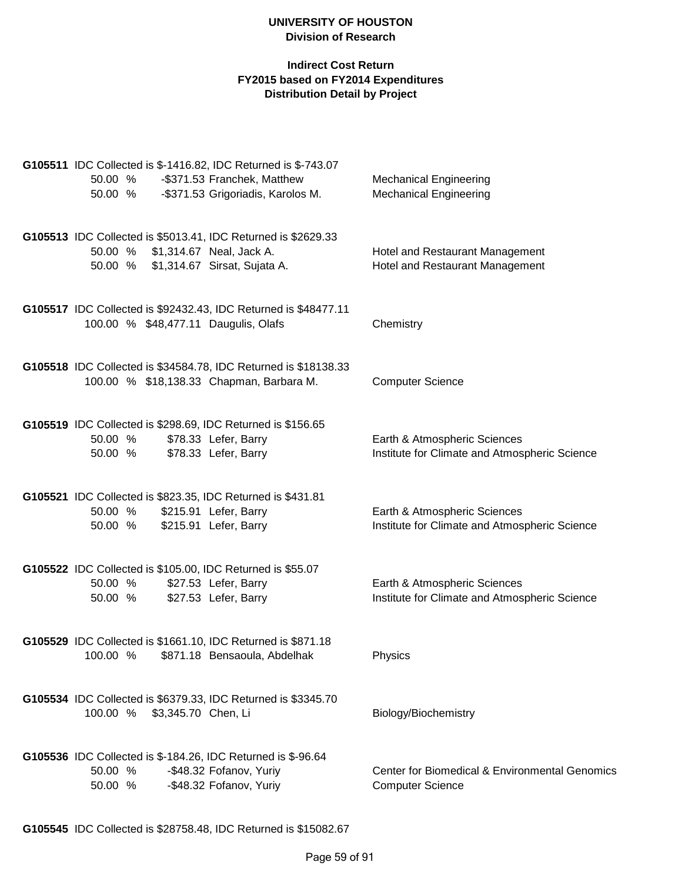| G105511 IDC Collected is \$-1416.82, IDC Returned is \$-743.07<br>-\$371.53 Franchek, Matthew<br>50.00 %<br>-\$371.53 Grigoriadis, Karolos M.<br>50.00 % | <b>Mechanical Engineering</b><br><b>Mechanical Engineering</b>                |
|----------------------------------------------------------------------------------------------------------------------------------------------------------|-------------------------------------------------------------------------------|
| G105513 IDC Collected is \$5013.41, IDC Returned is \$2629.33<br>50.00 %<br>\$1,314.67 Neal, Jack A.<br>50.00 %<br>\$1,314.67 Sirsat, Sujata A.          | Hotel and Restaurant Management<br>Hotel and Restaurant Management            |
| G105517 IDC Collected is \$92432.43, IDC Returned is \$48477.11<br>100.00 % \$48,477.11 Daugulis, Olafs                                                  | Chemistry                                                                     |
| G105518 IDC Collected is \$34584.78, IDC Returned is \$18138.33<br>100.00 % \$18,138.33 Chapman, Barbara M.                                              | <b>Computer Science</b>                                                       |
| G105519 IDC Collected is \$298.69, IDC Returned is \$156.65<br>\$78.33 Lefer, Barry<br>50.00 %<br>\$78.33 Lefer, Barry<br>50.00 %                        | Earth & Atmospheric Sciences<br>Institute for Climate and Atmospheric Science |
| G105521 IDC Collected is \$823.35, IDC Returned is \$431.81<br>50.00 %<br>\$215.91 Lefer, Barry<br>50.00 %<br>\$215.91 Lefer, Barry                      | Earth & Atmospheric Sciences<br>Institute for Climate and Atmospheric Science |
| G105522 IDC Collected is \$105.00, IDC Returned is \$55.07<br>50.00 %<br>\$27.53 Lefer, Barry<br>\$27.53 Lefer, Barry<br>50.00 %                         | Earth & Atmospheric Sciences<br>Institute for Climate and Atmospheric Science |
| G105529 IDC Collected is \$1661.10, IDC Returned is \$871.18<br>100.00 % \$871.18 Bensaoula, Abdelhak                                                    | Physics                                                                       |
| G105534 IDC Collected is \$6379.33, IDC Returned is \$3345.70<br>100.00 %<br>\$3,345.70 Chen, Li                                                         | Biology/Biochemistry                                                          |
| G105536 IDC Collected is \$-184.26, IDC Returned is \$-96.64<br>50.00 %<br>-\$48.32 Fofanov, Yuriy<br>-\$48.32 Fofanov, Yuriy<br>50.00 %                 | Center for Biomedical & Environmental Genomics<br><b>Computer Science</b>     |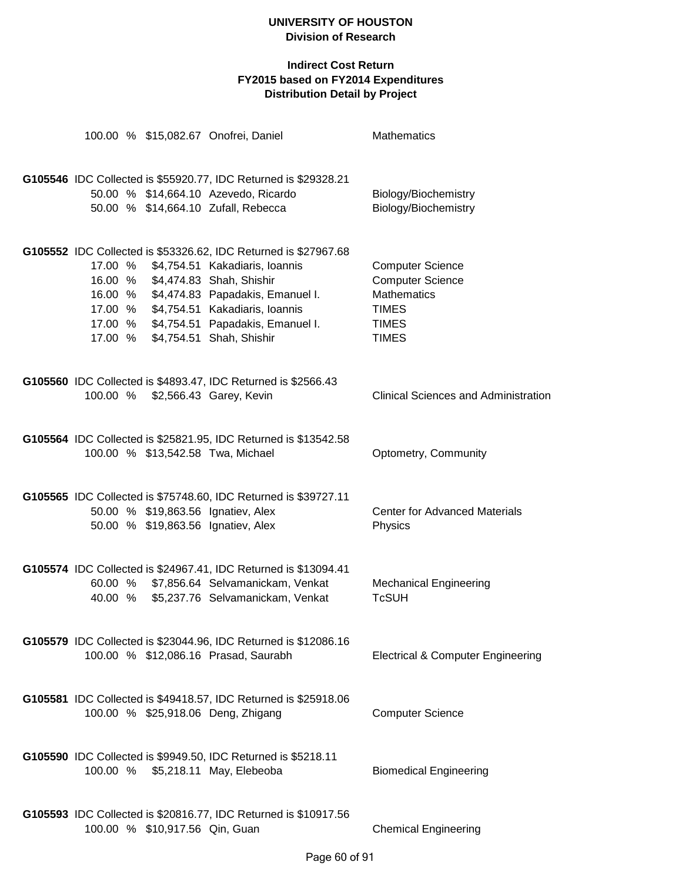|          |                                | 100.00 % \$15,082.67 Onofrei, Daniel                                                                                                                    | Mathematics                                                   |
|----------|--------------------------------|---------------------------------------------------------------------------------------------------------------------------------------------------------|---------------------------------------------------------------|
|          |                                | G105546 IDC Collected is \$55920.77, IDC Returned is \$29328.21<br>50.00 % \$14,664.10 Azevedo, Ricardo<br>50.00 % \$14,664.10 Zufall, Rebecca          | Biology/Biochemistry<br>Biology/Biochemistry                  |
| 17.00 %  |                                | G105552 IDC Collected is \$53326.62, IDC Returned is \$27967.68<br>\$4,754.51 Kakadiaris, Ioannis                                                       | <b>Computer Science</b>                                       |
|          |                                | 16.00 % \$4,474.83 Shah, Shishir<br>16.00 % \$4,474.83 Papadakis, Emanuel I.<br>17.00 % \$4,754.51 Kakadiaris, Ioannis                                  | <b>Computer Science</b><br><b>Mathematics</b><br><b>TIMES</b> |
| 17.00 %  |                                | 17.00 % \$4,754.51 Papadakis, Emanuel I.<br>\$4,754.51 Shah, Shishir                                                                                    | <b>TIMES</b><br><b>TIMES</b>                                  |
| 100.00 % |                                | G105560 IDC Collected is \$4893.47, IDC Returned is \$2566.43<br>\$2,566.43 Garey, Kevin                                                                | <b>Clinical Sciences and Administration</b>                   |
|          |                                | G105564 IDC Collected is \$25821.95, IDC Returned is \$13542.58<br>100.00 % \$13,542.58 Twa, Michael                                                    | Optometry, Community                                          |
|          |                                | G105565 IDC Collected is \$75748.60, IDC Returned is \$39727.11<br>50.00 % \$19,863.56 Ignatiev, Alex<br>50.00 % \$19,863.56 Ignatiev, Alex             | <b>Center for Advanced Materials</b><br>Physics               |
|          |                                | G105574 IDC Collected is \$24967.41, IDC Returned is \$13094.41<br>60.00 % \$7,856.64 Selvamanickam, Venkat<br>40.00 % \$5,237.76 Selvamanickam, Venkat | <b>Mechanical Engineering</b><br><b>TcSUH</b>                 |
|          |                                | G105579 IDC Collected is \$23044.96, IDC Returned is \$12086.16<br>100.00 % \$12,086.16 Prasad, Saurabh                                                 | <b>Electrical &amp; Computer Engineering</b>                  |
|          |                                | G105581 IDC Collected is \$49418.57, IDC Returned is \$25918.06<br>100.00 % \$25,918.06 Deng, Zhigang                                                   | <b>Computer Science</b>                                       |
|          |                                | G105590 IDC Collected is \$9949.50, IDC Returned is \$5218.11<br>100.00 % \$5,218.11 May, Elebeoba                                                      | <b>Biomedical Engineering</b>                                 |
|          | 100.00 % \$10,917.56 Qin, Guan | G105593 IDC Collected is \$20816.77, IDC Returned is \$10917.56                                                                                         | <b>Chemical Engineering</b>                                   |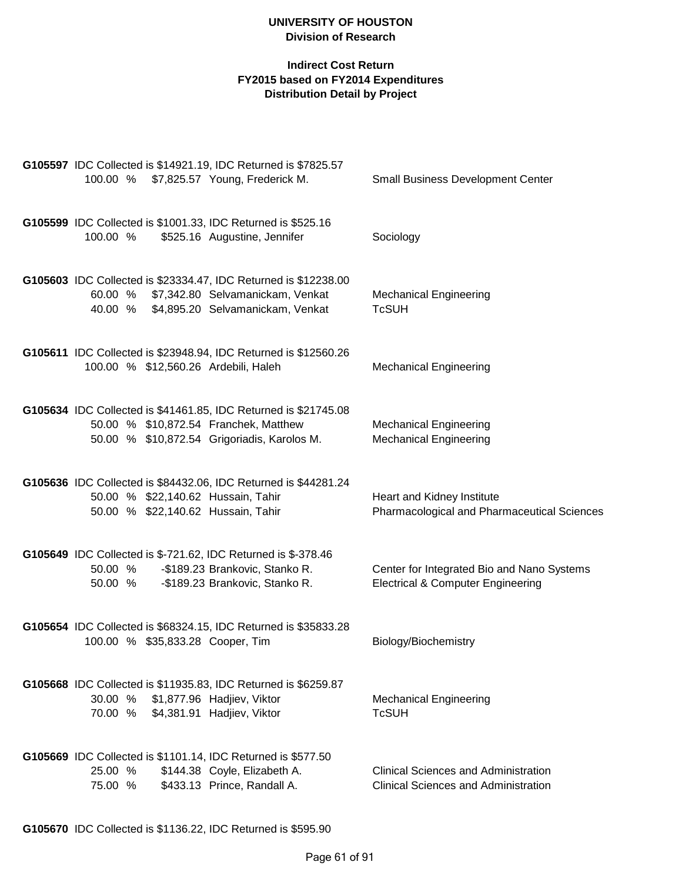| G105597 IDC Collected is \$14921.19, IDC Returned is \$7825.57<br>100.00 % \$7,825.57 Young, Frederick M.                                               | <b>Small Business Development Center</b>                                                   |
|---------------------------------------------------------------------------------------------------------------------------------------------------------|--------------------------------------------------------------------------------------------|
|                                                                                                                                                         |                                                                                            |
| G105599 IDC Collected is \$1001.33, IDC Returned is \$525.16<br>100.00 %<br>\$525.16 Augustine, Jennifer                                                | Sociology                                                                                  |
| G105603 IDC Collected is \$23334.47, IDC Returned is \$12238.00<br>60.00 % \$7,342.80 Selvamanickam, Venkat<br>40.00 % \$4,895.20 Selvamanickam, Venkat | <b>Mechanical Engineering</b><br><b>TcSUH</b>                                              |
| G105611 IDC Collected is \$23948.94, IDC Returned is \$12560.26<br>100.00 % \$12,560.26 Ardebili, Haleh                                                 | <b>Mechanical Engineering</b>                                                              |
| G105634 IDC Collected is \$41461.85, IDC Returned is \$21745.08<br>50.00 % \$10,872.54 Franchek, Matthew<br>50.00 % \$10,872.54 Grigoriadis, Karolos M. | <b>Mechanical Engineering</b><br><b>Mechanical Engineering</b>                             |
| G105636 IDC Collected is \$84432.06, IDC Returned is \$44281.24<br>50.00 % \$22,140.62 Hussain, Tahir<br>50.00 % \$22,140.62 Hussain, Tahir             | Heart and Kidney Institute<br>Pharmacological and Pharmaceutical Sciences                  |
| G105649 IDC Collected is \$-721.62, IDC Returned is \$-378.46<br>-\$189.23 Brankovic, Stanko R.<br>50.00 %<br>-\$189.23 Brankovic, Stanko R.<br>50.00 % | Center for Integrated Bio and Nano Systems<br><b>Electrical &amp; Computer Engineering</b> |
| G105654 IDC Collected is \$68324.15, IDC Returned is \$35833.28<br>100.00 % \$35,833.28 Cooper, Tim                                                     | Biology/Biochemistry                                                                       |
| G105668 IDC Collected is \$11935.83, IDC Returned is \$6259.87<br>30.00 %<br>\$1,877.96 Hadjiev, Viktor<br>\$4,381.91 Hadjiev, Viktor<br>70.00 %        | <b>Mechanical Engineering</b><br><b>TcSUH</b>                                              |
| G105669 IDC Collected is \$1101.14, IDC Returned is \$577.50<br>25.00 %<br>\$144.38 Coyle, Elizabeth A.<br>\$433.13 Prince, Randall A.<br>75.00 %       | <b>Clinical Sciences and Administration</b><br><b>Clinical Sciences and Administration</b> |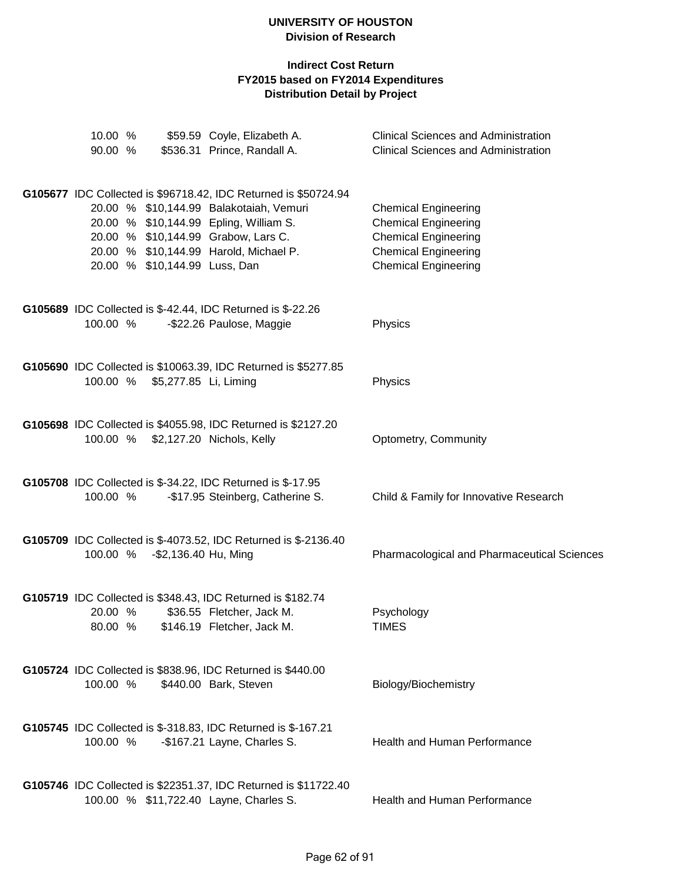| 10.00 %<br>90.00 % |                                | \$59.59 Coyle, Elizabeth A.<br>\$536.31 Prince, Randall A.                                                | <b>Clinical Sciences and Administration</b><br><b>Clinical Sciences and Administration</b> |
|--------------------|--------------------------------|-----------------------------------------------------------------------------------------------------------|--------------------------------------------------------------------------------------------|
|                    |                                |                                                                                                           |                                                                                            |
|                    |                                | G105677 IDC Collected is \$96718.42, IDC Returned is \$50724.94                                           |                                                                                            |
|                    |                                | 20.00 % \$10,144.99 Balakotaiah, Vemuri                                                                   | <b>Chemical Engineering</b>                                                                |
|                    |                                | 20.00 % \$10,144.99 Epling, William S.                                                                    | <b>Chemical Engineering</b>                                                                |
|                    |                                | 20.00 % \$10,144.99 Grabow, Lars C.                                                                       | <b>Chemical Engineering</b>                                                                |
|                    |                                | 20.00 % \$10,144.99 Harold, Michael P.                                                                    | <b>Chemical Engineering</b>                                                                |
|                    | 20.00 % \$10,144.99 Luss, Dan  |                                                                                                           | <b>Chemical Engineering</b>                                                                |
|                    |                                | G105689 IDC Collected is \$-42.44, IDC Returned is \$-22.26                                               |                                                                                            |
| 100.00 %           |                                | -\$22.26 Paulose, Maggie                                                                                  | Physics                                                                                    |
|                    |                                |                                                                                                           |                                                                                            |
|                    |                                | G105690 IDC Collected is \$10063.39, IDC Returned is \$5277.85                                            |                                                                                            |
|                    | 100.00 % \$5,277.85 Li, Liming |                                                                                                           | Physics                                                                                    |
|                    |                                | G105698 IDC Collected is \$4055.98, IDC Returned is \$2127.20                                             |                                                                                            |
| 100.00 %           |                                | \$2,127.20 Nichols, Kelly                                                                                 | Optometry, Community                                                                       |
|                    |                                |                                                                                                           |                                                                                            |
|                    |                                | G105708 IDC Collected is \$-34.22, IDC Returned is \$-17.95                                               |                                                                                            |
| 100.00 %           |                                | -\$17.95 Steinberg, Catherine S.                                                                          | Child & Family for Innovative Research                                                     |
|                    |                                | G105709 IDC Collected is \$-4073.52, IDC Returned is \$-2136.40                                           |                                                                                            |
|                    | 100.00 % - \$2,136.40 Hu, Ming |                                                                                                           | Pharmacological and Pharmaceutical Sciences                                                |
|                    |                                |                                                                                                           |                                                                                            |
|                    |                                | G105719 IDC Collected is \$348.43, IDC Returned is \$182.74                                               |                                                                                            |
| 20.00 %            |                                | \$36.55 Fletcher, Jack M.                                                                                 | Psychology                                                                                 |
|                    |                                | 80.00 % \$146.19 Fletcher, Jack M.                                                                        | <b>TIMES</b>                                                                               |
|                    |                                | G105724 IDC Collected is \$838.96, IDC Returned is \$440.00                                               |                                                                                            |
| 100.00 %           |                                | \$440.00 Bark, Steven                                                                                     | Biology/Biochemistry                                                                       |
|                    |                                |                                                                                                           |                                                                                            |
|                    |                                | G105745 IDC Collected is \$-318.83, IDC Returned is \$-167.21                                             |                                                                                            |
|                    |                                | 100.00 % - \$167.21 Layne, Charles S.                                                                     | Health and Human Performance                                                               |
|                    |                                |                                                                                                           |                                                                                            |
|                    |                                | G105746 IDC Collected is \$22351.37, IDC Returned is \$11722.40<br>100.00 % \$11,722.40 Layne, Charles S. | Health and Human Performance                                                               |
|                    |                                |                                                                                                           |                                                                                            |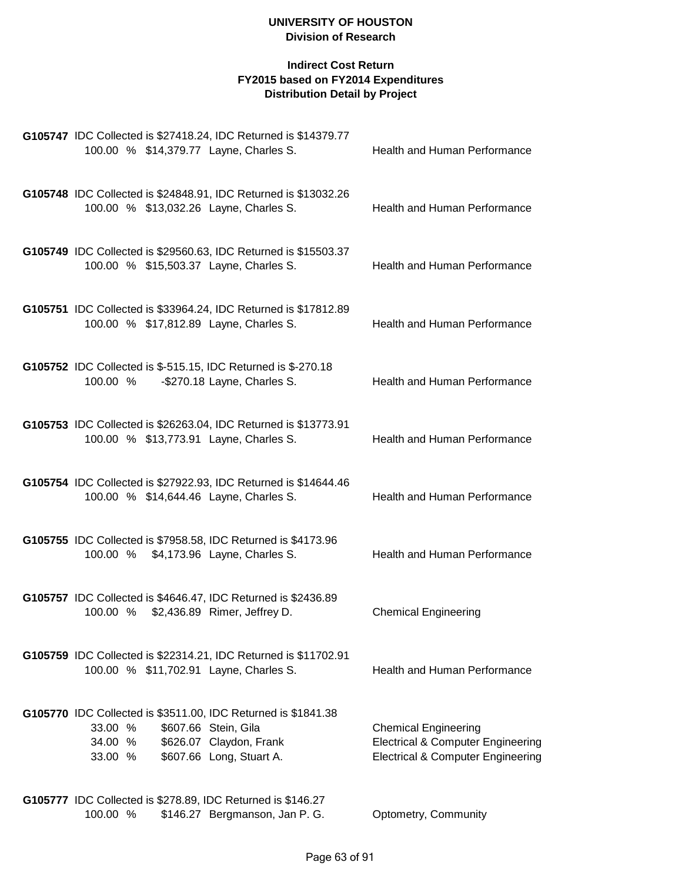| G105747 IDC Collected is \$27418.24, IDC Returned is \$14379.77<br>100.00 % \$14,379.77 Layne, Charles S.                                                                     | Health and Human Performance                                                                                                |
|-------------------------------------------------------------------------------------------------------------------------------------------------------------------------------|-----------------------------------------------------------------------------------------------------------------------------|
| G105748 IDC Collected is \$24848.91, IDC Returned is \$13032.26<br>100.00 % \$13,032.26 Layne, Charles S.                                                                     | Health and Human Performance                                                                                                |
| G105749 IDC Collected is \$29560.63, IDC Returned is \$15503.37<br>100.00 % \$15,503.37 Layne, Charles S.                                                                     | Health and Human Performance                                                                                                |
| G105751 IDC Collected is \$33964.24, IDC Returned is \$17812.89<br>100.00 % \$17,812.89 Layne, Charles S.                                                                     | Health and Human Performance                                                                                                |
| G105752 IDC Collected is \$-515.15, IDC Returned is \$-270.18<br>100.00 %<br>-\$270.18 Layne, Charles S.                                                                      | Health and Human Performance                                                                                                |
| G105753 IDC Collected is \$26263.04, IDC Returned is \$13773.91<br>100.00 % \$13,773.91 Layne, Charles S.                                                                     | <b>Health and Human Performance</b>                                                                                         |
| G105754 IDC Collected is \$27922.93, IDC Returned is \$14644.46<br>100.00 % \$14,644.46 Layne, Charles S.                                                                     | Health and Human Performance                                                                                                |
| G105755 IDC Collected is \$7958.58, IDC Returned is \$4173.96<br>100.00 % \$4,173.96 Layne, Charles S.                                                                        | Health and Human Performance                                                                                                |
| G105757 IDC Collected is \$4646.47, IDC Returned is \$2436.89<br>100.00 % \$2,436.89 Rimer, Jeffrey D.                                                                        | <b>Chemical Engineering</b>                                                                                                 |
| G105759 IDC Collected is \$22314.21, IDC Returned is \$11702.91<br>100.00 % \$11,702.91 Layne, Charles S.                                                                     | Health and Human Performance                                                                                                |
| G105770 IDC Collected is \$3511.00, IDC Returned is \$1841.38<br>\$607.66 Stein, Gila<br>33.00 %<br>\$626.07 Claydon, Frank<br>34.00 %<br>\$607.66 Long, Stuart A.<br>33.00 % | <b>Chemical Engineering</b><br><b>Electrical &amp; Computer Engineering</b><br><b>Electrical &amp; Computer Engineering</b> |
| G105777 IDC Collected is \$278.89, IDC Returned is \$146.27<br>100.00 %<br>\$146.27 Bergmanson, Jan P. G.                                                                     | Optometry, Community                                                                                                        |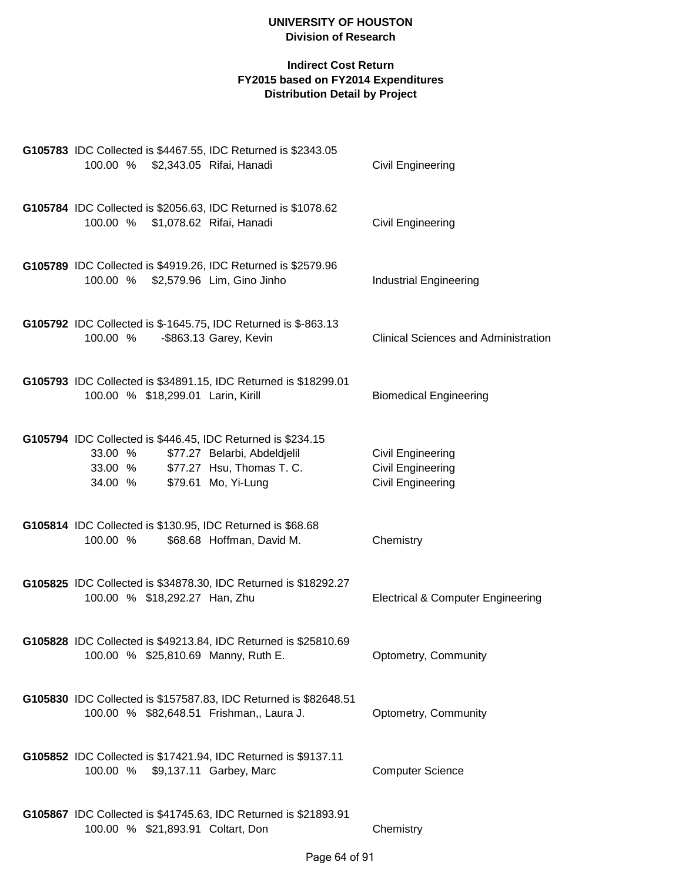| G105783 IDC Collected is \$4467.55, IDC Returned is \$2343.05<br>100.00 % \$2,343.05 Rifai, Hanadi                                                                            | <b>Civil Engineering</b>                                                  |
|-------------------------------------------------------------------------------------------------------------------------------------------------------------------------------|---------------------------------------------------------------------------|
| G105784 IDC Collected is \$2056.63, IDC Returned is \$1078.62<br>100.00 % \$1,078.62 Rifai, Hanadi                                                                            | <b>Civil Engineering</b>                                                  |
| G105789 IDC Collected is \$4919.26, IDC Returned is \$2579.96<br>100.00 % \$2,579.96 Lim, Gino Jinho                                                                          | <b>Industrial Engineering</b>                                             |
| G105792 IDC Collected is \$-1645.75, IDC Returned is \$-863.13<br>100.00 %<br>-\$863.13 Garey, Kevin                                                                          | <b>Clinical Sciences and Administration</b>                               |
| G105793 IDC Collected is \$34891.15, IDC Returned is \$18299.01<br>100.00 % \$18,299.01 Larin, Kirill                                                                         | <b>Biomedical Engineering</b>                                             |
| G105794 IDC Collected is \$446.45, IDC Returned is \$234.15<br>\$77.27 Belarbi, Abdeldjelil<br>33.00 %<br>33.00 % \$77.27 Hsu, Thomas T. C.<br>\$79.61 Mo, Yi-Lung<br>34.00 % | Civil Engineering<br><b>Civil Engineering</b><br><b>Civil Engineering</b> |
| G105814 IDC Collected is \$130.95, IDC Returned is \$68.68<br>100.00 %<br>\$68.68 Hoffman, David M.                                                                           | Chemistry                                                                 |
| G105825 IDC Collected is \$34878.30, IDC Returned is \$18292.27<br>100.00 % \$18,292.27 Han, Zhu                                                                              | <b>Electrical &amp; Computer Engineering</b>                              |
| G105828 IDC Collected is \$49213.84, IDC Returned is \$25810.69<br>100.00 % \$25,810.69 Manny, Ruth E.                                                                        | Optometry, Community                                                      |
| G105830 IDC Collected is \$157587.83, IDC Returned is \$82648.51<br>100.00 % \$82,648.51 Frishman,, Laura J.                                                                  | Optometry, Community                                                      |
| G105852 IDC Collected is \$17421.94, IDC Returned is \$9137.11<br>100.00 % \$9,137.11 Garbey, Marc                                                                            | <b>Computer Science</b>                                                   |
| G105867 IDC Collected is \$41745.63, IDC Returned is \$21893.91<br>100.00 % \$21,893.91 Coltart, Don                                                                          | Chemistry                                                                 |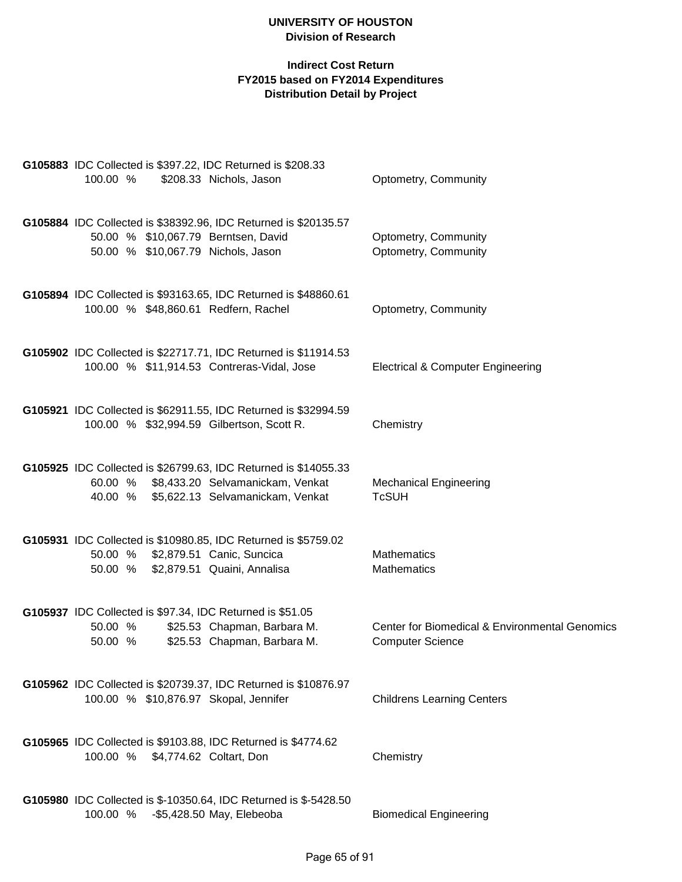| <b>G105883</b> IDC Collected is \$397.22, IDC Returned is \$208.33<br>\$208.33 Nichols, Jason<br>100.00 %                                               | Optometry, Community                                                      |
|---------------------------------------------------------------------------------------------------------------------------------------------------------|---------------------------------------------------------------------------|
| G105884 IDC Collected is \$38392.96, IDC Returned is \$20135.57<br>50.00 % \$10,067.79 Berntsen, David<br>50.00 % \$10,067.79 Nichols, Jason            | Optometry, Community<br>Optometry, Community                              |
| G105894 IDC Collected is \$93163.65, IDC Returned is \$48860.61<br>100.00 % \$48,860.61 Redfern, Rachel                                                 | Optometry, Community                                                      |
| G105902 IDC Collected is \$22717.71, IDC Returned is \$11914.53<br>100.00 % \$11,914.53 Contreras-Vidal, Jose                                           | <b>Electrical &amp; Computer Engineering</b>                              |
| G105921 IDC Collected is \$62911.55, IDC Returned is \$32994.59<br>100.00 % \$32,994.59 Gilbertson, Scott R.                                            | Chemistry                                                                 |
| G105925 IDC Collected is \$26799.63, IDC Returned is \$14055.33<br>60.00 % \$8,433.20 Selvamanickam, Venkat<br>40.00 % \$5,622.13 Selvamanickam, Venkat | <b>Mechanical Engineering</b><br><b>TcSUH</b>                             |
| G105931 IDC Collected is \$10980.85, IDC Returned is \$5759.02<br>50.00 % \$2,879.51 Canic, Suncica<br>50.00 % \$2,879.51 Quaini, Annalisa              | <b>Mathematics</b><br><b>Mathematics</b>                                  |
| G105937 IDC Collected is \$97.34, IDC Returned is \$51.05<br>\$25.53 Chapman, Barbara M.<br>50.00 %<br>\$25.53 Chapman, Barbara M.<br>50.00 %           | Center for Biomedical & Environmental Genomics<br><b>Computer Science</b> |
| G105962 IDC Collected is \$20739.37, IDC Returned is \$10876.97<br>100.00 % \$10,876.97 Skopal, Jennifer                                                | <b>Childrens Learning Centers</b>                                         |
| G105965 IDC Collected is \$9103.88, IDC Returned is \$4774.62<br>100.00 % \$4,774.62 Coltart, Don                                                       | Chemistry                                                                 |
| G105980 IDC Collected is \$-10350.64, IDC Returned is \$-5428.50<br>100.00 %<br>-\$5,428.50 May, Elebeoba                                               | <b>Biomedical Engineering</b>                                             |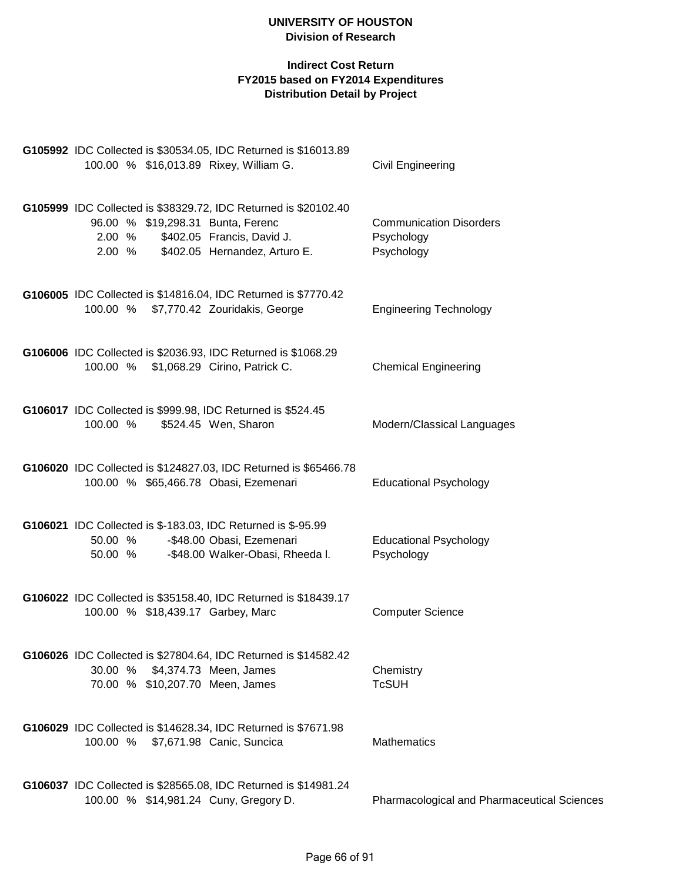| G105992 IDC Collected is \$30534.05, IDC Returned is \$16013.89<br>100.00 % \$16,013.89 Rixey, William G.                                                                               | <b>Civil Engineering</b>                                   |
|-----------------------------------------------------------------------------------------------------------------------------------------------------------------------------------------|------------------------------------------------------------|
| G105999 IDC Collected is \$38329.72, IDC Returned is \$20102.40<br>96.00 % \$19,298.31 Bunta, Ferenc<br>\$402.05 Francis, David J.<br>2.00 %<br>\$402.05 Hernandez, Arturo E.<br>2.00 % | <b>Communication Disorders</b><br>Psychology<br>Psychology |
| G106005 IDC Collected is \$14816.04, IDC Returned is \$7770.42<br>100.00 % \$7,770.42 Zouridakis, George                                                                                | <b>Engineering Technology</b>                              |
| G106006 IDC Collected is \$2036.93, IDC Returned is \$1068.29<br>100.00 % \$1,068.29 Cirino, Patrick C.                                                                                 | <b>Chemical Engineering</b>                                |
| G106017 IDC Collected is \$999.98, IDC Returned is \$524.45<br>100.00 %<br>\$524.45 Wen, Sharon                                                                                         | Modern/Classical Languages                                 |
| G106020 IDC Collected is \$124827.03, IDC Returned is \$65466.78<br>100.00 % \$65,466.78 Obasi, Ezemenari                                                                               | <b>Educational Psychology</b>                              |
| G106021 IDC Collected is \$-183.03, IDC Returned is \$-95.99<br>-\$48.00 Obasi, Ezemenari<br>50.00 %<br>50.00 %<br>-\$48.00 Walker-Obasi, Rheeda I.                                     | <b>Educational Psychology</b><br>Psychology                |
| G106022 IDC Collected is \$35158.40, IDC Returned is \$18439.17<br>100.00 % \$18,439.17 Garbey, Marc                                                                                    | <b>Computer Science</b>                                    |
| G106026 IDC Collected is \$27804.64, IDC Returned is \$14582.42<br>30.00 % \$4,374.73 Meen, James<br>70.00 % \$10,207.70 Meen, James                                                    | Chemistry<br><b>TcSUH</b>                                  |
| G106029 IDC Collected is \$14628.34, IDC Returned is \$7671.98<br>100.00 % \$7,671.98 Canic, Suncica                                                                                    | <b>Mathematics</b>                                         |
| G106037 IDC Collected is \$28565.08, IDC Returned is \$14981.24<br>100.00 % \$14,981.24 Cuny, Gregory D.                                                                                | <b>Pharmacological and Pharmaceutical Sciences</b>         |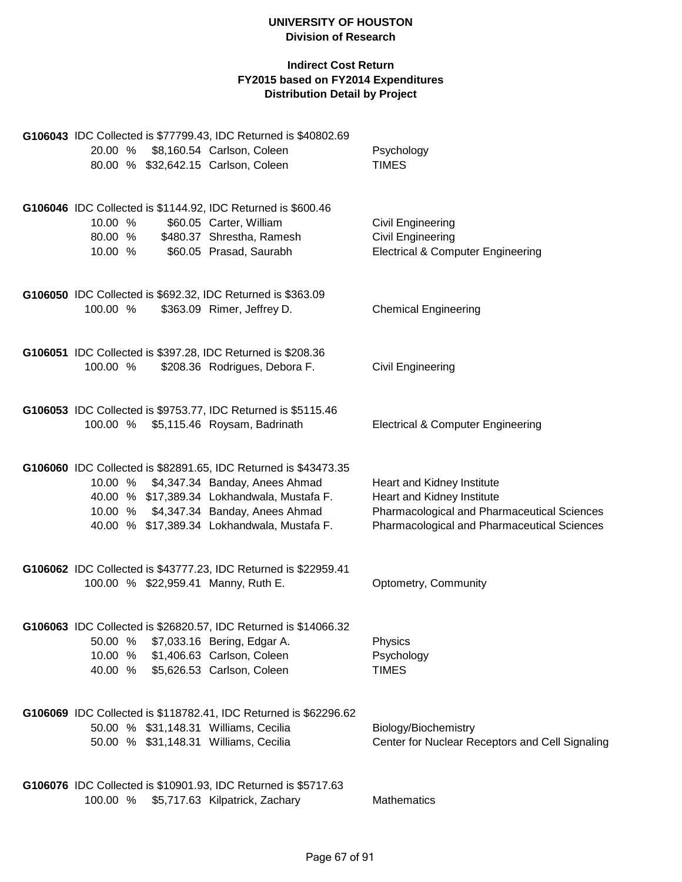|          |  | G106043 IDC Collected is \$77799.43, IDC Returned is \$40802.69                               |                                                    |
|----------|--|-----------------------------------------------------------------------------------------------|----------------------------------------------------|
| 20.00 %  |  | \$8,160.54 Carlson, Coleen                                                                    | Psychology                                         |
|          |  | 80.00 % \$32,642.15 Carlson, Coleen                                                           | <b>TIMES</b>                                       |
|          |  |                                                                                               |                                                    |
|          |  |                                                                                               |                                                    |
|          |  | G106046 IDC Collected is \$1144.92, IDC Returned is \$600.46                                  |                                                    |
| 10.00 %  |  | \$60.05 Carter, William                                                                       | <b>Civil Engineering</b>                           |
| 80.00 %  |  | \$480.37 Shrestha, Ramesh                                                                     | <b>Civil Engineering</b>                           |
| 10.00 %  |  | \$60.05 Prasad, Saurabh                                                                       | <b>Electrical &amp; Computer Engineering</b>       |
|          |  |                                                                                               |                                                    |
|          |  | G106050 IDC Collected is \$692.32, IDC Returned is \$363.09                                   |                                                    |
| 100.00 % |  | \$363.09 Rimer, Jeffrey D.                                                                    | <b>Chemical Engineering</b>                        |
|          |  |                                                                                               |                                                    |
|          |  | G106051 IDC Collected is \$397.28, IDC Returned is \$208.36                                   |                                                    |
| 100.00 % |  | \$208.36 Rodrigues, Debora F.                                                                 | Civil Engineering                                  |
|          |  |                                                                                               |                                                    |
|          |  |                                                                                               |                                                    |
| 100.00 % |  | G106053 IDC Collected is \$9753.77, IDC Returned is \$5115.46<br>\$5,115.46 Roysam, Badrinath | <b>Electrical &amp; Computer Engineering</b>       |
|          |  |                                                                                               |                                                    |
|          |  |                                                                                               |                                                    |
|          |  | G106060 IDC Collected is \$82891.65, IDC Returned is \$43473.35                               |                                                    |
|          |  | 10.00 % \$4,347.34 Banday, Anees Ahmad                                                        | Heart and Kidney Institute                         |
|          |  | 40.00 % \$17,389.34 Lokhandwala, Mustafa F.                                                   | Heart and Kidney Institute                         |
|          |  | 10.00 % \$4,347.34 Banday, Anees Ahmad                                                        | Pharmacological and Pharmaceutical Sciences        |
|          |  | 40.00 % \$17,389.34 Lokhandwala, Mustafa F.                                                   | <b>Pharmacological and Pharmaceutical Sciences</b> |
|          |  |                                                                                               |                                                    |
|          |  | G106062 IDC Collected is \$43777.23, IDC Returned is \$22959.41                               |                                                    |
|          |  | 100.00 % \$22,959.41 Manny, Ruth E.                                                           | Optometry, Community                               |
|          |  |                                                                                               |                                                    |
|          |  |                                                                                               |                                                    |
|          |  | G106063 IDC Collected is \$26820.57, IDC Returned is \$14066.32                               |                                                    |
|          |  | 50.00 % \$7,033.16 Bering, Edgar A.                                                           | Physics                                            |
|          |  | 10.00 % \$1,406.63 Carlson, Coleen                                                            | Psychology                                         |
| 40.00 %  |  | \$5,626.53 Carlson, Coleen                                                                    | <b>TIMES</b>                                       |
|          |  |                                                                                               |                                                    |
|          |  | G106069 IDC Collected is \$118782.41, IDC Returned is \$62296.62                              |                                                    |
|          |  | 50.00 % \$31,148.31 Williams, Cecilia                                                         | Biology/Biochemistry                               |
|          |  | 50.00 % \$31,148.31 Williams, Cecilia                                                         | Center for Nuclear Receptors and Cell Signaling    |
|          |  |                                                                                               |                                                    |
|          |  | G106076 IDC Collected is \$10901.93, IDC Returned is \$5717.63                                |                                                    |
|          |  | 100.00 % \$5,717.63 Kilpatrick, Zachary                                                       | Mathematics                                        |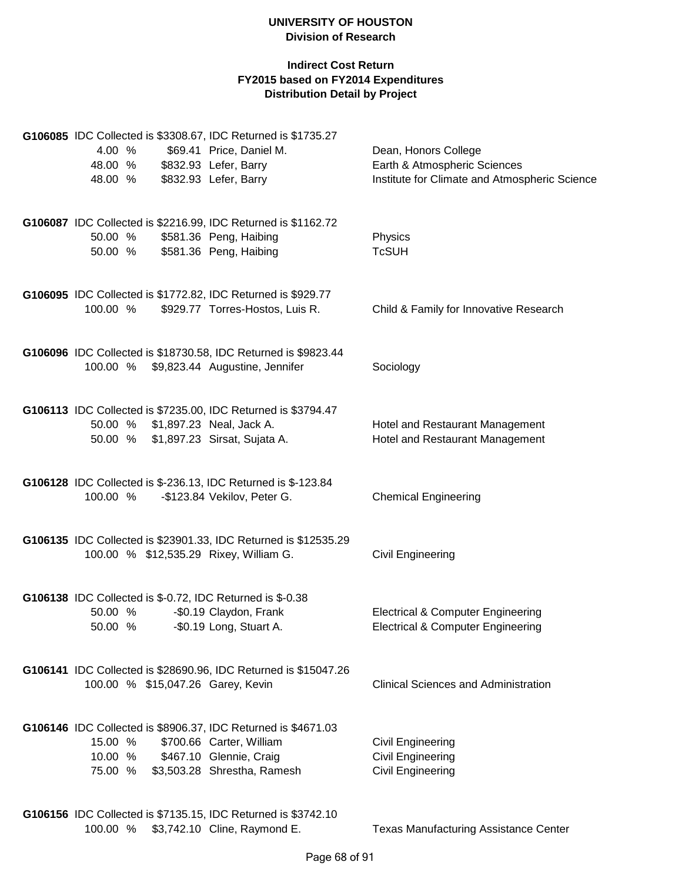| 4.00 %             |                                   | G106085 IDC Collected is \$3308.67, IDC Returned is \$1735.27<br>\$69.41 Price, Daniel M.                                | Dean, Honors College                                                                         |
|--------------------|-----------------------------------|--------------------------------------------------------------------------------------------------------------------------|----------------------------------------------------------------------------------------------|
| 48.00 %<br>48.00 % |                                   | \$832.93 Lefer, Barry<br>\$832.93 Lefer, Barry                                                                           | Earth & Atmospheric Sciences<br>Institute for Climate and Atmospheric Science                |
| 50.00 %<br>50.00 % |                                   | G106087 IDC Collected is \$2216.99, IDC Returned is \$1162.72<br>\$581.36 Peng, Haibing<br>\$581.36 Peng, Haibing        | Physics<br><b>TcSUH</b>                                                                      |
| 100.00 %           |                                   | G106095 IDC Collected is \$1772.82, IDC Returned is \$929.77<br>\$929.77 Torres-Hostos, Luis R.                          | Child & Family for Innovative Research                                                       |
|                    |                                   | G106096 IDC Collected is \$18730.58, IDC Returned is \$9823.44<br>100.00 % \$9,823.44 Augustine, Jennifer                | Sociology                                                                                    |
|                    | 50.00 % \$1,897.23 Neal, Jack A.  | G106113 IDC Collected is \$7235.00, IDC Returned is \$3794.47<br>50.00 % \$1,897.23 Sirsat, Sujata A.                    | Hotel and Restaurant Management<br>Hotel and Restaurant Management                           |
| 100.00 %           |                                   | G106128 IDC Collected is \$-236.13, IDC Returned is \$-123.84<br>-\$123.84 Vekilov, Peter G.                             | <b>Chemical Engineering</b>                                                                  |
|                    |                                   | G106135 IDC Collected is \$23901.33, IDC Returned is \$12535.29<br>100.00 % \$12,535.29 Rixey, William G.                | Civil Engineering                                                                            |
| 50.00 %            | 50.00 % -\$0.19 Long, Stuart A.   | G106138 IDC Collected is \$-0.72, IDC Returned is \$-0.38<br>-\$0.19 Claydon, Frank                                      | <b>Electrical &amp; Computer Engineering</b><br><b>Electrical &amp; Computer Engineering</b> |
|                    | 100.00 % \$15,047.26 Garey, Kevin | G106141 IDC Collected is \$28690.96, IDC Returned is \$15047.26                                                          | <b>Clinical Sciences and Administration</b>                                                  |
| 15.00 %<br>75.00 % | 10.00 % \$467.10 Glennie, Craig   | G106146 IDC Collected is \$8906.37, IDC Returned is \$4671.03<br>\$700.66 Carter, William<br>\$3,503.28 Shrestha, Ramesh | <b>Civil Engineering</b><br><b>Civil Engineering</b><br><b>Civil Engineering</b>             |
|                    |                                   | G106156 IDC Collected is \$7135.15, IDC Returned is \$3742.10<br>100.00 % \$3,742.10 Cline, Raymond E.                   | <b>Texas Manufacturing Assistance Center</b>                                                 |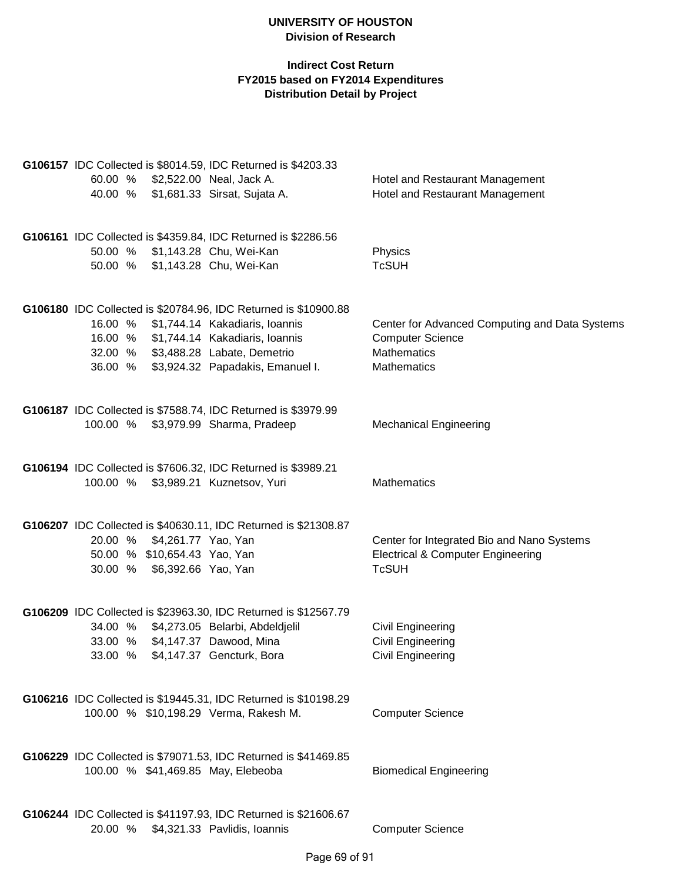|                              | G106157 IDC Collected is \$8014.59, IDC Returned is \$4203.33   |                                                |
|------------------------------|-----------------------------------------------------------------|------------------------------------------------|
| 60.00 %                      | \$2,522.00 Neal, Jack A.                                        | Hotel and Restaurant Management                |
|                              | 40.00 % \$1,681.33 Sirsat, Sujata A.                            | Hotel and Restaurant Management                |
|                              |                                                                 |                                                |
|                              |                                                                 |                                                |
|                              | G106161 IDC Collected is \$4359.84, IDC Returned is \$2286.56   |                                                |
|                              | 50.00 % \$1,143.28 Chu, Wei-Kan                                 | Physics                                        |
|                              | 50.00 % \$1,143.28 Chu, Wei-Kan                                 | <b>TcSUH</b>                                   |
|                              |                                                                 |                                                |
|                              | G106180 IDC Collected is \$20784.96, IDC Returned is \$10900.88 |                                                |
|                              | 16.00 % \$1,744.14 Kakadiaris, Ioannis                          | Center for Advanced Computing and Data Systems |
|                              | 16.00 % \$1,744.14 Kakadiaris, Ioannis                          | <b>Computer Science</b>                        |
|                              | 32.00 % \$3,488.28 Labate, Demetrio                             | Mathematics                                    |
|                              | 36.00 % \$3,924.32 Papadakis, Emanuel I.                        | Mathematics                                    |
|                              |                                                                 |                                                |
|                              | G106187 IDC Collected is \$7588.74, IDC Returned is \$3979.99   |                                                |
|                              | 100.00 % \$3,979.99 Sharma, Pradeep                             | <b>Mechanical Engineering</b>                  |
|                              |                                                                 |                                                |
|                              |                                                                 |                                                |
|                              | G106194 IDC Collected is \$7606.32, IDC Returned is \$3989.21   |                                                |
|                              | 100.00 % \$3,989.21 Kuznetsov, Yuri                             | Mathematics                                    |
|                              |                                                                 |                                                |
|                              | G106207 IDC Collected is \$40630.11, IDC Returned is \$21308.87 |                                                |
| 20.00 % \$4,261.77 Yao, Yan  |                                                                 | Center for Integrated Bio and Nano Systems     |
| 50.00 % \$10,654.43 Yao, Yan |                                                                 | <b>Electrical &amp; Computer Engineering</b>   |
| 30.00 % \$6,392.66 Yao, Yan  |                                                                 | <b>TcSUH</b>                                   |
|                              |                                                                 |                                                |
|                              |                                                                 |                                                |
|                              | G106209 IDC Collected is \$23963.30, IDC Returned is \$12567.79 |                                                |
|                              | 34.00 % \$4,273.05 Belarbi, Abdeldjelil                         | <b>Civil Engineering</b>                       |
| 33.00 %                      | \$4,147.37 Dawood, Mina                                         | Civil Engineering                              |
| 33.00 %                      | \$4,147.37 Gencturk, Bora                                       | Civil Engineering                              |
|                              |                                                                 |                                                |
|                              | G106216 IDC Collected is \$19445.31, IDC Returned is \$10198.29 |                                                |
|                              | 100.00 % \$10,198.29 Verma, Rakesh M.                           | <b>Computer Science</b>                        |
|                              |                                                                 |                                                |
|                              | G106229 IDC Collected is \$79071.53, IDC Returned is \$41469.85 |                                                |
|                              | 100.00 % \$41,469.85 May, Elebeoba                              | <b>Biomedical Engineering</b>                  |
|                              |                                                                 |                                                |
|                              |                                                                 |                                                |
|                              | G106244 IDC Collected is \$41197.93, IDC Returned is \$21606.67 |                                                |
| 20.00 %                      | \$4,321.33 Pavlidis, Ioannis                                    | <b>Computer Science</b>                        |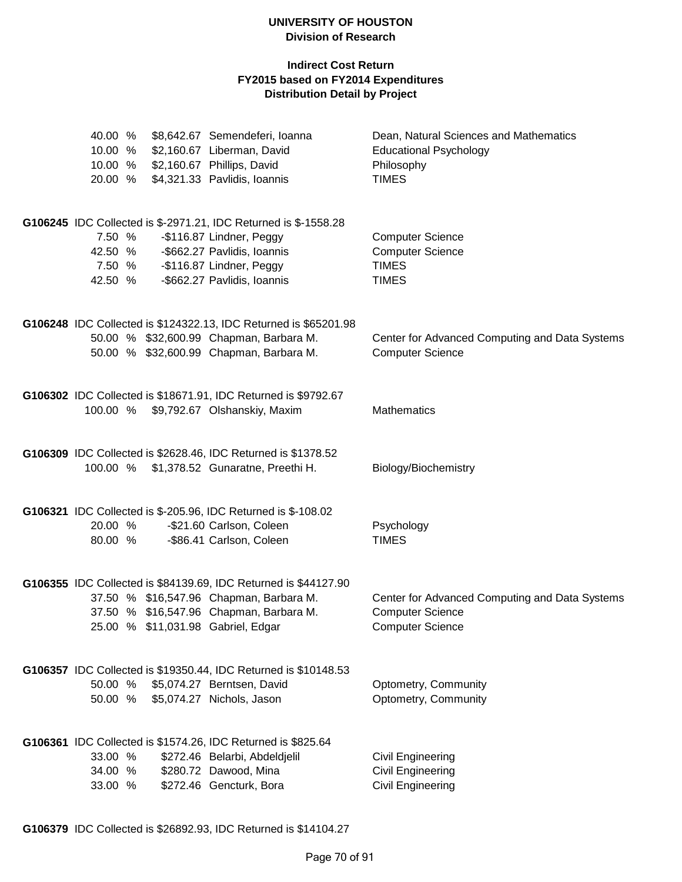| 40.00 %<br>10.00 %<br>10.00 %<br>20.00 % |  | \$8,642.67 Semendeferi, Ioanna<br>\$2,160.67 Liberman, David<br>\$2,160.67 Phillips, David<br>\$4,321.33 Pavlidis, Ioannis                                                                             | Dean, Natural Sciences and Mathematics<br><b>Educational Psychology</b><br>Philosophy<br><b>TIMES</b> |
|------------------------------------------|--|--------------------------------------------------------------------------------------------------------------------------------------------------------------------------------------------------------|-------------------------------------------------------------------------------------------------------|
| 7.50 %<br>42.50 %                        |  | G106245 IDC Collected is \$-2971.21, IDC Returned is \$-1558.28<br>-\$116.87 Lindner, Peggy<br>42.50 % - \$662.27 Pavlidis, Ioannis<br>7.50 % - \$116.87 Lindner, Peggy<br>-\$662.27 Pavlidis, Ioannis | <b>Computer Science</b><br><b>Computer Science</b><br><b>TIMES</b><br><b>TIMES</b>                    |
|                                          |  | G106248 IDC Collected is \$124322.13, IDC Returned is \$65201.98<br>50.00 % \$32,600.99 Chapman, Barbara M.<br>50.00 % \$32,600.99 Chapman, Barbara M.                                                 | Center for Advanced Computing and Data Systems<br><b>Computer Science</b>                             |
|                                          |  | G106302 IDC Collected is \$18671.91, IDC Returned is \$9792.67<br>100.00 % \$9,792.67 Olshanskiy, Maxim                                                                                                | Mathematics                                                                                           |
|                                          |  | G106309 IDC Collected is \$2628.46, IDC Returned is \$1378.52<br>100.00 % \$1,378.52 Gunaratne, Preethi H.                                                                                             | Biology/Biochemistry                                                                                  |
| 20.00 %<br>80.00 %                       |  | G106321 IDC Collected is \$-205.96, IDC Returned is \$-108.02<br>-\$21.60 Carlson, Coleen<br>-\$86.41 Carlson, Coleen                                                                                  | Psychology<br><b>TIMES</b>                                                                            |
|                                          |  | G106355 IDC Collected is \$84139.69, IDC Returned is \$44127.90<br>37.50 % \$16,547.96 Chapman, Barbara M.<br>37.50 % \$16,547.96 Chapman, Barbara M.<br>25.00 % \$11,031.98 Gabriel, Edgar            | Center for Advanced Computing and Data Systems<br><b>Computer Science</b><br><b>Computer Science</b>  |
| 50.00 %<br>50.00 %                       |  | G106357 IDC Collected is \$19350.44, IDC Returned is \$10148.53<br>\$5,074.27 Berntsen, David<br>\$5,074.27 Nichols, Jason                                                                             | Optometry, Community<br>Optometry, Community                                                          |
| 33.00 %<br>34.00 %<br>33.00 %            |  | G106361 IDC Collected is \$1574.26, IDC Returned is \$825.64<br>\$272.46 Belarbi, Abdeldjelil<br>\$280.72 Dawood, Mina<br>\$272.46 Gencturk, Bora                                                      | <b>Civil Engineering</b><br><b>Civil Engineering</b><br><b>Civil Engineering</b>                      |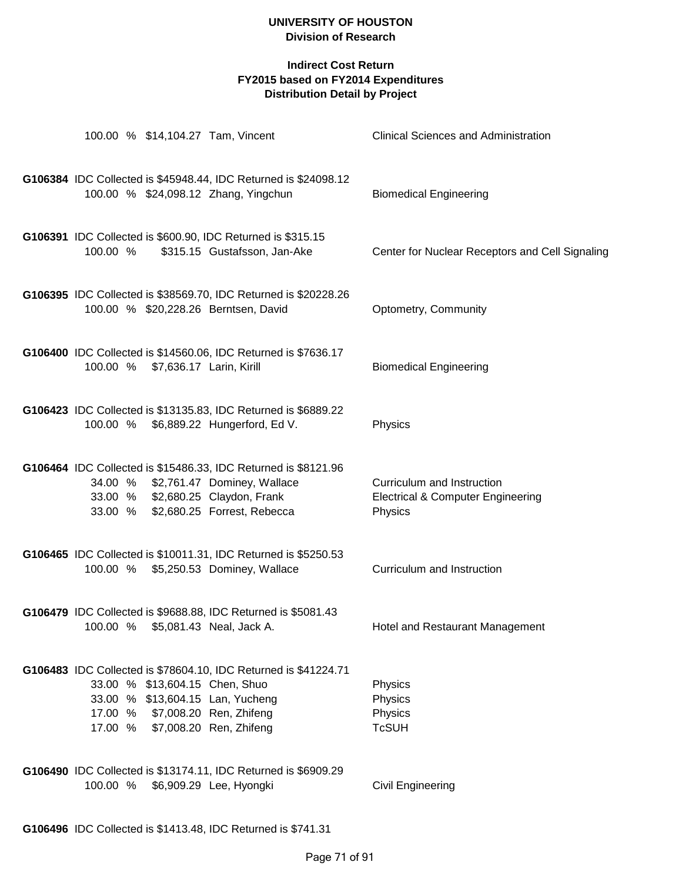| 100.00 % \$14,104.27 Tam, Vincent                                                                                                        |                                                                                             | <b>Clinical Sciences and Administration</b>                                           |
|------------------------------------------------------------------------------------------------------------------------------------------|---------------------------------------------------------------------------------------------|---------------------------------------------------------------------------------------|
| 100.00 % \$24,098.12 Zhang, Yingchun                                                                                                     | G106384 IDC Collected is \$45948.44, IDC Returned is \$24098.12                             | <b>Biomedical Engineering</b>                                                         |
| 100.00 %                                                                                                                                 | G106391 IDC Collected is \$600.90, IDC Returned is \$315.15<br>\$315.15 Gustafsson, Jan-Ake | Center for Nuclear Receptors and Cell Signaling                                       |
| 100.00 % \$20,228.26 Berntsen, David                                                                                                     | G106395 IDC Collected is \$38569.70, IDC Returned is \$20228.26                             | Optometry, Community                                                                  |
| 100.00 % \$7,636.17 Larin, Kirill                                                                                                        | G106400 IDC Collected is \$14560.06, IDC Returned is \$7636.17                              | <b>Biomedical Engineering</b>                                                         |
| 100.00 % \$6,889.22 Hungerford, Ed V.                                                                                                    | G106423 IDC Collected is \$13135.83, IDC Returned is \$6889.22                              | Physics                                                                               |
| 34.00 % \$2,761.47 Dominey, Wallace<br>33.00 % \$2,680.25 Claydon, Frank<br>33.00 % \$2,680.25 Forrest, Rebecca                          | G106464 IDC Collected is \$15486.33, IDC Returned is \$8121.96                              | Curriculum and Instruction<br><b>Electrical &amp; Computer Engineering</b><br>Physics |
| 100.00 % \$5,250.53 Dominey, Wallace                                                                                                     | G106465 IDC Collected is \$10011.31, IDC Returned is \$5250.53                              | Curriculum and Instruction                                                            |
| 100.00 % \$5,081.43 Neal, Jack A.                                                                                                        | G106479 IDC Collected is \$9688.88, IDC Returned is \$5081.43                               | Hotel and Restaurant Management                                                       |
| 33.00 % \$13,604.15 Chen, Shuo<br>33.00 % \$13,604.15 Lan, Yucheng<br>17.00 % \$7,008.20 Ren, Zhifeng<br>17.00 % \$7,008.20 Ren, Zhifeng | G106483 IDC Collected is \$78604.10, IDC Returned is \$41224.71                             | Physics<br>Physics<br>Physics<br><b>TcSUH</b>                                         |
| 100.00 % \$6,909.29 Lee, Hyongki                                                                                                         | G106490 IDC Collected is \$13174.11, IDC Returned is \$6909.29                              | <b>Civil Engineering</b>                                                              |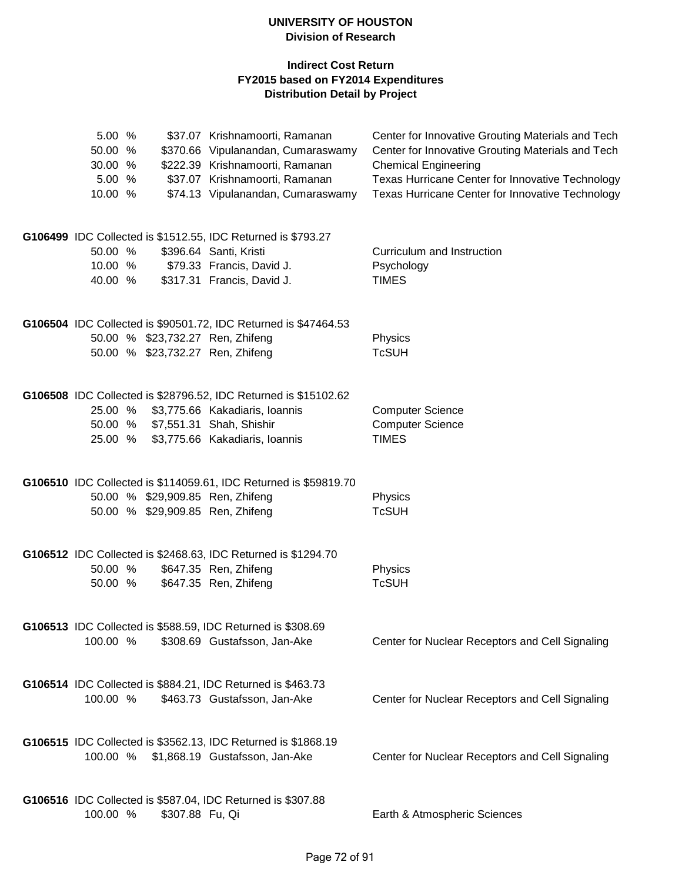| 5.00 %<br>50.00 %<br>30.00 %<br>5.00 %<br>10.00 % |                 | \$37.07 Krishnamoorti, Ramanan<br>\$370.66 Vipulanandan, Cumaraswamy<br>\$222.39 Krishnamoorti, Ramanan<br>\$37.07 Krishnamoorti, Ramanan<br>\$74.13 Vipulanandan, Cumaraswamy | Center for Innovative Grouting Materials and Tech<br>Center for Innovative Grouting Materials and Tech<br><b>Chemical Engineering</b><br>Texas Hurricane Center for Innovative Technology<br>Texas Hurricane Center for Innovative Technology |
|---------------------------------------------------|-----------------|--------------------------------------------------------------------------------------------------------------------------------------------------------------------------------|-----------------------------------------------------------------------------------------------------------------------------------------------------------------------------------------------------------------------------------------------|
| 50.00 %<br>10.00 %<br>40.00 %                     |                 | G106499 IDC Collected is \$1512.55, IDC Returned is \$793.27<br>\$396.64 Santi, Kristi<br>\$79.33 Francis, David J.<br>\$317.31 Francis, David J.                              | Curriculum and Instruction<br>Psychology<br><b>TIMES</b>                                                                                                                                                                                      |
|                                                   |                 | G106504 IDC Collected is \$90501.72, IDC Returned is \$47464.53<br>50.00 % \$23,732.27 Ren, Zhifeng<br>50.00 % \$23,732.27 Ren, Zhifeng                                        | Physics<br><b>TcSUH</b>                                                                                                                                                                                                                       |
| 25.00 %<br>50.00 %<br>25.00 %                     |                 | G106508 IDC Collected is \$28796.52, IDC Returned is \$15102.62<br>\$3,775.66 Kakadiaris, Ioannis<br>\$7,551.31 Shah, Shishir<br>\$3,775.66 Kakadiaris, Ioannis                | <b>Computer Science</b><br><b>Computer Science</b><br><b>TIMES</b>                                                                                                                                                                            |
|                                                   |                 | G106510 IDC Collected is \$114059.61, IDC Returned is \$59819.70<br>50.00 % \$29,909.85 Ren, Zhifeng<br>50.00 % \$29,909.85 Ren, Zhifeng                                       | Physics<br><b>TcSUH</b>                                                                                                                                                                                                                       |
| 50.00 %<br>50.00 %                                |                 | G106512 IDC Collected is \$2468.63, IDC Returned is \$1294.70<br>\$647.35 Ren, Zhifeng<br>\$647.35 Ren, Zhifeng                                                                | Physics<br><b>TcSUH</b>                                                                                                                                                                                                                       |
| 100.00 %                                          |                 | G106513 IDC Collected is \$588.59, IDC Returned is \$308.69<br>\$308.69 Gustafsson, Jan-Ake                                                                                    | Center for Nuclear Receptors and Cell Signaling                                                                                                                                                                                               |
| 100.00 %                                          |                 | G106514 IDC Collected is \$884.21, IDC Returned is \$463.73<br>\$463.73 Gustafsson, Jan-Ake                                                                                    | Center for Nuclear Receptors and Cell Signaling                                                                                                                                                                                               |
| 100.00 %                                          |                 | G106515 IDC Collected is \$3562.13, IDC Returned is \$1868.19<br>\$1,868.19 Gustafsson, Jan-Ake                                                                                | Center for Nuclear Receptors and Cell Signaling                                                                                                                                                                                               |
| 100.00 %                                          | \$307.88 Fu, Qi | G106516 IDC Collected is \$587.04, IDC Returned is \$307.88                                                                                                                    | Earth & Atmospheric Sciences                                                                                                                                                                                                                  |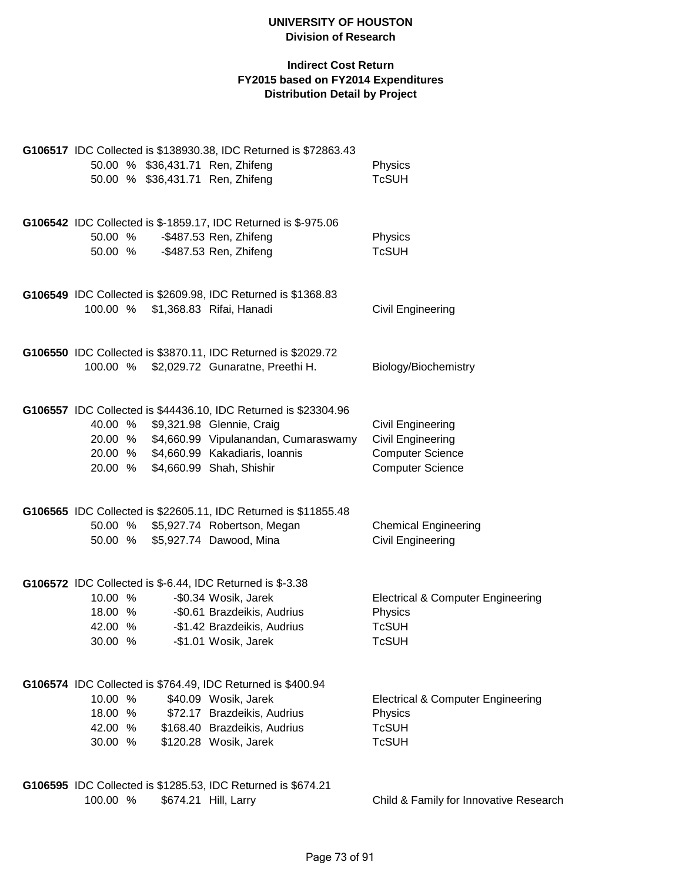|                                          |  | G106517 IDC Collected is \$138930.38, IDC Returned is \$72863.43<br>50.00 % \$36,431.71 Ren, Zhifeng<br>50.00 % \$36,431.71 Ren, Zhifeng                                                                                                       | Physics<br><b>TcSUH</b>                                                                             |
|------------------------------------------|--|------------------------------------------------------------------------------------------------------------------------------------------------------------------------------------------------------------------------------------------------|-----------------------------------------------------------------------------------------------------|
|                                          |  | G106542 IDC Collected is \$-1859.17, IDC Returned is \$-975.06<br>50.00 % - \$487.53 Ren, Zhifeng<br>50.00 % - \$487.53 Ren, Zhifeng                                                                                                           | Physics<br><b>TcSUH</b>                                                                             |
|                                          |  | G106549 IDC Collected is \$2609.98, IDC Returned is \$1368.83<br>100.00 % \$1,368.83 Rifai, Hanadi                                                                                                                                             | Civil Engineering                                                                                   |
|                                          |  | G106550 IDC Collected is \$3870.11, IDC Returned is \$2029.72<br>100.00 % \$2,029.72 Gunaratne, Preethi H.                                                                                                                                     | Biology/Biochemistry                                                                                |
| 40.00 %<br>20.00 %                       |  | G106557 IDC Collected is \$44436.10, IDC Returned is \$23304.96<br>\$9,321.98 Glennie, Craig<br>20.00 % \$4,660.99 Vipulanandan, Cumaraswamy<br>20.00 % \$4,660.99 Kakadiaris, Ioannis<br>\$4,660.99 Shah, Shishir                             | Civil Engineering<br><b>Civil Engineering</b><br><b>Computer Science</b><br><b>Computer Science</b> |
|                                          |  | G106565 IDC Collected is \$22605.11, IDC Returned is \$11855.48<br>50.00 % \$5,927.74 Robertson, Megan<br>50.00 % \$5,927.74 Dawood, Mina                                                                                                      | <b>Chemical Engineering</b><br>Civil Engineering                                                    |
| 10.00 %<br>42.00 %<br>30.00 %            |  | G106572 IDC Collected is \$-6.44, IDC Returned is \$-3.38<br>-\$0.34 Wosik, Jarek<br>18.00 % -\$0.61 Brazdeikis, Audrius<br>-\$1.42 Brazdeikis, Audrius<br>-\$1.01 Wosik, Jarek<br>G106574 IDC Collected is \$764.49, IDC Returned is \$400.94 | <b>Electrical &amp; Computer Engineering</b><br>Physics<br><b>TcSUH</b><br><b>TcSUH</b>             |
| 10.00 %<br>18.00 %<br>42.00 %<br>30.00 % |  | \$40.09 Wosik, Jarek<br>\$72.17 Brazdeikis, Audrius<br>\$168.40 Brazdeikis, Audrius<br>\$120.28 Wosik, Jarek                                                                                                                                   | <b>Electrical &amp; Computer Engineering</b><br>Physics<br><b>TcSUH</b><br><b>TcSUH</b>             |
| 100.00 %                                 |  | G106595 IDC Collected is \$1285.53, IDC Returned is \$674.21<br>\$674.21 Hill, Larry                                                                                                                                                           | Child & Family for Innovative Research                                                              |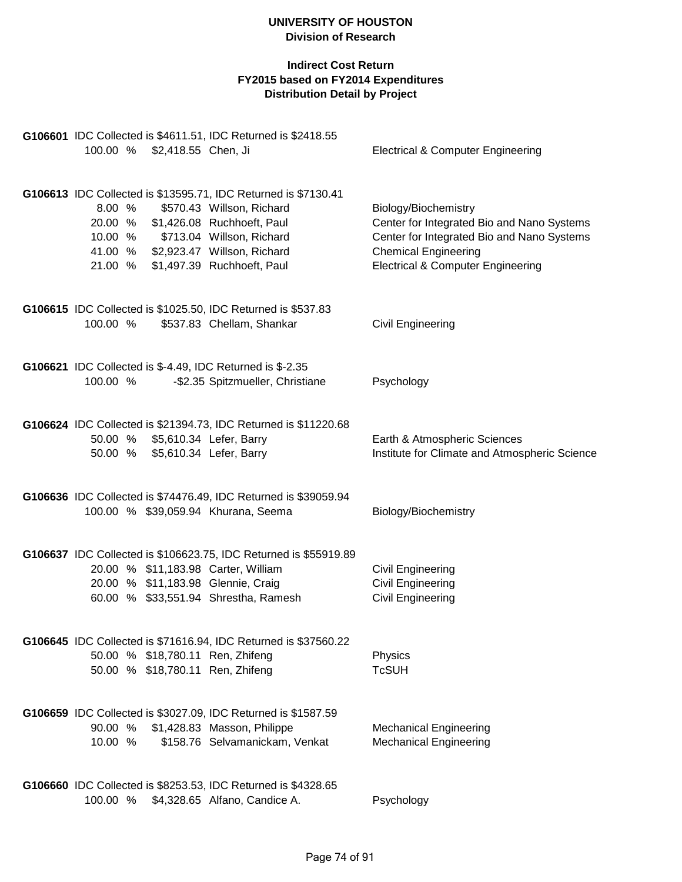|          |                                 | G106601 IDC Collected is \$4611.51, IDC Returned is \$2418.55    |                                               |
|----------|---------------------------------|------------------------------------------------------------------|-----------------------------------------------|
|          | 100.00 % \$2,418.55 Chen, Ji    |                                                                  | <b>Electrical &amp; Computer Engineering</b>  |
|          |                                 |                                                                  |                                               |
|          |                                 | G106613 IDC Collected is \$13595.71, IDC Returned is \$7130.41   |                                               |
| 8.00 %   |                                 | \$570.43 Willson, Richard                                        | Biology/Biochemistry                          |
|          |                                 | 20.00 % \$1,426.08 Ruchhoeft, Paul                               | Center for Integrated Bio and Nano Systems    |
| 10.00 %  |                                 | \$713.04 Willson, Richard                                        | Center for Integrated Bio and Nano Systems    |
|          |                                 | 41.00 % \$2,923.47 Willson, Richard                              | <b>Chemical Engineering</b>                   |
|          |                                 | 21.00 % \$1,497.39 Ruchhoeft, Paul                               | <b>Electrical &amp; Computer Engineering</b>  |
|          |                                 |                                                                  |                                               |
|          |                                 | G106615 IDC Collected is \$1025.50, IDC Returned is \$537.83     |                                               |
| 100.00 % |                                 | \$537.83 Chellam, Shankar                                        | Civil Engineering                             |
|          |                                 |                                                                  |                                               |
|          |                                 | G106621 IDC Collected is \$-4.49, IDC Returned is \$-2.35        |                                               |
| 100.00 % |                                 | -\$2.35 Spitzmueller, Christiane                                 | Psychology                                    |
|          |                                 |                                                                  |                                               |
|          |                                 | G106624 IDC Collected is \$21394.73, IDC Returned is \$11220.68  |                                               |
|          | 50.00 % \$5,610.34 Lefer, Barry |                                                                  | Earth & Atmospheric Sciences                  |
|          | 50.00 % \$5,610.34 Lefer, Barry |                                                                  | Institute for Climate and Atmospheric Science |
|          |                                 |                                                                  |                                               |
|          |                                 | G106636 IDC Collected is \$74476.49, IDC Returned is \$39059.94  |                                               |
|          |                                 | 100.00 % \$39,059.94 Khurana, Seema                              | Biology/Biochemistry                          |
|          |                                 |                                                                  |                                               |
|          |                                 | G106637 IDC Collected is \$106623.75, IDC Returned is \$55919.89 |                                               |
|          |                                 | 20.00 % \$11,183.98 Carter, William                              | <b>Civil Engineering</b>                      |
|          |                                 | 20.00 % \$11,183.98 Glennie, Craig                               | Civil Engineering                             |
|          |                                 | 60.00 % \$33,551.94 Shrestha, Ramesh                             | Civil Engineering                             |
|          |                                 |                                                                  |                                               |
|          |                                 | G106645 IDC Collected is \$71616.94, IDC Returned is \$37560.22  |                                               |
|          |                                 | 50.00 % \$18,780.11 Ren, Zhifeng                                 | Physics                                       |
|          |                                 | 50.00 % \$18,780.11 Ren, Zhifeng                                 | <b>TcSUH</b>                                  |
|          |                                 |                                                                  |                                               |
|          |                                 | G106659 IDC Collected is \$3027.09, IDC Returned is \$1587.59    |                                               |
| 90.00 %  |                                 | \$1,428.83 Masson, Philippe                                      | <b>Mechanical Engineering</b>                 |
| 10.00 %  |                                 | \$158.76 Selvamanickam, Venkat                                   | <b>Mechanical Engineering</b>                 |
|          |                                 |                                                                  |                                               |
|          |                                 | G106660 IDC Collected is \$8253.53, IDC Returned is \$4328.65    |                                               |
|          |                                 | 100.00 % \$4,328.65 Alfano, Candice A.                           | Psychology                                    |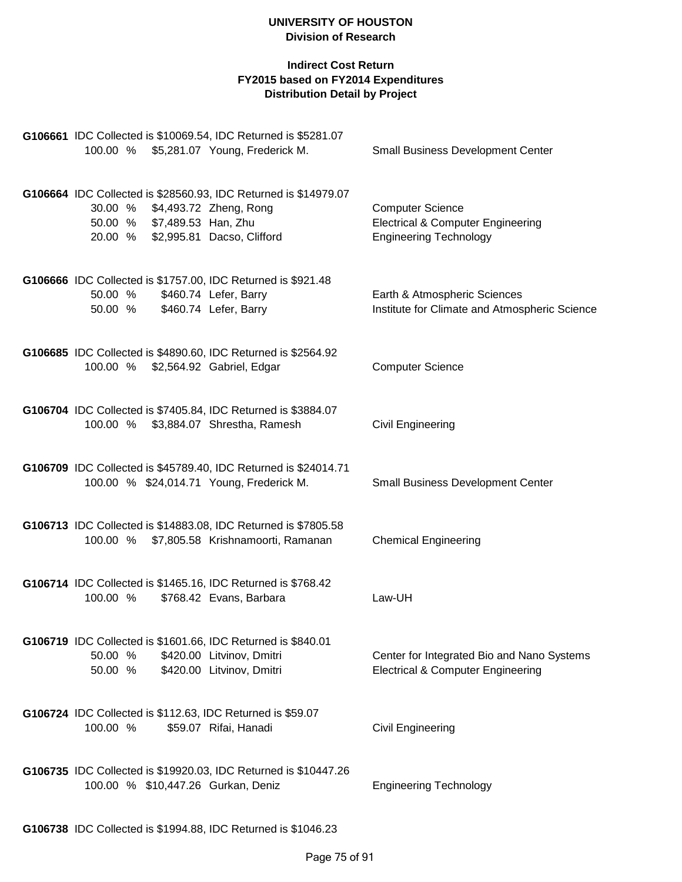| G106661 IDC Collected is \$10069.54, IDC Returned is \$5281.07<br>100.00 % \$5,281.07 Young, Frederick M.                                                              | <b>Small Business Development Center</b>                                                                 |
|------------------------------------------------------------------------------------------------------------------------------------------------------------------------|----------------------------------------------------------------------------------------------------------|
|                                                                                                                                                                        |                                                                                                          |
| G106664 IDC Collected is \$28560.93, IDC Returned is \$14979.07<br>30.00 % \$4,493.72 Zheng, Rong<br>50.00 % \$7,489.53 Han, Zhu<br>20.00 % \$2,995.81 Dacso, Clifford | <b>Computer Science</b><br><b>Electrical &amp; Computer Engineering</b><br><b>Engineering Technology</b> |
| G106666 IDC Collected is \$1757.00, IDC Returned is \$921.48<br>50.00 %<br>\$460.74 Lefer, Barry<br>\$460.74 Lefer, Barry<br>50.00 %                                   | Earth & Atmospheric Sciences<br>Institute for Climate and Atmospheric Science                            |
| G106685 IDC Collected is \$4890.60, IDC Returned is \$2564.92<br>100.00 % \$2,564.92 Gabriel, Edgar                                                                    | <b>Computer Science</b>                                                                                  |
| G106704 IDC Collected is \$7405.84, IDC Returned is \$3884.07<br>100.00 %<br>\$3,884.07 Shrestha, Ramesh                                                               | Civil Engineering                                                                                        |
| G106709 IDC Collected is \$45789.40, IDC Returned is \$24014.71<br>100.00 % \$24,014.71 Young, Frederick M.                                                            | <b>Small Business Development Center</b>                                                                 |
| G106713 IDC Collected is \$14883.08, IDC Returned is \$7805.58<br>100.00 % \$7,805.58 Krishnamoorti, Ramanan                                                           | <b>Chemical Engineering</b>                                                                              |
| G106714 IDC Collected is \$1465.16, IDC Returned is \$768.42<br>100.00 %<br>\$768.42 Evans, Barbara                                                                    | Law-UH                                                                                                   |
| G106719 IDC Collected is \$1601.66, IDC Returned is \$840.01<br>50.00 %<br>\$420.00 Litvinov, Dmitri<br>\$420.00 Litvinov, Dmitri<br>50.00 %                           | Center for Integrated Bio and Nano Systems<br><b>Electrical &amp; Computer Engineering</b>               |
| G106724 IDC Collected is \$112.63, IDC Returned is \$59.07<br>100.00 %<br>\$59.07 Rifai, Hanadi                                                                        | <b>Civil Engineering</b>                                                                                 |
| G106735 IDC Collected is \$19920.03, IDC Returned is \$10447.26<br>100.00 % \$10,447.26 Gurkan, Deniz                                                                  | <b>Engineering Technology</b>                                                                            |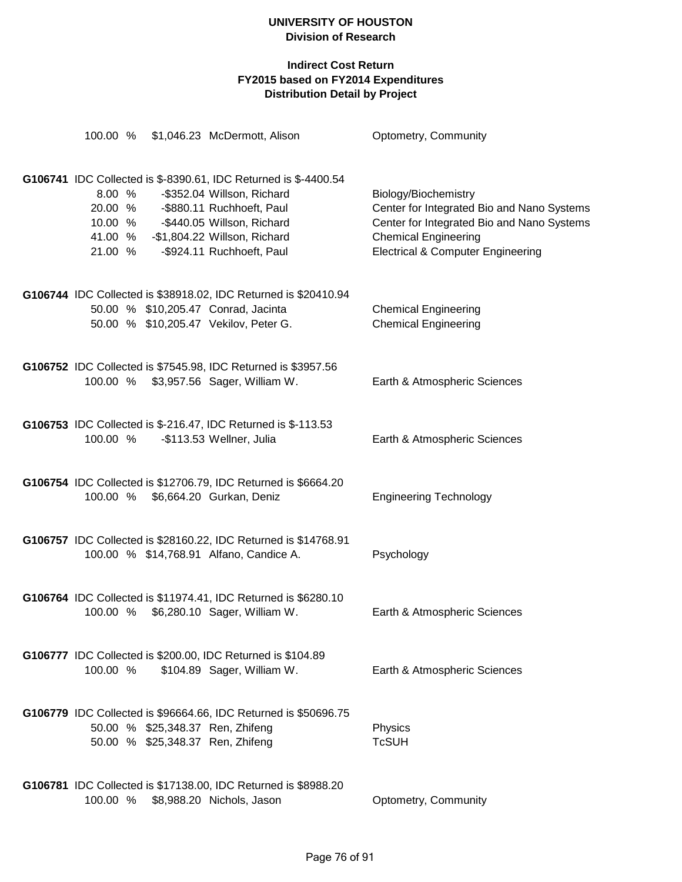|                              |  | 100.00 % \$1,046.23 McDermott, Alison                                                                                                                                                                                                   | Optometry, Community                                                                                                                                                                            |
|------------------------------|--|-----------------------------------------------------------------------------------------------------------------------------------------------------------------------------------------------------------------------------------------|-------------------------------------------------------------------------------------------------------------------------------------------------------------------------------------------------|
| 8.00 %<br>41.00 %<br>21.00 % |  | G106741 IDC Collected is \$-8390.61, IDC Returned is \$-4400.54<br>-\$352.04 Willson, Richard<br>20.00 % - \$880.11 Ruchhoeft, Paul<br>10.00 % - \$440.05 Willson, Richard<br>-\$1,804.22 Willson, Richard<br>-\$924.11 Ruchhoeft, Paul | Biology/Biochemistry<br>Center for Integrated Bio and Nano Systems<br>Center for Integrated Bio and Nano Systems<br><b>Chemical Engineering</b><br><b>Electrical &amp; Computer Engineering</b> |
|                              |  | G106744 IDC Collected is \$38918.02, IDC Returned is \$20410.94<br>50.00 % \$10,205.47 Conrad, Jacinta<br>50.00 % \$10,205.47 Vekilov, Peter G.                                                                                         | <b>Chemical Engineering</b><br><b>Chemical Engineering</b>                                                                                                                                      |
|                              |  | G106752 IDC Collected is \$7545.98, IDC Returned is \$3957.56<br>100.00 % \$3,957.56 Sager, William W.                                                                                                                                  | Earth & Atmospheric Sciences                                                                                                                                                                    |
| 100.00 %                     |  | G106753 IDC Collected is \$-216.47, IDC Returned is \$-113.53<br>-\$113.53 Wellner, Julia                                                                                                                                               | Earth & Atmospheric Sciences                                                                                                                                                                    |
| 100.00 %                     |  | G106754 IDC Collected is \$12706.79, IDC Returned is \$6664.20<br>\$6,664.20 Gurkan, Deniz                                                                                                                                              | <b>Engineering Technology</b>                                                                                                                                                                   |
|                              |  | G106757 IDC Collected is \$28160.22, IDC Returned is \$14768.91<br>100.00 % \$14,768.91 Alfano, Candice A.                                                                                                                              | Psychology                                                                                                                                                                                      |
|                              |  | G106764 IDC Collected is \$11974.41, IDC Returned is \$6280.10<br>100.00 % \$6,280.10 Sager, William W.                                                                                                                                 | Earth & Atmospheric Sciences                                                                                                                                                                    |
| 100.00 %                     |  | G106777 IDC Collected is \$200.00, IDC Returned is \$104.89<br>\$104.89 Sager, William W.                                                                                                                                               | Earth & Atmospheric Sciences                                                                                                                                                                    |
|                              |  | G106779 IDC Collected is \$96664.66, IDC Returned is \$50696.75<br>50.00 % \$25,348.37 Ren, Zhifeng<br>50.00 % \$25,348.37 Ren, Zhifeng                                                                                                 | Physics<br><b>TcSUH</b>                                                                                                                                                                         |
| 100.00 %                     |  | G106781 IDC Collected is \$17138.00, IDC Returned is \$8988.20<br>\$8,988.20 Nichols, Jason                                                                                                                                             | Optometry, Community                                                                                                                                                                            |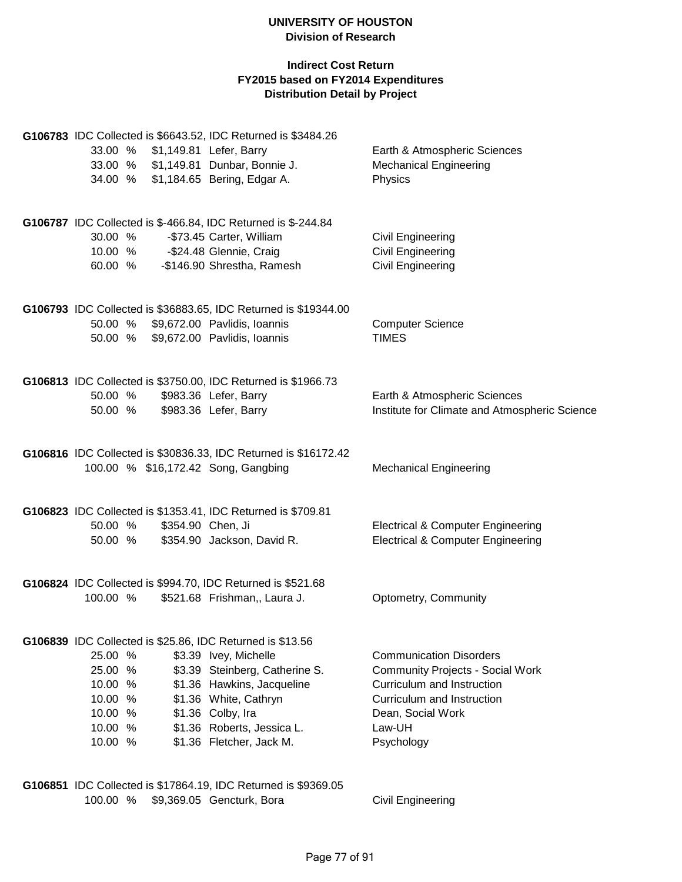#### **Indirect Cost Return FY2015 based on FY2014 Expenditures Distribution Detail by Project**

|          |                   | G106783 IDC Collected is \$6643.52, IDC Returned is \$3484.26   |                                               |
|----------|-------------------|-----------------------------------------------------------------|-----------------------------------------------|
|          |                   | 33.00 % \$1,149.81 Lefer, Barry                                 | Earth & Atmospheric Sciences                  |
|          |                   | 33.00 % \$1,149.81 Dunbar, Bonnie J.                            | <b>Mechanical Engineering</b>                 |
|          |                   | 34.00 % \$1,184.65 Bering, Edgar A.                             | Physics                                       |
|          |                   | G106787 IDC Collected is \$-466.84, IDC Returned is \$-244.84   |                                               |
| 30.00 %  |                   | -\$73.45 Carter, William                                        | Civil Engineering                             |
|          |                   | 10.00 % - \$24.48 Glennie, Craig                                | Civil Engineering                             |
| 60.00 %  |                   | -\$146.90 Shrestha, Ramesh                                      | Civil Engineering                             |
|          |                   | G106793 IDC Collected is \$36883.65, IDC Returned is \$19344.00 |                                               |
|          |                   | 50.00 % \$9,672.00 Pavlidis, Ioannis                            | <b>Computer Science</b>                       |
|          |                   | 50.00 % \$9,672.00 Pavlidis, Ioannis                            | <b>TIMES</b>                                  |
|          |                   | G106813 IDC Collected is \$3750.00, IDC Returned is \$1966.73   |                                               |
| 50.00 %  |                   | \$983.36 Lefer, Barry                                           | Earth & Atmospheric Sciences                  |
| 50.00 %  |                   | \$983.36 Lefer, Barry                                           | Institute for Climate and Atmospheric Science |
|          |                   | G106816 IDC Collected is \$30836.33, IDC Returned is \$16172.42 |                                               |
|          |                   | 100.00 % \$16,172.42 Song, Gangbing                             | <b>Mechanical Engineering</b>                 |
|          |                   | G106823 IDC Collected is \$1353.41, IDC Returned is \$709.81    |                                               |
| 50.00 %  | \$354.90 Chen, Ji |                                                                 | <b>Electrical &amp; Computer Engineering</b>  |
| 50.00 %  |                   | \$354.90 Jackson, David R.                                      | <b>Electrical &amp; Computer Engineering</b>  |
|          |                   | G106824 IDC Collected is \$994.70, IDC Returned is \$521.68     |                                               |
| 100.00 % |                   | \$521.68 Frishman,, Laura J.                                    | Optometry, Community                          |
|          |                   | G106839 IDC Collected is \$25.86, IDC Returned is \$13.56       |                                               |
| 25.00 %  |                   | \$3.39 Ivey, Michelle                                           | <b>Communication Disorders</b>                |
| 25.00 %  |                   | \$3.39 Steinberg, Catherine S.                                  | <b>Community Projects - Social Work</b>       |
| 10.00 %  |                   | \$1.36 Hawkins, Jacqueline                                      | Curriculum and Instruction                    |
| 10.00 %  |                   | \$1.36 White, Cathryn                                           | Curriculum and Instruction                    |
| 10.00 %  |                   | \$1.36 Colby, Ira                                               | Dean, Social Work                             |
| 10.00 %  |                   | \$1.36 Roberts, Jessica L.                                      | Law-UH                                        |
| 10.00 %  |                   | \$1.36 Fletcher, Jack M.                                        | Psychology                                    |
|          |                   |                                                                 |                                               |

**G106851** IDC Collected is \$17864.19, IDC Returned is \$9369.05 100.00 % \$9,369.05 Gencturk, Bora Civil Engineering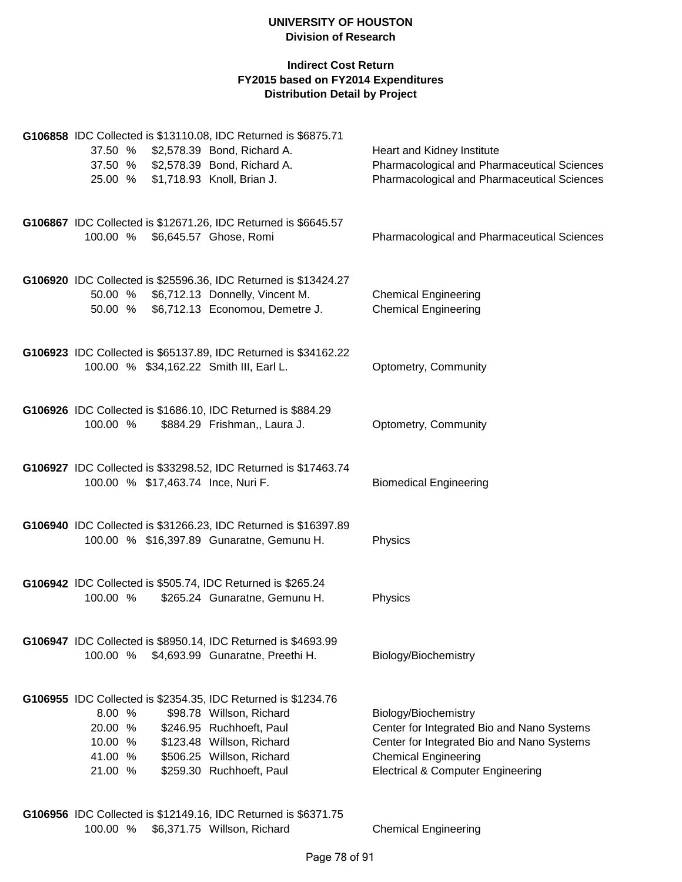## **Indirect Cost Return FY2015 based on FY2014 Expenditures Distribution Detail by Project**

|                                                              | G106858 IDC Collected is \$13110.08, IDC Returned is \$6875.71  |                                                                                          |
|--------------------------------------------------------------|-----------------------------------------------------------------|------------------------------------------------------------------------------------------|
| 37.50 %                                                      | \$2,578.39 Bond, Richard A.                                     | Heart and Kidney Institute                                                               |
| 37.50 % \$2,578.39 Bond, Richard A.                          |                                                                 | Pharmacological and Pharmaceutical Sciences                                              |
| 25.00 % \$1,718.93 Knoll, Brian J.                           |                                                                 | Pharmacological and Pharmaceutical Sciences                                              |
|                                                              |                                                                 |                                                                                          |
|                                                              | G106867 IDC Collected is \$12671.26, IDC Returned is \$6645.57  |                                                                                          |
| 100.00 %                                                     | \$6,645.57 Ghose, Romi                                          | Pharmacological and Pharmaceutical Sciences                                              |
|                                                              |                                                                 |                                                                                          |
|                                                              |                                                                 |                                                                                          |
|                                                              | G106920 IDC Collected is \$25596.36, IDC Returned is \$13424.27 |                                                                                          |
| 50.00 % \$6,712.13 Donnelly, Vincent M.                      |                                                                 | <b>Chemical Engineering</b>                                                              |
|                                                              | 50.00 % \$6,712.13 Economou, Demetre J.                         | <b>Chemical Engineering</b>                                                              |
|                                                              |                                                                 |                                                                                          |
|                                                              | G106923 IDC Collected is \$65137.89, IDC Returned is \$34162.22 |                                                                                          |
| 100.00 % \$34,162.22 Smith III, Earl L.                      |                                                                 | Optometry, Community                                                                     |
|                                                              |                                                                 |                                                                                          |
| G106926 IDC Collected is \$1686.10, IDC Returned is \$884.29 |                                                                 |                                                                                          |
| 100.00 %                                                     | \$884.29 Frishman,, Laura J.                                    | Optometry, Community                                                                     |
|                                                              |                                                                 |                                                                                          |
|                                                              |                                                                 |                                                                                          |
| 100.00 % \$17,463.74 Ince, Nuri F.                           | G106927 IDC Collected is \$33298.52, IDC Returned is \$17463.74 | <b>Biomedical Engineering</b>                                                            |
|                                                              |                                                                 |                                                                                          |
|                                                              |                                                                 |                                                                                          |
|                                                              | G106940 IDC Collected is \$31266.23, IDC Returned is \$16397.89 |                                                                                          |
|                                                              | 100.00 % \$16,397.89 Gunaratne, Gemunu H.                       | Physics                                                                                  |
|                                                              |                                                                 |                                                                                          |
| G106942 IDC Collected is \$505.74, IDC Returned is \$265.24  |                                                                 |                                                                                          |
| 100.00 %                                                     | \$265.24 Gunaratne, Gemunu H.                                   | Physics                                                                                  |
|                                                              |                                                                 |                                                                                          |
|                                                              | G106947 IDC Collected is \$8950.14, IDC Returned is \$4693.99   |                                                                                          |
| 100.00 % \$4,693.99 Gunaratne, Preethi H.                    |                                                                 | Biology/Biochemistry                                                                     |
|                                                              |                                                                 |                                                                                          |
|                                                              |                                                                 |                                                                                          |
|                                                              | G106955 IDC Collected is \$2354.35, IDC Returned is \$1234.76   |                                                                                          |
| 8.00 %                                                       | \$98.78 Willson, Richard                                        | Biology/Biochemistry                                                                     |
| 20.00 %<br>10.00 %                                           | \$246.95 Ruchhoeft, Paul<br>\$123.48 Willson, Richard           | Center for Integrated Bio and Nano Systems<br>Center for Integrated Bio and Nano Systems |
| 41.00 %                                                      | \$506.25 Willson, Richard                                       | <b>Chemical Engineering</b>                                                              |
| 21.00 %                                                      | \$259.30 Ruchhoeft, Paul                                        | <b>Electrical &amp; Computer Engineering</b>                                             |
|                                                              |                                                                 |                                                                                          |
|                                                              |                                                                 |                                                                                          |
|                                                              |                                                                 |                                                                                          |

**G106956** IDC Collected is \$12149.16, IDC Returned is \$6371.75 100.00 % \$6,371.75 Willson, Richard Chemical Engineering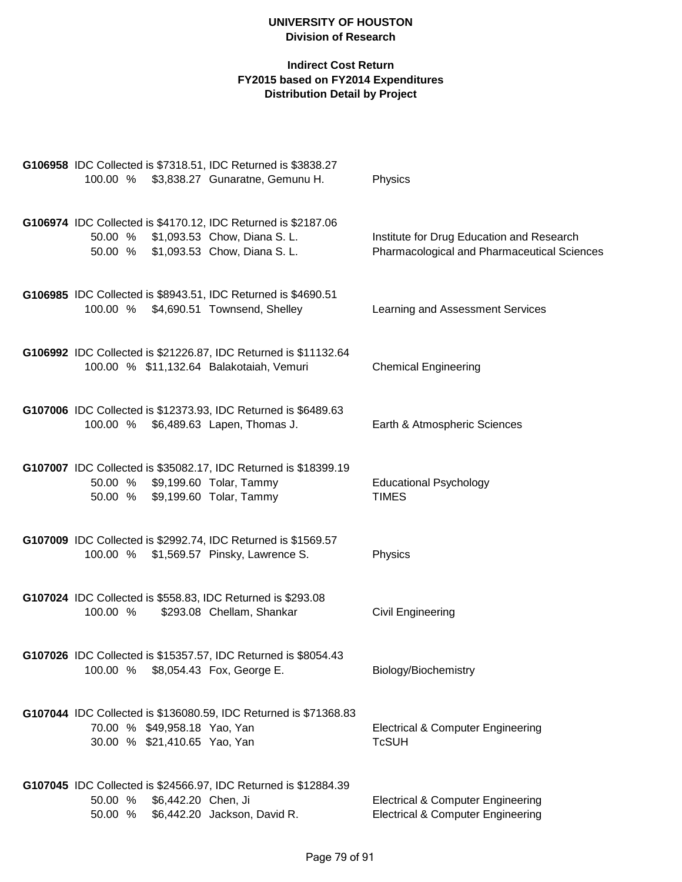| G106958 IDC Collected is \$7318.51, IDC Returned is \$3838.27<br>100.00 % \$3,838.27 Gunaratne, Gemunu H.                                        | Physics                                                                                      |
|--------------------------------------------------------------------------------------------------------------------------------------------------|----------------------------------------------------------------------------------------------|
| G106974 IDC Collected is \$4170.12, IDC Returned is \$2187.06<br>50.00 % \$1,093.53 Chow, Diana S. L.<br>\$1,093.53 Chow, Diana S. L.<br>50.00 % | Institute for Drug Education and Research<br>Pharmacological and Pharmaceutical Sciences     |
| G106985 IDC Collected is \$8943.51, IDC Returned is \$4690.51<br>\$4,690.51 Townsend, Shelley<br>100.00 %                                        | Learning and Assessment Services                                                             |
| G106992 IDC Collected is \$21226.87, IDC Returned is \$11132.64<br>100.00 % \$11,132.64 Balakotaiah, Vemuri                                      | <b>Chemical Engineering</b>                                                                  |
| G107006 IDC Collected is \$12373.93, IDC Returned is \$6489.63<br>100.00 % \$6,489.63 Lapen, Thomas J.                                           | Earth & Atmospheric Sciences                                                                 |
| G107007 IDC Collected is \$35082.17, IDC Returned is \$18399.19<br>\$9,199.60 Tolar, Tammy<br>50.00 %<br>50.00 %<br>\$9,199.60 Tolar, Tammy      | <b>Educational Psychology</b><br><b>TIMES</b>                                                |
| G107009 IDC Collected is \$2992.74, IDC Returned is \$1569.57<br>100.00 %<br>\$1,569.57 Pinsky, Lawrence S.                                      | Physics                                                                                      |
| G107024 IDC Collected is \$558.83, IDC Returned is \$293.08<br>100.00 %<br>\$293.08 Chellam, Shankar                                             | <b>Civil Engineering</b>                                                                     |
| G107026 IDC Collected is \$15357.57, IDC Returned is \$8054.43<br>\$8,054.43 Fox, George E.<br>100.00 %                                          | Biology/Biochemistry                                                                         |
| G107044 IDC Collected is \$136080.59, IDC Returned is \$71368.83<br>70.00 % \$49,958.18 Yao, Yan<br>30.00 % \$21,410.65 Yao, Yan                 | <b>Electrical &amp; Computer Engineering</b><br><b>TcSUH</b>                                 |
| G107045 IDC Collected is \$24566.97, IDC Returned is \$12884.39<br>50.00 %<br>\$6,442.20 Chen, Ji<br>\$6,442.20 Jackson, David R.<br>50.00 %     | <b>Electrical &amp; Computer Engineering</b><br><b>Electrical &amp; Computer Engineering</b> |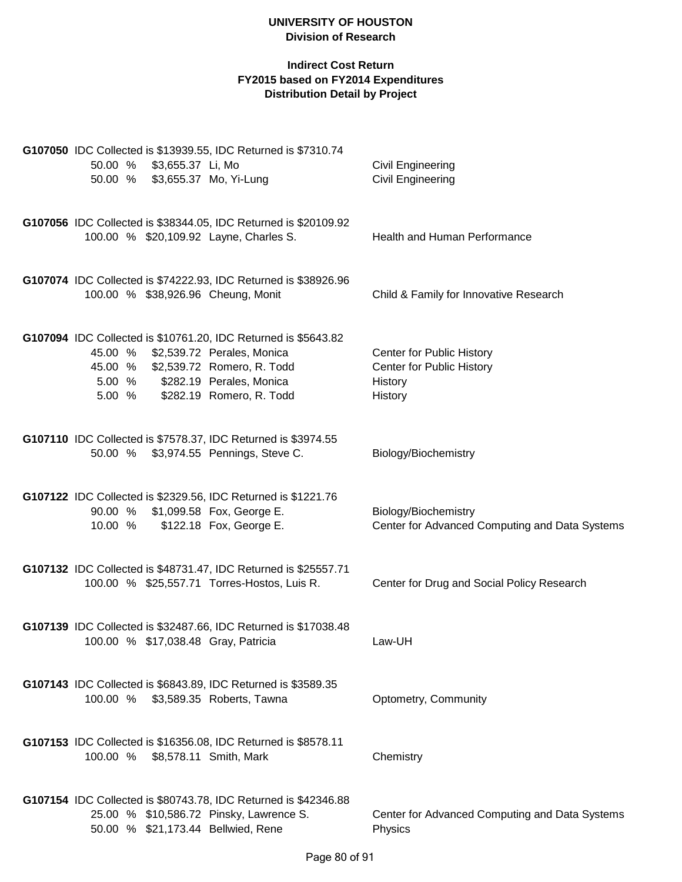| G107050 IDC Collected is \$13939.55, IDC Returned is \$7310.74<br>50.00 %<br>\$3,655.37 Li, Mo<br>50.00 % \$3,655.37 Mo, Yi-Lung                                                                                       | <b>Civil Engineering</b><br><b>Civil Engineering</b>                         |
|------------------------------------------------------------------------------------------------------------------------------------------------------------------------------------------------------------------------|------------------------------------------------------------------------------|
| G107056 IDC Collected is \$38344.05, IDC Returned is \$20109.92<br>100.00 % \$20,109.92 Layne, Charles S.                                                                                                              | Health and Human Performance                                                 |
| G107074 IDC Collected is \$74222.93, IDC Returned is \$38926.96<br>100.00 % \$38,926.96 Cheung, Monit                                                                                                                  | Child & Family for Innovative Research                                       |
| G107094 IDC Collected is \$10761.20, IDC Returned is \$5643.82<br>45.00 %<br>\$2,539.72 Perales, Monica<br>\$2,539.72 Romero, R. Todd<br>45.00 %<br>5.00 % \$282.19 Perales, Monica<br>5.00 % \$282.19 Romero, R. Todd | Center for Public History<br>Center for Public History<br>History<br>History |
| G107110 IDC Collected is \$7578.37, IDC Returned is \$3974.55<br>50.00 % \$3,974.55 Pennings, Steve C.                                                                                                                 | Biology/Biochemistry                                                         |
| G107122 IDC Collected is \$2329.56, IDC Returned is \$1221.76<br>90.00 % \$1,099.58 Fox, George E.<br>\$122.18 Fox, George E.<br>10.00 %                                                                               | Biology/Biochemistry<br>Center for Advanced Computing and Data Systems       |
| G107132 IDC Collected is \$48731.47, IDC Returned is \$25557.71<br>100.00 % \$25,557.71 Torres-Hostos, Luis R.                                                                                                         | Center for Drug and Social Policy Research                                   |
| G107139 IDC Collected is \$32487.66, IDC Returned is \$17038.48<br>100.00 % \$17,038.48 Gray, Patricia                                                                                                                 | Law-UH                                                                       |
| G107143 IDC Collected is \$6843.89, IDC Returned is \$3589.35<br>100.00 %<br>\$3,589.35 Roberts, Tawna                                                                                                                 | Optometry, Community                                                         |
| G107153 IDC Collected is \$16356.08, IDC Returned is \$8578.11<br>100.00 % \$8,578.11 Smith, Mark                                                                                                                      | Chemistry                                                                    |
| G107154 IDC Collected is \$80743.78, IDC Returned is \$42346.88<br>25.00 % \$10,586.72 Pinsky, Lawrence S.<br>50.00 % \$21,173.44 Bellwied, Rene                                                                       | Center for Advanced Computing and Data Systems<br>Physics                    |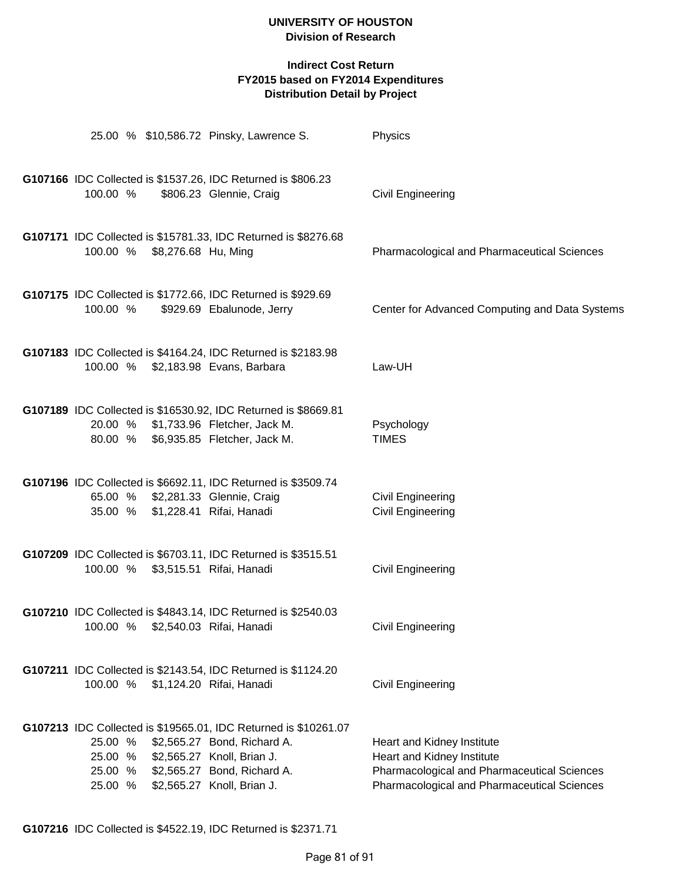|                                          |                              | 25.00 % \$10,586.72 Pinsky, Lawrence S.                                                                                                                                                   | Physics                                                                                                                                                |
|------------------------------------------|------------------------------|-------------------------------------------------------------------------------------------------------------------------------------------------------------------------------------------|--------------------------------------------------------------------------------------------------------------------------------------------------------|
| 100.00 %                                 |                              | G107166 IDC Collected is \$1537.26, IDC Returned is \$806.23<br>\$806.23 Glennie, Craig                                                                                                   | <b>Civil Engineering</b>                                                                                                                               |
|                                          | 100.00 % \$8,276.68 Hu, Ming | G107171 IDC Collected is \$15781.33, IDC Returned is \$8276.68                                                                                                                            | <b>Pharmacological and Pharmaceutical Sciences</b>                                                                                                     |
| 100.00 %                                 |                              | G107175 IDC Collected is \$1772.66, IDC Returned is \$929.69<br>\$929.69 Ebalunode, Jerry                                                                                                 | Center for Advanced Computing and Data Systems                                                                                                         |
|                                          |                              | G107183 IDC Collected is \$4164.24, IDC Returned is \$2183.98<br>100.00 % \$2,183.98 Evans, Barbara                                                                                       | Law-UH                                                                                                                                                 |
|                                          |                              | G107189 IDC Collected is \$16530.92, IDC Returned is \$8669.81<br>20.00 % \$1,733.96 Fletcher, Jack M.<br>80.00 % \$6,935.85 Fletcher, Jack M.                                            | Psychology<br><b>TIMES</b>                                                                                                                             |
|                                          |                              | G107196 IDC Collected is \$6692.11, IDC Returned is \$3509.74<br>65.00 % \$2,281.33 Glennie, Craig<br>35.00 % \$1,228.41 Rifai, Hanadi                                                    | <b>Civil Engineering</b><br>Civil Engineering                                                                                                          |
|                                          |                              | G107209 IDC Collected is \$6703.11, IDC Returned is \$3515.51<br>100.00 % \$3,515.51 Rifai, Hanadi                                                                                        | <b>Civil Engineering</b>                                                                                                                               |
|                                          |                              | G107210 IDC Collected is \$4843.14, IDC Returned is \$2540.03<br>100.00 % \$2,540.03 Rifai, Hanadi                                                                                        | Civil Engineering                                                                                                                                      |
| 100.00 %                                 |                              | G107211 IDC Collected is \$2143.54, IDC Returned is \$1124.20<br>\$1,124.20 Rifai, Hanadi                                                                                                 | <b>Civil Engineering</b>                                                                                                                               |
| 25.00 %<br>25.00 %<br>25.00 %<br>25.00 % |                              | G107213 IDC Collected is \$19565.01, IDC Returned is \$10261.07<br>\$2,565.27 Bond, Richard A.<br>\$2,565.27 Knoll, Brian J.<br>\$2,565.27 Bond, Richard A.<br>\$2,565.27 Knoll, Brian J. | Heart and Kidney Institute<br>Heart and Kidney Institute<br>Pharmacological and Pharmaceutical Sciences<br>Pharmacological and Pharmaceutical Sciences |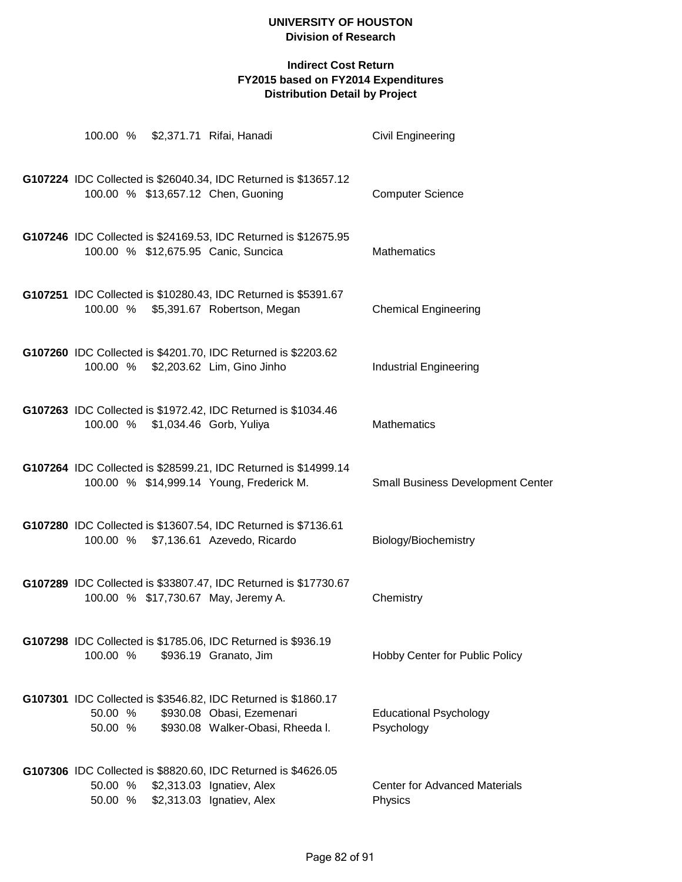|                    |                                  | 100.00 % \$2,371.71 Rifai, Hanadi                                                                                              | <b>Civil Engineering</b>                        |
|--------------------|----------------------------------|--------------------------------------------------------------------------------------------------------------------------------|-------------------------------------------------|
|                    |                                  | G107224 IDC Collected is \$26040.34, IDC Returned is \$13657.12<br>100.00 % \$13,657.12 Chen, Guoning                          | <b>Computer Science</b>                         |
|                    |                                  | G107246 IDC Collected is \$24169.53, IDC Returned is \$12675.95<br>100.00 % \$12,675.95 Canic, Suncica                         | <b>Mathematics</b>                              |
|                    |                                  | G107251 IDC Collected is \$10280.43, IDC Returned is \$5391.67<br>100.00 % \$5,391.67 Robertson, Megan                         | <b>Chemical Engineering</b>                     |
|                    |                                  | G107260 IDC Collected is \$4201.70, IDC Returned is \$2203.62<br>100.00 % \$2,203.62 Lim, Gino Jinho                           | <b>Industrial Engineering</b>                   |
|                    | 100.00 % \$1,034.46 Gorb, Yuliya | G107263 IDC Collected is \$1972.42, IDC Returned is \$1034.46                                                                  | <b>Mathematics</b>                              |
|                    |                                  | G107264 IDC Collected is \$28599.21, IDC Returned is \$14999.14<br>100.00 % \$14,999.14 Young, Frederick M.                    | <b>Small Business Development Center</b>        |
|                    |                                  | G107280 IDC Collected is \$13607.54, IDC Returned is \$7136.61<br>100.00 % \$7,136.61 Azevedo, Ricardo                         | Biology/Biochemistry                            |
|                    |                                  | G107289 IDC Collected is \$33807.47, IDC Returned is \$17730.67<br>100.00 % \$17,730.67 May, Jeremy A.                         | Chemistry                                       |
| 100.00 %           |                                  | G107298 IDC Collected is \$1785.06, IDC Returned is \$936.19<br>\$936.19 Granato, Jim                                          | Hobby Center for Public Policy                  |
| 50.00 %<br>50.00 % |                                  | G107301 IDC Collected is \$3546.82, IDC Returned is \$1860.17<br>\$930.08 Obasi, Ezemenari<br>\$930.08 Walker-Obasi, Rheeda I. | <b>Educational Psychology</b><br>Psychology     |
| 50.00 %<br>50.00 % |                                  | G107306 IDC Collected is \$8820.60, IDC Returned is \$4626.05<br>\$2,313.03 Ignatiev, Alex<br>\$2,313.03 Ignatiev, Alex        | <b>Center for Advanced Materials</b><br>Physics |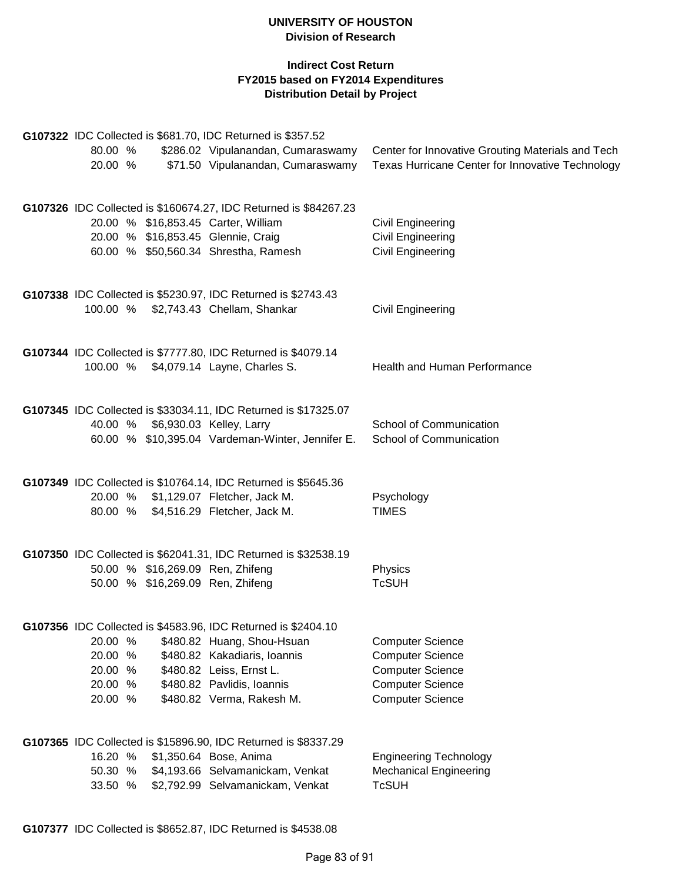|         |  | G107322 IDC Collected is \$681.70, IDC Returned is \$357.52          |                                                   |
|---------|--|----------------------------------------------------------------------|---------------------------------------------------|
| 80.00 % |  | \$286.02 Vipulanandan, Cumaraswamy                                   | Center for Innovative Grouting Materials and Tech |
| 20.00 % |  | \$71.50 Vipulanandan, Cumaraswamy                                    | Texas Hurricane Center for Innovative Technology  |
|         |  | G107326 IDC Collected is \$160674.27, IDC Returned is \$84267.23     |                                                   |
|         |  | 20.00 % \$16,853.45 Carter, William                                  | <b>Civil Engineering</b>                          |
|         |  | 20.00 % \$16,853.45 Glennie, Craig                                   | <b>Civil Engineering</b>                          |
|         |  | 60.00 % \$50,560.34 Shrestha, Ramesh                                 | <b>Civil Engineering</b>                          |
|         |  | G107338 IDC Collected is \$5230.97, IDC Returned is \$2743.43        |                                                   |
|         |  | 100.00 % \$2,743.43 Chellam, Shankar                                 | Civil Engineering                                 |
|         |  | G107344 IDC Collected is \$7777.80, IDC Returned is \$4079.14        |                                                   |
|         |  | 100.00 % \$4,079.14 Layne, Charles S.                                | Health and Human Performance                      |
|         |  | G107345 IDC Collected is \$33034.11, IDC Returned is \$17325.07      |                                                   |
| 40.00 % |  | \$6,930.03 Kelley, Larry                                             | School of Communication                           |
|         |  | 60.00 % \$10,395.04 Vardeman-Winter, Jennifer E.                     | School of Communication                           |
|         |  | G107349 IDC Collected is \$10764.14, IDC Returned is \$5645.36       |                                                   |
|         |  | 20.00 % \$1,129.07 Fletcher, Jack M.                                 | Psychology                                        |
|         |  | 80.00 % \$4,516.29 Fletcher, Jack M.                                 | <b>TIMES</b>                                      |
|         |  | G107350 IDC Collected is \$62041.31, IDC Returned is \$32538.19      |                                                   |
|         |  | 50.00 % \$16,269.09 Ren, Zhifeng<br>50.00 % \$16,269.09 Ren, Zhifeng | Physics<br><b>TcSUH</b>                           |
|         |  |                                                                      |                                                   |
|         |  | G107356 IDC Collected is \$4583.96, IDC Returned is \$2404.10        |                                                   |
| 20.00 % |  | \$480.82 Huang, Shou-Hsuan                                           | <b>Computer Science</b>                           |
| 20.00 % |  | \$480.82 Kakadiaris, Ioannis                                         | <b>Computer Science</b>                           |
| 20.00 % |  | \$480.82 Leiss, Ernst L.                                             | <b>Computer Science</b>                           |
| 20.00 % |  | \$480.82 Pavlidis, Ioannis                                           | <b>Computer Science</b>                           |
| 20.00 % |  | \$480.82 Verma, Rakesh M.                                            | <b>Computer Science</b>                           |
|         |  | G107365 IDC Collected is \$15896.90, IDC Returned is \$8337.29       |                                                   |
| 16.20 % |  | \$1,350.64 Bose, Anima                                               | <b>Engineering Technology</b>                     |
| 50.30 % |  | \$4,193.66 Selvamanickam, Venkat                                     | <b>Mechanical Engineering</b>                     |
| 33.50 % |  | \$2,792.99 Selvamanickam, Venkat                                     | <b>TcSUH</b>                                      |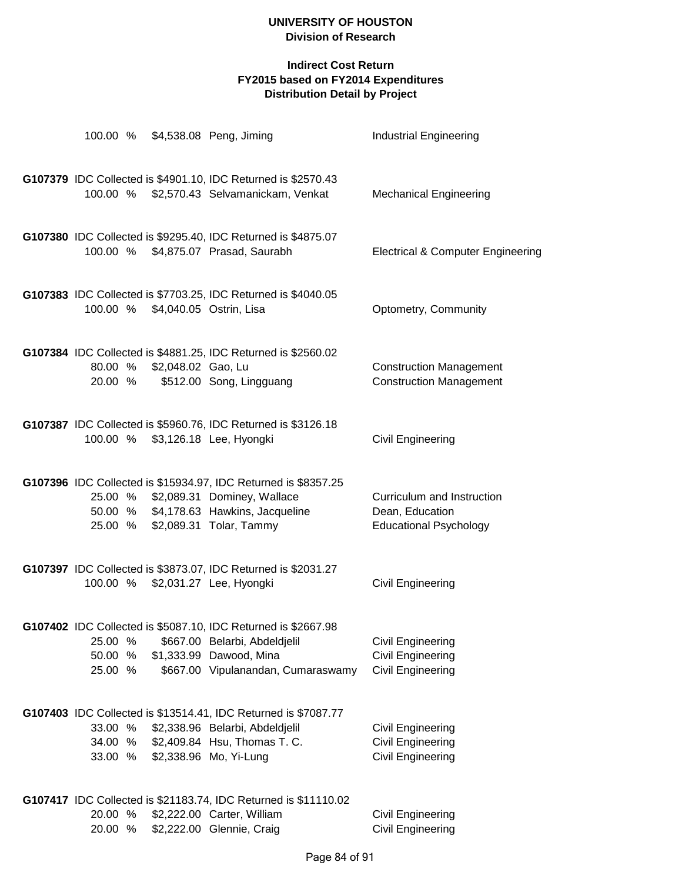| 100.00 %                      |                            | \$4,538.08 Peng, Jiming                                                                                                                                                    | <b>Industrial Engineering</b>                                                    |
|-------------------------------|----------------------------|----------------------------------------------------------------------------------------------------------------------------------------------------------------------------|----------------------------------------------------------------------------------|
|                               |                            | G107379 IDC Collected is \$4901.10, IDC Returned is \$2570.43<br>100.00 % \$2,570.43 Selvamanickam, Venkat                                                                 | <b>Mechanical Engineering</b>                                                    |
| 100.00 %                      |                            | G107380 IDC Collected is \$9295.40, IDC Returned is \$4875.07<br>\$4,875.07 Prasad, Saurabh                                                                                | <b>Electrical &amp; Computer Engineering</b>                                     |
| 100.00 %                      |                            | G107383 IDC Collected is \$7703.25, IDC Returned is \$4040.05<br>\$4,040.05 Ostrin, Lisa                                                                                   | Optometry, Community                                                             |
| 20.00 %                       | 80.00 % \$2,048.02 Gao, Lu | G107384 IDC Collected is \$4881.25, IDC Returned is \$2560.02<br>\$512.00 Song, Lingguang                                                                                  | <b>Construction Management</b><br><b>Construction Management</b>                 |
| 100.00 %                      |                            | G107387 IDC Collected is \$5960.76, IDC Returned is \$3126.18<br>\$3,126.18 Lee, Hyongki                                                                                   | Civil Engineering                                                                |
| 25.00 %                       |                            | G107396 IDC Collected is \$15934.97, IDC Returned is \$8357.25<br>25.00 % \$2,089.31 Dominey, Wallace<br>50.00 % \$4,178.63 Hawkins, Jacqueline<br>\$2,089.31 Tolar, Tammy | Curriculum and Instruction<br>Dean, Education<br><b>Educational Psychology</b>   |
| 100.00 %                      |                            | G107397 IDC Collected is \$3873.07, IDC Returned is \$2031.27<br>\$2,031.27 Lee, Hyongki                                                                                   | Civil Engineering                                                                |
| 25.00 %<br>50.00 %<br>25.00 % |                            | G107402 IDC Collected is \$5087.10, IDC Returned is \$2667.98<br>\$667.00 Belarbi, Abdeldjelil<br>\$1,333.99 Dawood, Mina<br>\$667.00 Vipulanandan, Cumaraswamy            | Civil Engineering<br><b>Civil Engineering</b><br><b>Civil Engineering</b>        |
| 33.00 %<br>34.00 %<br>33.00 % |                            | G107403 IDC Collected is \$13514.41, IDC Returned is \$7087.77<br>\$2,338.96 Belarbi, Abdeldjelil<br>\$2,409.84 Hsu, Thomas T. C.<br>\$2,338.96 Mo, Yi-Lung                | <b>Civil Engineering</b><br><b>Civil Engineering</b><br><b>Civil Engineering</b> |
| 20.00 %<br>20.00 %            |                            | G107417 IDC Collected is \$21183.74, IDC Returned is \$11110.02<br>\$2,222.00 Carter, William<br>\$2,222.00 Glennie, Craig                                                 | Civil Engineering<br>Civil Engineering                                           |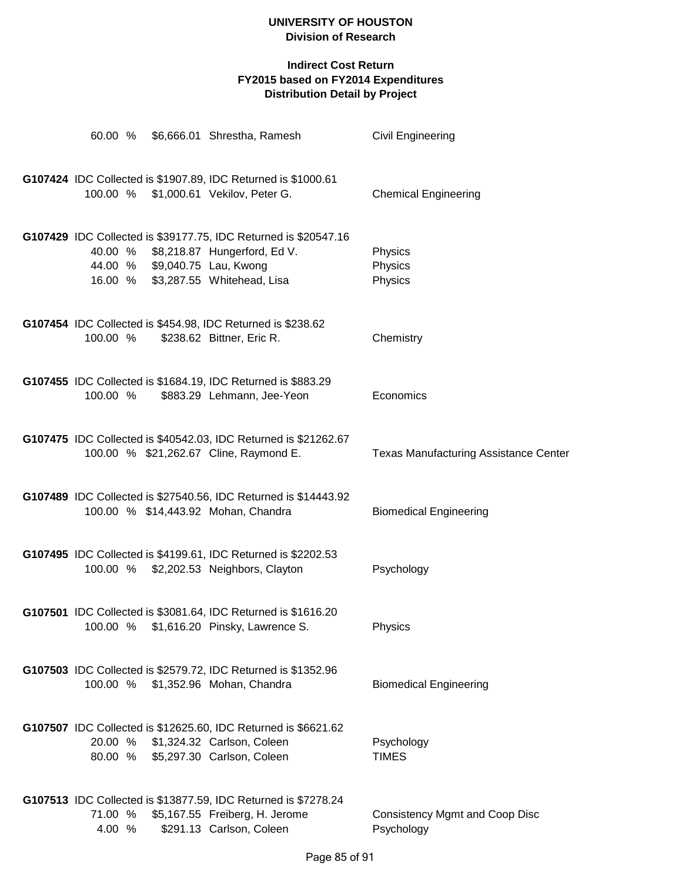| 60.00 %            |  | \$6,666.01 Shrestha, Ramesh                                                                               | Civil Engineering                            |
|--------------------|--|-----------------------------------------------------------------------------------------------------------|----------------------------------------------|
|                    |  | G107424 IDC Collected is \$1907.89, IDC Returned is \$1000.61                                             |                                              |
|                    |  | 100.00 % \$1,000.61 Vekilov, Peter G.                                                                     | <b>Chemical Engineering</b>                  |
|                    |  | G107429 IDC Collected is \$39177.75, IDC Returned is \$20547.16                                           |                                              |
| 40.00 %            |  | \$8,218.87 Hungerford, Ed V.                                                                              | Physics                                      |
| 44.00 %<br>16.00 % |  | \$9,040.75 Lau, Kwong<br>\$3,287.55 Whitehead, Lisa                                                       | Physics<br>Physics                           |
|                    |  |                                                                                                           |                                              |
|                    |  | G107454 IDC Collected is \$454.98, IDC Returned is \$238.62                                               |                                              |
| 100.00 %           |  | \$238.62 Bittner, Eric R.                                                                                 | Chemistry                                    |
|                    |  | G107455 IDC Collected is \$1684.19, IDC Returned is \$883.29                                              |                                              |
| 100.00 %           |  | \$883.29 Lehmann, Jee-Yeon                                                                                | Economics                                    |
|                    |  |                                                                                                           |                                              |
|                    |  | G107475 IDC Collected is \$40542.03, IDC Returned is \$21262.67<br>100.00 % \$21,262.67 Cline, Raymond E. | <b>Texas Manufacturing Assistance Center</b> |
|                    |  |                                                                                                           |                                              |
|                    |  | G107489 IDC Collected is \$27540.56, IDC Returned is \$14443.92                                           |                                              |
|                    |  | 100.00 % \$14,443.92 Mohan, Chandra                                                                       | <b>Biomedical Engineering</b>                |
|                    |  | G107495 IDC Collected is \$4199.61, IDC Returned is \$2202.53                                             |                                              |
|                    |  | 100.00 % \$2,202.53 Neighbors, Clayton                                                                    | Psychology                                   |
|                    |  |                                                                                                           |                                              |
|                    |  | G107501 IDC Collected is \$3081.64, IDC Returned is \$1616.20<br>100.00 % \$1,616.20 Pinsky, Lawrence S.  | <b>Physics</b>                               |
|                    |  |                                                                                                           |                                              |
|                    |  | G107503 IDC Collected is \$2579.72, IDC Returned is \$1352.96                                             |                                              |
| 100.00 %           |  | \$1,352.96 Mohan, Chandra                                                                                 | <b>Biomedical Engineering</b>                |
|                    |  | G107507 IDC Collected is \$12625.60, IDC Returned is \$6621.62                                            |                                              |
| 20.00 %            |  | \$1,324.32 Carlson, Coleen                                                                                | Psychology                                   |
| 80.00 %            |  | \$5,297.30 Carlson, Coleen                                                                                | <b>TIMES</b>                                 |
|                    |  |                                                                                                           |                                              |
| 71.00 %            |  | G107513 IDC Collected is \$13877.59, IDC Returned is \$7278.24<br>\$5,167.55 Freiberg, H. Jerome          | <b>Consistency Mgmt and Coop Disc</b>        |
| 4.00 %             |  | \$291.13 Carlson, Coleen                                                                                  | Psychology                                   |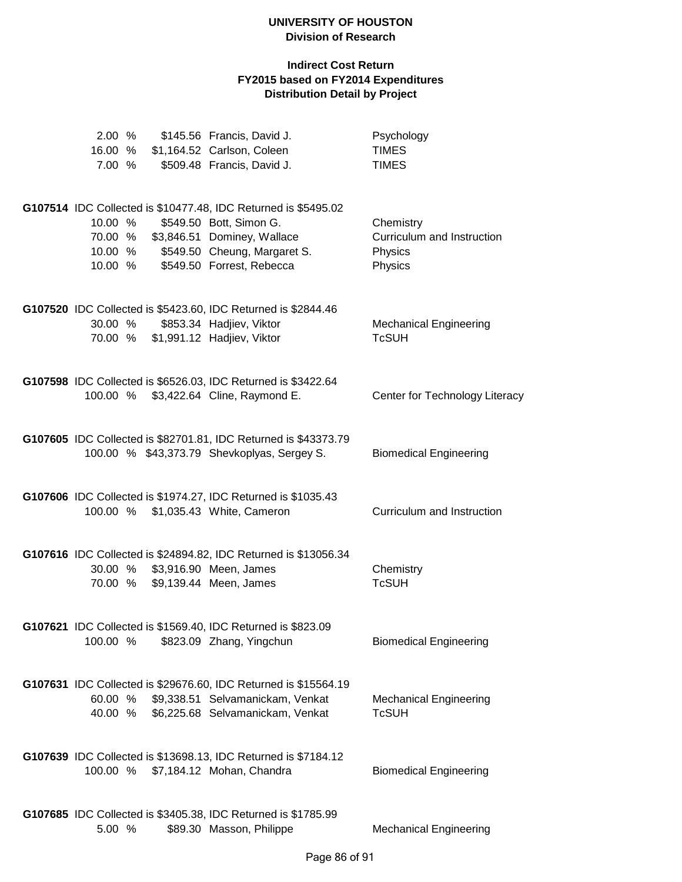| 2.00%<br>16.00 %<br>7.00 %               | \$145.56 Francis, David J.<br>\$1,164.52 Carlson, Coleen<br>\$509.48 Francis, David J.                                                                                                | Psychology<br><b>TIMES</b><br><b>TIMES</b>                    |
|------------------------------------------|---------------------------------------------------------------------------------------------------------------------------------------------------------------------------------------|---------------------------------------------------------------|
| 10.00 %<br>70.00 %<br>10.00 %<br>10.00 % | G107514 IDC Collected is \$10477.48, IDC Returned is \$5495.02<br>\$549.50 Bott, Simon G.<br>\$3,846.51 Dominey, Wallace<br>\$549.50 Cheung, Margaret S.<br>\$549.50 Forrest, Rebecca | Chemistry<br>Curriculum and Instruction<br>Physics<br>Physics |
| 30.00 %                                  | G107520 IDC Collected is \$5423.60, IDC Returned is \$2844.46<br>\$853.34 Hadjiev, Viktor<br>70.00 % \$1,991.12 Hadjiev, Viktor                                                       | <b>Mechanical Engineering</b><br><b>TcSUH</b>                 |
| 100.00 %                                 | G107598 IDC Collected is \$6526.03, IDC Returned is \$3422.64<br>\$3,422.64 Cline, Raymond E.                                                                                         | Center for Technology Literacy                                |
|                                          | G107605 IDC Collected is \$82701.81, IDC Returned is \$43373.79<br>100.00 % \$43,373.79 Shevkoplyas, Sergey S.                                                                        | <b>Biomedical Engineering</b>                                 |
| 100.00 %                                 | G107606 IDC Collected is \$1974.27, IDC Returned is \$1035.43<br>\$1,035.43 White, Cameron                                                                                            | Curriculum and Instruction                                    |
| 30.00 %<br>70.00 %                       | G107616 IDC Collected is \$24894.82, IDC Returned is \$13056.34<br>\$3,916.90 Meen, James<br>\$9,139.44 Meen, James                                                                   | Chemistry<br><b>TcSUH</b>                                     |
| 100.00 %                                 | G107621 IDC Collected is \$1569.40, IDC Returned is \$823.09<br>\$823.09 Zhang, Yingchun                                                                                              | <b>Biomedical Engineering</b>                                 |
| 60.00 %<br>40.00 %                       | G107631 IDC Collected is \$29676.60, IDC Returned is \$15564.19<br>\$9,338.51 Selvamanickam, Venkat<br>\$6,225.68 Selvamanickam, Venkat                                               | <b>Mechanical Engineering</b><br><b>TcSUH</b>                 |
|                                          | G107639 IDC Collected is \$13698.13, IDC Returned is \$7184.12<br>100.00 % \$7,184.12 Mohan, Chandra                                                                                  | <b>Biomedical Engineering</b>                                 |
| 5.00 %                                   | G107685 IDC Collected is \$3405.38, IDC Returned is \$1785.99<br>\$89.30 Masson, Philippe                                                                                             | <b>Mechanical Engineering</b>                                 |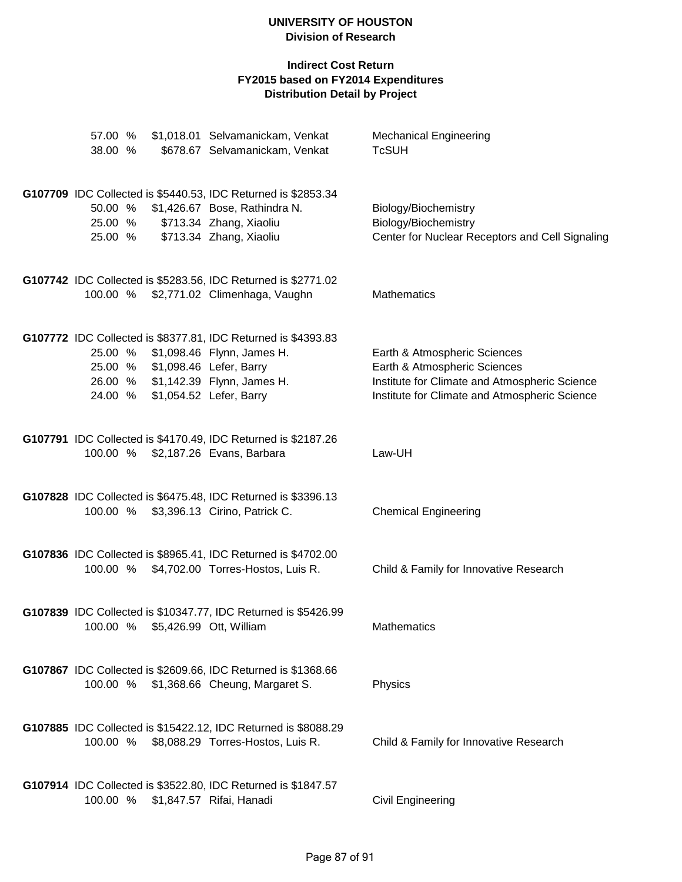| 57.00 %<br>38.00 %            |                                  | \$1,018.01 Selvamanickam, Venkat<br>\$678.67 Selvamanickam, Venkat                                                                                           | <b>Mechanical Engineering</b><br><b>TcSUH</b>                                                                                                                  |
|-------------------------------|----------------------------------|--------------------------------------------------------------------------------------------------------------------------------------------------------------|----------------------------------------------------------------------------------------------------------------------------------------------------------------|
| 50.00 %<br>25.00 %<br>25.00 % |                                  | G107709 IDC Collected is \$5440.53, IDC Returned is \$2853.34<br>\$1,426.67 Bose, Rathindra N.<br>\$713.34 Zhang, Xiaoliu<br>\$713.34 Zhang, Xiaoliu         | Biology/Biochemistry<br>Biology/Biochemistry<br>Center for Nuclear Receptors and Cell Signaling                                                                |
|                               |                                  | G107742 IDC Collected is \$5283.56, IDC Returned is \$2771.02<br>100.00 % \$2,771.02 Climenhaga, Vaughn                                                      | Mathematics                                                                                                                                                    |
| 25.00 %<br>24.00 %            | 25.00 % \$1,098.46 Lefer, Barry  | G107772 IDC Collected is \$8377.81, IDC Returned is \$4393.83<br>\$1,098.46 Flynn, James H.<br>26.00 % \$1,142.39 Flynn, James H.<br>\$1,054.52 Lefer, Barry | Earth & Atmospheric Sciences<br>Earth & Atmospheric Sciences<br>Institute for Climate and Atmospheric Science<br>Institute for Climate and Atmospheric Science |
| 100.00 %                      |                                  | G107791 IDC Collected is \$4170.49, IDC Returned is \$2187.26<br>\$2,187.26 Evans, Barbara                                                                   | Law-UH                                                                                                                                                         |
| 100.00 %                      |                                  | G107828 IDC Collected is \$6475.48, IDC Returned is \$3396.13<br>\$3,396.13 Cirino, Patrick C.                                                               | <b>Chemical Engineering</b>                                                                                                                                    |
|                               |                                  | G107836 IDC Collected is \$8965.41, IDC Returned is \$4702.00<br>100.00 % \$4,702.00 Torres-Hostos, Luis R.                                                  | Child & Family for Innovative Research                                                                                                                         |
|                               | 100.00 % \$5,426.99 Ott, William | G107839 IDC Collected is \$10347.77, IDC Returned is \$5426.99                                                                                               | Mathematics                                                                                                                                                    |
| 100.00 %                      |                                  | G107867 IDC Collected is \$2609.66, IDC Returned is \$1368.66<br>\$1,368.66 Cheung, Margaret S.                                                              | Physics                                                                                                                                                        |
| 100.00 %                      |                                  | G107885 IDC Collected is \$15422.12, IDC Returned is \$8088.29<br>\$8,088.29 Torres-Hostos, Luis R.                                                          | Child & Family for Innovative Research                                                                                                                         |
| 100.00 %                      |                                  | G107914 IDC Collected is \$3522.80, IDC Returned is \$1847.57<br>\$1,847.57 Rifai, Hanadi                                                                    | <b>Civil Engineering</b>                                                                                                                                       |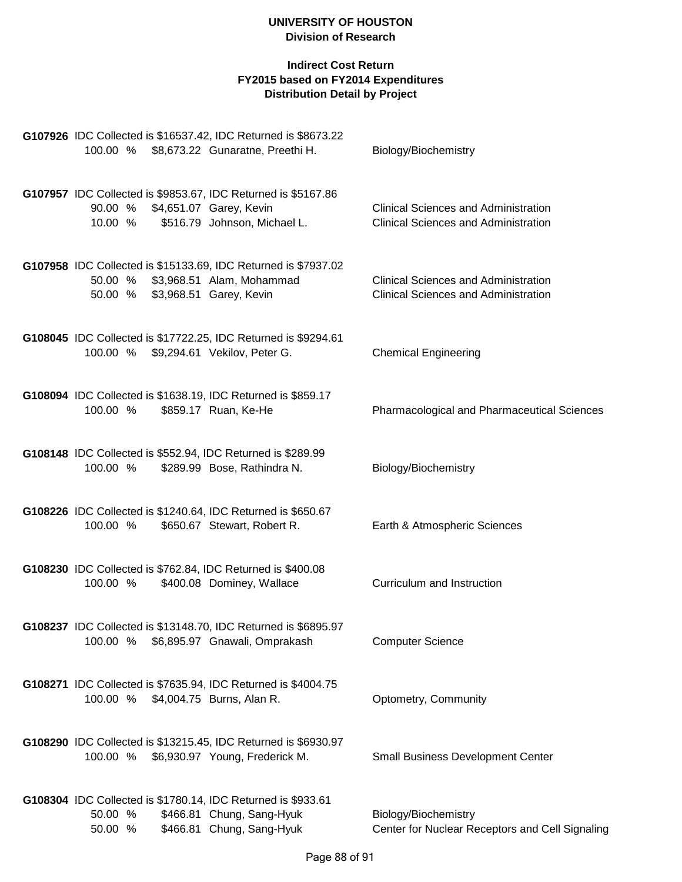|          | G107926 IDC Collected is \$16537.42, IDC Returned is \$8673.22                                   |                                                 |
|----------|--------------------------------------------------------------------------------------------------|-------------------------------------------------|
|          | 100.00 % \$8,673.22 Gunaratne, Preethi H.                                                        | Biology/Biochemistry                            |
|          |                                                                                                  |                                                 |
|          | G107957 IDC Collected is \$9853.67, IDC Returned is \$5167.86                                    |                                                 |
|          | 90.00 % \$4,651.07 Garey, Kevin                                                                  | <b>Clinical Sciences and Administration</b>     |
| 10.00 %  | \$516.79 Johnson, Michael L.                                                                     | <b>Clinical Sciences and Administration</b>     |
|          |                                                                                                  |                                                 |
|          | G107958 IDC Collected is \$15133.69, IDC Returned is \$7937.02                                   |                                                 |
|          | 50.00 % \$3,968.51 Alam, Mohammad                                                                | <b>Clinical Sciences and Administration</b>     |
|          | 50.00 % \$3,968.51 Garey, Kevin                                                                  | <b>Clinical Sciences and Administration</b>     |
|          |                                                                                                  |                                                 |
|          | G108045 IDC Collected is \$17722.25, IDC Returned is \$9294.61                                   |                                                 |
|          | 100.00 % \$9,294.61 Vekilov, Peter G.                                                            | <b>Chemical Engineering</b>                     |
|          |                                                                                                  |                                                 |
|          |                                                                                                  |                                                 |
|          | G108094 IDC Collected is \$1638.19, IDC Returned is \$859.17                                     |                                                 |
| 100.00 % | \$859.17 Ruan, Ke-He                                                                             | Pharmacological and Pharmaceutical Sciences     |
|          |                                                                                                  |                                                 |
|          | G108148 IDC Collected is \$552.94, IDC Returned is \$289.99                                      |                                                 |
| 100.00 % | \$289.99 Bose, Rathindra N.                                                                      | Biology/Biochemistry                            |
|          |                                                                                                  |                                                 |
|          | G108226 IDC Collected is \$1240.64, IDC Returned is \$650.67                                     |                                                 |
| 100.00 % | \$650.67 Stewart, Robert R.                                                                      | Earth & Atmospheric Sciences                    |
|          |                                                                                                  |                                                 |
|          |                                                                                                  |                                                 |
|          | G108230 IDC Collected is \$762.84, IDC Returned is \$400.08                                      | Curriculum and Instruction                      |
| 100.00 % | \$400.08 Dominey, Wallace                                                                        |                                                 |
|          |                                                                                                  |                                                 |
|          | G108237 IDC Collected is \$13148.70, IDC Returned is \$6895.97                                   |                                                 |
| 100.00 % | \$6,895.97 Gnawali, Omprakash                                                                    | <b>Computer Science</b>                         |
|          |                                                                                                  |                                                 |
|          | G108271 IDC Collected is \$7635.94, IDC Returned is \$4004.75                                    |                                                 |
| 100.00 % | \$4,004.75 Burns, Alan R.                                                                        | Optometry, Community                            |
|          |                                                                                                  |                                                 |
|          |                                                                                                  |                                                 |
| 100.00 % | G108290 IDC Collected is \$13215.45, IDC Returned is \$6930.97<br>\$6,930.97 Young, Frederick M. | <b>Small Business Development Center</b>        |
|          |                                                                                                  |                                                 |
|          |                                                                                                  |                                                 |
|          | G108304 IDC Collected is \$1780.14, IDC Returned is \$933.61                                     |                                                 |
| 50.00 %  | \$466.81 Chung, Sang-Hyuk                                                                        | Biology/Biochemistry                            |
| 50.00 %  | \$466.81 Chung, Sang-Hyuk                                                                        | Center for Nuclear Receptors and Cell Signaling |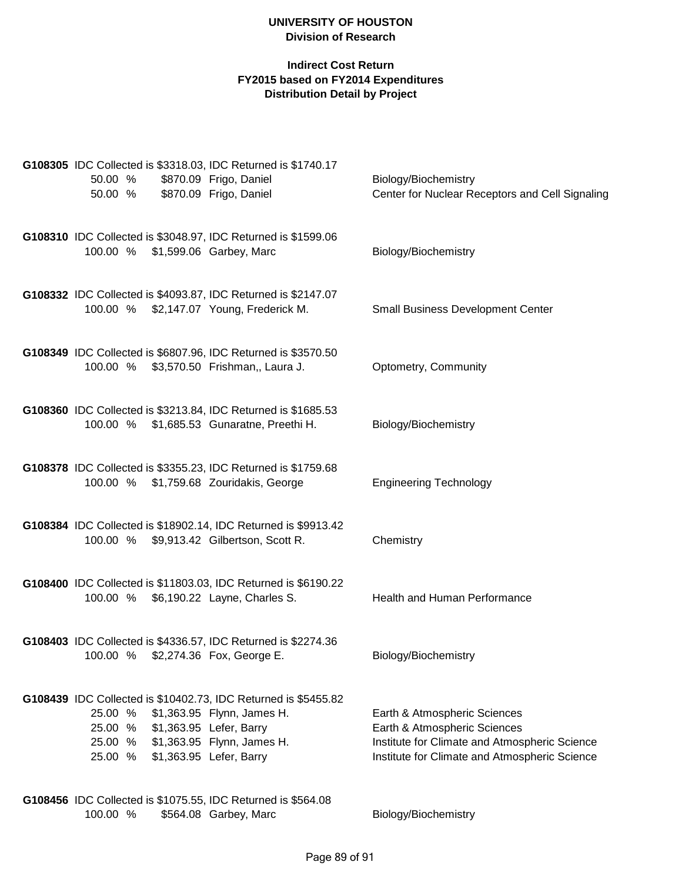#### **Indirect Cost Return FY2015 based on FY2014 Expenditures Distribution Detail by Project**

|                                                                       | G108305 IDC Collected is \$3318.03, IDC Returned is \$1740.17  |                                                                                                |
|-----------------------------------------------------------------------|----------------------------------------------------------------|------------------------------------------------------------------------------------------------|
| 50.00 %<br>50.00 % \$870.09 Frigo, Daniel                             | \$870.09 Frigo, Daniel                                         | Biology/Biochemistry                                                                           |
|                                                                       |                                                                | Center for Nuclear Receptors and Cell Signaling                                                |
|                                                                       | G108310 IDC Collected is \$3048.97, IDC Returned is \$1599.06  |                                                                                                |
| 100.00 % \$1,599.06 Garbey, Marc                                      |                                                                | Biology/Biochemistry                                                                           |
|                                                                       | G108332 IDC Collected is \$4093.87, IDC Returned is \$2147.07  |                                                                                                |
| 100.00 % \$2,147.07 Young, Frederick M.                               |                                                                | <b>Small Business Development Center</b>                                                       |
|                                                                       | G108349 IDC Collected is \$6807.96, IDC Returned is \$3570.50  |                                                                                                |
| 100.00 % \$3,570.50 Frishman,, Laura J.                               |                                                                | Optometry, Community                                                                           |
|                                                                       |                                                                |                                                                                                |
| 100.00 % \$1,685.53 Gunaratne, Preethi H.                             | G108360 IDC Collected is \$3213.84, IDC Returned is \$1685.53  | Biology/Biochemistry                                                                           |
|                                                                       |                                                                |                                                                                                |
| 100.00 % \$1,759.68 Zouridakis, George                                | G108378 IDC Collected is \$3355.23, IDC Returned is \$1759.68  | <b>Engineering Technology</b>                                                                  |
|                                                                       |                                                                |                                                                                                |
| 100.00 % \$9,913.42 Gilbertson, Scott R.                              | G108384 IDC Collected is \$18902.14, IDC Returned is \$9913.42 | Chemistry                                                                                      |
|                                                                       |                                                                |                                                                                                |
|                                                                       | G108400 IDC Collected is \$11803.03, IDC Returned is \$6190.22 |                                                                                                |
| 100.00 % \$6,190.22 Layne, Charles S.                                 |                                                                | Health and Human Performance                                                                   |
|                                                                       | G108403 IDC Collected is \$4336.57, IDC Returned is \$2274.36  |                                                                                                |
| 100.00 % \$2,274.36 Fox, George E.                                    |                                                                | Biology/Biochemistry                                                                           |
|                                                                       | G108439 IDC Collected is \$10402.73, IDC Returned is \$5455.82 |                                                                                                |
| 25.00 % \$1,363.95 Flynn, James H.                                    |                                                                | Earth & Atmospheric Sciences                                                                   |
| 25.00 % \$1,363.95 Lefer, Barry<br>25.00 % \$1,363.95 Flynn, James H. |                                                                | Earth & Atmospheric Sciences                                                                   |
| 25.00 % \$1,363.95 Lefer, Barry                                       |                                                                | Institute for Climate and Atmospheric Science<br>Institute for Climate and Atmospheric Science |
|                                                                       |                                                                |                                                                                                |
| G108456 IDC Collected is \$1075.55, IDC Returned is \$564.08          |                                                                |                                                                                                |

100.00 % \$564.08 Garbey, Marc Biology/Biochemistry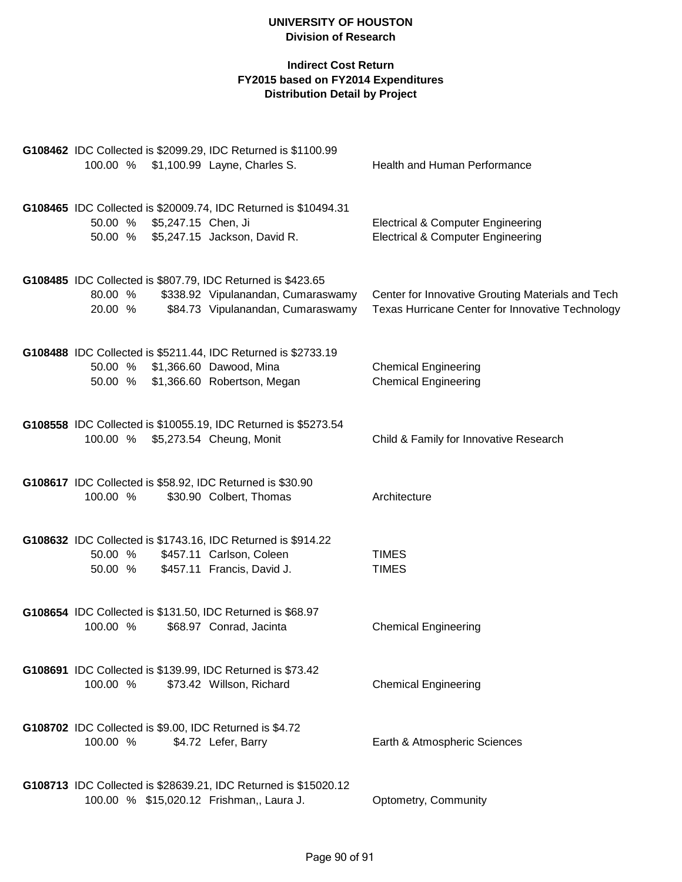|                                                                        | G108462 IDC Collected is \$2099.29, IDC Returned is \$1100.99   |                                                            |
|------------------------------------------------------------------------|-----------------------------------------------------------------|------------------------------------------------------------|
| 100.00 % \$1,100.99 Layne, Charles S.                                  |                                                                 | Health and Human Performance                               |
|                                                                        |                                                                 |                                                            |
|                                                                        | G108465 IDC Collected is \$20009.74, IDC Returned is \$10494.31 |                                                            |
| 50.00 % \$5,247.15 Chen, Ji                                            |                                                                 | <b>Electrical &amp; Computer Engineering</b>               |
| 50.00 %                                                                | \$5,247.15 Jackson, David R.                                    | <b>Electrical &amp; Computer Engineering</b>               |
|                                                                        |                                                                 |                                                            |
|                                                                        |                                                                 |                                                            |
| G108485 IDC Collected is \$807.79, IDC Returned is \$423.65<br>80.00 % | \$338.92 Vipulanandan, Cumaraswamy                              | Center for Innovative Grouting Materials and Tech          |
| 20.00 %                                                                | \$84.73 Vipulanandan, Cumaraswamy                               | Texas Hurricane Center for Innovative Technology           |
|                                                                        |                                                                 |                                                            |
|                                                                        |                                                                 |                                                            |
|                                                                        | G108488 IDC Collected is \$5211.44, IDC Returned is \$2733.19   |                                                            |
| 50.00 %<br>50.00 %                                                     | \$1,366.60 Dawood, Mina<br>\$1,366.60 Robertson, Megan          | <b>Chemical Engineering</b><br><b>Chemical Engineering</b> |
|                                                                        |                                                                 |                                                            |
|                                                                        |                                                                 |                                                            |
|                                                                        | G108558 IDC Collected is \$10055.19, IDC Returned is \$5273.54  |                                                            |
| 100.00 % \$5,273.54 Cheung, Monit                                      |                                                                 | Child & Family for Innovative Research                     |
|                                                                        |                                                                 |                                                            |
| G108617 IDC Collected is \$58.92, IDC Returned is \$30.90              |                                                                 |                                                            |
| 100.00 %                                                               | \$30.90 Colbert, Thomas                                         | Architecture                                               |
|                                                                        |                                                                 |                                                            |
| G108632 IDC Collected is \$1743.16, IDC Returned is \$914.22           |                                                                 |                                                            |
| 50.00 %                                                                | \$457.11 Carlson, Coleen                                        | <b>TIMES</b>                                               |
| 50.00 %                                                                | \$457.11 Francis, David J.                                      | <b>TIMES</b>                                               |
|                                                                        |                                                                 |                                                            |
|                                                                        |                                                                 |                                                            |
| G108654 IDC Collected is \$131.50, IDC Returned is \$68.97<br>100.00 % | \$68.97 Conrad, Jacinta                                         | <b>Chemical Engineering</b>                                |
|                                                                        |                                                                 |                                                            |
|                                                                        |                                                                 |                                                            |
| G108691 IDC Collected is \$139.99, IDC Returned is \$73.42             |                                                                 |                                                            |
| 100.00 %                                                               | \$73.42 Willson, Richard                                        | <b>Chemical Engineering</b>                                |
|                                                                        |                                                                 |                                                            |
| G108702 IDC Collected is \$9.00, IDC Returned is \$4.72                |                                                                 |                                                            |
| 100.00 %                                                               | \$4.72 Lefer, Barry                                             | Earth & Atmospheric Sciences                               |
|                                                                        |                                                                 |                                                            |
|                                                                        | G108713 IDC Collected is \$28639.21, IDC Returned is \$15020.12 |                                                            |
| 100.00 % \$15,020.12 Frishman,, Laura J.                               |                                                                 | Optometry, Community                                       |